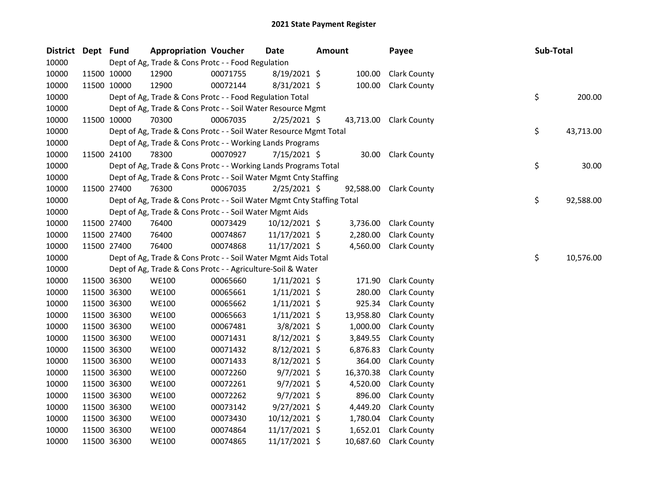| <b>District</b> | Dept Fund |             | <b>Appropriation Voucher</b>                                           |          | <b>Date</b>    | <b>Amount</b> |           | Payee                  | Sub-Total |           |
|-----------------|-----------|-------------|------------------------------------------------------------------------|----------|----------------|---------------|-----------|------------------------|-----------|-----------|
| 10000           |           |             | Dept of Ag, Trade & Cons Protc - - Food Regulation                     |          |                |               |           |                        |           |           |
| 10000           |           | 11500 10000 | 12900                                                                  | 00071755 | $8/19/2021$ \$ |               | 100.00    | <b>Clark County</b>    |           |           |
| 10000           |           | 11500 10000 | 12900                                                                  | 00072144 | 8/31/2021 \$   |               | 100.00    | <b>Clark County</b>    |           |           |
| 10000           |           |             | Dept of Ag, Trade & Cons Protc - - Food Regulation Total               |          |                |               |           |                        | \$        | 200.00    |
| 10000           |           |             | Dept of Ag, Trade & Cons Protc - - Soil Water Resource Mgmt            |          |                |               |           |                        |           |           |
| 10000           |           | 11500 10000 | 70300                                                                  | 00067035 | $2/25/2021$ \$ |               |           | 43,713.00 Clark County |           |           |
| 10000           |           |             | Dept of Ag, Trade & Cons Protc - - Soil Water Resource Mgmt Total      |          |                |               |           |                        | \$        | 43,713.00 |
| 10000           |           |             | Dept of Ag, Trade & Cons Protc - - Working Lands Programs              |          |                |               |           |                        |           |           |
| 10000           |           | 11500 24100 | 78300                                                                  | 00070927 | 7/15/2021 \$   |               | 30.00     | <b>Clark County</b>    |           |           |
| 10000           |           |             | Dept of Ag, Trade & Cons Protc - - Working Lands Programs Total        |          |                |               |           |                        | \$        | 30.00     |
| 10000           |           |             | Dept of Ag, Trade & Cons Protc - - Soil Water Mgmt Cnty Staffing       |          |                |               |           |                        |           |           |
| 10000           |           | 11500 27400 | 76300                                                                  | 00067035 | $2/25/2021$ \$ |               | 92,588.00 | <b>Clark County</b>    |           |           |
| 10000           |           |             | Dept of Ag, Trade & Cons Protc - - Soil Water Mgmt Cnty Staffing Total |          |                |               |           |                        | \$        | 92,588.00 |
| 10000           |           |             | Dept of Ag, Trade & Cons Protc - - Soil Water Mgmt Aids                |          |                |               |           |                        |           |           |
| 10000           |           | 11500 27400 | 76400                                                                  | 00073429 | 10/12/2021 \$  |               | 3,736.00  | <b>Clark County</b>    |           |           |
| 10000           |           | 11500 27400 | 76400                                                                  | 00074867 | 11/17/2021 \$  |               | 2,280.00  | <b>Clark County</b>    |           |           |
| 10000           |           | 11500 27400 | 76400                                                                  | 00074868 | 11/17/2021 \$  |               | 4,560.00  | <b>Clark County</b>    |           |           |
| 10000           |           |             | Dept of Ag, Trade & Cons Protc - - Soil Water Mgmt Aids Total          |          |                |               |           |                        | \$        | 10,576.00 |
| 10000           |           |             | Dept of Ag, Trade & Cons Protc - - Agriculture-Soil & Water            |          |                |               |           |                        |           |           |
| 10000           |           | 11500 36300 | <b>WE100</b>                                                           | 00065660 | $1/11/2021$ \$ |               | 171.90    | <b>Clark County</b>    |           |           |
| 10000           |           | 11500 36300 | <b>WE100</b>                                                           | 00065661 | $1/11/2021$ \$ |               | 280.00    | <b>Clark County</b>    |           |           |
| 10000           |           | 11500 36300 | <b>WE100</b>                                                           | 00065662 | $1/11/2021$ \$ |               | 925.34    | <b>Clark County</b>    |           |           |
| 10000           |           | 11500 36300 | <b>WE100</b>                                                           | 00065663 | $1/11/2021$ \$ |               | 13,958.80 | <b>Clark County</b>    |           |           |
| 10000           |           | 11500 36300 | <b>WE100</b>                                                           | 00067481 | $3/8/2021$ \$  |               | 1,000.00  | <b>Clark County</b>    |           |           |
| 10000           |           | 11500 36300 | <b>WE100</b>                                                           | 00071431 | 8/12/2021 \$   |               | 3,849.55  | <b>Clark County</b>    |           |           |
| 10000           |           | 11500 36300 | <b>WE100</b>                                                           | 00071432 | $8/12/2021$ \$ |               | 6,876.83  | <b>Clark County</b>    |           |           |
| 10000           |           | 11500 36300 | <b>WE100</b>                                                           | 00071433 | $8/12/2021$ \$ |               | 364.00    | <b>Clark County</b>    |           |           |
| 10000           |           | 11500 36300 | <b>WE100</b>                                                           | 00072260 | $9/7/2021$ \$  |               | 16,370.38 | <b>Clark County</b>    |           |           |
| 10000           |           | 11500 36300 | <b>WE100</b>                                                           | 00072261 | $9/7/2021$ \$  |               | 4,520.00  | <b>Clark County</b>    |           |           |
| 10000           |           | 11500 36300 | <b>WE100</b>                                                           | 00072262 | $9/7/2021$ \$  |               | 896.00    | <b>Clark County</b>    |           |           |
| 10000           |           | 11500 36300 | <b>WE100</b>                                                           | 00073142 | $9/27/2021$ \$ |               | 4,449.20  | <b>Clark County</b>    |           |           |
| 10000           |           | 11500 36300 | <b>WE100</b>                                                           | 00073430 | 10/12/2021 \$  |               | 1,780.04  | <b>Clark County</b>    |           |           |
| 10000           |           | 11500 36300 | <b>WE100</b>                                                           | 00074864 | 11/17/2021 \$  |               | 1,652.01  | <b>Clark County</b>    |           |           |
| 10000           |           | 11500 36300 | <b>WE100</b>                                                           | 00074865 | 11/17/2021 \$  |               | 10,687.60 | <b>Clark County</b>    |           |           |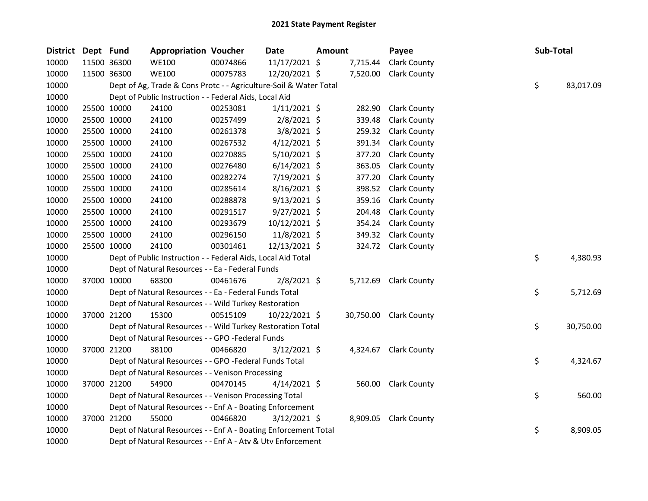| <b>District</b> | Dept Fund |             | <b>Appropriation Voucher</b>                                      |          | <b>Date</b>    | Amount |          | Payee                  | Sub-Total |           |
|-----------------|-----------|-------------|-------------------------------------------------------------------|----------|----------------|--------|----------|------------------------|-----------|-----------|
| 10000           |           | 11500 36300 | <b>WE100</b>                                                      | 00074866 | 11/17/2021 \$  |        | 7,715.44 | <b>Clark County</b>    |           |           |
| 10000           |           | 11500 36300 | <b>WE100</b>                                                      | 00075783 | 12/20/2021 \$  |        | 7,520.00 | <b>Clark County</b>    |           |           |
| 10000           |           |             | Dept of Ag, Trade & Cons Protc - - Agriculture-Soil & Water Total |          |                |        |          |                        | \$        | 83,017.09 |
| 10000           |           |             | Dept of Public Instruction - - Federal Aids, Local Aid            |          |                |        |          |                        |           |           |
| 10000           |           | 25500 10000 | 24100                                                             | 00253081 | $1/11/2021$ \$ |        | 282.90   | <b>Clark County</b>    |           |           |
| 10000           |           | 25500 10000 | 24100                                                             | 00257499 | $2/8/2021$ \$  |        | 339.48   | <b>Clark County</b>    |           |           |
| 10000           |           | 25500 10000 | 24100                                                             | 00261378 | $3/8/2021$ \$  |        | 259.32   | <b>Clark County</b>    |           |           |
| 10000           |           | 25500 10000 | 24100                                                             | 00267532 | $4/12/2021$ \$ |        | 391.34   | <b>Clark County</b>    |           |           |
| 10000           |           | 25500 10000 | 24100                                                             | 00270885 | 5/10/2021 \$   |        | 377.20   | <b>Clark County</b>    |           |           |
| 10000           |           | 25500 10000 | 24100                                                             | 00276480 | $6/14/2021$ \$ |        | 363.05   | <b>Clark County</b>    |           |           |
| 10000           |           | 25500 10000 | 24100                                                             | 00282274 | 7/19/2021 \$   |        | 377.20   | <b>Clark County</b>    |           |           |
| 10000           |           | 25500 10000 | 24100                                                             | 00285614 | $8/16/2021$ \$ |        | 398.52   | <b>Clark County</b>    |           |           |
| 10000           |           | 25500 10000 | 24100                                                             | 00288878 | $9/13/2021$ \$ |        | 359.16   | <b>Clark County</b>    |           |           |
| 10000           |           | 25500 10000 | 24100                                                             | 00291517 | $9/27/2021$ \$ |        | 204.48   | <b>Clark County</b>    |           |           |
| 10000           |           | 25500 10000 | 24100                                                             | 00293679 | 10/12/2021 \$  |        | 354.24   | <b>Clark County</b>    |           |           |
| 10000           |           | 25500 10000 | 24100                                                             | 00296150 | 11/8/2021 \$   |        | 349.32   | <b>Clark County</b>    |           |           |
| 10000           |           | 25500 10000 | 24100                                                             | 00301461 | 12/13/2021 \$  |        |          | 324.72 Clark County    |           |           |
| 10000           |           |             | Dept of Public Instruction - - Federal Aids, Local Aid Total      |          |                |        |          |                        | \$        | 4,380.93  |
| 10000           |           |             | Dept of Natural Resources - - Ea - Federal Funds                  |          |                |        |          |                        |           |           |
| 10000           |           | 37000 10000 | 68300                                                             | 00461676 | $2/8/2021$ \$  |        |          | 5,712.69 Clark County  |           |           |
| 10000           |           |             | Dept of Natural Resources - - Ea - Federal Funds Total            |          |                |        |          |                        | \$        | 5,712.69  |
| 10000           |           |             | Dept of Natural Resources - - Wild Turkey Restoration             |          |                |        |          |                        |           |           |
| 10000           |           | 37000 21200 | 15300                                                             | 00515109 | 10/22/2021 \$  |        |          | 30,750.00 Clark County |           |           |
| 10000           |           |             | Dept of Natural Resources - - Wild Turkey Restoration Total       |          |                |        |          |                        | \$.       | 30,750.00 |
| 10000           |           |             | Dept of Natural Resources - - GPO -Federal Funds                  |          |                |        |          |                        |           |           |
| 10000           |           | 37000 21200 | 38100                                                             | 00466820 | $3/12/2021$ \$ |        |          | 4,324.67 Clark County  |           |           |
| 10000           |           |             | Dept of Natural Resources - - GPO -Federal Funds Total            |          |                |        |          |                        | \$        | 4,324.67  |
| 10000           |           |             | Dept of Natural Resources - - Venison Processing                  |          |                |        |          |                        |           |           |
| 10000           |           | 37000 21200 | 54900                                                             | 00470145 | $4/14/2021$ \$ |        |          | 560.00 Clark County    |           |           |
| 10000           |           |             | Dept of Natural Resources - - Venison Processing Total            |          |                |        |          |                        | \$        | 560.00    |
| 10000           |           |             | Dept of Natural Resources - - Enf A - Boating Enforcement         |          |                |        |          |                        |           |           |
| 10000           |           | 37000 21200 | 55000                                                             | 00466820 | $3/12/2021$ \$ |        |          | 8,909.05 Clark County  |           |           |
| 10000           |           |             | Dept of Natural Resources - - Enf A - Boating Enforcement Total   |          |                |        |          |                        | \$        | 8,909.05  |
| 10000           |           |             | Dept of Natural Resources - - Enf A - Atv & Utv Enforcement       |          |                |        |          |                        |           |           |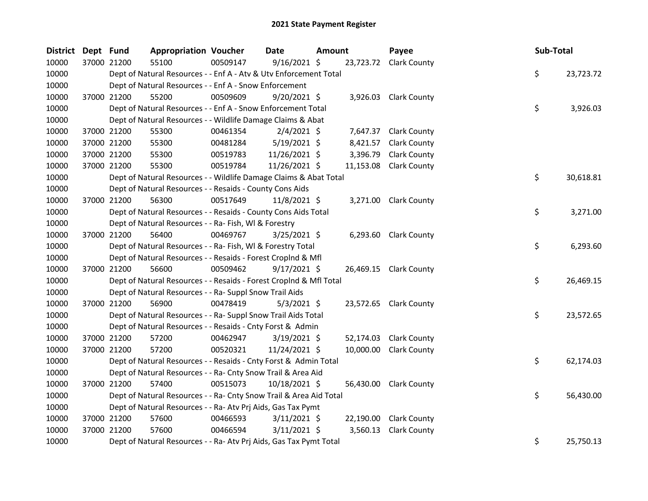| District Dept Fund |             | <b>Appropriation Voucher</b>                                       |          | Date           | <b>Amount</b> |           | Payee                  | Sub-Total |           |
|--------------------|-------------|--------------------------------------------------------------------|----------|----------------|---------------|-----------|------------------------|-----------|-----------|
| 10000              | 37000 21200 | 55100                                                              | 00509147 | $9/16/2021$ \$ |               |           | 23,723.72 Clark County |           |           |
| 10000              |             | Dept of Natural Resources - - Enf A - Atv & Utv Enforcement Total  |          |                |               |           |                        | \$        | 23,723.72 |
| 10000              |             | Dept of Natural Resources - - Enf A - Snow Enforcement             |          |                |               |           |                        |           |           |
| 10000              | 37000 21200 | 55200                                                              | 00509609 | $9/20/2021$ \$ |               |           | 3,926.03 Clark County  |           |           |
| 10000              |             | Dept of Natural Resources - - Enf A - Snow Enforcement Total       |          |                |               |           |                        | \$        | 3,926.03  |
| 10000              |             | Dept of Natural Resources - - Wildlife Damage Claims & Abat        |          |                |               |           |                        |           |           |
| 10000              | 37000 21200 | 55300                                                              | 00461354 | $2/4/2021$ \$  |               |           | 7,647.37 Clark County  |           |           |
| 10000              | 37000 21200 | 55300                                                              | 00481284 | $5/19/2021$ \$ |               | 8,421.57  | <b>Clark County</b>    |           |           |
| 10000              | 37000 21200 | 55300                                                              | 00519783 | 11/26/2021 \$  |               | 3,396.79  | <b>Clark County</b>    |           |           |
| 10000              | 37000 21200 | 55300                                                              | 00519784 | 11/26/2021 \$  |               | 11,153.08 | <b>Clark County</b>    |           |           |
| 10000              |             | Dept of Natural Resources - - Wildlife Damage Claims & Abat Total  |          |                |               |           |                        | \$        | 30,618.81 |
| 10000              |             | Dept of Natural Resources - - Resaids - County Cons Aids           |          |                |               |           |                        |           |           |
| 10000              | 37000 21200 | 56300                                                              | 00517649 | 11/8/2021 \$   |               |           | 3,271.00 Clark County  |           |           |
| 10000              |             | Dept of Natural Resources - - Resaids - County Cons Aids Total     |          |                |               |           |                        | \$        | 3,271.00  |
| 10000              |             | Dept of Natural Resources - - Ra- Fish, WI & Forestry              |          |                |               |           |                        |           |           |
| 10000              | 37000 21200 | 56400                                                              | 00469767 | $3/25/2021$ \$ |               |           | 6,293.60 Clark County  |           |           |
| 10000              |             | Dept of Natural Resources - - Ra- Fish, WI & Forestry Total        |          |                |               |           |                        | \$        | 6,293.60  |
| 10000              |             | Dept of Natural Resources - - Resaids - Forest CropInd & Mfl       |          |                |               |           |                        |           |           |
| 10000              | 37000 21200 | 56600                                                              | 00509462 | $9/17/2021$ \$ |               |           | 26,469.15 Clark County |           |           |
| 10000              |             | Dept of Natural Resources - - Resaids - Forest CropInd & Mfl Total |          |                |               |           |                        | \$        | 26,469.15 |
| 10000              |             | Dept of Natural Resources - - Ra- Suppl Snow Trail Aids            |          |                |               |           |                        |           |           |
| 10000              | 37000 21200 | 56900                                                              | 00478419 | $5/3/2021$ \$  |               |           | 23,572.65 Clark County |           |           |
| 10000              |             | Dept of Natural Resources - - Ra- Suppl Snow Trail Aids Total      |          |                |               |           |                        | \$        | 23,572.65 |
| 10000              |             | Dept of Natural Resources - - Resaids - Cnty Forst & Admin         |          |                |               |           |                        |           |           |
| 10000              | 37000 21200 | 57200                                                              | 00462947 | $3/19/2021$ \$ |               | 52,174.03 | <b>Clark County</b>    |           |           |
| 10000              | 37000 21200 | 57200                                                              | 00520321 | 11/24/2021 \$  |               | 10,000.00 | <b>Clark County</b>    |           |           |
| 10000              |             | Dept of Natural Resources - - Resaids - Cnty Forst & Admin Total   |          |                |               |           |                        | \$        | 62,174.03 |
| 10000              |             | Dept of Natural Resources - - Ra- Cnty Snow Trail & Area Aid       |          |                |               |           |                        |           |           |
| 10000              | 37000 21200 | 57400                                                              | 00515073 | 10/18/2021 \$  |               |           | 56,430.00 Clark County |           |           |
| 10000              |             | Dept of Natural Resources - - Ra- Cnty Snow Trail & Area Aid Total |          |                |               |           |                        | \$        | 56,430.00 |
| 10000              |             | Dept of Natural Resources - - Ra- Atv Prj Aids, Gas Tax Pymt       |          |                |               |           |                        |           |           |
| 10000              | 37000 21200 | 57600                                                              | 00466593 | $3/11/2021$ \$ |               | 22,190.00 | <b>Clark County</b>    |           |           |
| 10000              | 37000 21200 | 57600                                                              | 00466594 | $3/11/2021$ \$ |               | 3,560.13  | <b>Clark County</b>    |           |           |
| 10000              |             | Dept of Natural Resources - - Ra- Atv Prj Aids, Gas Tax Pymt Total |          |                |               |           |                        | \$        | 25,750.13 |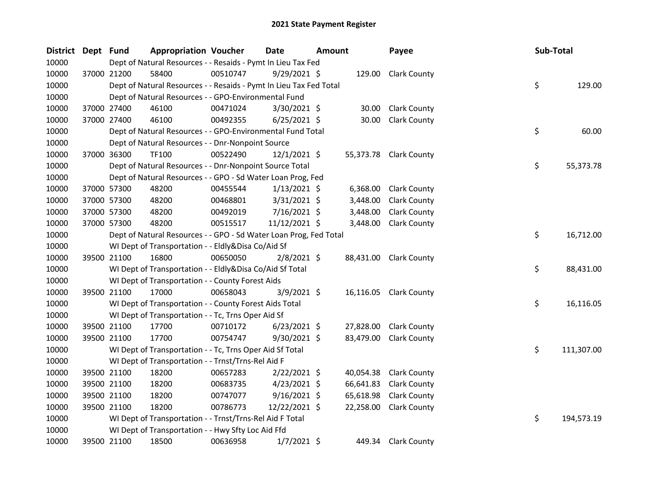| <b>District</b> | Dept Fund |             | <b>Appropriation Voucher</b>                                       |          | <b>Date</b>    | <b>Amount</b> |           | Payee                  | Sub-Total |            |
|-----------------|-----------|-------------|--------------------------------------------------------------------|----------|----------------|---------------|-----------|------------------------|-----------|------------|
| 10000           |           |             | Dept of Natural Resources - - Resaids - Pymt In Lieu Tax Fed       |          |                |               |           |                        |           |            |
| 10000           |           | 37000 21200 | 58400                                                              | 00510747 | $9/29/2021$ \$ |               | 129.00    | <b>Clark County</b>    |           |            |
| 10000           |           |             | Dept of Natural Resources - - Resaids - Pymt In Lieu Tax Fed Total |          |                |               |           |                        | \$        | 129.00     |
| 10000           |           |             | Dept of Natural Resources - - GPO-Environmental Fund               |          |                |               |           |                        |           |            |
| 10000           |           | 37000 27400 | 46100                                                              | 00471024 | 3/30/2021 \$   |               | 30.00     | <b>Clark County</b>    |           |            |
| 10000           |           | 37000 27400 | 46100                                                              | 00492355 | $6/25/2021$ \$ |               | 30.00     | <b>Clark County</b>    |           |            |
| 10000           |           |             | Dept of Natural Resources - - GPO-Environmental Fund Total         |          |                |               |           |                        | \$        | 60.00      |
| 10000           |           |             | Dept of Natural Resources - - Dnr-Nonpoint Source                  |          |                |               |           |                        |           |            |
| 10000           |           | 37000 36300 | <b>TF100</b>                                                       | 00522490 | 12/1/2021 \$   |               |           | 55,373.78 Clark County |           |            |
| 10000           |           |             | Dept of Natural Resources - - Dnr-Nonpoint Source Total            |          |                |               |           |                        | \$        | 55,373.78  |
| 10000           |           |             | Dept of Natural Resources - - GPO - Sd Water Loan Prog, Fed        |          |                |               |           |                        |           |            |
| 10000           |           | 37000 57300 | 48200                                                              | 00455544 | $1/13/2021$ \$ |               | 6,368.00  | <b>Clark County</b>    |           |            |
| 10000           |           | 37000 57300 | 48200                                                              | 00468801 | $3/31/2021$ \$ |               | 3,448.00  | <b>Clark County</b>    |           |            |
| 10000           |           | 37000 57300 | 48200                                                              | 00492019 | 7/16/2021 \$   |               | 3,448.00  | <b>Clark County</b>    |           |            |
| 10000           |           | 37000 57300 | 48200                                                              | 00515517 | 11/12/2021 \$  |               | 3,448.00  | <b>Clark County</b>    |           |            |
| 10000           |           |             | Dept of Natural Resources - - GPO - Sd Water Loan Prog, Fed Total  |          |                |               |           |                        | \$        | 16,712.00  |
| 10000           |           |             | WI Dept of Transportation - - Eldly&Disa Co/Aid Sf                 |          |                |               |           |                        |           |            |
| 10000           |           | 39500 21100 | 16800                                                              | 00650050 | $2/8/2021$ \$  |               |           | 88,431.00 Clark County |           |            |
| 10000           |           |             | WI Dept of Transportation - - Eldly&Disa Co/Aid Sf Total           |          |                |               |           |                        | \$        | 88,431.00  |
| 10000           |           |             | WI Dept of Transportation - - County Forest Aids                   |          |                |               |           |                        |           |            |
| 10000           |           | 39500 21100 | 17000                                                              | 00658043 | $3/9/2021$ \$  |               | 16,116.05 | <b>Clark County</b>    |           |            |
| 10000           |           |             | WI Dept of Transportation - - County Forest Aids Total             |          |                |               |           |                        | \$        | 16,116.05  |
| 10000           |           |             | WI Dept of Transportation - - Tc, Trns Oper Aid Sf                 |          |                |               |           |                        |           |            |
| 10000           |           | 39500 21100 | 17700                                                              | 00710172 | $6/23/2021$ \$ |               | 27,828.00 | <b>Clark County</b>    |           |            |
| 10000           |           | 39500 21100 | 17700                                                              | 00754747 | 9/30/2021 \$   |               | 83,479.00 | <b>Clark County</b>    |           |            |
| 10000           |           |             | WI Dept of Transportation - - Tc, Trns Oper Aid Sf Total           |          |                |               |           |                        | \$        | 111,307.00 |
| 10000           |           |             | WI Dept of Transportation - - Trnst/Trns-Rel Aid F                 |          |                |               |           |                        |           |            |
| 10000           |           | 39500 21100 | 18200                                                              | 00657283 | $2/22/2021$ \$ |               | 40,054.38 | <b>Clark County</b>    |           |            |
| 10000           |           | 39500 21100 | 18200                                                              | 00683735 | 4/23/2021 \$   |               | 66,641.83 | <b>Clark County</b>    |           |            |
| 10000           |           | 39500 21100 | 18200                                                              | 00747077 | $9/16/2021$ \$ |               | 65,618.98 | <b>Clark County</b>    |           |            |
| 10000           |           | 39500 21100 | 18200                                                              | 00786773 | 12/22/2021 \$  |               | 22,258.00 | <b>Clark County</b>    |           |            |
| 10000           |           |             | WI Dept of Transportation - - Trnst/Trns-Rel Aid F Total           |          |                |               |           |                        | \$        | 194,573.19 |
| 10000           |           |             | WI Dept of Transportation - - Hwy Sfty Loc Aid Ffd                 |          |                |               |           |                        |           |            |
| 10000           |           | 39500 21100 | 18500                                                              | 00636958 | $1/7/2021$ \$  |               |           | 449.34 Clark County    |           |            |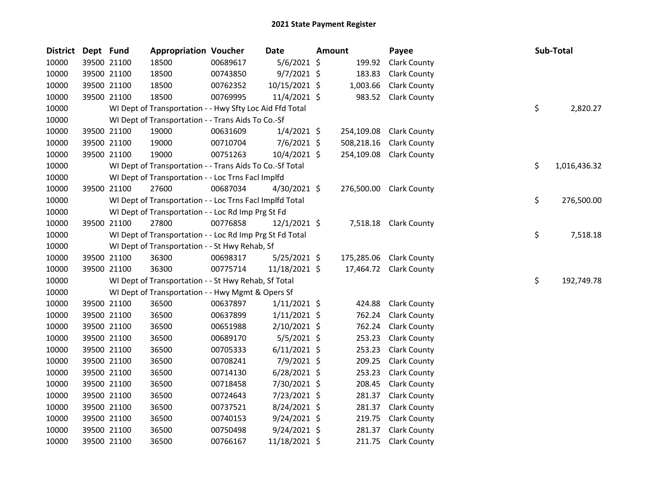| <b>District</b> | Dept Fund |             | <b>Appropriation Voucher</b>                             |          | Date           | Amount     | Payee                 |    | <b>Sub-Total</b> |
|-----------------|-----------|-------------|----------------------------------------------------------|----------|----------------|------------|-----------------------|----|------------------|
| 10000           |           | 39500 21100 | 18500                                                    | 00689617 | $5/6/2021$ \$  | 199.92     | <b>Clark County</b>   |    |                  |
| 10000           |           | 39500 21100 | 18500                                                    | 00743850 | $9/7/2021$ \$  | 183.83     | <b>Clark County</b>   |    |                  |
| 10000           |           | 39500 21100 | 18500                                                    | 00762352 | 10/15/2021 \$  | 1,003.66   | <b>Clark County</b>   |    |                  |
| 10000           |           | 39500 21100 | 18500                                                    | 00769995 | 11/4/2021 \$   | 983.52     | <b>Clark County</b>   |    |                  |
| 10000           |           |             | WI Dept of Transportation - - Hwy Sfty Loc Aid Ffd Total |          |                |            |                       | \$ | 2,820.27         |
| 10000           |           |             | WI Dept of Transportation - - Trans Aids To Co.-Sf       |          |                |            |                       |    |                  |
| 10000           |           | 39500 21100 | 19000                                                    | 00631609 | $1/4/2021$ \$  | 254,109.08 | <b>Clark County</b>   |    |                  |
| 10000           |           | 39500 21100 | 19000                                                    | 00710704 | $7/6/2021$ \$  | 508,218.16 | <b>Clark County</b>   |    |                  |
| 10000           |           | 39500 21100 | 19000                                                    | 00751263 | 10/4/2021 \$   | 254,109.08 | <b>Clark County</b>   |    |                  |
| 10000           |           |             | WI Dept of Transportation - - Trans Aids To Co.-Sf Total |          |                |            |                       | \$ | 1,016,436.32     |
| 10000           |           |             | WI Dept of Transportation - - Loc Trns FacI Implfd       |          |                |            |                       |    |                  |
| 10000           |           | 39500 21100 | 27600                                                    | 00687034 | 4/30/2021 \$   | 276,500.00 | <b>Clark County</b>   |    |                  |
| 10000           |           |             | WI Dept of Transportation - - Loc Trns Facl Implfd Total |          |                |            |                       | \$ | 276,500.00       |
| 10000           |           |             | WI Dept of Transportation - - Loc Rd Imp Prg St Fd       |          |                |            |                       |    |                  |
| 10000           |           | 39500 21100 | 27800                                                    | 00776858 | $12/1/2021$ \$ |            | 7,518.18 Clark County |    |                  |
| 10000           |           |             | WI Dept of Transportation - - Loc Rd Imp Prg St Fd Total |          |                |            |                       | \$ | 7,518.18         |
| 10000           |           |             | WI Dept of Transportation - - St Hwy Rehab, Sf           |          |                |            |                       |    |                  |
| 10000           |           | 39500 21100 | 36300                                                    | 00698317 | 5/25/2021 \$   | 175,285.06 | <b>Clark County</b>   |    |                  |
| 10000           |           | 39500 21100 | 36300                                                    | 00775714 | 11/18/2021 \$  | 17,464.72  | <b>Clark County</b>   |    |                  |
| 10000           |           |             | WI Dept of Transportation - - St Hwy Rehab, Sf Total     |          |                |            |                       | \$ | 192,749.78       |
| 10000           |           |             | WI Dept of Transportation - - Hwy Mgmt & Opers Sf        |          |                |            |                       |    |                  |
| 10000           |           | 39500 21100 | 36500                                                    | 00637897 | $1/11/2021$ \$ | 424.88     | <b>Clark County</b>   |    |                  |
| 10000           |           | 39500 21100 | 36500                                                    | 00637899 | $1/11/2021$ \$ | 762.24     | <b>Clark County</b>   |    |                  |
| 10000           |           | 39500 21100 | 36500                                                    | 00651988 | $2/10/2021$ \$ | 762.24     | <b>Clark County</b>   |    |                  |
| 10000           |           | 39500 21100 | 36500                                                    | 00689170 | $5/5/2021$ \$  | 253.23     | <b>Clark County</b>   |    |                  |
| 10000           |           | 39500 21100 | 36500                                                    | 00705333 | $6/11/2021$ \$ | 253.23     | <b>Clark County</b>   |    |                  |
| 10000           |           | 39500 21100 | 36500                                                    | 00708241 | 7/9/2021 \$    | 209.25     | <b>Clark County</b>   |    |                  |
| 10000           |           | 39500 21100 | 36500                                                    | 00714130 | $6/28/2021$ \$ | 253.23     | <b>Clark County</b>   |    |                  |
| 10000           |           | 39500 21100 | 36500                                                    | 00718458 | 7/30/2021 \$   | 208.45     | <b>Clark County</b>   |    |                  |
| 10000           |           | 39500 21100 | 36500                                                    | 00724643 | 7/23/2021 \$   | 281.37     | <b>Clark County</b>   |    |                  |
| 10000           |           | 39500 21100 | 36500                                                    | 00737521 | 8/24/2021 \$   | 281.37     | <b>Clark County</b>   |    |                  |
| 10000           |           | 39500 21100 | 36500                                                    | 00740153 | $9/24/2021$ \$ | 219.75     | <b>Clark County</b>   |    |                  |
| 10000           |           | 39500 21100 | 36500                                                    | 00750498 | $9/24/2021$ \$ | 281.37     | <b>Clark County</b>   |    |                  |
| 10000           |           | 39500 21100 | 36500                                                    | 00766167 | 11/18/2021 \$  | 211.75     | <b>Clark County</b>   |    |                  |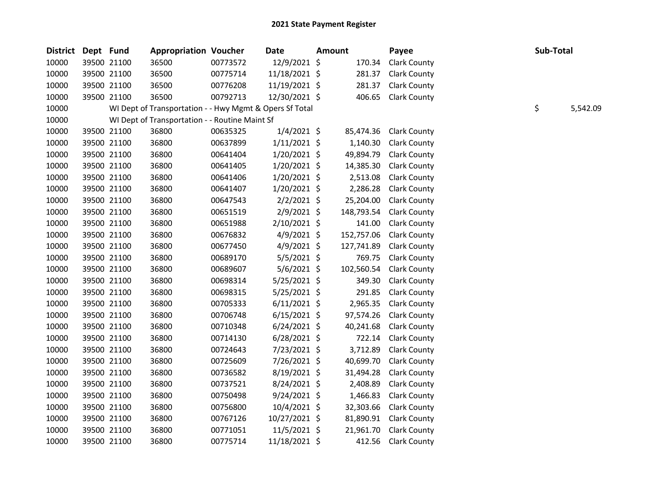| <b>District</b> | Dept Fund |             | <b>Appropriation Voucher</b>                            |          | <b>Date</b>    | Amount     | Payee               | Sub-Total |          |
|-----------------|-----------|-------------|---------------------------------------------------------|----------|----------------|------------|---------------------|-----------|----------|
| 10000           |           | 39500 21100 | 36500                                                   | 00773572 | 12/9/2021 \$   | 170.34     | <b>Clark County</b> |           |          |
| 10000           |           | 39500 21100 | 36500                                                   | 00775714 | 11/18/2021 \$  | 281.37     | <b>Clark County</b> |           |          |
| 10000           |           | 39500 21100 | 36500                                                   | 00776208 | 11/19/2021 \$  | 281.37     | <b>Clark County</b> |           |          |
| 10000           |           | 39500 21100 | 36500                                                   | 00792713 | 12/30/2021 \$  | 406.65     | <b>Clark County</b> |           |          |
| 10000           |           |             | WI Dept of Transportation - - Hwy Mgmt & Opers Sf Total |          |                |            |                     | \$        | 5,542.09 |
| 10000           |           |             | WI Dept of Transportation - - Routine Maint Sf          |          |                |            |                     |           |          |
| 10000           |           | 39500 21100 | 36800                                                   | 00635325 | $1/4/2021$ \$  | 85,474.36  | <b>Clark County</b> |           |          |
| 10000           |           | 39500 21100 | 36800                                                   | 00637899 | $1/11/2021$ \$ | 1,140.30   | <b>Clark County</b> |           |          |
| 10000           |           | 39500 21100 | 36800                                                   | 00641404 | $1/20/2021$ \$ | 49,894.79  | <b>Clark County</b> |           |          |
| 10000           |           | 39500 21100 | 36800                                                   | 00641405 | 1/20/2021 \$   | 14,385.30  | <b>Clark County</b> |           |          |
| 10000           |           | 39500 21100 | 36800                                                   | 00641406 | $1/20/2021$ \$ | 2,513.08   | <b>Clark County</b> |           |          |
| 10000           |           | 39500 21100 | 36800                                                   | 00641407 | $1/20/2021$ \$ | 2,286.28   | <b>Clark County</b> |           |          |
| 10000           |           | 39500 21100 | 36800                                                   | 00647543 | $2/2/2021$ \$  | 25,204.00  | <b>Clark County</b> |           |          |
| 10000           |           | 39500 21100 | 36800                                                   | 00651519 | 2/9/2021 \$    | 148,793.54 | <b>Clark County</b> |           |          |
| 10000           |           | 39500 21100 | 36800                                                   | 00651988 | $2/10/2021$ \$ | 141.00     | <b>Clark County</b> |           |          |
| 10000           |           | 39500 21100 | 36800                                                   | 00676832 | $4/9/2021$ \$  | 152,757.06 | <b>Clark County</b> |           |          |
| 10000           |           | 39500 21100 | 36800                                                   | 00677450 | $4/9/2021$ \$  | 127,741.89 | <b>Clark County</b> |           |          |
| 10000           |           | 39500 21100 | 36800                                                   | 00689170 | $5/5/2021$ \$  | 769.75     | <b>Clark County</b> |           |          |
| 10000           |           | 39500 21100 | 36800                                                   | 00689607 | $5/6/2021$ \$  | 102,560.54 | <b>Clark County</b> |           |          |
| 10000           |           | 39500 21100 | 36800                                                   | 00698314 | 5/25/2021 \$   | 349.30     | <b>Clark County</b> |           |          |
| 10000           |           | 39500 21100 | 36800                                                   | 00698315 | $5/25/2021$ \$ | 291.85     | <b>Clark County</b> |           |          |
| 10000           |           | 39500 21100 | 36800                                                   | 00705333 | $6/11/2021$ \$ | 2,965.35   | <b>Clark County</b> |           |          |
| 10000           |           | 39500 21100 | 36800                                                   | 00706748 | $6/15/2021$ \$ | 97,574.26  | <b>Clark County</b> |           |          |
| 10000           |           | 39500 21100 | 36800                                                   | 00710348 | $6/24/2021$ \$ | 40,241.68  | <b>Clark County</b> |           |          |
| 10000           |           | 39500 21100 | 36800                                                   | 00714130 | $6/28/2021$ \$ | 722.14     | <b>Clark County</b> |           |          |
| 10000           |           | 39500 21100 | 36800                                                   | 00724643 | 7/23/2021 \$   | 3,712.89   | <b>Clark County</b> |           |          |
| 10000           |           | 39500 21100 | 36800                                                   | 00725609 | 7/26/2021 \$   | 40,699.70  | <b>Clark County</b> |           |          |
| 10000           |           | 39500 21100 | 36800                                                   | 00736582 | 8/19/2021 \$   | 31,494.28  | <b>Clark County</b> |           |          |
| 10000           |           | 39500 21100 | 36800                                                   | 00737521 | 8/24/2021 \$   | 2,408.89   | <b>Clark County</b> |           |          |
| 10000           |           | 39500 21100 | 36800                                                   | 00750498 | $9/24/2021$ \$ | 1,466.83   | <b>Clark County</b> |           |          |
| 10000           |           | 39500 21100 | 36800                                                   | 00756800 | 10/4/2021 \$   | 32,303.66  | <b>Clark County</b> |           |          |
| 10000           |           | 39500 21100 | 36800                                                   | 00767126 | 10/27/2021 \$  | 81,890.91  | <b>Clark County</b> |           |          |
| 10000           |           | 39500 21100 | 36800                                                   | 00771051 | 11/5/2021 \$   | 21,961.70  | <b>Clark County</b> |           |          |
| 10000           |           | 39500 21100 | 36800                                                   | 00775714 | 11/18/2021 \$  | 412.56     | <b>Clark County</b> |           |          |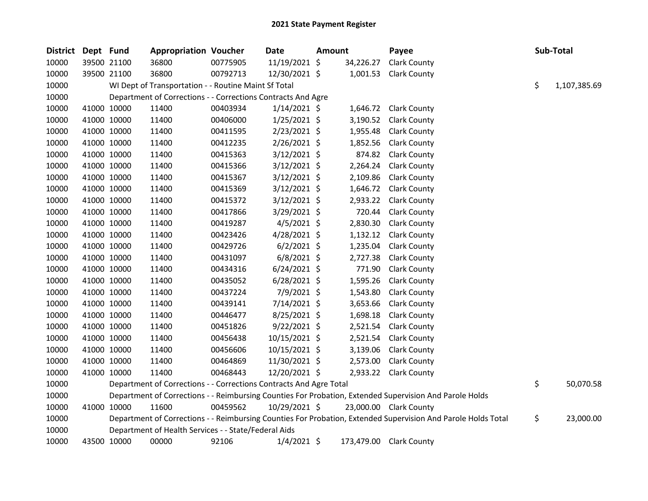| <b>District</b> | Dept Fund |             | <b>Appropriation Voucher</b>                                       |          | <b>Date</b>    | Amount |            | Payee                                                                                                         | Sub-Total          |
|-----------------|-----------|-------------|--------------------------------------------------------------------|----------|----------------|--------|------------|---------------------------------------------------------------------------------------------------------------|--------------------|
| 10000           |           | 39500 21100 | 36800                                                              | 00775905 | 11/19/2021 \$  |        | 34,226.27  | <b>Clark County</b>                                                                                           |                    |
| 10000           |           | 39500 21100 | 36800                                                              | 00792713 | 12/30/2021 \$  |        | 1,001.53   | <b>Clark County</b>                                                                                           |                    |
| 10000           |           |             | WI Dept of Transportation - - Routine Maint Sf Total               |          |                |        |            |                                                                                                               | \$<br>1,107,385.69 |
| 10000           |           |             | Department of Corrections - - Corrections Contracts And Agre       |          |                |        |            |                                                                                                               |                    |
| 10000           |           | 41000 10000 | 11400                                                              | 00403934 | $1/14/2021$ \$ |        | 1,646.72   | <b>Clark County</b>                                                                                           |                    |
| 10000           |           | 41000 10000 | 11400                                                              | 00406000 | 1/25/2021 \$   |        | 3,190.52   | <b>Clark County</b>                                                                                           |                    |
| 10000           |           | 41000 10000 | 11400                                                              | 00411595 | $2/23/2021$ \$ |        | 1,955.48   | <b>Clark County</b>                                                                                           |                    |
| 10000           |           | 41000 10000 | 11400                                                              | 00412235 | 2/26/2021 \$   |        | 1,852.56   | <b>Clark County</b>                                                                                           |                    |
| 10000           |           | 41000 10000 | 11400                                                              | 00415363 | $3/12/2021$ \$ |        | 874.82     | <b>Clark County</b>                                                                                           |                    |
| 10000           |           | 41000 10000 | 11400                                                              | 00415366 | $3/12/2021$ \$ |        | 2,264.24   | <b>Clark County</b>                                                                                           |                    |
| 10000           |           | 41000 10000 | 11400                                                              | 00415367 | $3/12/2021$ \$ |        | 2,109.86   | <b>Clark County</b>                                                                                           |                    |
| 10000           |           | 41000 10000 | 11400                                                              | 00415369 | $3/12/2021$ \$ |        | 1,646.72   | <b>Clark County</b>                                                                                           |                    |
| 10000           |           | 41000 10000 | 11400                                                              | 00415372 | 3/12/2021 \$   |        | 2,933.22   | <b>Clark County</b>                                                                                           |                    |
| 10000           |           | 41000 10000 | 11400                                                              | 00417866 | $3/29/2021$ \$ |        | 720.44     | <b>Clark County</b>                                                                                           |                    |
| 10000           |           | 41000 10000 | 11400                                                              | 00419287 | $4/5/2021$ \$  |        | 2,830.30   | <b>Clark County</b>                                                                                           |                    |
| 10000           |           | 41000 10000 | 11400                                                              | 00423426 | 4/28/2021 \$   |        | 1,132.12   | <b>Clark County</b>                                                                                           |                    |
| 10000           |           | 41000 10000 | 11400                                                              | 00429726 | $6/2/2021$ \$  |        | 1,235.04   | <b>Clark County</b>                                                                                           |                    |
| 10000           |           | 41000 10000 | 11400                                                              | 00431097 | $6/8/2021$ \$  |        | 2,727.38   | <b>Clark County</b>                                                                                           |                    |
| 10000           |           | 41000 10000 | 11400                                                              | 00434316 | $6/24/2021$ \$ |        | 771.90     | <b>Clark County</b>                                                                                           |                    |
| 10000           |           | 41000 10000 | 11400                                                              | 00435052 | $6/28/2021$ \$ |        | 1,595.26   | Clark County                                                                                                  |                    |
| 10000           |           | 41000 10000 | 11400                                                              | 00437224 | 7/9/2021 \$    |        | 1,543.80   | <b>Clark County</b>                                                                                           |                    |
| 10000           |           | 41000 10000 | 11400                                                              | 00439141 | 7/14/2021 \$   |        | 3,653.66   | <b>Clark County</b>                                                                                           |                    |
| 10000           |           | 41000 10000 | 11400                                                              | 00446477 | 8/25/2021 \$   |        | 1,698.18   | <b>Clark County</b>                                                                                           |                    |
| 10000           |           | 41000 10000 | 11400                                                              | 00451826 | $9/22/2021$ \$ |        | 2,521.54   | <b>Clark County</b>                                                                                           |                    |
| 10000           |           | 41000 10000 | 11400                                                              | 00456438 | 10/15/2021 \$  |        | 2,521.54   | <b>Clark County</b>                                                                                           |                    |
| 10000           |           | 41000 10000 | 11400                                                              | 00456606 | 10/15/2021 \$  |        | 3,139.06   | <b>Clark County</b>                                                                                           |                    |
| 10000           |           | 41000 10000 | 11400                                                              | 00464869 | 11/30/2021 \$  |        | 2,573.00   | <b>Clark County</b>                                                                                           |                    |
| 10000           |           | 41000 10000 | 11400                                                              | 00468443 | 12/20/2021 \$  |        |            | 2,933.22 Clark County                                                                                         |                    |
| 10000           |           |             | Department of Corrections - - Corrections Contracts And Agre Total |          |                |        |            |                                                                                                               | \$<br>50,070.58    |
| 10000           |           |             |                                                                    |          |                |        |            | Department of Corrections - - Reimbursing Counties For Probation, Extended Supervision And Parole Holds       |                    |
| 10000           |           | 41000 10000 | 11600                                                              | 00459562 | 10/29/2021 \$  |        |            | 23,000.00 Clark County                                                                                        |                    |
| 10000           |           |             |                                                                    |          |                |        |            | Department of Corrections - - Reimbursing Counties For Probation, Extended Supervision And Parole Holds Total | \$<br>23,000.00    |
| 10000           |           |             | Department of Health Services - - State/Federal Aids               |          |                |        |            |                                                                                                               |                    |
| 10000           |           | 43500 10000 | 00000                                                              | 92106    | $1/4/2021$ \$  |        | 173,479.00 | <b>Clark County</b>                                                                                           |                    |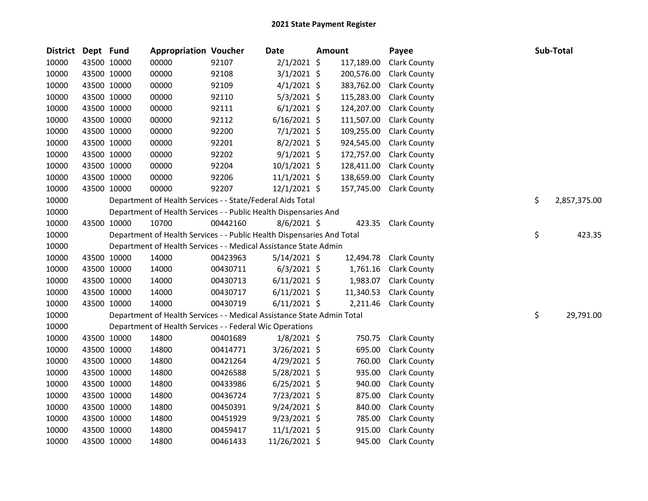| <b>District</b> | Dept Fund |             | <b>Appropriation Voucher</b>                                           |          | <b>Date</b>    | <b>Amount</b> | Payee               |    | Sub-Total    |
|-----------------|-----------|-------------|------------------------------------------------------------------------|----------|----------------|---------------|---------------------|----|--------------|
| 10000           |           | 43500 10000 | 00000                                                                  | 92107    | $2/1/2021$ \$  | 117,189.00    | <b>Clark County</b> |    |              |
| 10000           |           | 43500 10000 | 00000                                                                  | 92108    | $3/1/2021$ \$  | 200,576.00    | <b>Clark County</b> |    |              |
| 10000           |           | 43500 10000 | 00000                                                                  | 92109    | $4/1/2021$ \$  | 383,762.00    | <b>Clark County</b> |    |              |
| 10000           |           | 43500 10000 | 00000                                                                  | 92110    | $5/3/2021$ \$  | 115,283.00    | <b>Clark County</b> |    |              |
| 10000           |           | 43500 10000 | 00000                                                                  | 92111    | $6/1/2021$ \$  | 124,207.00    | <b>Clark County</b> |    |              |
| 10000           |           | 43500 10000 | 00000                                                                  | 92112    | $6/16/2021$ \$ | 111,507.00    | <b>Clark County</b> |    |              |
| 10000           |           | 43500 10000 | 00000                                                                  | 92200    | $7/1/2021$ \$  | 109,255.00    | <b>Clark County</b> |    |              |
| 10000           |           | 43500 10000 | 00000                                                                  | 92201    | $8/2/2021$ \$  | 924,545.00    | <b>Clark County</b> |    |              |
| 10000           |           | 43500 10000 | 00000                                                                  | 92202    | $9/1/2021$ \$  | 172,757.00    | <b>Clark County</b> |    |              |
| 10000           |           | 43500 10000 | 00000                                                                  | 92204    | $10/1/2021$ \$ | 128,411.00    | <b>Clark County</b> |    |              |
| 10000           |           | 43500 10000 | 00000                                                                  | 92206    | 11/1/2021 \$   | 138,659.00    | <b>Clark County</b> |    |              |
| 10000           |           | 43500 10000 | 00000                                                                  | 92207    | $12/1/2021$ \$ | 157,745.00    | <b>Clark County</b> |    |              |
| 10000           |           |             | Department of Health Services - - State/Federal Aids Total             |          |                |               |                     | \$ | 2,857,375.00 |
| 10000           |           |             | Department of Health Services - - Public Health Dispensaries And       |          |                |               |                     |    |              |
| 10000           |           | 43500 10000 | 10700                                                                  | 00442160 | $8/6/2021$ \$  | 423.35        | <b>Clark County</b> |    |              |
| 10000           |           |             | Department of Health Services - - Public Health Dispensaries And Total |          |                |               |                     | \$ | 423.35       |
| 10000           |           |             | Department of Health Services - - Medical Assistance State Admin       |          |                |               |                     |    |              |
| 10000           |           | 43500 10000 | 14000                                                                  | 00423963 | $5/14/2021$ \$ | 12,494.78     | <b>Clark County</b> |    |              |
| 10000           |           | 43500 10000 | 14000                                                                  | 00430711 | $6/3/2021$ \$  | 1,761.16      | <b>Clark County</b> |    |              |
| 10000           |           | 43500 10000 | 14000                                                                  | 00430713 | $6/11/2021$ \$ | 1,983.07      | <b>Clark County</b> |    |              |
| 10000           |           | 43500 10000 | 14000                                                                  | 00430717 | $6/11/2021$ \$ | 11,340.53     | <b>Clark County</b> |    |              |
| 10000           |           | 43500 10000 | 14000                                                                  | 00430719 | $6/11/2021$ \$ | 2,211.46      | <b>Clark County</b> |    |              |
| 10000           |           |             | Department of Health Services - - Medical Assistance State Admin Total |          |                |               |                     | \$ | 29,791.00    |
| 10000           |           |             | Department of Health Services - - Federal Wic Operations               |          |                |               |                     |    |              |
| 10000           |           | 43500 10000 | 14800                                                                  | 00401689 | $1/8/2021$ \$  | 750.75        | <b>Clark County</b> |    |              |
| 10000           |           | 43500 10000 | 14800                                                                  | 00414771 | $3/26/2021$ \$ | 695.00        | <b>Clark County</b> |    |              |
| 10000           |           | 43500 10000 | 14800                                                                  | 00421264 | 4/29/2021 \$   | 760.00        | <b>Clark County</b> |    |              |
| 10000           |           | 43500 10000 | 14800                                                                  | 00426588 | 5/28/2021 \$   | 935.00        | <b>Clark County</b> |    |              |
| 10000           |           | 43500 10000 | 14800                                                                  | 00433986 | $6/25/2021$ \$ | 940.00        | <b>Clark County</b> |    |              |
| 10000           |           | 43500 10000 | 14800                                                                  | 00436724 | 7/23/2021 \$   | 875.00        | <b>Clark County</b> |    |              |
| 10000           |           | 43500 10000 | 14800                                                                  | 00450391 | $9/24/2021$ \$ | 840.00        | <b>Clark County</b> |    |              |
| 10000           |           | 43500 10000 | 14800                                                                  | 00451929 | $9/23/2021$ \$ | 785.00        | <b>Clark County</b> |    |              |
| 10000           |           | 43500 10000 | 14800                                                                  | 00459417 | 11/1/2021 \$   | 915.00        | <b>Clark County</b> |    |              |
| 10000           |           | 43500 10000 | 14800                                                                  | 00461433 | 11/26/2021 \$  | 945.00        | <b>Clark County</b> |    |              |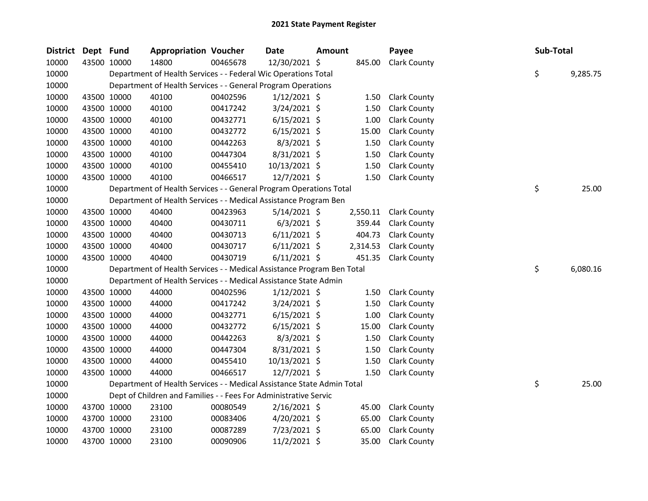| <b>District</b> | Dept Fund   |             | <b>Appropriation Voucher</b>                                           |          | <b>Date</b>    | Amount |          | Payee               | Sub-Total |          |
|-----------------|-------------|-------------|------------------------------------------------------------------------|----------|----------------|--------|----------|---------------------|-----------|----------|
| 10000           |             | 43500 10000 | 14800                                                                  | 00465678 | 12/30/2021 \$  |        | 845.00   | <b>Clark County</b> |           |          |
| 10000           |             |             | Department of Health Services - - Federal Wic Operations Total         |          |                |        |          |                     | \$        | 9,285.75 |
| 10000           |             |             | Department of Health Services - - General Program Operations           |          |                |        |          |                     |           |          |
| 10000           |             | 43500 10000 | 40100                                                                  | 00402596 | $1/12/2021$ \$ |        | 1.50     | <b>Clark County</b> |           |          |
| 10000           |             | 43500 10000 | 40100                                                                  | 00417242 | $3/24/2021$ \$ |        | 1.50     | <b>Clark County</b> |           |          |
| 10000           |             | 43500 10000 | 40100                                                                  | 00432771 | $6/15/2021$ \$ |        | 1.00     | <b>Clark County</b> |           |          |
| 10000           |             | 43500 10000 | 40100                                                                  | 00432772 | $6/15/2021$ \$ |        | 15.00    | <b>Clark County</b> |           |          |
| 10000           |             | 43500 10000 | 40100                                                                  | 00442263 | $8/3/2021$ \$  |        | 1.50     | <b>Clark County</b> |           |          |
| 10000           |             | 43500 10000 | 40100                                                                  | 00447304 | 8/31/2021 \$   |        | 1.50     | <b>Clark County</b> |           |          |
| 10000           |             | 43500 10000 | 40100                                                                  | 00455410 | 10/13/2021 \$  |        | 1.50     | <b>Clark County</b> |           |          |
| 10000           |             | 43500 10000 | 40100                                                                  | 00466517 | 12/7/2021 \$   |        | 1.50     | <b>Clark County</b> |           |          |
| 10000           |             |             | Department of Health Services - - General Program Operations Total     |          |                |        |          |                     | \$        | 25.00    |
| 10000           |             |             | Department of Health Services - - Medical Assistance Program Ben       |          |                |        |          |                     |           |          |
| 10000           |             | 43500 10000 | 40400                                                                  | 00423963 | $5/14/2021$ \$ |        | 2,550.11 | <b>Clark County</b> |           |          |
| 10000           |             | 43500 10000 | 40400                                                                  | 00430711 | $6/3/2021$ \$  |        | 359.44   | <b>Clark County</b> |           |          |
| 10000           |             | 43500 10000 | 40400                                                                  | 00430713 | $6/11/2021$ \$ |        | 404.73   | <b>Clark County</b> |           |          |
| 10000           |             | 43500 10000 | 40400                                                                  | 00430717 | $6/11/2021$ \$ |        | 2,314.53 | <b>Clark County</b> |           |          |
| 10000           |             | 43500 10000 | 40400                                                                  | 00430719 | $6/11/2021$ \$ |        | 451.35   | <b>Clark County</b> |           |          |
| 10000           |             |             | Department of Health Services - - Medical Assistance Program Ben Total |          |                |        |          |                     | \$        | 6,080.16 |
| 10000           |             |             | Department of Health Services - - Medical Assistance State Admin       |          |                |        |          |                     |           |          |
| 10000           |             | 43500 10000 | 44000                                                                  | 00402596 | $1/12/2021$ \$ |        | 1.50     | <b>Clark County</b> |           |          |
| 10000           |             | 43500 10000 | 44000                                                                  | 00417242 | $3/24/2021$ \$ |        | 1.50     | <b>Clark County</b> |           |          |
| 10000           |             | 43500 10000 | 44000                                                                  | 00432771 | $6/15/2021$ \$ |        | 1.00     | <b>Clark County</b> |           |          |
| 10000           |             | 43500 10000 | 44000                                                                  | 00432772 | $6/15/2021$ \$ |        | 15.00    | <b>Clark County</b> |           |          |
| 10000           |             | 43500 10000 | 44000                                                                  | 00442263 | $8/3/2021$ \$  |        | 1.50     | <b>Clark County</b> |           |          |
| 10000           |             | 43500 10000 | 44000                                                                  | 00447304 | 8/31/2021 \$   |        | 1.50     | <b>Clark County</b> |           |          |
| 10000           |             | 43500 10000 | 44000                                                                  | 00455410 | 10/13/2021 \$  |        | 1.50     | <b>Clark County</b> |           |          |
| 10000           |             | 43500 10000 | 44000                                                                  | 00466517 | 12/7/2021 \$   |        | 1.50     | <b>Clark County</b> |           |          |
| 10000           |             |             | Department of Health Services - - Medical Assistance State Admin Total |          |                |        |          |                     | \$        | 25.00    |
| 10000           |             |             | Dept of Children and Families - - Fees For Administrative Servic       |          |                |        |          |                     |           |          |
| 10000           |             | 43700 10000 | 23100                                                                  | 00080549 | $2/16/2021$ \$ |        | 45.00    | <b>Clark County</b> |           |          |
| 10000           |             | 43700 10000 | 23100                                                                  | 00083406 | 4/20/2021 \$   |        | 65.00    | <b>Clark County</b> |           |          |
| 10000           |             | 43700 10000 | 23100                                                                  | 00087289 | 7/23/2021 \$   |        | 65.00    | <b>Clark County</b> |           |          |
| 10000           | 43700 10000 |             | 23100                                                                  | 00090906 | 11/2/2021 \$   |        | 35.00    | <b>Clark County</b> |           |          |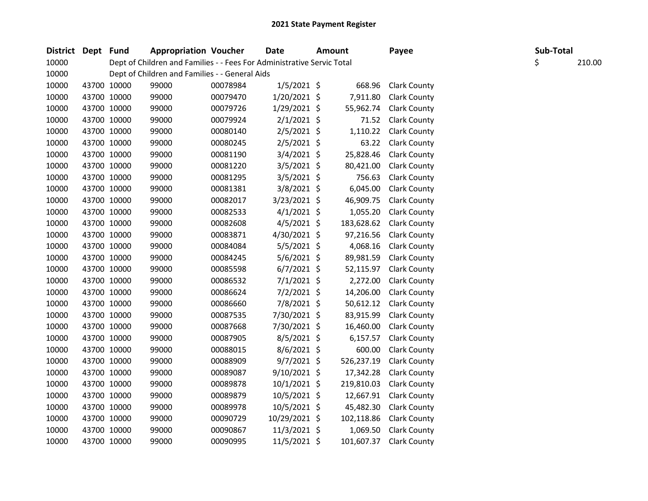| <b>District</b> | Dept Fund |             | <b>Appropriation Voucher</b>                                           |          | Date           | <b>Amount</b> | Payee               |    | Sub-Total |        |
|-----------------|-----------|-------------|------------------------------------------------------------------------|----------|----------------|---------------|---------------------|----|-----------|--------|
| 10000           |           |             | Dept of Children and Families - - Fees For Administrative Servic Total |          |                |               |                     | \$ |           | 210.00 |
| 10000           |           |             | Dept of Children and Families - - General Aids                         |          |                |               |                     |    |           |        |
| 10000           |           | 43700 10000 | 99000                                                                  | 00078984 | $1/5/2021$ \$  | 668.96        | <b>Clark County</b> |    |           |        |
| 10000           |           | 43700 10000 | 99000                                                                  | 00079470 | $1/20/2021$ \$ | 7,911.80      | <b>Clark County</b> |    |           |        |
| 10000           |           | 43700 10000 | 99000                                                                  | 00079726 | $1/29/2021$ \$ | 55,962.74     | <b>Clark County</b> |    |           |        |
| 10000           |           | 43700 10000 | 99000                                                                  | 00079924 | $2/1/2021$ \$  | 71.52         | <b>Clark County</b> |    |           |        |
| 10000           |           | 43700 10000 | 99000                                                                  | 00080140 | 2/5/2021 \$    | 1,110.22      | <b>Clark County</b> |    |           |        |
| 10000           |           | 43700 10000 | 99000                                                                  | 00080245 | $2/5/2021$ \$  | 63.22         | <b>Clark County</b> |    |           |        |
| 10000           |           | 43700 10000 | 99000                                                                  | 00081190 | $3/4/2021$ \$  | 25,828.46     | <b>Clark County</b> |    |           |        |
| 10000           |           | 43700 10000 | 99000                                                                  | 00081220 | $3/5/2021$ \$  | 80,421.00     | <b>Clark County</b> |    |           |        |
| 10000           |           | 43700 10000 | 99000                                                                  | 00081295 | $3/5/2021$ \$  | 756.63        | <b>Clark County</b> |    |           |        |
| 10000           |           | 43700 10000 | 99000                                                                  | 00081381 | 3/8/2021 \$    | 6,045.00      | <b>Clark County</b> |    |           |        |
| 10000           |           | 43700 10000 | 99000                                                                  | 00082017 | 3/23/2021 \$   | 46,909.75     | <b>Clark County</b> |    |           |        |
| 10000           |           | 43700 10000 | 99000                                                                  | 00082533 | $4/1/2021$ \$  | 1,055.20      | <b>Clark County</b> |    |           |        |
| 10000           |           | 43700 10000 | 99000                                                                  | 00082608 | $4/5/2021$ \$  | 183,628.62    | <b>Clark County</b> |    |           |        |
| 10000           |           | 43700 10000 | 99000                                                                  | 00083871 | 4/30/2021 \$   | 97,216.56     | <b>Clark County</b> |    |           |        |
| 10000           |           | 43700 10000 | 99000                                                                  | 00084084 | $5/5/2021$ \$  | 4,068.16      | <b>Clark County</b> |    |           |        |
| 10000           |           | 43700 10000 | 99000                                                                  | 00084245 | $5/6/2021$ \$  | 89,981.59     | <b>Clark County</b> |    |           |        |
| 10000           |           | 43700 10000 | 99000                                                                  | 00085598 | $6/7/2021$ \$  | 52,115.97     | <b>Clark County</b> |    |           |        |
| 10000           |           | 43700 10000 | 99000                                                                  | 00086532 | $7/1/2021$ \$  | 2,272.00      | <b>Clark County</b> |    |           |        |
| 10000           |           | 43700 10000 | 99000                                                                  | 00086624 | $7/2/2021$ \$  | 14,206.00     | <b>Clark County</b> |    |           |        |
| 10000           |           | 43700 10000 | 99000                                                                  | 00086660 | 7/8/2021 \$    | 50,612.12     | <b>Clark County</b> |    |           |        |
| 10000           |           | 43700 10000 | 99000                                                                  | 00087535 | 7/30/2021 \$   | 83,915.99     | <b>Clark County</b> |    |           |        |
| 10000           |           | 43700 10000 | 99000                                                                  | 00087668 | 7/30/2021 \$   | 16,460.00     | <b>Clark County</b> |    |           |        |
| 10000           |           | 43700 10000 | 99000                                                                  | 00087905 | $8/5/2021$ \$  | 6,157.57      | <b>Clark County</b> |    |           |        |
| 10000           |           | 43700 10000 | 99000                                                                  | 00088015 | $8/6/2021$ \$  | 600.00        | <b>Clark County</b> |    |           |        |
| 10000           |           | 43700 10000 | 99000                                                                  | 00088909 | $9/7/2021$ \$  | 526,237.19    | <b>Clark County</b> |    |           |        |
| 10000           |           | 43700 10000 | 99000                                                                  | 00089087 | $9/10/2021$ \$ | 17,342.28     | <b>Clark County</b> |    |           |        |
| 10000           |           | 43700 10000 | 99000                                                                  | 00089878 | $10/1/2021$ \$ | 219,810.03    | <b>Clark County</b> |    |           |        |
| 10000           |           | 43700 10000 | 99000                                                                  | 00089879 | 10/5/2021 \$   | 12,667.91     | <b>Clark County</b> |    |           |        |
| 10000           |           | 43700 10000 | 99000                                                                  | 00089978 | 10/5/2021 \$   | 45,482.30     | <b>Clark County</b> |    |           |        |
| 10000           |           | 43700 10000 | 99000                                                                  | 00090729 | 10/29/2021 \$  | 102,118.86    | <b>Clark County</b> |    |           |        |
| 10000           |           | 43700 10000 | 99000                                                                  | 00090867 | $11/3/2021$ \$ | 1,069.50      | <b>Clark County</b> |    |           |        |
| 10000           |           | 43700 10000 | 99000                                                                  | 00090995 | 11/5/2021 \$   | 101,607.37    | <b>Clark County</b> |    |           |        |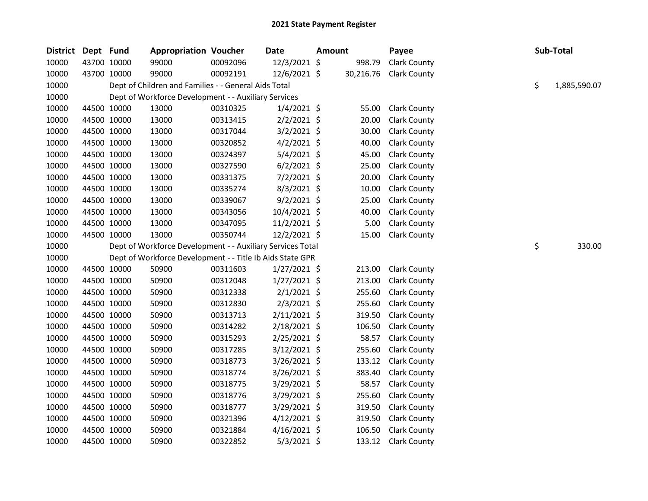| District | Dept Fund   |             | <b>Appropriation Voucher</b>                               |          | <b>Date</b>    | <b>Amount</b> |           | Payee               |    | Sub-Total    |
|----------|-------------|-------------|------------------------------------------------------------|----------|----------------|---------------|-----------|---------------------|----|--------------|
| 10000    |             | 43700 10000 | 99000                                                      | 00092096 | 12/3/2021 \$   |               | 998.79    | Clark County        |    |              |
| 10000    |             | 43700 10000 | 99000                                                      | 00092191 | 12/6/2021 \$   |               | 30,216.76 | <b>Clark County</b> |    |              |
| 10000    |             |             | Dept of Children and Families - - General Aids Total       |          |                |               |           |                     | \$ | 1,885,590.07 |
| 10000    |             |             | Dept of Workforce Development - - Auxiliary Services       |          |                |               |           |                     |    |              |
| 10000    |             | 44500 10000 | 13000                                                      | 00310325 | $1/4/2021$ \$  |               | 55.00     | <b>Clark County</b> |    |              |
| 10000    |             | 44500 10000 | 13000                                                      | 00313415 | $2/2/2021$ \$  |               | 20.00     | <b>Clark County</b> |    |              |
| 10000    |             | 44500 10000 | 13000                                                      | 00317044 | $3/2/2021$ \$  |               | 30.00     | <b>Clark County</b> |    |              |
| 10000    |             | 44500 10000 | 13000                                                      | 00320852 | $4/2/2021$ \$  |               | 40.00     | <b>Clark County</b> |    |              |
| 10000    |             | 44500 10000 | 13000                                                      | 00324397 | 5/4/2021 \$    |               | 45.00     | <b>Clark County</b> |    |              |
| 10000    |             | 44500 10000 | 13000                                                      | 00327590 | $6/2/2021$ \$  |               | 25.00     | <b>Clark County</b> |    |              |
| 10000    | 44500 10000 |             | 13000                                                      | 00331375 | $7/2/2021$ \$  |               | 20.00     | <b>Clark County</b> |    |              |
| 10000    |             | 44500 10000 | 13000                                                      | 00335274 | $8/3/2021$ \$  |               | 10.00     | <b>Clark County</b> |    |              |
| 10000    |             | 44500 10000 | 13000                                                      | 00339067 | $9/2/2021$ \$  |               | 25.00     | <b>Clark County</b> |    |              |
| 10000    |             | 44500 10000 | 13000                                                      | 00343056 | 10/4/2021 \$   |               | 40.00     | <b>Clark County</b> |    |              |
| 10000    |             | 44500 10000 | 13000                                                      | 00347095 | 11/2/2021 \$   |               | 5.00      | Clark County        |    |              |
| 10000    |             | 44500 10000 | 13000                                                      | 00350744 | $12/2/2021$ \$ |               | 15.00     | <b>Clark County</b> |    |              |
| 10000    |             |             | Dept of Workforce Development - - Auxiliary Services Total |          |                |               |           |                     | \$ | 330.00       |
| 10000    |             |             | Dept of Workforce Development - - Title Ib Aids State GPR  |          |                |               |           |                     |    |              |
| 10000    |             | 44500 10000 | 50900                                                      | 00311603 | $1/27/2021$ \$ |               | 213.00    | <b>Clark County</b> |    |              |
| 10000    | 44500 10000 |             | 50900                                                      | 00312048 | $1/27/2021$ \$ |               | 213.00    | <b>Clark County</b> |    |              |
| 10000    |             | 44500 10000 | 50900                                                      | 00312338 | $2/1/2021$ \$  |               | 255.60    | Clark County        |    |              |
| 10000    |             | 44500 10000 | 50900                                                      | 00312830 | $2/3/2021$ \$  |               | 255.60    | <b>Clark County</b> |    |              |
| 10000    |             | 44500 10000 | 50900                                                      | 00313713 | $2/11/2021$ \$ |               | 319.50    | <b>Clark County</b> |    |              |
| 10000    |             | 44500 10000 | 50900                                                      | 00314282 | 2/18/2021 \$   |               | 106.50    | <b>Clark County</b> |    |              |
| 10000    |             | 44500 10000 | 50900                                                      | 00315293 | 2/25/2021 \$   |               | 58.57     | <b>Clark County</b> |    |              |
| 10000    |             | 44500 10000 | 50900                                                      | 00317285 | $3/12/2021$ \$ |               | 255.60    | <b>Clark County</b> |    |              |
| 10000    |             | 44500 10000 | 50900                                                      | 00318773 | 3/26/2021 \$   |               | 133.12    | <b>Clark County</b> |    |              |
| 10000    |             | 44500 10000 | 50900                                                      | 00318774 | 3/26/2021 \$   |               | 383.40    | <b>Clark County</b> |    |              |
| 10000    |             | 44500 10000 | 50900                                                      | 00318775 | $3/29/2021$ \$ |               | 58.57     | <b>Clark County</b> |    |              |
| 10000    |             | 44500 10000 | 50900                                                      | 00318776 | 3/29/2021 \$   |               | 255.60    | <b>Clark County</b> |    |              |
| 10000    |             | 44500 10000 | 50900                                                      | 00318777 | $3/29/2021$ \$ |               | 319.50    | <b>Clark County</b> |    |              |
| 10000    |             | 44500 10000 | 50900                                                      | 00321396 | $4/12/2021$ \$ |               | 319.50    | <b>Clark County</b> |    |              |
| 10000    |             | 44500 10000 | 50900                                                      | 00321884 | $4/16/2021$ \$ |               | 106.50    | <b>Clark County</b> |    |              |
| 10000    |             | 44500 10000 | 50900                                                      | 00322852 | $5/3/2021$ \$  |               | 133.12    | <b>Clark County</b> |    |              |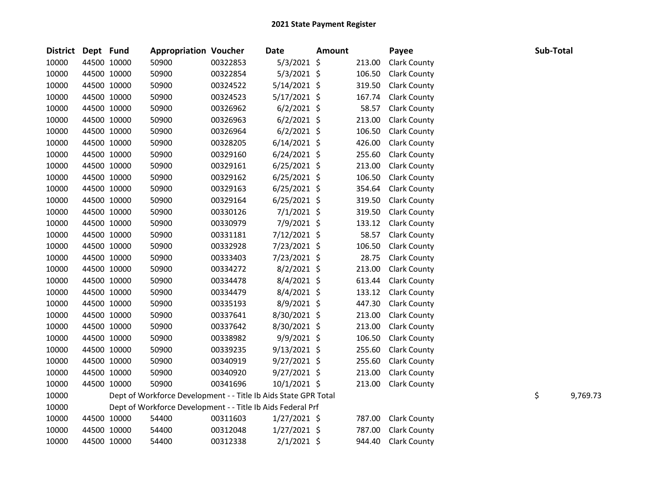| <b>District</b> | Dept Fund |             | <b>Appropriation Voucher</b>                                    |          | <b>Date</b>    | <b>Amount</b> |        | Payee               | Sub-Total |          |
|-----------------|-----------|-------------|-----------------------------------------------------------------|----------|----------------|---------------|--------|---------------------|-----------|----------|
| 10000           |           | 44500 10000 | 50900                                                           | 00322853 | $5/3/2021$ \$  |               | 213.00 | <b>Clark County</b> |           |          |
| 10000           |           | 44500 10000 | 50900                                                           | 00322854 | $5/3/2021$ \$  |               | 106.50 | <b>Clark County</b> |           |          |
| 10000           |           | 44500 10000 | 50900                                                           | 00324522 | $5/14/2021$ \$ |               | 319.50 | <b>Clark County</b> |           |          |
| 10000           |           | 44500 10000 | 50900                                                           | 00324523 | $5/17/2021$ \$ |               | 167.74 | <b>Clark County</b> |           |          |
| 10000           |           | 44500 10000 | 50900                                                           | 00326962 | $6/2/2021$ \$  |               | 58.57  | <b>Clark County</b> |           |          |
| 10000           |           | 44500 10000 | 50900                                                           | 00326963 | $6/2/2021$ \$  |               | 213.00 | <b>Clark County</b> |           |          |
| 10000           |           | 44500 10000 | 50900                                                           | 00326964 | $6/2/2021$ \$  |               | 106.50 | <b>Clark County</b> |           |          |
| 10000           |           | 44500 10000 | 50900                                                           | 00328205 | $6/14/2021$ \$ |               | 426.00 | <b>Clark County</b> |           |          |
| 10000           |           | 44500 10000 | 50900                                                           | 00329160 | $6/24/2021$ \$ |               | 255.60 | <b>Clark County</b> |           |          |
| 10000           |           | 44500 10000 | 50900                                                           | 00329161 | $6/25/2021$ \$ |               | 213.00 | <b>Clark County</b> |           |          |
| 10000           |           | 44500 10000 | 50900                                                           | 00329162 | $6/25/2021$ \$ |               | 106.50 | <b>Clark County</b> |           |          |
| 10000           |           | 44500 10000 | 50900                                                           | 00329163 | $6/25/2021$ \$ |               | 354.64 | <b>Clark County</b> |           |          |
| 10000           |           | 44500 10000 | 50900                                                           | 00329164 | $6/25/2021$ \$ |               | 319.50 | <b>Clark County</b> |           |          |
| 10000           |           | 44500 10000 | 50900                                                           | 00330126 | $7/1/2021$ \$  |               | 319.50 | <b>Clark County</b> |           |          |
| 10000           |           | 44500 10000 | 50900                                                           | 00330979 | 7/9/2021 \$    |               | 133.12 | <b>Clark County</b> |           |          |
| 10000           |           | 44500 10000 | 50900                                                           | 00331181 | 7/12/2021 \$   |               | 58.57  | <b>Clark County</b> |           |          |
| 10000           |           | 44500 10000 | 50900                                                           | 00332928 | 7/23/2021 \$   |               | 106.50 | <b>Clark County</b> |           |          |
| 10000           |           | 44500 10000 | 50900                                                           | 00333403 | 7/23/2021 \$   |               | 28.75  | <b>Clark County</b> |           |          |
| 10000           |           | 44500 10000 | 50900                                                           | 00334272 | 8/2/2021 \$    |               | 213.00 | <b>Clark County</b> |           |          |
| 10000           |           | 44500 10000 | 50900                                                           | 00334478 | $8/4/2021$ \$  |               | 613.44 | <b>Clark County</b> |           |          |
| 10000           |           | 44500 10000 | 50900                                                           | 00334479 | 8/4/2021 \$    |               | 133.12 | <b>Clark County</b> |           |          |
| 10000           |           | 44500 10000 | 50900                                                           | 00335193 | 8/9/2021 \$    |               | 447.30 | <b>Clark County</b> |           |          |
| 10000           |           | 44500 10000 | 50900                                                           | 00337641 | 8/30/2021 \$   |               | 213.00 | <b>Clark County</b> |           |          |
| 10000           |           | 44500 10000 | 50900                                                           | 00337642 | 8/30/2021 \$   |               | 213.00 | <b>Clark County</b> |           |          |
| 10000           |           | 44500 10000 | 50900                                                           | 00338982 | 9/9/2021 \$    |               | 106.50 | <b>Clark County</b> |           |          |
| 10000           |           | 44500 10000 | 50900                                                           | 00339235 | $9/13/2021$ \$ |               | 255.60 | <b>Clark County</b> |           |          |
| 10000           |           | 44500 10000 | 50900                                                           | 00340919 | $9/27/2021$ \$ |               | 255.60 | <b>Clark County</b> |           |          |
| 10000           |           | 44500 10000 | 50900                                                           | 00340920 | $9/27/2021$ \$ |               | 213.00 | <b>Clark County</b> |           |          |
| 10000           |           | 44500 10000 | 50900                                                           | 00341696 | $10/1/2021$ \$ |               | 213.00 | <b>Clark County</b> |           |          |
| 10000           |           |             | Dept of Workforce Development - - Title Ib Aids State GPR Total |          |                |               |        |                     | \$        | 9,769.73 |
| 10000           |           |             | Dept of Workforce Development - - Title Ib Aids Federal Prf     |          |                |               |        |                     |           |          |
| 10000           |           | 44500 10000 | 54400                                                           | 00311603 | $1/27/2021$ \$ |               | 787.00 | <b>Clark County</b> |           |          |
| 10000           |           | 44500 10000 | 54400                                                           | 00312048 | $1/27/2021$ \$ |               | 787.00 | <b>Clark County</b> |           |          |
| 10000           |           | 44500 10000 | 54400                                                           | 00312338 | $2/1/2021$ \$  |               | 944.40 | <b>Clark County</b> |           |          |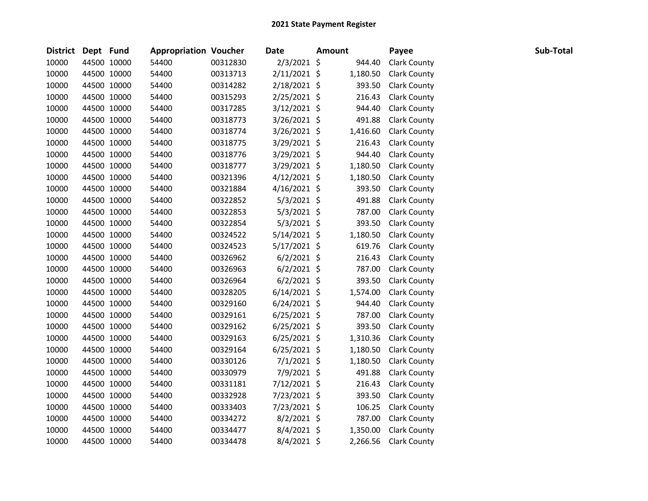| District Dept Fund |             | <b>Appropriation Voucher</b> |          | <b>Date</b>    | <b>Amount</b> | Payee               | Sub-Total |  |
|--------------------|-------------|------------------------------|----------|----------------|---------------|---------------------|-----------|--|
| 10000              | 44500 10000 | 54400                        | 00312830 | $2/3/2021$ \$  | 944.40        | <b>Clark County</b> |           |  |
| 10000              | 44500 10000 | 54400                        | 00313713 | $2/11/2021$ \$ | 1,180.50      | <b>Clark County</b> |           |  |
| 10000              | 44500 10000 | 54400                        | 00314282 | 2/18/2021 \$   | 393.50        | Clark County        |           |  |
| 10000              | 44500 10000 | 54400                        | 00315293 | 2/25/2021 \$   | 216.43        | <b>Clark County</b> |           |  |
| 10000              | 44500 10000 | 54400                        | 00317285 | $3/12/2021$ \$ | 944.40        | <b>Clark County</b> |           |  |
| 10000              | 44500 10000 | 54400                        | 00318773 | 3/26/2021 \$   | 491.88        | <b>Clark County</b> |           |  |
| 10000              | 44500 10000 | 54400                        | 00318774 | $3/26/2021$ \$ | 1,416.60      | <b>Clark County</b> |           |  |
| 10000              | 44500 10000 | 54400                        | 00318775 | 3/29/2021 \$   | 216.43        | <b>Clark County</b> |           |  |
| 10000              | 44500 10000 | 54400                        | 00318776 | 3/29/2021 \$   | 944.40        | <b>Clark County</b> |           |  |
| 10000              | 44500 10000 | 54400                        | 00318777 | 3/29/2021 \$   | 1,180.50      | <b>Clark County</b> |           |  |
| 10000              | 44500 10000 | 54400                        | 00321396 | $4/12/2021$ \$ | 1,180.50      | <b>Clark County</b> |           |  |
| 10000              | 44500 10000 | 54400                        | 00321884 | $4/16/2021$ \$ | 393.50        | <b>Clark County</b> |           |  |
| 10000              | 44500 10000 | 54400                        | 00322852 | $5/3/2021$ \$  | 491.88        | <b>Clark County</b> |           |  |
| 10000              | 44500 10000 | 54400                        | 00322853 | 5/3/2021 \$    | 787.00        | <b>Clark County</b> |           |  |
| 10000              | 44500 10000 | 54400                        | 00322854 | $5/3/2021$ \$  | 393.50        | <b>Clark County</b> |           |  |
| 10000              | 44500 10000 | 54400                        | 00324522 | $5/14/2021$ \$ | 1,180.50      | <b>Clark County</b> |           |  |
| 10000              | 44500 10000 | 54400                        | 00324523 | $5/17/2021$ \$ | 619.76        | <b>Clark County</b> |           |  |
| 10000              | 44500 10000 | 54400                        | 00326962 | $6/2/2021$ \$  | 216.43        | <b>Clark County</b> |           |  |
| 10000              | 44500 10000 | 54400                        | 00326963 | $6/2/2021$ \$  | 787.00        | <b>Clark County</b> |           |  |
| 10000              | 44500 10000 | 54400                        | 00326964 | $6/2/2021$ \$  | 393.50        | <b>Clark County</b> |           |  |
| 10000              | 44500 10000 | 54400                        | 00328205 | $6/14/2021$ \$ | 1,574.00      | <b>Clark County</b> |           |  |
| 10000              | 44500 10000 | 54400                        | 00329160 | $6/24/2021$ \$ | 944.40        | <b>Clark County</b> |           |  |
| 10000              | 44500 10000 | 54400                        | 00329161 | $6/25/2021$ \$ | 787.00        | <b>Clark County</b> |           |  |
| 10000              | 44500 10000 | 54400                        | 00329162 | $6/25/2021$ \$ | 393.50        | <b>Clark County</b> |           |  |
| 10000              | 44500 10000 | 54400                        | 00329163 | $6/25/2021$ \$ | 1,310.36      | <b>Clark County</b> |           |  |
| 10000              | 44500 10000 | 54400                        | 00329164 | $6/25/2021$ \$ | 1,180.50      | <b>Clark County</b> |           |  |
| 10000              | 44500 10000 | 54400                        | 00330126 | $7/1/2021$ \$  | 1,180.50      | <b>Clark County</b> |           |  |
| 10000              | 44500 10000 | 54400                        | 00330979 | 7/9/2021 \$    | 491.88        | <b>Clark County</b> |           |  |
| 10000              | 44500 10000 | 54400                        | 00331181 | 7/12/2021 \$   | 216.43        | <b>Clark County</b> |           |  |
| 10000              | 44500 10000 | 54400                        | 00332928 | 7/23/2021 \$   | 393.50        | <b>Clark County</b> |           |  |
| 10000              | 44500 10000 | 54400                        | 00333403 | 7/23/2021 \$   | 106.25        | <b>Clark County</b> |           |  |
| 10000              | 44500 10000 | 54400                        | 00334272 | 8/2/2021 \$    | 787.00        | <b>Clark County</b> |           |  |
| 10000              | 44500 10000 | 54400                        | 00334477 | 8/4/2021 \$    | 1,350.00      | <b>Clark County</b> |           |  |
| 10000              | 44500 10000 | 54400                        | 00334478 | $8/4/2021$ \$  | 2,266.56      | <b>Clark County</b> |           |  |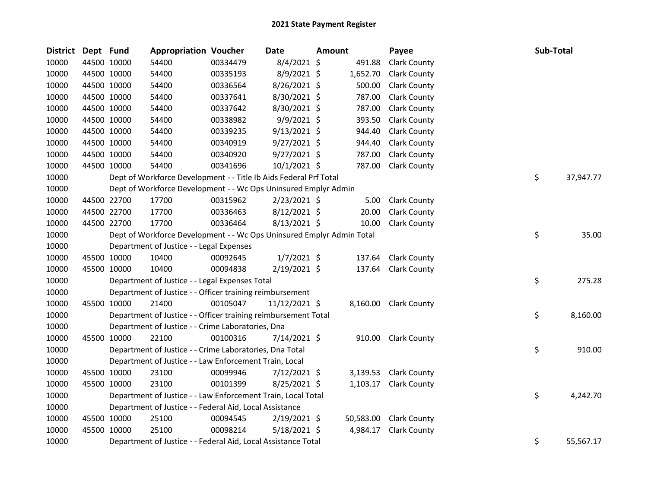| <b>District</b> | Dept Fund |             | <b>Appropriation Voucher</b>                                          |          | <b>Date</b>    | <b>Amount</b> |           | Payee               | Sub-Total |           |
|-----------------|-----------|-------------|-----------------------------------------------------------------------|----------|----------------|---------------|-----------|---------------------|-----------|-----------|
| 10000           |           | 44500 10000 | 54400                                                                 | 00334479 | 8/4/2021 \$    |               | 491.88    | Clark County        |           |           |
| 10000           |           | 44500 10000 | 54400                                                                 | 00335193 | 8/9/2021 \$    |               | 1,652.70  | <b>Clark County</b> |           |           |
| 10000           |           | 44500 10000 | 54400                                                                 | 00336564 | 8/26/2021 \$   |               | 500.00    | <b>Clark County</b> |           |           |
| 10000           |           | 44500 10000 | 54400                                                                 | 00337641 | 8/30/2021 \$   |               | 787.00    | <b>Clark County</b> |           |           |
| 10000           |           | 44500 10000 | 54400                                                                 | 00337642 | 8/30/2021 \$   |               | 787.00    | <b>Clark County</b> |           |           |
| 10000           |           | 44500 10000 | 54400                                                                 | 00338982 | 9/9/2021 \$    |               | 393.50    | <b>Clark County</b> |           |           |
| 10000           |           | 44500 10000 | 54400                                                                 | 00339235 | $9/13/2021$ \$ |               | 944.40    | <b>Clark County</b> |           |           |
| 10000           |           | 44500 10000 | 54400                                                                 | 00340919 | $9/27/2021$ \$ |               | 944.40    | <b>Clark County</b> |           |           |
| 10000           |           | 44500 10000 | 54400                                                                 | 00340920 | $9/27/2021$ \$ |               | 787.00    | <b>Clark County</b> |           |           |
| 10000           |           | 44500 10000 | 54400                                                                 | 00341696 | 10/1/2021 \$   |               | 787.00    | <b>Clark County</b> |           |           |
| 10000           |           |             | Dept of Workforce Development - - Title Ib Aids Federal Prf Total     |          |                |               |           |                     | \$        | 37,947.77 |
| 10000           |           |             | Dept of Workforce Development - - Wc Ops Uninsured Emplyr Admin       |          |                |               |           |                     |           |           |
| 10000           |           | 44500 22700 | 17700                                                                 | 00315962 | $2/23/2021$ \$ |               | 5.00      | <b>Clark County</b> |           |           |
| 10000           |           | 44500 22700 | 17700                                                                 | 00336463 | 8/12/2021 \$   |               | 20.00     | <b>Clark County</b> |           |           |
| 10000           |           | 44500 22700 | 17700                                                                 | 00336464 | 8/13/2021 \$   |               | 10.00     | <b>Clark County</b> |           |           |
| 10000           |           |             | Dept of Workforce Development - - Wc Ops Uninsured Emplyr Admin Total |          |                |               |           |                     | \$        | 35.00     |
| 10000           |           |             | Department of Justice - - Legal Expenses                              |          |                |               |           |                     |           |           |
| 10000           |           | 45500 10000 | 10400                                                                 | 00092645 | $1/7/2021$ \$  |               | 137.64    | <b>Clark County</b> |           |           |
| 10000           |           | 45500 10000 | 10400                                                                 | 00094838 | 2/19/2021 \$   |               | 137.64    | <b>Clark County</b> |           |           |
| 10000           |           |             | Department of Justice - - Legal Expenses Total                        |          |                |               |           |                     | \$        | 275.28    |
| 10000           |           |             | Department of Justice - - Officer training reimbursement              |          |                |               |           |                     |           |           |
| 10000           |           | 45500 10000 | 21400                                                                 | 00105047 | 11/12/2021 \$  |               | 8,160.00  | <b>Clark County</b> |           |           |
| 10000           |           |             | Department of Justice - - Officer training reimbursement Total        |          |                |               |           |                     | \$        | 8,160.00  |
| 10000           |           |             | Department of Justice - - Crime Laboratories, Dna                     |          |                |               |           |                     |           |           |
| 10000           |           | 45500 10000 | 22100                                                                 | 00100316 | 7/14/2021 \$   |               | 910.00    | <b>Clark County</b> |           |           |
| 10000           |           |             | Department of Justice - - Crime Laboratories, Dna Total               |          |                |               |           |                     | \$        | 910.00    |
| 10000           |           |             | Department of Justice - - Law Enforcement Train, Local                |          |                |               |           |                     |           |           |
| 10000           |           | 45500 10000 | 23100                                                                 | 00099946 | $7/12/2021$ \$ |               | 3,139.53  | <b>Clark County</b> |           |           |
| 10000           |           | 45500 10000 | 23100                                                                 | 00101399 | $8/25/2021$ \$ |               | 1,103.17  | <b>Clark County</b> |           |           |
| 10000           |           |             | Department of Justice - - Law Enforcement Train, Local Total          |          |                |               |           |                     | \$        | 4,242.70  |
| 10000           |           |             | Department of Justice - - Federal Aid, Local Assistance               |          |                |               |           |                     |           |           |
| 10000           |           | 45500 10000 | 25100                                                                 | 00094545 | $2/19/2021$ \$ |               | 50,583.00 | <b>Clark County</b> |           |           |
| 10000           |           | 45500 10000 | 25100                                                                 | 00098214 | $5/18/2021$ \$ |               | 4,984.17  | <b>Clark County</b> |           |           |
| 10000           |           |             | Department of Justice - - Federal Aid, Local Assistance Total         |          |                |               |           |                     | \$        | 55,567.17 |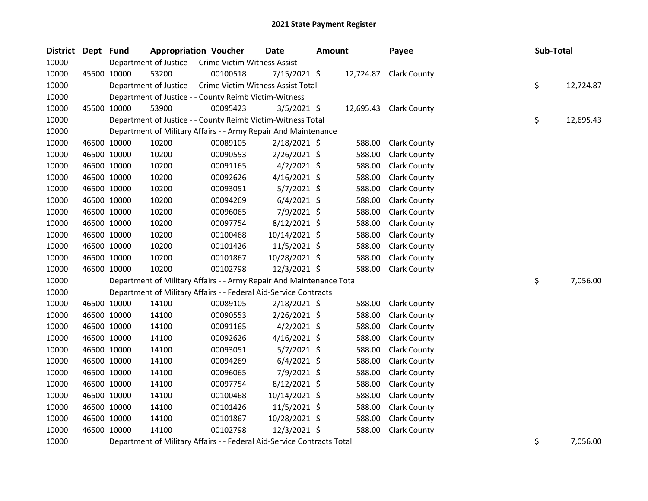| District Dept Fund |             | <b>Appropriation Voucher</b>                                                   |          | <b>Date</b>                                                   | <b>Amount</b> |        | Payee                  | Sub-Total |           |
|--------------------|-------------|--------------------------------------------------------------------------------|----------|---------------------------------------------------------------|---------------|--------|------------------------|-----------|-----------|
| 10000              |             | Department of Justice - - Crime Victim Witness Assist                          |          |                                                               |               |        |                        |           |           |
| 10000              | 45500 10000 | 53200                                                                          | 00100518 | 7/15/2021 \$                                                  |               |        | 12,724.87 Clark County |           |           |
| 10000              |             | Department of Justice - - Crime Victim Witness Assist Total                    |          |                                                               |               |        |                        | \$        | 12,724.87 |
| 10000              |             | Department of Justice - - County Reimb Victim-Witness                          |          |                                                               |               |        |                        |           |           |
| 10000              | 45500 10000 | 53900                                                                          | 00095423 | $3/5/2021$ \$                                                 |               |        | 12,695.43 Clark County |           |           |
| 10000              |             | Department of Justice - - County Reimb Victim-Witness Total                    |          |                                                               |               |        |                        | \$        | 12,695.43 |
| 10000              |             | Department of Military Affairs - - Army Repair And Maintenance                 |          |                                                               |               |        |                        |           |           |
| 10000              | 46500 10000 | 10200                                                                          | 00089105 | $2/18/2021$ \$                                                |               | 588.00 | <b>Clark County</b>    |           |           |
| 10000              | 46500 10000 | 10200                                                                          | 00090553 | $2/26/2021$ \$                                                |               | 588.00 | <b>Clark County</b>    |           |           |
| 10000              | 46500 10000 | 10200                                                                          | 00091165 | $4/2/2021$ \$                                                 |               | 588.00 | <b>Clark County</b>    |           |           |
| 10000              | 46500 10000 | 10200                                                                          | 00092626 | $4/16/2021$ \$                                                |               | 588.00 | <b>Clark County</b>    |           |           |
| 10000              | 46500 10000 | 10200                                                                          | 00093051 | $5/7/2021$ \$                                                 |               | 588.00 | <b>Clark County</b>    |           |           |
| 10000              | 46500 10000 | 10200                                                                          | 00094269 | $6/4/2021$ \$                                                 |               | 588.00 | <b>Clark County</b>    |           |           |
| 10000              | 46500 10000 | 10200                                                                          | 00096065 | 7/9/2021 \$                                                   |               | 588.00 | <b>Clark County</b>    |           |           |
| 10000              | 46500 10000 | 10200                                                                          | 00097754 | $8/12/2021$ \$                                                |               | 588.00 | <b>Clark County</b>    |           |           |
| 10000              | 46500 10000 | 10200                                                                          | 00100468 | 10/14/2021 \$                                                 |               | 588.00 | <b>Clark County</b>    |           |           |
| 10000              | 46500 10000 | 10200                                                                          | 00101426 | 11/5/2021 \$                                                  |               | 588.00 | <b>Clark County</b>    |           |           |
| 10000              | 46500 10000 | 10200                                                                          | 00101867 | 10/28/2021 \$                                                 |               | 588.00 | <b>Clark County</b>    |           |           |
| 10000              | 46500 10000 | 10200                                                                          | 00102798 | 12/3/2021 \$                                                  |               | 588.00 | <b>Clark County</b>    |           |           |
| 10000              |             | Department of Military Affairs - - Army Repair And Maintenance Total           |          |                                                               |               |        |                        | \$        | 7,056.00  |
| 10000              |             | Department of Military Affairs - - Federal Aid-Service Contracts               |          |                                                               |               |        |                        |           |           |
| 10000              | 46500 10000 | 14100                                                                          | 00089105 | $2/18/2021$ \$                                                |               | 588.00 | <b>Clark County</b>    |           |           |
| 10000              | 46500 10000 | 14100                                                                          | 00090553 | 2/26/2021 \$                                                  |               | 588.00 | <b>Clark County</b>    |           |           |
| 10000              | 46500 10000 | 14100                                                                          | 00091165 | $4/2/2021$ \$                                                 |               | 588.00 | <b>Clark County</b>    |           |           |
| 10000              | 46500 10000 | 14100                                                                          | 00092626 | $4/16/2021$ \$                                                |               | 588.00 | <b>Clark County</b>    |           |           |
| 10000              | 46500 10000 | 14100                                                                          | 00093051 | $5/7/2021$ \$                                                 |               | 588.00 | <b>Clark County</b>    |           |           |
| 10000              | 46500 10000 | 14100                                                                          | 00094269 | $6/4/2021$ \$                                                 |               | 588.00 | <b>Clark County</b>    |           |           |
| 10000              | 46500 10000 | 14100                                                                          | 00096065 | 7/9/2021 \$                                                   |               | 588.00 | <b>Clark County</b>    |           |           |
| 10000              | 46500 10000 | 14100                                                                          | 00097754 | $8/12/2021$ \$                                                |               | 588.00 | <b>Clark County</b>    |           |           |
| 10000              | 46500 10000 | 14100                                                                          | 00100468 | 10/14/2021 \$                                                 |               | 588.00 | <b>Clark County</b>    |           |           |
| 10000              | 46500 10000 | 14100                                                                          | 00101426 | 11/5/2021 \$                                                  |               | 588.00 | <b>Clark County</b>    |           |           |
| 10000              | 46500 10000 | 14100                                                                          | 00101867 | 10/28/2021 \$                                                 |               | 588.00 | <b>Clark County</b>    |           |           |
| 10000              | 46500 10000 | 14100                                                                          | 00102798 | 12/3/2021 \$                                                  |               | 588.00 | <b>Clark County</b>    |           |           |
| 10000              |             | $\mathbf{r}$ . $\mathbf{r}$ and $\mathbf{r}$ are $\mathbf{r}$ and $\mathbf{r}$ |          | $\Gamma$ and a set of the $\Gamma$ constant $\Gamma$ contains |               |        |                        |           | 7.055.00  |

10000 Department of Military Affairs - - Federal Aid-Service Contracts Total **10000** S 7,056.00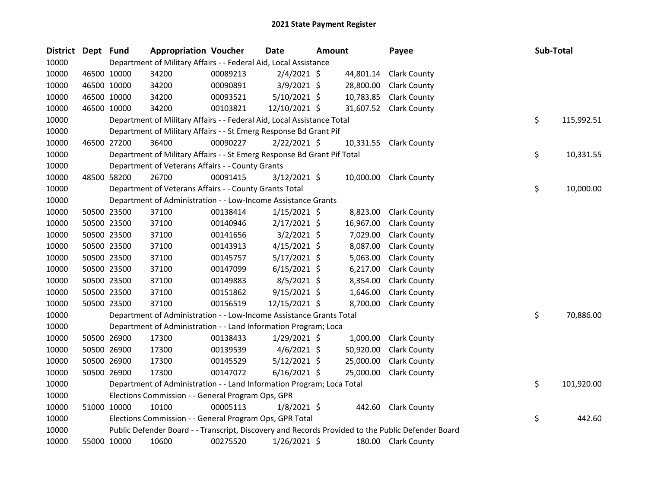| District | Dept Fund |             | <b>Appropriation Voucher</b>                                            |          | Date           | <b>Amount</b> |           | Payee                                                                                             | Sub-Total        |
|----------|-----------|-------------|-------------------------------------------------------------------------|----------|----------------|---------------|-----------|---------------------------------------------------------------------------------------------------|------------------|
| 10000    |           |             | Department of Military Affairs - - Federal Aid, Local Assistance        |          |                |               |           |                                                                                                   |                  |
| 10000    |           | 46500 10000 | 34200                                                                   | 00089213 | $2/4/2021$ \$  |               | 44,801.14 | <b>Clark County</b>                                                                               |                  |
| 10000    |           | 46500 10000 | 34200                                                                   | 00090891 | $3/9/2021$ \$  |               | 28,800.00 | <b>Clark County</b>                                                                               |                  |
| 10000    |           | 46500 10000 | 34200                                                                   | 00093521 | $5/10/2021$ \$ |               | 10,783.85 | <b>Clark County</b>                                                                               |                  |
| 10000    |           | 46500 10000 | 34200                                                                   | 00103821 | 12/10/2021 \$  |               |           | 31,607.52 Clark County                                                                            |                  |
| 10000    |           |             | Department of Military Affairs - - Federal Aid, Local Assistance Total  |          |                |               |           |                                                                                                   | \$<br>115,992.51 |
| 10000    |           |             | Department of Military Affairs - - St Emerg Response Bd Grant Pif       |          |                |               |           |                                                                                                   |                  |
| 10000    |           | 46500 27200 | 36400                                                                   | 00090227 | $2/22/2021$ \$ |               |           | 10,331.55 Clark County                                                                            |                  |
| 10000    |           |             | Department of Military Affairs - - St Emerg Response Bd Grant Pif Total |          |                |               |           |                                                                                                   | \$<br>10,331.55  |
| 10000    |           |             | Department of Veterans Affairs - - County Grants                        |          |                |               |           |                                                                                                   |                  |
| 10000    |           | 48500 58200 | 26700                                                                   | 00091415 | $3/12/2021$ \$ |               | 10,000.00 | <b>Clark County</b>                                                                               |                  |
| 10000    |           |             | Department of Veterans Affairs - - County Grants Total                  |          |                |               |           |                                                                                                   | \$<br>10,000.00  |
| 10000    |           |             | Department of Administration - - Low-Income Assistance Grants           |          |                |               |           |                                                                                                   |                  |
| 10000    |           | 50500 23500 | 37100                                                                   | 00138414 | $1/15/2021$ \$ |               | 8,823.00  | <b>Clark County</b>                                                                               |                  |
| 10000    |           | 50500 23500 | 37100                                                                   | 00140946 | $2/17/2021$ \$ |               | 16,967.00 | <b>Clark County</b>                                                                               |                  |
| 10000    |           | 50500 23500 | 37100                                                                   | 00141656 | $3/2/2021$ \$  |               | 7,029.00  | <b>Clark County</b>                                                                               |                  |
| 10000    |           | 50500 23500 | 37100                                                                   | 00143913 | $4/15/2021$ \$ |               | 8,087.00  | <b>Clark County</b>                                                                               |                  |
| 10000    |           | 50500 23500 | 37100                                                                   | 00145757 | $5/17/2021$ \$ |               | 5,063.00  | <b>Clark County</b>                                                                               |                  |
| 10000    |           | 50500 23500 | 37100                                                                   | 00147099 | $6/15/2021$ \$ |               | 6,217.00  | <b>Clark County</b>                                                                               |                  |
| 10000    |           | 50500 23500 | 37100                                                                   | 00149883 | 8/5/2021 \$    |               | 8,354.00  | <b>Clark County</b>                                                                               |                  |
| 10000    |           | 50500 23500 | 37100                                                                   | 00151862 | $9/15/2021$ \$ |               | 1,646.00  | <b>Clark County</b>                                                                               |                  |
| 10000    |           | 50500 23500 | 37100                                                                   | 00156519 | 12/15/2021 \$  |               | 8,700.00  | <b>Clark County</b>                                                                               |                  |
| 10000    |           |             | Department of Administration - - Low-Income Assistance Grants Total     |          |                |               |           |                                                                                                   | \$<br>70,886.00  |
| 10000    |           |             | Department of Administration - - Land Information Program; Loca         |          |                |               |           |                                                                                                   |                  |
| 10000    |           | 50500 26900 | 17300                                                                   | 00138433 | $1/29/2021$ \$ |               | 1,000.00  | <b>Clark County</b>                                                                               |                  |
| 10000    |           | 50500 26900 | 17300                                                                   | 00139539 | $4/6/2021$ \$  |               | 50,920.00 | <b>Clark County</b>                                                                               |                  |
| 10000    |           | 50500 26900 | 17300                                                                   | 00145529 | $5/12/2021$ \$ |               | 25,000.00 | <b>Clark County</b>                                                                               |                  |
| 10000    |           | 50500 26900 | 17300                                                                   | 00147072 | $6/16/2021$ \$ |               | 25,000.00 | <b>Clark County</b>                                                                               |                  |
| 10000    |           |             | Department of Administration - - Land Information Program; Loca Total   |          |                |               |           |                                                                                                   | \$<br>101,920.00 |
| 10000    |           |             | Elections Commission - - General Program Ops, GPR                       |          |                |               |           |                                                                                                   |                  |
| 10000    |           | 51000 10000 | 10100                                                                   | 00005113 | $1/8/2021$ \$  |               | 442.60    | <b>Clark County</b>                                                                               |                  |
| 10000    |           |             | Elections Commission - - General Program Ops, GPR Total                 |          |                |               |           |                                                                                                   | \$<br>442.60     |
| 10000    |           |             |                                                                         |          |                |               |           | Public Defender Board - - Transcript, Discovery and Records Provided to the Public Defender Board |                  |
| 10000    |           | 55000 10000 | 10600                                                                   | 00275520 | 1/26/2021 \$   |               |           | 180.00 Clark County                                                                               |                  |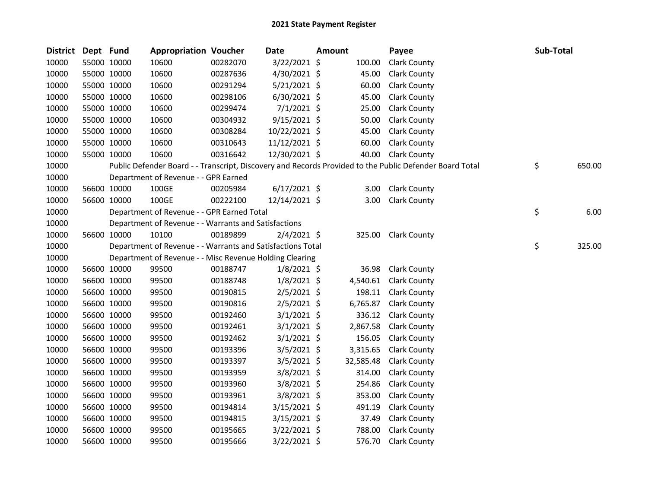| District Dept Fund |             |             | <b>Appropriation Voucher</b>                               |          | <b>Date</b>    | <b>Amount</b> |           | Payee                                                                                                   | Sub-Total |        |
|--------------------|-------------|-------------|------------------------------------------------------------|----------|----------------|---------------|-----------|---------------------------------------------------------------------------------------------------------|-----------|--------|
| 10000              |             | 55000 10000 | 10600                                                      | 00282070 | 3/22/2021 \$   |               | 100.00    | <b>Clark County</b>                                                                                     |           |        |
| 10000              |             | 55000 10000 | 10600                                                      | 00287636 | 4/30/2021 \$   |               | 45.00     | <b>Clark County</b>                                                                                     |           |        |
| 10000              |             | 55000 10000 | 10600                                                      | 00291294 | $5/21/2021$ \$ |               | 60.00     | <b>Clark County</b>                                                                                     |           |        |
| 10000              |             | 55000 10000 | 10600                                                      | 00298106 | $6/30/2021$ \$ |               | 45.00     | <b>Clark County</b>                                                                                     |           |        |
| 10000              |             | 55000 10000 | 10600                                                      | 00299474 | $7/1/2021$ \$  |               | 25.00     | <b>Clark County</b>                                                                                     |           |        |
| 10000              |             | 55000 10000 | 10600                                                      | 00304932 | 9/15/2021 \$   |               | 50.00     | <b>Clark County</b>                                                                                     |           |        |
| 10000              |             | 55000 10000 | 10600                                                      | 00308284 | 10/22/2021 \$  |               | 45.00     | <b>Clark County</b>                                                                                     |           |        |
| 10000              |             | 55000 10000 | 10600                                                      | 00310643 | 11/12/2021 \$  |               | 60.00     | <b>Clark County</b>                                                                                     |           |        |
| 10000              |             | 55000 10000 | 10600                                                      | 00316642 | 12/30/2021 \$  |               | 40.00     | <b>Clark County</b>                                                                                     |           |        |
| 10000              |             |             |                                                            |          |                |               |           | Public Defender Board - - Transcript, Discovery and Records Provided to the Public Defender Board Total | \$        | 650.00 |
| 10000              |             |             | Department of Revenue - - GPR Earned                       |          |                |               |           |                                                                                                         |           |        |
| 10000              |             | 56600 10000 | 100GE                                                      | 00205984 | $6/17/2021$ \$ |               | 3.00      | <b>Clark County</b>                                                                                     |           |        |
| 10000              |             | 56600 10000 | 100GE                                                      | 00222100 | 12/14/2021 \$  |               | 3.00      | <b>Clark County</b>                                                                                     |           |        |
| 10000              |             |             | Department of Revenue - - GPR Earned Total                 |          |                |               |           |                                                                                                         | \$        | 6.00   |
| 10000              |             |             | Department of Revenue - - Warrants and Satisfactions       |          |                |               |           |                                                                                                         |           |        |
| 10000              |             | 56600 10000 | 10100                                                      | 00189899 | $2/4/2021$ \$  |               |           | 325.00 Clark County                                                                                     |           |        |
| 10000              |             |             | Department of Revenue - - Warrants and Satisfactions Total |          |                |               |           |                                                                                                         | \$        | 325.00 |
| 10000              |             |             | Department of Revenue - - Misc Revenue Holding Clearing    |          |                |               |           |                                                                                                         |           |        |
| 10000              |             | 56600 10000 | 99500                                                      | 00188747 | $1/8/2021$ \$  |               | 36.98     | <b>Clark County</b>                                                                                     |           |        |
| 10000              |             | 56600 10000 | 99500                                                      | 00188748 | $1/8/2021$ \$  |               | 4,540.61  | <b>Clark County</b>                                                                                     |           |        |
| 10000              |             | 56600 10000 | 99500                                                      | 00190815 | $2/5/2021$ \$  |               | 198.11    | <b>Clark County</b>                                                                                     |           |        |
| 10000              |             | 56600 10000 | 99500                                                      | 00190816 | $2/5/2021$ \$  |               | 6,765.87  | <b>Clark County</b>                                                                                     |           |        |
| 10000              |             | 56600 10000 | 99500                                                      | 00192460 | $3/1/2021$ \$  |               | 336.12    | <b>Clark County</b>                                                                                     |           |        |
| 10000              |             | 56600 10000 | 99500                                                      | 00192461 | $3/1/2021$ \$  |               | 2,867.58  | <b>Clark County</b>                                                                                     |           |        |
| 10000              |             | 56600 10000 | 99500                                                      | 00192462 | $3/1/2021$ \$  |               | 156.05    | <b>Clark County</b>                                                                                     |           |        |
| 10000              |             | 56600 10000 | 99500                                                      | 00193396 | $3/5/2021$ \$  |               | 3,315.65  | <b>Clark County</b>                                                                                     |           |        |
| 10000              |             | 56600 10000 | 99500                                                      | 00193397 | $3/5/2021$ \$  |               | 32,585.48 | <b>Clark County</b>                                                                                     |           |        |
| 10000              |             | 56600 10000 | 99500                                                      | 00193959 | $3/8/2021$ \$  |               | 314.00    | <b>Clark County</b>                                                                                     |           |        |
| 10000              |             | 56600 10000 | 99500                                                      | 00193960 | 3/8/2021 \$    |               | 254.86    | <b>Clark County</b>                                                                                     |           |        |
| 10000              |             | 56600 10000 | 99500                                                      | 00193961 | $3/8/2021$ \$  |               | 353.00    | <b>Clark County</b>                                                                                     |           |        |
| 10000              |             | 56600 10000 | 99500                                                      | 00194814 | $3/15/2021$ \$ |               | 491.19    | <b>Clark County</b>                                                                                     |           |        |
| 10000              |             | 56600 10000 | 99500                                                      | 00194815 | $3/15/2021$ \$ |               | 37.49     | <b>Clark County</b>                                                                                     |           |        |
| 10000              |             | 56600 10000 | 99500                                                      | 00195665 | $3/22/2021$ \$ |               | 788.00    | <b>Clark County</b>                                                                                     |           |        |
| 10000              | 56600 10000 |             | 99500                                                      | 00195666 | 3/22/2021 \$   |               | 576.70    | <b>Clark County</b>                                                                                     |           |        |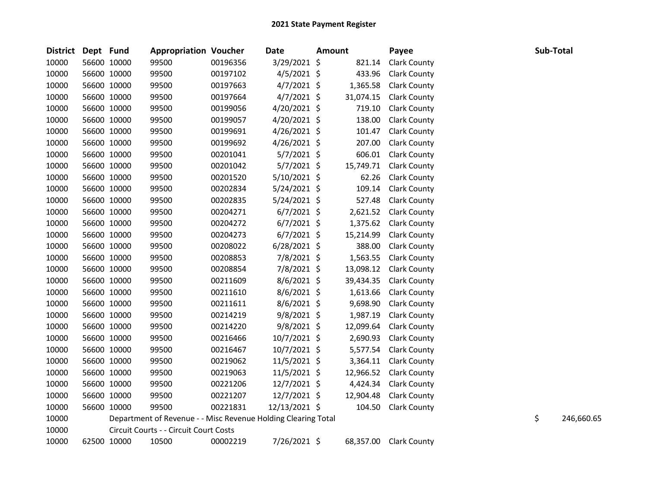| <b>District</b> | Dept Fund   |             | <b>Appropriation Voucher</b>                                  |          | <b>Date</b>    | <b>Amount</b> |           | Payee               | Sub-Total |            |
|-----------------|-------------|-------------|---------------------------------------------------------------|----------|----------------|---------------|-----------|---------------------|-----------|------------|
| 10000           |             | 56600 10000 | 99500                                                         | 00196356 | 3/29/2021 \$   |               | 821.14    | <b>Clark County</b> |           |            |
| 10000           |             | 56600 10000 | 99500                                                         | 00197102 | $4/5/2021$ \$  |               | 433.96    | <b>Clark County</b> |           |            |
| 10000           |             | 56600 10000 | 99500                                                         | 00197663 | $4/7/2021$ \$  |               | 1,365.58  | <b>Clark County</b> |           |            |
| 10000           |             | 56600 10000 | 99500                                                         | 00197664 | $4/7/2021$ \$  |               | 31,074.15 | <b>Clark County</b> |           |            |
| 10000           |             | 56600 10000 | 99500                                                         | 00199056 | 4/20/2021 \$   |               | 719.10    | <b>Clark County</b> |           |            |
| 10000           | 56600 10000 |             | 99500                                                         | 00199057 | $4/20/2021$ \$ |               | 138.00    | <b>Clark County</b> |           |            |
| 10000           |             | 56600 10000 | 99500                                                         | 00199691 | $4/26/2021$ \$ |               | 101.47    | <b>Clark County</b> |           |            |
| 10000           |             | 56600 10000 | 99500                                                         | 00199692 | $4/26/2021$ \$ |               | 207.00    | <b>Clark County</b> |           |            |
| 10000           |             | 56600 10000 | 99500                                                         | 00201041 | $5/7/2021$ \$  |               | 606.01    | <b>Clark County</b> |           |            |
| 10000           |             | 56600 10000 | 99500                                                         | 00201042 | $5/7/2021$ \$  |               | 15,749.71 | <b>Clark County</b> |           |            |
| 10000           | 56600 10000 |             | 99500                                                         | 00201520 | 5/10/2021 \$   |               | 62.26     | <b>Clark County</b> |           |            |
| 10000           |             | 56600 10000 | 99500                                                         | 00202834 | $5/24/2021$ \$ |               | 109.14    | <b>Clark County</b> |           |            |
| 10000           | 56600 10000 |             | 99500                                                         | 00202835 | $5/24/2021$ \$ |               | 527.48    | <b>Clark County</b> |           |            |
| 10000           |             | 56600 10000 | 99500                                                         | 00204271 | $6/7/2021$ \$  |               | 2,621.52  | <b>Clark County</b> |           |            |
| 10000           |             | 56600 10000 | 99500                                                         | 00204272 | $6/7/2021$ \$  |               | 1,375.62  | <b>Clark County</b> |           |            |
| 10000           |             | 56600 10000 | 99500                                                         | 00204273 | $6/7/2021$ \$  |               | 15,214.99 | <b>Clark County</b> |           |            |
| 10000           |             | 56600 10000 | 99500                                                         | 00208022 | $6/28/2021$ \$ |               | 388.00    | <b>Clark County</b> |           |            |
| 10000           | 56600 10000 |             | 99500                                                         | 00208853 | 7/8/2021 \$    |               | 1,563.55  | <b>Clark County</b> |           |            |
| 10000           | 56600 10000 |             | 99500                                                         | 00208854 | 7/8/2021 \$    |               | 13,098.12 | <b>Clark County</b> |           |            |
| 10000           | 56600 10000 |             | 99500                                                         | 00211609 | $8/6/2021$ \$  |               | 39,434.35 | <b>Clark County</b> |           |            |
| 10000           |             | 56600 10000 | 99500                                                         | 00211610 | $8/6/2021$ \$  |               | 1,613.66  | <b>Clark County</b> |           |            |
| 10000           |             | 56600 10000 | 99500                                                         | 00211611 | $8/6/2021$ \$  |               | 9,698.90  | <b>Clark County</b> |           |            |
| 10000           | 56600 10000 |             | 99500                                                         | 00214219 | $9/8/2021$ \$  |               | 1,987.19  | <b>Clark County</b> |           |            |
| 10000           |             | 56600 10000 | 99500                                                         | 00214220 | $9/8/2021$ \$  |               | 12,099.64 | <b>Clark County</b> |           |            |
| 10000           |             | 56600 10000 | 99500                                                         | 00216466 | 10/7/2021 \$   |               | 2,690.93  | <b>Clark County</b> |           |            |
| 10000           |             | 56600 10000 | 99500                                                         | 00216467 | $10/7/2021$ \$ |               | 5,577.54  | <b>Clark County</b> |           |            |
| 10000           |             | 56600 10000 | 99500                                                         | 00219062 | 11/5/2021 \$   |               | 3,364.11  | <b>Clark County</b> |           |            |
| 10000           |             | 56600 10000 | 99500                                                         | 00219063 | 11/5/2021 \$   |               | 12,966.52 | <b>Clark County</b> |           |            |
| 10000           |             | 56600 10000 | 99500                                                         | 00221206 | $12/7/2021$ \$ |               | 4,424.34  | <b>Clark County</b> |           |            |
| 10000           | 56600 10000 |             | 99500                                                         | 00221207 | 12/7/2021 \$   |               | 12,904.48 | <b>Clark County</b> |           |            |
| 10000           |             | 56600 10000 | 99500                                                         | 00221831 | 12/13/2021 \$  |               | 104.50    | <b>Clark County</b> |           |            |
| 10000           |             |             | Department of Revenue - - Misc Revenue Holding Clearing Total |          |                |               |           |                     | \$        | 246,660.65 |
| 10000           |             |             | Circuit Courts - - Circuit Court Costs                        |          |                |               |           |                     |           |            |
| 10000           | 62500 10000 |             | 10500                                                         | 00002219 | 7/26/2021 \$   |               | 68,357.00 | <b>Clark County</b> |           |            |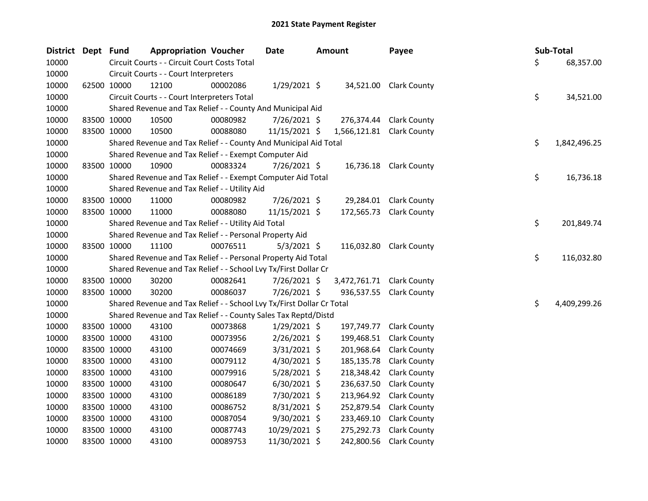| District Dept Fund |             | <b>Appropriation Voucher</b>                                          |          | Date           | <b>Amount</b>             | Payee                   |     | Sub-Total    |
|--------------------|-------------|-----------------------------------------------------------------------|----------|----------------|---------------------------|-------------------------|-----|--------------|
| 10000              |             | Circuit Courts - - Circuit Court Costs Total                          |          |                |                           |                         | \$. | 68,357.00    |
| 10000              |             | Circuit Courts - - Court Interpreters                                 |          |                |                           |                         |     |              |
| 10000              | 62500 10000 | 12100                                                                 | 00002086 | $1/29/2021$ \$ |                           | 34,521.00 Clark County  |     |              |
| 10000              |             | Circuit Courts - - Court Interpreters Total                           |          |                |                           |                         | \$  | 34,521.00    |
| 10000              |             | Shared Revenue and Tax Relief - - County And Municipal Aid            |          |                |                           |                         |     |              |
| 10000              | 83500 10000 | 10500                                                                 | 00080982 | 7/26/2021 \$   | 276,374.44                | <b>Clark County</b>     |     |              |
| 10000              | 83500 10000 | 10500                                                                 | 00088080 | 11/15/2021 \$  | 1,566,121.81 Clark County |                         |     |              |
| 10000              |             | Shared Revenue and Tax Relief - - County And Municipal Aid Total      |          |                |                           |                         | \$  | 1,842,496.25 |
| 10000              |             | Shared Revenue and Tax Relief - - Exempt Computer Aid                 |          |                |                           |                         |     |              |
| 10000              | 83500 10000 | 10900                                                                 | 00083324 | 7/26/2021 \$   | 16,736.18                 | <b>Clark County</b>     |     |              |
| 10000              |             | Shared Revenue and Tax Relief - - Exempt Computer Aid Total           |          |                |                           |                         | \$  | 16,736.18    |
| 10000              |             | Shared Revenue and Tax Relief - - Utility Aid                         |          |                |                           |                         |     |              |
| 10000              | 83500 10000 | 11000                                                                 | 00080982 | 7/26/2021 \$   | 29,284.01                 | <b>Clark County</b>     |     |              |
| 10000              | 83500 10000 | 11000                                                                 | 00088080 | 11/15/2021 \$  | 172,565.73                | <b>Clark County</b>     |     |              |
| 10000              |             | Shared Revenue and Tax Relief - - Utility Aid Total                   |          |                |                           |                         | \$  | 201,849.74   |
| 10000              |             | Shared Revenue and Tax Relief - - Personal Property Aid               |          |                |                           |                         |     |              |
| 10000              | 83500 10000 | 11100                                                                 | 00076511 | $5/3/2021$ \$  |                           | 116,032.80 Clark County |     |              |
| 10000              |             | Shared Revenue and Tax Relief - - Personal Property Aid Total         |          |                |                           |                         | \$  | 116,032.80   |
| 10000              |             | Shared Revenue and Tax Relief - - School Lvy Tx/First Dollar Cr       |          |                |                           |                         |     |              |
| 10000              | 83500 10000 | 30200                                                                 | 00082641 | 7/26/2021 \$   | 3,472,761.71 Clark County |                         |     |              |
| 10000              | 83500 10000 | 30200                                                                 | 00086037 | 7/26/2021 \$   |                           | 936,537.55 Clark County |     |              |
| 10000              |             | Shared Revenue and Tax Relief - - School Lvy Tx/First Dollar Cr Total |          |                |                           |                         | \$  | 4,409,299.26 |
| 10000              |             | Shared Revenue and Tax Relief - - County Sales Tax Reptd/Distd        |          |                |                           |                         |     |              |
| 10000              | 83500 10000 | 43100                                                                 | 00073868 | $1/29/2021$ \$ | 197,749.77                | <b>Clark County</b>     |     |              |
| 10000              | 83500 10000 | 43100                                                                 | 00073956 | 2/26/2021 \$   | 199,468.51                | <b>Clark County</b>     |     |              |
| 10000              | 83500 10000 | 43100                                                                 | 00074669 | $3/31/2021$ \$ | 201,968.64                | <b>Clark County</b>     |     |              |
| 10000              | 83500 10000 | 43100                                                                 | 00079112 | 4/30/2021 \$   | 185,135.78                | <b>Clark County</b>     |     |              |
| 10000              | 83500 10000 | 43100                                                                 | 00079916 | 5/28/2021 \$   | 218,348.42                | <b>Clark County</b>     |     |              |
| 10000              | 83500 10000 | 43100                                                                 | 00080647 | $6/30/2021$ \$ | 236,637.50                | <b>Clark County</b>     |     |              |
| 10000              | 83500 10000 | 43100                                                                 | 00086189 | 7/30/2021 \$   | 213,964.92                | <b>Clark County</b>     |     |              |
| 10000              | 83500 10000 | 43100                                                                 | 00086752 | $8/31/2021$ \$ | 252,879.54                | <b>Clark County</b>     |     |              |
| 10000              | 83500 10000 | 43100                                                                 | 00087054 | 9/30/2021 \$   | 233,469.10                | <b>Clark County</b>     |     |              |
| 10000              | 83500 10000 | 43100                                                                 | 00087743 | 10/29/2021 \$  | 275,292.73                | <b>Clark County</b>     |     |              |
| 10000              | 83500 10000 | 43100                                                                 | 00089753 | 11/30/2021 \$  | 242,800.56                | <b>Clark County</b>     |     |              |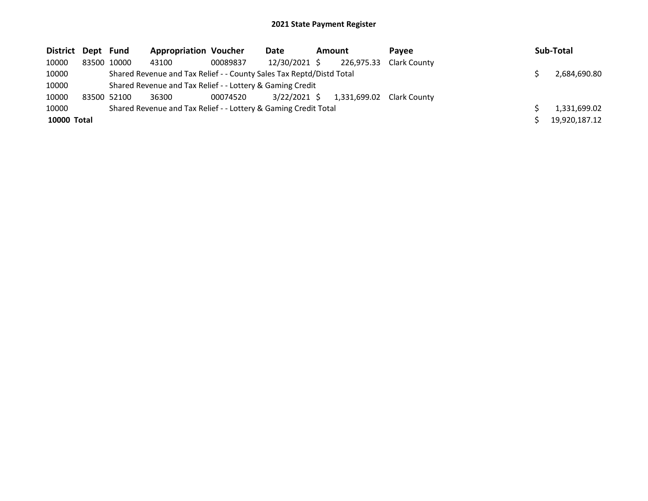| District Dept Fund |             | <b>Appropriation Voucher</b>                                         |          | Date           | Amount |              | Pavee               | Sub-Total     |
|--------------------|-------------|----------------------------------------------------------------------|----------|----------------|--------|--------------|---------------------|---------------|
| 10000              | 83500 10000 | 43100                                                                | 00089837 | 12/30/2021 \$  |        | 226,975.33   | <b>Clark County</b> |               |
| 10000              |             | Shared Revenue and Tax Relief - - County Sales Tax Reptd/Distd Total |          |                |        |              |                     | 2,684,690.80  |
| 10000              |             | Shared Revenue and Tax Relief - - Lottery & Gaming Credit            |          |                |        |              |                     |               |
| 10000              | 83500 52100 | 36300                                                                | 00074520 | $3/22/2021$ \$ |        | 1,331,699.02 | Clark County        |               |
| 10000              |             | Shared Revenue and Tax Relief - - Lottery & Gaming Credit Total      |          |                |        |              |                     | 1,331,699.02  |
| 10000 Total        |             |                                                                      |          |                |        |              |                     | 19,920,187.12 |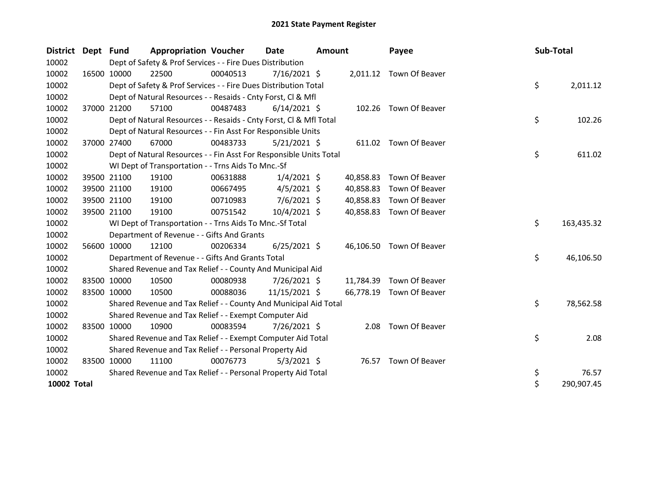| District Dept Fund |             | <b>Appropriation Voucher</b>                                       |          | Date           | <b>Amount</b> |           | Payee                    | Sub-Total |            |
|--------------------|-------------|--------------------------------------------------------------------|----------|----------------|---------------|-----------|--------------------------|-----------|------------|
| 10002              |             | Dept of Safety & Prof Services - - Fire Dues Distribution          |          |                |               |           |                          |           |            |
| 10002              | 16500 10000 | 22500                                                              | 00040513 | 7/16/2021 \$   |               |           | 2,011.12 Town Of Beaver  |           |            |
| 10002              |             | Dept of Safety & Prof Services - - Fire Dues Distribution Total    |          |                |               |           |                          | \$        | 2,011.12   |
| 10002              |             | Dept of Natural Resources - - Resaids - Cnty Forst, CI & Mfl       |          |                |               |           |                          |           |            |
| 10002              | 37000 21200 | 57100                                                              | 00487483 | $6/14/2021$ \$ |               |           | 102.26 Town Of Beaver    |           |            |
| 10002              |             | Dept of Natural Resources - - Resaids - Cnty Forst, CI & Mfl Total |          |                |               |           |                          | \$        | 102.26     |
| 10002              |             | Dept of Natural Resources - - Fin Asst For Responsible Units       |          |                |               |           |                          |           |            |
| 10002              | 37000 27400 | 67000                                                              | 00483733 | $5/21/2021$ \$ |               |           | 611.02 Town Of Beaver    |           |            |
| 10002              |             | Dept of Natural Resources - - Fin Asst For Responsible Units Total |          |                |               |           |                          | \$        | 611.02     |
| 10002              |             | WI Dept of Transportation - - Trns Aids To Mnc.-Sf                 |          |                |               |           |                          |           |            |
| 10002              | 39500 21100 | 19100                                                              | 00631888 | $1/4/2021$ \$  |               | 40,858.83 | Town Of Beaver           |           |            |
| 10002              | 39500 21100 | 19100                                                              | 00667495 | $4/5/2021$ \$  |               | 40,858.83 | Town Of Beaver           |           |            |
| 10002              | 39500 21100 | 19100                                                              | 00710983 | $7/6/2021$ \$  |               | 40,858.83 | Town Of Beaver           |           |            |
| 10002              | 39500 21100 | 19100                                                              | 00751542 | 10/4/2021 \$   |               | 40,858.83 | Town Of Beaver           |           |            |
| 10002              |             | WI Dept of Transportation - - Trns Aids To Mnc.-Sf Total           |          |                |               |           |                          | \$        | 163,435.32 |
| 10002              |             | Department of Revenue - - Gifts And Grants                         |          |                |               |           |                          |           |            |
| 10002              | 56600 10000 | 12100                                                              | 00206334 | $6/25/2021$ \$ |               |           | 46,106.50 Town Of Beaver |           |            |
| 10002              |             | Department of Revenue - - Gifts And Grants Total                   |          |                |               |           |                          | \$        | 46,106.50  |
| 10002              |             | Shared Revenue and Tax Relief - - County And Municipal Aid         |          |                |               |           |                          |           |            |
| 10002              | 83500 10000 | 10500                                                              | 00080938 | 7/26/2021 \$   |               | 11,784.39 | Town Of Beaver           |           |            |
| 10002              | 83500 10000 | 10500                                                              | 00088036 | 11/15/2021 \$  |               | 66,778.19 | Town Of Beaver           |           |            |
| 10002              |             | Shared Revenue and Tax Relief - - County And Municipal Aid Total   |          |                |               |           |                          | \$        | 78,562.58  |
| 10002              |             | Shared Revenue and Tax Relief - - Exempt Computer Aid              |          |                |               |           |                          |           |            |
| 10002              | 83500 10000 | 10900                                                              | 00083594 | 7/26/2021 \$   |               | 2.08      | Town Of Beaver           |           |            |
| 10002              |             | Shared Revenue and Tax Relief - - Exempt Computer Aid Total        |          |                |               |           |                          | \$        | 2.08       |
| 10002              |             | Shared Revenue and Tax Relief - - Personal Property Aid            |          |                |               |           |                          |           |            |
| 10002              | 83500 10000 | 11100                                                              | 00076773 | $5/3/2021$ \$  |               |           | 76.57 Town Of Beaver     |           |            |
| 10002              |             | Shared Revenue and Tax Relief - - Personal Property Aid Total      |          |                |               |           |                          | \$        | 76.57      |
| 10002 Total        |             |                                                                    |          |                |               |           |                          | \$        | 290,907.45 |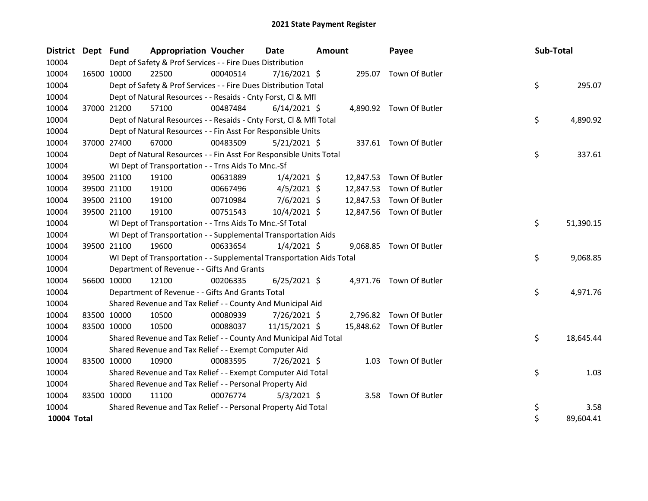| District Dept Fund |             | <b>Appropriation Voucher</b>                                         |          | <b>Date</b>    | <b>Amount</b> |           | Payee                    | Sub-Total |           |
|--------------------|-------------|----------------------------------------------------------------------|----------|----------------|---------------|-----------|--------------------------|-----------|-----------|
| 10004              |             | Dept of Safety & Prof Services - - Fire Dues Distribution            |          |                |               |           |                          |           |           |
| 10004              | 16500 10000 | 22500                                                                | 00040514 | $7/16/2021$ \$ |               |           | 295.07 Town Of Butler    |           |           |
| 10004              |             | Dept of Safety & Prof Services - - Fire Dues Distribution Total      |          |                |               |           |                          | \$        | 295.07    |
| 10004              |             | Dept of Natural Resources - - Resaids - Cnty Forst, Cl & Mfl         |          |                |               |           |                          |           |           |
| 10004              | 37000 21200 | 57100                                                                | 00487484 | $6/14/2021$ \$ |               |           | 4,890.92 Town Of Butler  |           |           |
| 10004              |             | Dept of Natural Resources - - Resaids - Cnty Forst, Cl & Mfl Total   |          |                |               |           |                          | \$        | 4,890.92  |
| 10004              |             | Dept of Natural Resources - - Fin Asst For Responsible Units         |          |                |               |           |                          |           |           |
| 10004              | 37000 27400 | 67000                                                                | 00483509 | $5/21/2021$ \$ |               |           | 337.61 Town Of Butler    |           |           |
| 10004              |             | Dept of Natural Resources - - Fin Asst For Responsible Units Total   |          |                |               |           |                          | \$        | 337.61    |
| 10004              |             | WI Dept of Transportation - - Trns Aids To Mnc.-Sf                   |          |                |               |           |                          |           |           |
| 10004              | 39500 21100 | 19100                                                                | 00631889 | $1/4/2021$ \$  |               | 12,847.53 | Town Of Butler           |           |           |
| 10004              | 39500 21100 | 19100                                                                | 00667496 | $4/5/2021$ \$  |               | 12,847.53 | Town Of Butler           |           |           |
| 10004              | 39500 21100 | 19100                                                                | 00710984 | $7/6/2021$ \$  |               | 12,847.53 | Town Of Butler           |           |           |
| 10004              | 39500 21100 | 19100                                                                | 00751543 | $10/4/2021$ \$ |               |           | 12,847.56 Town Of Butler |           |           |
| 10004              |             | WI Dept of Transportation - - Trns Aids To Mnc.-Sf Total             |          |                |               |           |                          | \$        | 51,390.15 |
| 10004              |             | WI Dept of Transportation - - Supplemental Transportation Aids       |          |                |               |           |                          |           |           |
| 10004              | 39500 21100 | 19600                                                                | 00633654 | $1/4/2021$ \$  |               |           | 9,068.85 Town Of Butler  |           |           |
| 10004              |             | WI Dept of Transportation - - Supplemental Transportation Aids Total |          |                |               |           |                          | \$        | 9,068.85  |
| 10004              |             | Department of Revenue - - Gifts And Grants                           |          |                |               |           |                          |           |           |
| 10004              | 56600 10000 | 12100                                                                | 00206335 | $6/25/2021$ \$ |               |           | 4,971.76 Town Of Butler  |           |           |
| 10004              |             | Department of Revenue - - Gifts And Grants Total                     |          |                |               |           |                          | \$        | 4,971.76  |
| 10004              |             | Shared Revenue and Tax Relief - - County And Municipal Aid           |          |                |               |           |                          |           |           |
| 10004              | 83500 10000 | 10500                                                                | 00080939 | 7/26/2021 \$   |               |           | 2,796.82 Town Of Butler  |           |           |
| 10004              | 83500 10000 | 10500                                                                | 00088037 | 11/15/2021 \$  |               |           | 15,848.62 Town Of Butler |           |           |
| 10004              |             | Shared Revenue and Tax Relief - - County And Municipal Aid Total     |          |                |               |           |                          | \$        | 18,645.44 |
| 10004              |             | Shared Revenue and Tax Relief - - Exempt Computer Aid                |          |                |               |           |                          |           |           |
| 10004              | 83500 10000 | 10900                                                                | 00083595 | 7/26/2021 \$   |               |           | 1.03 Town Of Butler      |           |           |
| 10004              |             | Shared Revenue and Tax Relief - - Exempt Computer Aid Total          |          |                |               |           |                          | \$        | 1.03      |
| 10004              |             | Shared Revenue and Tax Relief - - Personal Property Aid              |          |                |               |           |                          |           |           |
| 10004              | 83500 10000 | 11100                                                                | 00076774 | $5/3/2021$ \$  |               |           | 3.58 Town Of Butler      |           |           |
| 10004              |             | Shared Revenue and Tax Relief - - Personal Property Aid Total        |          |                |               |           |                          | \$        | 3.58      |
| 10004 Total        |             |                                                                      |          |                |               |           |                          | \$        | 89,604.41 |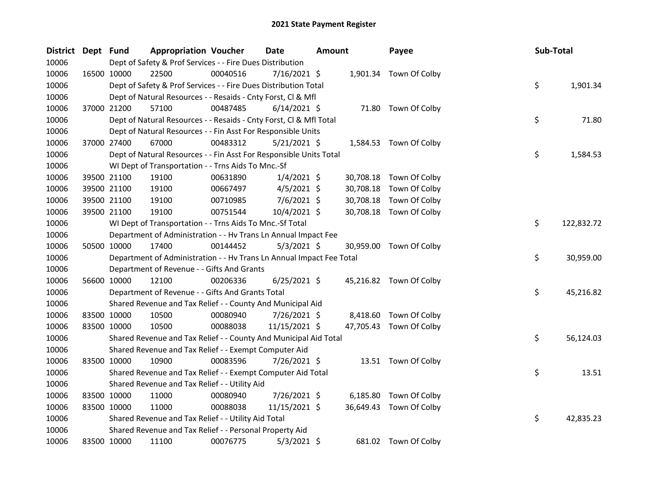| District Dept Fund |             | <b>Appropriation Voucher</b>                                         |          | <b>Date</b>    | <b>Amount</b> |           | Payee                   | Sub-Total |            |
|--------------------|-------------|----------------------------------------------------------------------|----------|----------------|---------------|-----------|-------------------------|-----------|------------|
| 10006              |             | Dept of Safety & Prof Services - - Fire Dues Distribution            |          |                |               |           |                         |           |            |
| 10006              | 16500 10000 | 22500                                                                | 00040516 | $7/16/2021$ \$ |               |           | 1,901.34 Town Of Colby  |           |            |
| 10006              |             | Dept of Safety & Prof Services - - Fire Dues Distribution Total      |          |                |               |           |                         | \$        | 1,901.34   |
| 10006              |             | Dept of Natural Resources - - Resaids - Cnty Forst, Cl & Mfl         |          |                |               |           |                         |           |            |
| 10006              | 37000 21200 | 57100                                                                | 00487485 | $6/14/2021$ \$ |               |           | 71.80 Town Of Colby     |           |            |
| 10006              |             | Dept of Natural Resources - - Resaids - Cnty Forst, Cl & Mfl Total   |          |                |               |           |                         | \$        | 71.80      |
| 10006              |             | Dept of Natural Resources - - Fin Asst For Responsible Units         |          |                |               |           |                         |           |            |
| 10006              | 37000 27400 | 67000                                                                | 00483312 | $5/21/2021$ \$ |               |           | 1,584.53 Town Of Colby  |           |            |
| 10006              |             | Dept of Natural Resources - - Fin Asst For Responsible Units Total   |          |                |               |           |                         | \$        | 1,584.53   |
| 10006              |             | WI Dept of Transportation - - Trns Aids To Mnc.-Sf                   |          |                |               |           |                         |           |            |
| 10006              | 39500 21100 | 19100                                                                | 00631890 | $1/4/2021$ \$  |               | 30,708.18 | Town Of Colby           |           |            |
| 10006              | 39500 21100 | 19100                                                                | 00667497 | $4/5/2021$ \$  |               | 30,708.18 | Town Of Colby           |           |            |
| 10006              | 39500 21100 | 19100                                                                | 00710985 | 7/6/2021 \$    |               | 30,708.18 | Town Of Colby           |           |            |
| 10006              | 39500 21100 | 19100                                                                | 00751544 | 10/4/2021 \$   |               | 30,708.18 | Town Of Colby           |           |            |
| 10006              |             | WI Dept of Transportation - - Trns Aids To Mnc.-Sf Total             |          |                |               |           |                         | \$        | 122,832.72 |
| 10006              |             | Department of Administration - - Hv Trans Ln Annual Impact Fee       |          |                |               |           |                         |           |            |
| 10006              | 50500 10000 | 17400                                                                | 00144452 | $5/3/2021$ \$  |               |           | 30,959.00 Town Of Colby |           |            |
| 10006              |             | Department of Administration - - Hv Trans Ln Annual Impact Fee Total |          |                |               |           |                         | \$        | 30,959.00  |
| 10006              |             | Department of Revenue - - Gifts And Grants                           |          |                |               |           |                         |           |            |
| 10006              | 56600 10000 | 12100                                                                | 00206336 | $6/25/2021$ \$ |               |           | 45,216.82 Town Of Colby |           |            |
| 10006              |             | Department of Revenue - - Gifts And Grants Total                     |          |                |               |           |                         | \$        | 45,216.82  |
| 10006              |             | Shared Revenue and Tax Relief - - County And Municipal Aid           |          |                |               |           |                         |           |            |
| 10006              | 83500 10000 | 10500                                                                | 00080940 | 7/26/2021 \$   |               |           | 8,418.60 Town Of Colby  |           |            |
| 10006              | 83500 10000 | 10500                                                                | 00088038 | 11/15/2021 \$  |               |           | 47,705.43 Town Of Colby |           |            |
| 10006              |             | Shared Revenue and Tax Relief - - County And Municipal Aid Total     |          |                |               |           |                         | \$        | 56,124.03  |
| 10006              |             | Shared Revenue and Tax Relief - - Exempt Computer Aid                |          |                |               |           |                         |           |            |
| 10006              | 83500 10000 | 10900                                                                | 00083596 | 7/26/2021 \$   |               |           | 13.51 Town Of Colby     |           |            |
| 10006              |             | Shared Revenue and Tax Relief - - Exempt Computer Aid Total          |          |                |               |           |                         | \$        | 13.51      |
| 10006              |             | Shared Revenue and Tax Relief - - Utility Aid                        |          |                |               |           |                         |           |            |
| 10006              | 83500 10000 | 11000                                                                | 00080940 | 7/26/2021 \$   |               | 6,185.80  | Town Of Colby           |           |            |
| 10006              | 83500 10000 | 11000                                                                | 00088038 | 11/15/2021 \$  |               | 36,649.43 | Town Of Colby           |           |            |
| 10006              |             | Shared Revenue and Tax Relief - - Utility Aid Total                  |          |                |               |           |                         | \$        | 42,835.23  |
| 10006              |             | Shared Revenue and Tax Relief - - Personal Property Aid              |          |                |               |           |                         |           |            |
| 10006              | 83500 10000 | 11100                                                                | 00076775 | $5/3/2021$ \$  |               |           | 681.02 Town Of Colby    |           |            |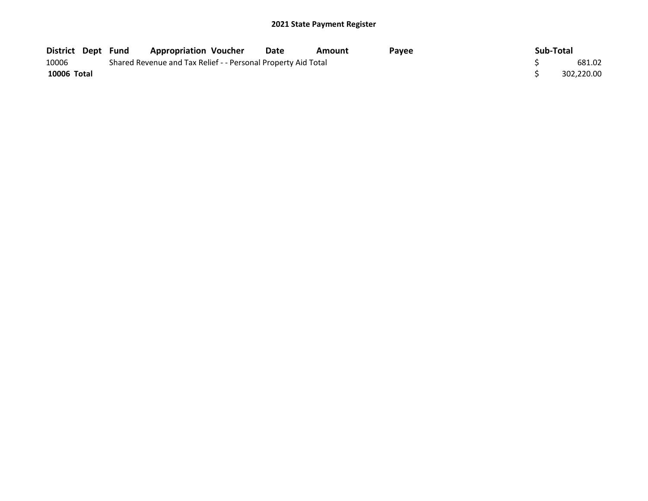| District Dept Fund |  | <b>Appropriation Voucher</b>                                  | Date | Amount | Pavee | Sub-Total  |
|--------------------|--|---------------------------------------------------------------|------|--------|-------|------------|
| 10006              |  | Shared Revenue and Tax Relief - - Personal Property Aid Total |      |        |       | 681.02     |
| 10006 Total        |  |                                                               |      |        |       | 302.220.00 |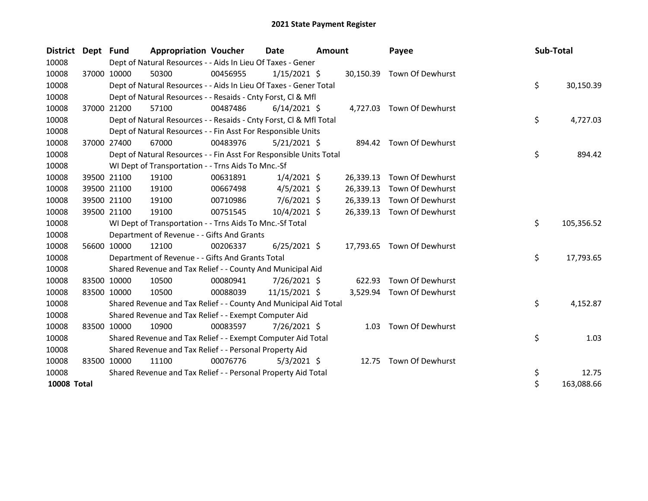| District Dept Fund |       |             | <b>Appropriation Voucher</b>                                       |          | Date           | <b>Amount</b> |           | Payee                      | Sub-Total |            |
|--------------------|-------|-------------|--------------------------------------------------------------------|----------|----------------|---------------|-----------|----------------------------|-----------|------------|
| 10008              |       |             | Dept of Natural Resources - - Aids In Lieu Of Taxes - Gener        |          |                |               |           |                            |           |            |
| 10008              |       | 37000 10000 | 50300                                                              | 00456955 | $1/15/2021$ \$ |               |           | 30,150.39 Town Of Dewhurst |           |            |
| 10008              |       |             | Dept of Natural Resources - - Aids In Lieu Of Taxes - Gener Total  |          |                |               |           |                            | \$        | 30,150.39  |
| 10008              |       |             | Dept of Natural Resources - - Resaids - Cnty Forst, Cl & Mfl       |          |                |               |           |                            |           |            |
| 10008              |       | 37000 21200 | 57100                                                              | 00487486 | $6/14/2021$ \$ |               |           | 4,727.03 Town Of Dewhurst  |           |            |
| 10008              |       |             | Dept of Natural Resources - - Resaids - Cnty Forst, Cl & Mfl Total |          |                |               |           |                            | \$        | 4,727.03   |
| 10008              |       |             | Dept of Natural Resources - - Fin Asst For Responsible Units       |          |                |               |           |                            |           |            |
| 10008              |       | 37000 27400 | 67000                                                              | 00483976 | $5/21/2021$ \$ |               |           | 894.42 Town Of Dewhurst    |           |            |
| 10008              |       |             | Dept of Natural Resources - - Fin Asst For Responsible Units Total |          |                |               |           |                            | \$        | 894.42     |
| 10008              |       |             | WI Dept of Transportation - - Trns Aids To Mnc.-Sf                 |          |                |               |           |                            |           |            |
| 10008              |       | 39500 21100 | 19100                                                              | 00631891 | $1/4/2021$ \$  |               | 26,339.13 | Town Of Dewhurst           |           |            |
| 10008              |       | 39500 21100 | 19100                                                              | 00667498 | $4/5/2021$ \$  |               | 26,339.13 | Town Of Dewhurst           |           |            |
| 10008              |       | 39500 21100 | 19100                                                              | 00710986 | $7/6/2021$ \$  |               | 26,339.13 | Town Of Dewhurst           |           |            |
| 10008              |       | 39500 21100 | 19100                                                              | 00751545 | 10/4/2021 \$   |               | 26,339.13 | Town Of Dewhurst           |           |            |
| 10008              |       |             | WI Dept of Transportation - - Trns Aids To Mnc.-Sf Total           |          |                |               |           |                            | \$        | 105,356.52 |
| 10008              |       |             | Department of Revenue - - Gifts And Grants                         |          |                |               |           |                            |           |            |
| 10008              |       | 56600 10000 | 12100                                                              | 00206337 | $6/25/2021$ \$ |               |           | 17,793.65 Town Of Dewhurst |           |            |
| 10008              |       |             | Department of Revenue - - Gifts And Grants Total                   |          |                |               |           |                            | \$        | 17,793.65  |
| 10008              |       |             | Shared Revenue and Tax Relief - - County And Municipal Aid         |          |                |               |           |                            |           |            |
| 10008              |       | 83500 10000 | 10500                                                              | 00080941 | 7/26/2021 \$   |               | 622.93    | Town Of Dewhurst           |           |            |
| 10008              |       | 83500 10000 | 10500                                                              | 00088039 | 11/15/2021 \$  |               |           | 3,529.94 Town Of Dewhurst  |           |            |
| 10008              |       |             | Shared Revenue and Tax Relief - - County And Municipal Aid Total   |          |                |               |           |                            | \$        | 4,152.87   |
| 10008              |       |             | Shared Revenue and Tax Relief - - Exempt Computer Aid              |          |                |               |           |                            |           |            |
| 10008              |       | 83500 10000 | 10900                                                              | 00083597 | 7/26/2021 \$   |               |           | 1.03 Town Of Dewhurst      |           |            |
| 10008              |       |             | Shared Revenue and Tax Relief - - Exempt Computer Aid Total        |          |                |               |           |                            | \$        | 1.03       |
| 10008              |       |             | Shared Revenue and Tax Relief - - Personal Property Aid            |          |                |               |           |                            |           |            |
| 10008              | 83500 | 10000       | 11100                                                              | 00076776 | $5/3/2021$ \$  |               |           | 12.75 Town Of Dewhurst     |           |            |
| 10008              |       |             | Shared Revenue and Tax Relief - - Personal Property Aid Total      |          |                |               |           |                            | \$        | 12.75      |
| <b>10008 Total</b> |       |             |                                                                    |          |                |               |           |                            | \$        | 163,088.66 |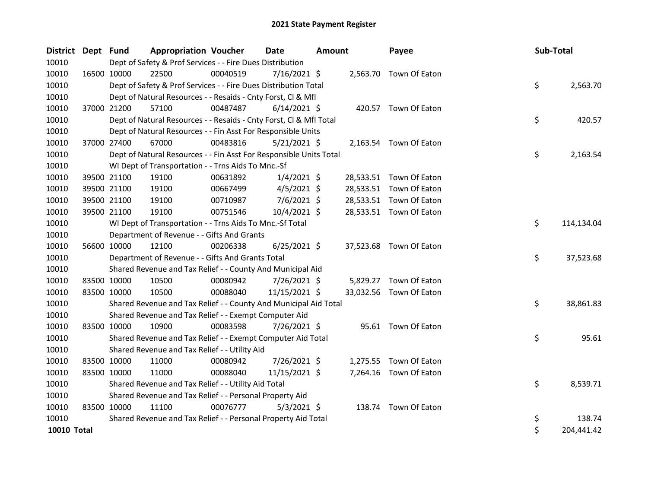| District Dept Fund |             |             | <b>Appropriation Voucher</b>                                       |          | <b>Date</b>    | <b>Amount</b> |          | Payee                   | Sub-Total |            |
|--------------------|-------------|-------------|--------------------------------------------------------------------|----------|----------------|---------------|----------|-------------------------|-----------|------------|
| 10010              |             |             | Dept of Safety & Prof Services - - Fire Dues Distribution          |          |                |               |          |                         |           |            |
| 10010              |             | 16500 10000 | 22500                                                              | 00040519 | $7/16/2021$ \$ |               |          | 2,563.70 Town Of Eaton  |           |            |
| 10010              |             |             | Dept of Safety & Prof Services - - Fire Dues Distribution Total    |          |                |               |          |                         | \$        | 2,563.70   |
| 10010              |             |             | Dept of Natural Resources - - Resaids - Cnty Forst, Cl & Mfl       |          |                |               |          |                         |           |            |
| 10010              |             | 37000 21200 | 57100                                                              | 00487487 | $6/14/2021$ \$ |               |          | 420.57 Town Of Eaton    |           |            |
| 10010              |             |             | Dept of Natural Resources - - Resaids - Cnty Forst, CI & Mfl Total |          |                |               |          |                         | \$        | 420.57     |
| 10010              |             |             | Dept of Natural Resources - - Fin Asst For Responsible Units       |          |                |               |          |                         |           |            |
| 10010              |             | 37000 27400 | 67000                                                              | 00483816 | $5/21/2021$ \$ |               |          | 2,163.54 Town Of Eaton  |           |            |
| 10010              |             |             | Dept of Natural Resources - - Fin Asst For Responsible Units Total |          |                |               |          |                         | \$        | 2,163.54   |
| 10010              |             |             | WI Dept of Transportation - - Trns Aids To Mnc.-Sf                 |          |                |               |          |                         |           |            |
| 10010              |             | 39500 21100 | 19100                                                              | 00631892 | $1/4/2021$ \$  |               |          | 28,533.51 Town Of Eaton |           |            |
| 10010              |             | 39500 21100 | 19100                                                              | 00667499 | $4/5/2021$ \$  |               |          | 28,533.51 Town Of Eaton |           |            |
| 10010              |             | 39500 21100 | 19100                                                              | 00710987 | $7/6/2021$ \$  |               |          | 28,533.51 Town Of Eaton |           |            |
| 10010              | 39500 21100 |             | 19100                                                              | 00751546 | 10/4/2021 \$   |               |          | 28,533.51 Town Of Eaton |           |            |
| 10010              |             |             | WI Dept of Transportation - - Trns Aids To Mnc.-Sf Total           |          |                |               |          |                         | \$        | 114,134.04 |
| 10010              |             |             | Department of Revenue - - Gifts And Grants                         |          |                |               |          |                         |           |            |
| 10010              |             | 56600 10000 | 12100                                                              | 00206338 | $6/25/2021$ \$ |               |          | 37,523.68 Town Of Eaton |           |            |
| 10010              |             |             | Department of Revenue - - Gifts And Grants Total                   |          |                |               |          |                         | \$        | 37,523.68  |
| 10010              |             |             | Shared Revenue and Tax Relief - - County And Municipal Aid         |          |                |               |          |                         |           |            |
| 10010              |             | 83500 10000 | 10500                                                              | 00080942 | $7/26/2021$ \$ |               |          | 5,829.27 Town Of Eaton  |           |            |
| 10010              |             | 83500 10000 | 10500                                                              | 00088040 | 11/15/2021 \$  |               |          | 33,032.56 Town Of Eaton |           |            |
| 10010              |             |             | Shared Revenue and Tax Relief - - County And Municipal Aid Total   |          |                |               |          |                         | \$        | 38,861.83  |
| 10010              |             |             | Shared Revenue and Tax Relief - - Exempt Computer Aid              |          |                |               |          |                         |           |            |
| 10010              |             | 83500 10000 | 10900                                                              | 00083598 | 7/26/2021 \$   |               |          | 95.61 Town Of Eaton     |           |            |
| 10010              |             |             | Shared Revenue and Tax Relief - - Exempt Computer Aid Total        |          |                |               |          |                         | \$        | 95.61      |
| 10010              |             |             | Shared Revenue and Tax Relief - - Utility Aid                      |          |                |               |          |                         |           |            |
| 10010              |             | 83500 10000 | 11000                                                              | 00080942 | 7/26/2021 \$   |               | 1,275.55 | Town Of Eaton           |           |            |
| 10010              |             | 83500 10000 | 11000                                                              | 00088040 | 11/15/2021 \$  |               |          | 7,264.16 Town Of Eaton  |           |            |
| 10010              |             |             | Shared Revenue and Tax Relief - - Utility Aid Total                |          |                |               |          |                         | \$        | 8,539.71   |
| 10010              |             |             | Shared Revenue and Tax Relief - - Personal Property Aid            |          |                |               |          |                         |           |            |
| 10010              |             | 83500 10000 | 11100                                                              | 00076777 | $5/3/2021$ \$  |               |          | 138.74 Town Of Eaton    |           |            |
| 10010              |             |             | Shared Revenue and Tax Relief - - Personal Property Aid Total      |          |                |               |          |                         | \$        | 138.74     |
| <b>10010 Total</b> |             |             |                                                                    |          |                |               |          |                         | \$        | 204,441.42 |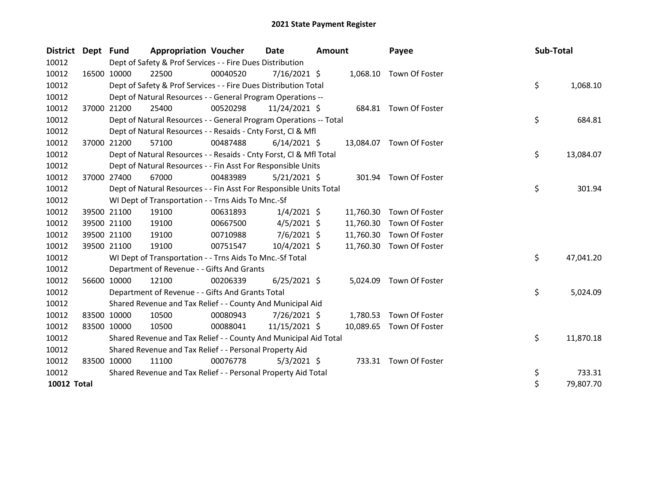| <b>District</b>    | Dept Fund |             | <b>Appropriation Voucher</b>                                       |          | Date           | Amount |           | Payee                    | Sub-Total |           |
|--------------------|-----------|-------------|--------------------------------------------------------------------|----------|----------------|--------|-----------|--------------------------|-----------|-----------|
| 10012              |           |             | Dept of Safety & Prof Services - - Fire Dues Distribution          |          |                |        |           |                          |           |           |
| 10012              |           | 16500 10000 | 22500                                                              | 00040520 | $7/16/2021$ \$ |        |           | 1,068.10 Town Of Foster  |           |           |
| 10012              |           |             | Dept of Safety & Prof Services - - Fire Dues Distribution Total    |          |                |        |           |                          | \$        | 1,068.10  |
| 10012              |           |             | Dept of Natural Resources - - General Program Operations --        |          |                |        |           |                          |           |           |
| 10012              |           | 37000 21200 | 25400                                                              | 00520298 | 11/24/2021 \$  |        |           | 684.81 Town Of Foster    |           |           |
| 10012              |           |             | Dept of Natural Resources - - General Program Operations -- Total  |          |                |        |           |                          | \$        | 684.81    |
| 10012              |           |             | Dept of Natural Resources - - Resaids - Cnty Forst, CI & Mfl       |          |                |        |           |                          |           |           |
| 10012              |           | 37000 21200 | 57100                                                              | 00487488 | $6/14/2021$ \$ |        |           | 13,084.07 Town Of Foster |           |           |
| 10012              |           |             | Dept of Natural Resources - - Resaids - Cnty Forst, CI & Mfl Total |          |                |        |           |                          | \$        | 13,084.07 |
| 10012              |           |             | Dept of Natural Resources - - Fin Asst For Responsible Units       |          |                |        |           |                          |           |           |
| 10012              |           | 37000 27400 | 67000                                                              | 00483989 | $5/21/2021$ \$ |        |           | 301.94 Town Of Foster    |           |           |
| 10012              |           |             | Dept of Natural Resources - - Fin Asst For Responsible Units Total |          |                |        |           |                          | \$        | 301.94    |
| 10012              |           |             | WI Dept of Transportation - - Trns Aids To Mnc.-Sf                 |          |                |        |           |                          |           |           |
| 10012              |           | 39500 21100 | 19100                                                              | 00631893 | $1/4/2021$ \$  |        | 11,760.30 | Town Of Foster           |           |           |
| 10012              |           | 39500 21100 | 19100                                                              | 00667500 | $4/5/2021$ \$  |        | 11,760.30 | Town Of Foster           |           |           |
| 10012              |           | 39500 21100 | 19100                                                              | 00710988 | $7/6/2021$ \$  |        | 11,760.30 | Town Of Foster           |           |           |
| 10012              |           | 39500 21100 | 19100                                                              | 00751547 | 10/4/2021 \$   |        | 11,760.30 | Town Of Foster           |           |           |
| 10012              |           |             | WI Dept of Transportation - - Trns Aids To Mnc.-Sf Total           |          |                |        |           |                          | \$        | 47,041.20 |
| 10012              |           |             | Department of Revenue - - Gifts And Grants                         |          |                |        |           |                          |           |           |
| 10012              |           | 56600 10000 | 12100                                                              | 00206339 | $6/25/2021$ \$ |        | 5,024.09  | Town Of Foster           |           |           |
| 10012              |           |             | Department of Revenue - - Gifts And Grants Total                   |          |                |        |           |                          | \$        | 5,024.09  |
| 10012              |           |             | Shared Revenue and Tax Relief - - County And Municipal Aid         |          |                |        |           |                          |           |           |
| 10012              |           | 83500 10000 | 10500                                                              | 00080943 | 7/26/2021 \$   |        |           | 1,780.53 Town Of Foster  |           |           |
| 10012              |           | 83500 10000 | 10500                                                              | 00088041 | 11/15/2021 \$  |        | 10,089.65 | Town Of Foster           |           |           |
| 10012              |           |             | Shared Revenue and Tax Relief - - County And Municipal Aid Total   |          |                |        |           |                          | \$        | 11,870.18 |
| 10012              |           |             | Shared Revenue and Tax Relief - - Personal Property Aid            |          |                |        |           |                          |           |           |
| 10012              |           | 83500 10000 | 11100                                                              | 00076778 | $5/3/2021$ \$  |        |           | 733.31 Town Of Foster    |           |           |
| 10012              |           |             | Shared Revenue and Tax Relief - - Personal Property Aid Total      |          |                |        |           |                          | \$        | 733.31    |
| <b>10012 Total</b> |           |             |                                                                    |          |                |        |           |                          | \$        | 79,807.70 |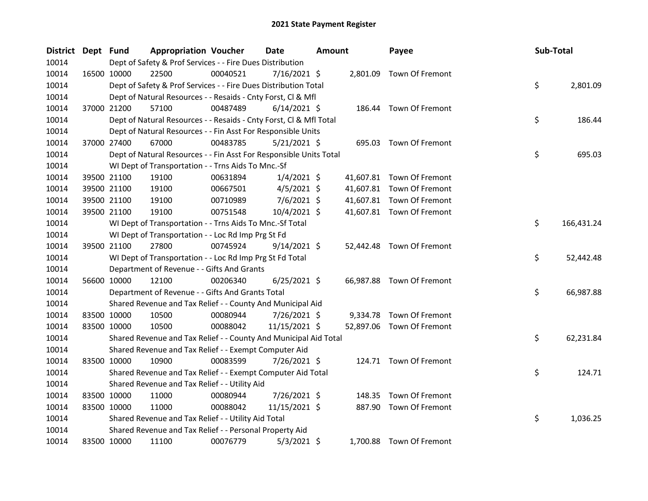| District Dept Fund |             | <b>Appropriation Voucher</b>                                       |          | <b>Date</b>    | <b>Amount</b> |           | Payee                     | Sub-Total |            |
|--------------------|-------------|--------------------------------------------------------------------|----------|----------------|---------------|-----------|---------------------------|-----------|------------|
| 10014              |             | Dept of Safety & Prof Services - - Fire Dues Distribution          |          |                |               |           |                           |           |            |
| 10014              | 16500 10000 | 22500                                                              | 00040521 | 7/16/2021 \$   |               |           | 2,801.09 Town Of Fremont  |           |            |
| 10014              |             | Dept of Safety & Prof Services - - Fire Dues Distribution Total    |          |                |               |           |                           | \$        | 2,801.09   |
| 10014              |             | Dept of Natural Resources - - Resaids - Cnty Forst, Cl & Mfl       |          |                |               |           |                           |           |            |
| 10014              | 37000 21200 | 57100                                                              | 00487489 | $6/14/2021$ \$ |               |           | 186.44 Town Of Fremont    |           |            |
| 10014              |             | Dept of Natural Resources - - Resaids - Cnty Forst, Cl & Mfl Total |          |                |               |           |                           | \$        | 186.44     |
| 10014              |             | Dept of Natural Resources - - Fin Asst For Responsible Units       |          |                |               |           |                           |           |            |
| 10014              | 37000 27400 | 67000                                                              | 00483785 | $5/21/2021$ \$ |               |           | 695.03 Town Of Fremont    |           |            |
| 10014              |             | Dept of Natural Resources - - Fin Asst For Responsible Units Total |          |                |               |           |                           | \$        | 695.03     |
| 10014              |             | WI Dept of Transportation - - Trns Aids To Mnc.-Sf                 |          |                |               |           |                           |           |            |
| 10014              | 39500 21100 | 19100                                                              | 00631894 | $1/4/2021$ \$  |               | 41,607.81 | Town Of Fremont           |           |            |
| 10014              | 39500 21100 | 19100                                                              | 00667501 | $4/5/2021$ \$  |               |           | 41,607.81 Town Of Fremont |           |            |
| 10014              | 39500 21100 | 19100                                                              | 00710989 | $7/6/2021$ \$  |               |           | 41,607.81 Town Of Fremont |           |            |
| 10014              | 39500 21100 | 19100                                                              | 00751548 | 10/4/2021 \$   |               |           | 41,607.81 Town Of Fremont |           |            |
| 10014              |             | WI Dept of Transportation - - Trns Aids To Mnc.-Sf Total           |          |                |               |           |                           | \$        | 166,431.24 |
| 10014              |             | WI Dept of Transportation - - Loc Rd Imp Prg St Fd                 |          |                |               |           |                           |           |            |
| 10014              | 39500 21100 | 27800                                                              | 00745924 | $9/14/2021$ \$ |               |           | 52,442.48 Town Of Fremont |           |            |
| 10014              |             | WI Dept of Transportation - - Loc Rd Imp Prg St Fd Total           |          |                |               |           |                           | \$        | 52,442.48  |
| 10014              |             | Department of Revenue - - Gifts And Grants                         |          |                |               |           |                           |           |            |
| 10014              | 56600 10000 | 12100                                                              | 00206340 | $6/25/2021$ \$ |               |           | 66,987.88 Town Of Fremont |           |            |
| 10014              |             | Department of Revenue - - Gifts And Grants Total                   |          |                |               |           |                           | \$        | 66,987.88  |
| 10014              |             | Shared Revenue and Tax Relief - - County And Municipal Aid         |          |                |               |           |                           |           |            |
| 10014              | 83500 10000 | 10500                                                              | 00080944 | 7/26/2021 \$   |               | 9,334.78  | Town Of Fremont           |           |            |
| 10014              | 83500 10000 | 10500                                                              | 00088042 | 11/15/2021 \$  |               |           | 52,897.06 Town Of Fremont |           |            |
| 10014              |             | Shared Revenue and Tax Relief - - County And Municipal Aid Total   |          |                |               |           |                           | \$        | 62,231.84  |
| 10014              |             | Shared Revenue and Tax Relief - - Exempt Computer Aid              |          |                |               |           |                           |           |            |
| 10014              | 83500 10000 | 10900                                                              | 00083599 | 7/26/2021 \$   |               |           | 124.71 Town Of Fremont    |           |            |
| 10014              |             | Shared Revenue and Tax Relief - - Exempt Computer Aid Total        |          |                |               |           |                           | \$        | 124.71     |
| 10014              |             | Shared Revenue and Tax Relief - - Utility Aid                      |          |                |               |           |                           |           |            |
| 10014              | 83500 10000 | 11000                                                              | 00080944 | 7/26/2021 \$   |               | 148.35    | Town Of Fremont           |           |            |
| 10014              | 83500 10000 | 11000                                                              | 00088042 | 11/15/2021 \$  |               |           | 887.90 Town Of Fremont    |           |            |
| 10014              |             | Shared Revenue and Tax Relief - - Utility Aid Total                |          |                |               |           |                           | \$        | 1,036.25   |
| 10014              |             | Shared Revenue and Tax Relief - - Personal Property Aid            |          |                |               |           |                           |           |            |
| 10014              | 83500 10000 | 11100                                                              | 00076779 | $5/3/2021$ \$  |               |           | 1,700.88 Town Of Fremont  |           |            |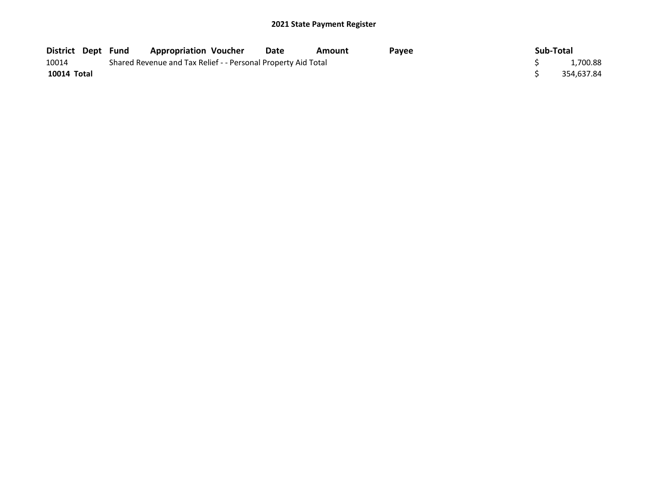|             |                                                               | District Dept Fund Appropriation Voucher |  | Date | Amount | <b>Pavee</b> |  | Sub-Total |            |
|-------------|---------------------------------------------------------------|------------------------------------------|--|------|--------|--------------|--|-----------|------------|
| 10014       | Shared Revenue and Tax Relief - - Personal Property Aid Total |                                          |  |      |        |              |  |           | 1,700.88   |
| 10014 Total |                                                               |                                          |  |      |        |              |  |           | 354,637.84 |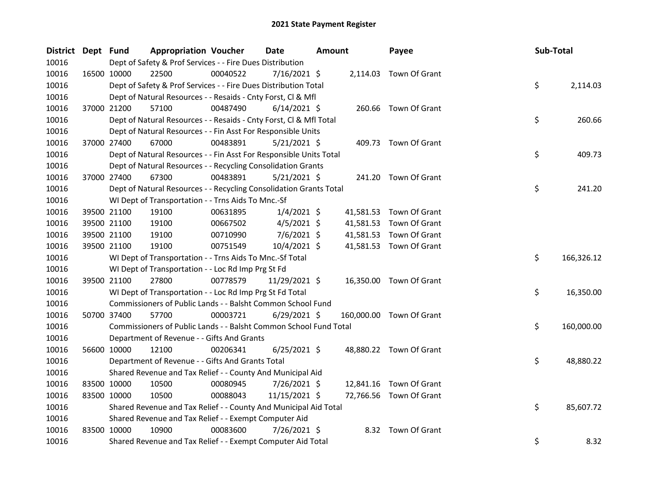| District Dept Fund |             |             | <b>Appropriation Voucher</b>                                       |          | Date           | Amount |           | Payee                    | Sub-Total |            |
|--------------------|-------------|-------------|--------------------------------------------------------------------|----------|----------------|--------|-----------|--------------------------|-----------|------------|
| 10016              |             |             | Dept of Safety & Prof Services - - Fire Dues Distribution          |          |                |        |           |                          |           |            |
| 10016              |             | 16500 10000 | 22500                                                              | 00040522 | $7/16/2021$ \$ |        |           | 2,114.03 Town Of Grant   |           |            |
| 10016              |             |             | Dept of Safety & Prof Services - - Fire Dues Distribution Total    |          |                |        |           |                          | \$        | 2,114.03   |
| 10016              |             |             | Dept of Natural Resources - - Resaids - Cnty Forst, Cl & Mfl       |          |                |        |           |                          |           |            |
| 10016              |             | 37000 21200 | 57100                                                              | 00487490 | $6/14/2021$ \$ |        |           | 260.66 Town Of Grant     |           |            |
| 10016              |             |             | Dept of Natural Resources - - Resaids - Cnty Forst, CI & Mfl Total |          |                |        |           |                          | \$        | 260.66     |
| 10016              |             |             | Dept of Natural Resources - - Fin Asst For Responsible Units       |          |                |        |           |                          |           |            |
| 10016              |             | 37000 27400 | 67000                                                              | 00483891 | $5/21/2021$ \$ |        |           | 409.73 Town Of Grant     |           |            |
| 10016              |             |             | Dept of Natural Resources - - Fin Asst For Responsible Units Total |          |                |        |           |                          | \$        | 409.73     |
| 10016              |             |             | Dept of Natural Resources - - Recycling Consolidation Grants       |          |                |        |           |                          |           |            |
| 10016              |             | 37000 27400 | 67300                                                              | 00483891 | $5/21/2021$ \$ |        |           | 241.20 Town Of Grant     |           |            |
| 10016              |             |             | Dept of Natural Resources - - Recycling Consolidation Grants Total |          |                |        |           |                          | \$        | 241.20     |
| 10016              |             |             | WI Dept of Transportation - - Trns Aids To Mnc.-Sf                 |          |                |        |           |                          |           |            |
| 10016              |             | 39500 21100 | 19100                                                              | 00631895 | $1/4/2021$ \$  |        | 41,581.53 | Town Of Grant            |           |            |
| 10016              |             | 39500 21100 | 19100                                                              | 00667502 | $4/5/2021$ \$  |        | 41,581.53 | Town Of Grant            |           |            |
| 10016              |             | 39500 21100 | 19100                                                              | 00710990 | $7/6/2021$ \$  |        |           | 41,581.53 Town Of Grant  |           |            |
| 10016              |             | 39500 21100 | 19100                                                              | 00751549 | 10/4/2021 \$   |        |           | 41,581.53 Town Of Grant  |           |            |
| 10016              |             |             | WI Dept of Transportation - - Trns Aids To Mnc.-Sf Total           |          |                |        |           |                          | \$        | 166,326.12 |
| 10016              |             |             | WI Dept of Transportation - - Loc Rd Imp Prg St Fd                 |          |                |        |           |                          |           |            |
| 10016              |             | 39500 21100 | 27800                                                              | 00778579 | 11/29/2021 \$  |        |           | 16,350.00 Town Of Grant  |           |            |
| 10016              |             |             | WI Dept of Transportation - - Loc Rd Imp Prg St Fd Total           |          |                |        |           |                          | \$        | 16,350.00  |
| 10016              |             |             | Commissioners of Public Lands - - Balsht Common School Fund        |          |                |        |           |                          |           |            |
| 10016              |             | 50700 37400 | 57700                                                              | 00003721 | $6/29/2021$ \$ |        |           | 160,000.00 Town Of Grant |           |            |
| 10016              |             |             | Commissioners of Public Lands - - Balsht Common School Fund Total  |          |                |        |           |                          | \$        | 160,000.00 |
| 10016              |             |             | Department of Revenue - - Gifts And Grants                         |          |                |        |           |                          |           |            |
| 10016              |             | 56600 10000 | 12100                                                              | 00206341 | $6/25/2021$ \$ |        |           | 48,880.22 Town Of Grant  |           |            |
| 10016              |             |             | Department of Revenue - - Gifts And Grants Total                   |          |                |        |           |                          | \$        | 48,880.22  |
| 10016              |             |             | Shared Revenue and Tax Relief - - County And Municipal Aid         |          |                |        |           |                          |           |            |
| 10016              |             | 83500 10000 | 10500                                                              | 00080945 | 7/26/2021 \$   |        | 12,841.16 | Town Of Grant            |           |            |
| 10016              |             | 83500 10000 | 10500                                                              | 00088043 | 11/15/2021 \$  |        |           | 72,766.56 Town Of Grant  |           |            |
| 10016              |             |             | Shared Revenue and Tax Relief - - County And Municipal Aid Total   |          |                |        |           |                          | \$        | 85,607.72  |
| 10016              |             |             | Shared Revenue and Tax Relief - - Exempt Computer Aid              |          |                |        |           |                          |           |            |
| 10016              | 83500 10000 |             | 10900                                                              | 00083600 | 7/26/2021 \$   |        |           | 8.32 Town Of Grant       |           |            |
| 10016              |             |             | Shared Revenue and Tax Relief - - Exempt Computer Aid Total        |          |                |        |           |                          | \$        | 8.32       |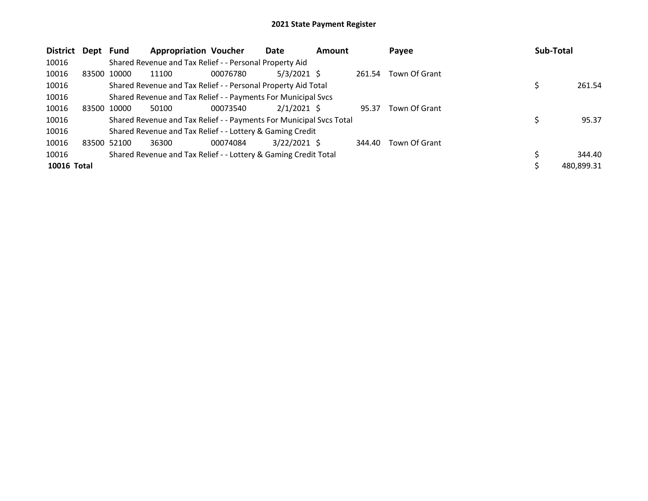| <b>District</b> | Dept Fund   |             | <b>Appropriation Voucher</b>                                        |          | Date           | <b>Amount</b> |        | Payee         | <b>Sub-Total</b> |
|-----------------|-------------|-------------|---------------------------------------------------------------------|----------|----------------|---------------|--------|---------------|------------------|
| 10016           |             |             | Shared Revenue and Tax Relief - - Personal Property Aid             |          |                |               |        |               |                  |
| 10016           | 83500 10000 |             | 11100                                                               | 00076780 | $5/3/2021$ \$  |               | 261.54 | Town Of Grant |                  |
| 10016           |             |             | Shared Revenue and Tax Relief - - Personal Property Aid Total       |          |                |               |        |               | 261.54           |
| 10016           |             |             | Shared Revenue and Tax Relief - - Payments For Municipal Svcs       |          |                |               |        |               |                  |
| 10016           |             | 83500 10000 | 50100                                                               | 00073540 | $2/1/2021$ \$  |               | 95.37  | Town Of Grant |                  |
| 10016           |             |             | Shared Revenue and Tax Relief - - Payments For Municipal Svcs Total |          |                |               |        |               | 95.37            |
| 10016           |             |             | Shared Revenue and Tax Relief - - Lottery & Gaming Credit           |          |                |               |        |               |                  |
| 10016           | 83500 52100 |             | 36300                                                               | 00074084 | $3/22/2021$ \$ |               | 344.40 | Town Of Grant |                  |
| 10016           |             |             | Shared Revenue and Tax Relief - - Lottery & Gaming Credit Total     |          |                |               |        |               | 344.40           |
| 10016 Total     |             |             |                                                                     |          |                |               |        |               | 480,899.31       |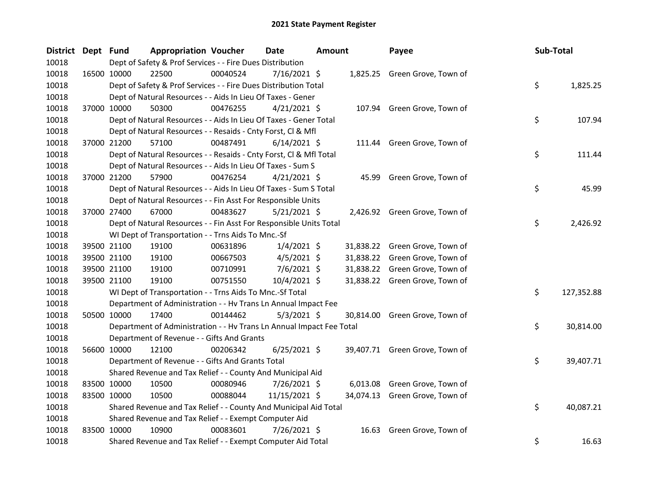| <b>District</b> | Dept Fund | <b>Appropriation Voucher</b>                                         |          | Date           | <b>Amount</b> |       | Payee                          | Sub-Total        |
|-----------------|-----------|----------------------------------------------------------------------|----------|----------------|---------------|-------|--------------------------------|------------------|
| 10018           |           | Dept of Safety & Prof Services - - Fire Dues Distribution            |          |                |               |       |                                |                  |
| 10018           |           | 22500<br>16500 10000                                                 | 00040524 | 7/16/2021 \$   |               |       | 1,825.25 Green Grove, Town of  |                  |
| 10018           |           | Dept of Safety & Prof Services - - Fire Dues Distribution Total      |          |                |               |       |                                | \$<br>1,825.25   |
| 10018           |           | Dept of Natural Resources - - Aids In Lieu Of Taxes - Gener          |          |                |               |       |                                |                  |
| 10018           |           | 37000 10000<br>50300                                                 | 00476255 | $4/21/2021$ \$ |               |       | 107.94 Green Grove, Town of    |                  |
| 10018           |           | Dept of Natural Resources - - Aids In Lieu Of Taxes - Gener Total    |          |                |               |       |                                | \$<br>107.94     |
| 10018           |           | Dept of Natural Resources - - Resaids - Cnty Forst, Cl & Mfl         |          |                |               |       |                                |                  |
| 10018           |           | 57100<br>37000 21200                                                 | 00487491 | $6/14/2021$ \$ |               |       | 111.44 Green Grove, Town of    |                  |
| 10018           |           | Dept of Natural Resources - - Resaids - Cnty Forst, CI & Mfl Total   |          |                |               |       |                                | \$<br>111.44     |
| 10018           |           | Dept of Natural Resources - - Aids In Lieu Of Taxes - Sum S          |          |                |               |       |                                |                  |
| 10018           |           | 57900<br>37000 21200                                                 | 00476254 | $4/21/2021$ \$ |               |       | 45.99 Green Grove, Town of     |                  |
| 10018           |           | Dept of Natural Resources - - Aids In Lieu Of Taxes - Sum S Total    |          |                |               |       |                                | \$<br>45.99      |
| 10018           |           | Dept of Natural Resources - - Fin Asst For Responsible Units         |          |                |               |       |                                |                  |
| 10018           |           | 37000 27400<br>67000                                                 | 00483627 | $5/21/2021$ \$ |               |       | 2,426.92 Green Grove, Town of  |                  |
| 10018           |           | Dept of Natural Resources - - Fin Asst For Responsible Units Total   |          |                |               |       |                                | \$<br>2,426.92   |
| 10018           |           | WI Dept of Transportation - - Trns Aids To Mnc.-Sf                   |          |                |               |       |                                |                  |
| 10018           |           | 39500 21100<br>19100                                                 | 00631896 | $1/4/2021$ \$  |               |       | 31,838.22 Green Grove, Town of |                  |
| 10018           |           | 39500 21100<br>19100                                                 | 00667503 | $4/5/2021$ \$  |               |       | 31,838.22 Green Grove, Town of |                  |
| 10018           |           | 39500 21100<br>19100                                                 | 00710991 | $7/6/2021$ \$  |               |       | 31,838.22 Green Grove, Town of |                  |
| 10018           |           | 39500 21100<br>19100                                                 | 00751550 | $10/4/2021$ \$ |               |       | 31,838.22 Green Grove, Town of |                  |
| 10018           |           | WI Dept of Transportation - - Trns Aids To Mnc.-Sf Total             |          |                |               |       |                                | \$<br>127,352.88 |
| 10018           |           | Department of Administration - - Hv Trans Ln Annual Impact Fee       |          |                |               |       |                                |                  |
| 10018           |           | 50500 10000<br>17400                                                 | 00144462 | $5/3/2021$ \$  |               |       | 30,814.00 Green Grove, Town of |                  |
| 10018           |           | Department of Administration - - Hv Trans Ln Annual Impact Fee Total |          |                |               |       |                                | \$<br>30,814.00  |
| 10018           |           | Department of Revenue - - Gifts And Grants                           |          |                |               |       |                                |                  |
| 10018           |           | 56600 10000<br>12100                                                 | 00206342 | $6/25/2021$ \$ |               |       | 39,407.71 Green Grove, Town of |                  |
| 10018           |           | Department of Revenue - - Gifts And Grants Total                     |          |                |               |       |                                | \$<br>39,407.71  |
| 10018           |           | Shared Revenue and Tax Relief - - County And Municipal Aid           |          |                |               |       |                                |                  |
| 10018           |           | 83500 10000<br>10500                                                 | 00080946 | 7/26/2021 \$   |               |       | 6,013.08 Green Grove, Town of  |                  |
| 10018           |           | 83500 10000<br>10500                                                 | 00088044 | 11/15/2021 \$  |               |       | 34,074.13 Green Grove, Town of |                  |
| 10018           |           | Shared Revenue and Tax Relief - - County And Municipal Aid Total     |          |                |               |       |                                | \$<br>40,087.21  |
| 10018           |           | Shared Revenue and Tax Relief - - Exempt Computer Aid                |          |                |               |       |                                |                  |
| 10018           |           | 10900<br>83500 10000                                                 | 00083601 | $7/26/2021$ \$ |               | 16.63 | Green Grove, Town of           |                  |
| 10018           |           | Shared Revenue and Tax Relief - - Exempt Computer Aid Total          |          |                |               |       |                                | \$<br>16.63      |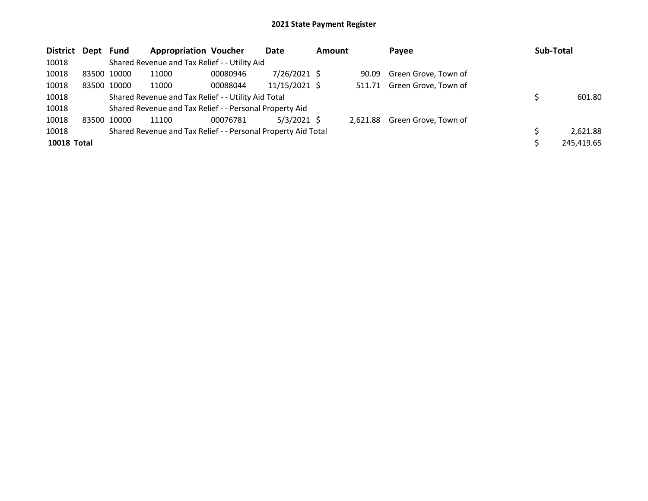| District Dept Fund |             | <b>Appropriation Voucher</b>                                  |          | Date          | <b>Amount</b> | Payee                         | Sub-Total  |
|--------------------|-------------|---------------------------------------------------------------|----------|---------------|---------------|-------------------------------|------------|
| 10018              |             | Shared Revenue and Tax Relief - - Utility Aid                 |          |               |               |                               |            |
| 10018              | 83500 10000 | 11000                                                         | 00080946 | 7/26/2021 \$  |               | 90.09 Green Grove, Town of    |            |
| 10018              | 83500 10000 | 11000                                                         | 00088044 | 11/15/2021 \$ |               | 511.71 Green Grove, Town of   |            |
| 10018              |             | Shared Revenue and Tax Relief - - Utility Aid Total           |          |               |               |                               | 601.80     |
| 10018              |             | Shared Revenue and Tax Relief - - Personal Property Aid       |          |               |               |                               |            |
| 10018              | 83500 10000 | 11100                                                         | 00076781 | $5/3/2021$ \$ |               | 2,621.88 Green Grove, Town of |            |
| 10018              |             | Shared Revenue and Tax Relief - - Personal Property Aid Total |          |               |               |                               | 2,621.88   |
| <b>10018 Total</b> |             |                                                               |          |               |               |                               | 245,419.65 |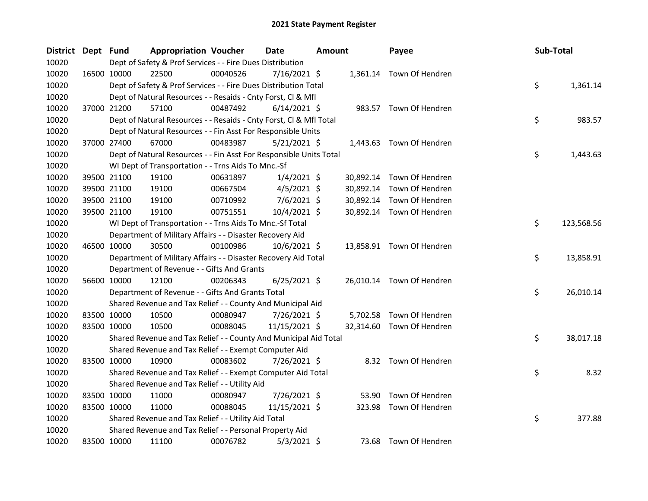| District Dept Fund |             |             | <b>Appropriation Voucher</b>                                       |          | Date           | <b>Amount</b> |           | Payee                     | Sub-Total |            |
|--------------------|-------------|-------------|--------------------------------------------------------------------|----------|----------------|---------------|-----------|---------------------------|-----------|------------|
| 10020              |             |             | Dept of Safety & Prof Services - - Fire Dues Distribution          |          |                |               |           |                           |           |            |
| 10020              |             | 16500 10000 | 22500                                                              | 00040526 | $7/16/2021$ \$ |               |           | 1,361.14 Town Of Hendren  |           |            |
| 10020              |             |             | Dept of Safety & Prof Services - - Fire Dues Distribution Total    |          |                |               |           |                           | \$        | 1,361.14   |
| 10020              |             |             | Dept of Natural Resources - - Resaids - Cnty Forst, Cl & Mfl       |          |                |               |           |                           |           |            |
| 10020              |             | 37000 21200 | 57100                                                              | 00487492 | $6/14/2021$ \$ |               |           | 983.57 Town Of Hendren    |           |            |
| 10020              |             |             | Dept of Natural Resources - - Resaids - Cnty Forst, CI & Mfl Total |          |                |               |           |                           | \$        | 983.57     |
| 10020              |             |             | Dept of Natural Resources - - Fin Asst For Responsible Units       |          |                |               |           |                           |           |            |
| 10020              |             | 37000 27400 | 67000                                                              | 00483987 | $5/21/2021$ \$ |               |           | 1,443.63 Town Of Hendren  |           |            |
| 10020              |             |             | Dept of Natural Resources - - Fin Asst For Responsible Units Total |          |                |               |           |                           | \$        | 1,443.63   |
| 10020              |             |             | WI Dept of Transportation - - Trns Aids To Mnc.-Sf                 |          |                |               |           |                           |           |            |
| 10020              |             | 39500 21100 | 19100                                                              | 00631897 | $1/4/2021$ \$  |               |           | 30,892.14 Town Of Hendren |           |            |
| 10020              |             | 39500 21100 | 19100                                                              | 00667504 | $4/5/2021$ \$  |               |           | 30,892.14 Town Of Hendren |           |            |
| 10020              |             | 39500 21100 | 19100                                                              | 00710992 | $7/6/2021$ \$  |               |           | 30,892.14 Town Of Hendren |           |            |
| 10020              |             | 39500 21100 | 19100                                                              | 00751551 | 10/4/2021 \$   |               |           | 30,892.14 Town Of Hendren |           |            |
| 10020              |             |             | WI Dept of Transportation - - Trns Aids To Mnc.-Sf Total           |          |                |               |           |                           | \$        | 123,568.56 |
| 10020              |             |             | Department of Military Affairs - - Disaster Recovery Aid           |          |                |               |           |                           |           |            |
| 10020              |             | 46500 10000 | 30500                                                              | 00100986 | 10/6/2021 \$   |               |           | 13,858.91 Town Of Hendren |           |            |
| 10020              |             |             | Department of Military Affairs - - Disaster Recovery Aid Total     |          |                |               |           |                           | \$        | 13,858.91  |
| 10020              |             |             | Department of Revenue - - Gifts And Grants                         |          |                |               |           |                           |           |            |
| 10020              |             | 56600 10000 | 12100                                                              | 00206343 | $6/25/2021$ \$ |               |           | 26,010.14 Town Of Hendren |           |            |
| 10020              |             |             | Department of Revenue - - Gifts And Grants Total                   |          |                |               |           |                           | \$        | 26,010.14  |
| 10020              |             |             | Shared Revenue and Tax Relief - - County And Municipal Aid         |          |                |               |           |                           |           |            |
| 10020              |             | 83500 10000 | 10500                                                              | 00080947 | 7/26/2021 \$   |               |           | 5,702.58 Town Of Hendren  |           |            |
| 10020              |             | 83500 10000 | 10500                                                              | 00088045 | 11/15/2021 \$  |               | 32,314.60 | Town Of Hendren           |           |            |
| 10020              |             |             | Shared Revenue and Tax Relief - - County And Municipal Aid Total   |          |                |               |           |                           | \$        | 38,017.18  |
| 10020              |             |             | Shared Revenue and Tax Relief - - Exempt Computer Aid              |          |                |               |           |                           |           |            |
| 10020              |             | 83500 10000 | 10900                                                              | 00083602 | 7/26/2021 \$   |               |           | 8.32 Town Of Hendren      |           |            |
| 10020              |             |             | Shared Revenue and Tax Relief - - Exempt Computer Aid Total        |          |                |               |           |                           | \$        | 8.32       |
| 10020              |             |             | Shared Revenue and Tax Relief - - Utility Aid                      |          |                |               |           |                           |           |            |
| 10020              |             | 83500 10000 | 11000                                                              | 00080947 | 7/26/2021 \$   |               | 53.90     | Town Of Hendren           |           |            |
| 10020              |             | 83500 10000 | 11000                                                              | 00088045 | 11/15/2021 \$  |               | 323.98    | Town Of Hendren           |           |            |
| 10020              |             |             | Shared Revenue and Tax Relief - - Utility Aid Total                |          |                |               |           |                           | \$        | 377.88     |
| 10020              |             |             | Shared Revenue and Tax Relief - - Personal Property Aid            |          |                |               |           |                           |           |            |
| 10020              | 83500 10000 |             | 11100                                                              | 00076782 | $5/3/2021$ \$  |               |           | 73.68 Town Of Hendren     |           |            |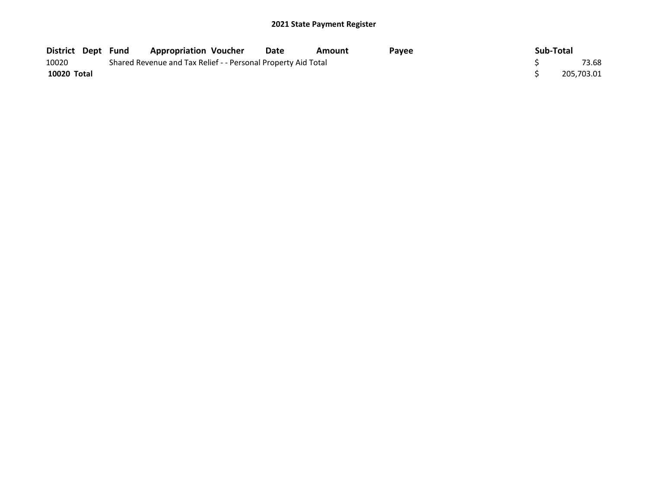| District Dept Fund |                                                               | <b>Appropriation Voucher</b> |  | Date | Amount | Pavee |  | Sub-Total |            |
|--------------------|---------------------------------------------------------------|------------------------------|--|------|--------|-------|--|-----------|------------|
| 10020              | Shared Revenue and Tax Relief - - Personal Property Aid Total |                              |  |      |        |       |  |           | 73.68      |
| 10020 Total        |                                                               |                              |  |      |        |       |  |           | 205,703.01 |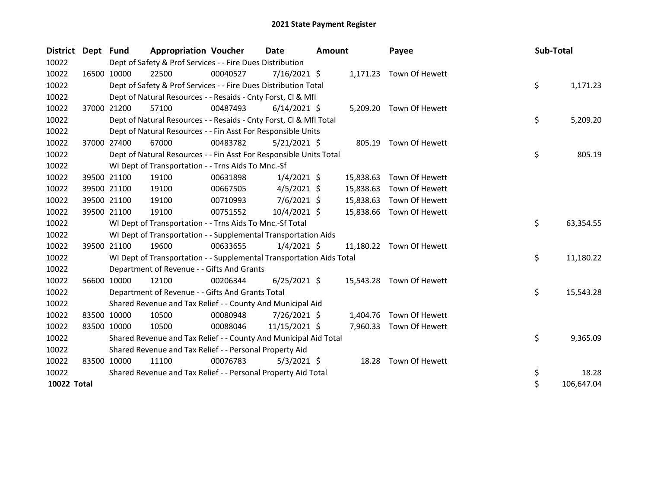| District Dept Fund |             | <b>Appropriation Voucher</b>                                         |          | <b>Date</b>    | Amount |           | Payee                    | Sub-Total |            |
|--------------------|-------------|----------------------------------------------------------------------|----------|----------------|--------|-----------|--------------------------|-----------|------------|
| 10022              |             | Dept of Safety & Prof Services - - Fire Dues Distribution            |          |                |        |           |                          |           |            |
| 10022              | 16500 10000 | 22500                                                                | 00040527 | 7/16/2021 \$   |        |           | 1,171.23 Town Of Hewett  |           |            |
| 10022              |             | Dept of Safety & Prof Services - - Fire Dues Distribution Total      |          |                |        |           |                          | \$        | 1,171.23   |
| 10022              |             | Dept of Natural Resources - - Resaids - Cnty Forst, Cl & Mfl         |          |                |        |           |                          |           |            |
| 10022              | 37000 21200 | 57100                                                                | 00487493 | $6/14/2021$ \$ |        |           | 5,209.20 Town Of Hewett  |           |            |
| 10022              |             | Dept of Natural Resources - - Resaids - Cnty Forst, CI & Mfl Total   |          |                |        |           |                          | \$        | 5,209.20   |
| 10022              |             | Dept of Natural Resources - - Fin Asst For Responsible Units         |          |                |        |           |                          |           |            |
| 10022              | 37000 27400 | 67000                                                                | 00483782 | $5/21/2021$ \$ |        |           | 805.19 Town Of Hewett    |           |            |
| 10022              |             | Dept of Natural Resources - - Fin Asst For Responsible Units Total   |          |                |        |           |                          | \$        | 805.19     |
| 10022              |             | WI Dept of Transportation - - Trns Aids To Mnc.-Sf                   |          |                |        |           |                          |           |            |
| 10022              | 39500 21100 | 19100                                                                | 00631898 | $1/4/2021$ \$  |        | 15,838.63 | Town Of Hewett           |           |            |
| 10022              | 39500 21100 | 19100                                                                | 00667505 | $4/5/2021$ \$  |        | 15,838.63 | Town Of Hewett           |           |            |
| 10022              | 39500 21100 | 19100                                                                | 00710993 | $7/6/2021$ \$  |        | 15,838.63 | Town Of Hewett           |           |            |
| 10022              | 39500 21100 | 19100                                                                | 00751552 | 10/4/2021 \$   |        | 15,838.66 | Town Of Hewett           |           |            |
| 10022              |             | WI Dept of Transportation - - Trns Aids To Mnc.-Sf Total             |          |                |        |           |                          | \$        | 63,354.55  |
| 10022              |             | WI Dept of Transportation - - Supplemental Transportation Aids       |          |                |        |           |                          |           |            |
| 10022              | 39500 21100 | 19600                                                                | 00633655 | $1/4/2021$ \$  |        |           | 11.180.22 Town Of Hewett |           |            |
| 10022              |             | WI Dept of Transportation - - Supplemental Transportation Aids Total |          |                |        |           |                          | \$        | 11,180.22  |
| 10022              |             | Department of Revenue - - Gifts And Grants                           |          |                |        |           |                          |           |            |
| 10022              | 56600 10000 | 12100                                                                | 00206344 | $6/25/2021$ \$ |        |           | 15,543.28 Town Of Hewett |           |            |
| 10022              |             | Department of Revenue - - Gifts And Grants Total                     |          |                |        |           |                          | \$        | 15,543.28  |
| 10022              |             | Shared Revenue and Tax Relief - - County And Municipal Aid           |          |                |        |           |                          |           |            |
| 10022              | 83500 10000 | 10500                                                                | 00080948 | 7/26/2021 \$   |        | 1,404.76  | Town Of Hewett           |           |            |
| 10022              | 83500 10000 | 10500                                                                | 00088046 | 11/15/2021 \$  |        | 7,960.33  | Town Of Hewett           |           |            |
| 10022              |             | Shared Revenue and Tax Relief - - County And Municipal Aid Total     |          |                |        |           |                          | \$        | 9,365.09   |
| 10022              |             | Shared Revenue and Tax Relief - - Personal Property Aid              |          |                |        |           |                          |           |            |
| 10022              | 83500 10000 | 11100                                                                | 00076783 | $5/3/2021$ \$  |        | 18.28     | Town Of Hewett           |           |            |
| 10022              |             | Shared Revenue and Tax Relief - - Personal Property Aid Total        |          |                |        |           |                          | \$        | 18.28      |
| 10022 Total        |             |                                                                      |          |                |        |           |                          | \$        | 106,647.04 |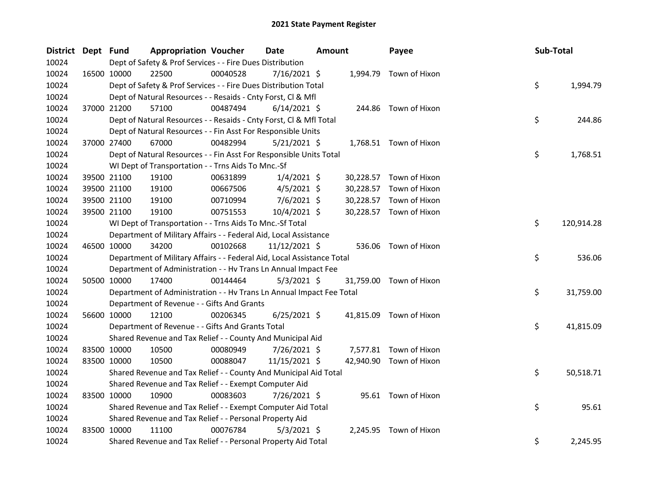| District Dept Fund |             |             | <b>Appropriation Voucher</b>                                           |          | <b>Date</b>    | <b>Amount</b> |           | Payee                   | Sub-Total |            |
|--------------------|-------------|-------------|------------------------------------------------------------------------|----------|----------------|---------------|-----------|-------------------------|-----------|------------|
| 10024              |             |             | Dept of Safety & Prof Services - - Fire Dues Distribution              |          |                |               |           |                         |           |            |
| 10024              |             | 16500 10000 | 22500                                                                  | 00040528 | 7/16/2021 \$   |               |           | 1,994.79 Town of Hixon  |           |            |
| 10024              |             |             | Dept of Safety & Prof Services - - Fire Dues Distribution Total        |          |                |               |           |                         | \$        | 1,994.79   |
| 10024              |             |             | Dept of Natural Resources - - Resaids - Cnty Forst, Cl & Mfl           |          |                |               |           |                         |           |            |
| 10024              |             | 37000 21200 | 57100                                                                  | 00487494 | $6/14/2021$ \$ |               |           | 244.86 Town of Hixon    |           |            |
| 10024              |             |             | Dept of Natural Resources - - Resaids - Cnty Forst, Cl & Mfl Total     |          |                |               |           |                         | \$        | 244.86     |
| 10024              |             |             | Dept of Natural Resources - - Fin Asst For Responsible Units           |          |                |               |           |                         |           |            |
| 10024              |             | 37000 27400 | 67000                                                                  | 00482994 | $5/21/2021$ \$ |               |           | 1,768.51 Town of Hixon  |           |            |
| 10024              |             |             | Dept of Natural Resources - - Fin Asst For Responsible Units Total     |          |                |               |           |                         | \$        | 1,768.51   |
| 10024              |             |             | WI Dept of Transportation - - Trns Aids To Mnc.-Sf                     |          |                |               |           |                         |           |            |
| 10024              |             | 39500 21100 | 19100                                                                  | 00631899 | $1/4/2021$ \$  |               | 30,228.57 | Town of Hixon           |           |            |
| 10024              |             | 39500 21100 | 19100                                                                  | 00667506 | $4/5/2021$ \$  |               | 30,228.57 | Town of Hixon           |           |            |
| 10024              |             | 39500 21100 | 19100                                                                  | 00710994 | $7/6/2021$ \$  |               | 30,228.57 | Town of Hixon           |           |            |
| 10024              | 39500 21100 |             | 19100                                                                  | 00751553 | 10/4/2021 \$   |               |           | 30,228.57 Town of Hixon |           |            |
| 10024              |             |             | WI Dept of Transportation - - Trns Aids To Mnc.-Sf Total               |          |                |               |           |                         | \$        | 120,914.28 |
| 10024              |             |             | Department of Military Affairs - - Federal Aid, Local Assistance       |          |                |               |           |                         |           |            |
| 10024              |             | 46500 10000 | 34200                                                                  | 00102668 | 11/12/2021 \$  |               | 536.06    | Town of Hixon           |           |            |
| 10024              |             |             | Department of Military Affairs - - Federal Aid, Local Assistance Total |          |                |               |           |                         | \$        | 536.06     |
| 10024              |             |             | Department of Administration - - Hv Trans Ln Annual Impact Fee         |          |                |               |           |                         |           |            |
| 10024              |             | 50500 10000 | 17400                                                                  | 00144464 | $5/3/2021$ \$  |               |           | 31,759.00 Town of Hixon |           |            |
| 10024              |             |             | Department of Administration - - Hv Trans Ln Annual Impact Fee Total   |          |                |               |           |                         | \$        | 31,759.00  |
| 10024              |             |             | Department of Revenue - - Gifts And Grants                             |          |                |               |           |                         |           |            |
| 10024              | 56600 10000 |             | 12100                                                                  | 00206345 | $6/25/2021$ \$ |               | 41,815.09 | Town of Hixon           |           |            |
| 10024              |             |             | Department of Revenue - - Gifts And Grants Total                       |          |                |               |           |                         | \$        | 41,815.09  |
| 10024              |             |             | Shared Revenue and Tax Relief - - County And Municipal Aid             |          |                |               |           |                         |           |            |
| 10024              |             | 83500 10000 | 10500                                                                  | 00080949 | 7/26/2021 \$   |               |           | 7,577.81 Town of Hixon  |           |            |
| 10024              |             | 83500 10000 | 10500                                                                  | 00088047 | 11/15/2021 \$  |               |           | 42,940.90 Town of Hixon |           |            |
| 10024              |             |             | Shared Revenue and Tax Relief - - County And Municipal Aid Total       |          |                |               |           |                         | \$        | 50,518.71  |
| 10024              |             |             | Shared Revenue and Tax Relief - - Exempt Computer Aid                  |          |                |               |           |                         |           |            |
| 10024              |             | 83500 10000 | 10900                                                                  | 00083603 | 7/26/2021 \$   |               |           | 95.61 Town of Hixon     |           |            |
| 10024              |             |             | Shared Revenue and Tax Relief - - Exempt Computer Aid Total            |          |                |               |           |                         | \$        | 95.61      |
| 10024              |             |             | Shared Revenue and Tax Relief - - Personal Property Aid                |          |                |               |           |                         |           |            |
| 10024              |             | 83500 10000 | 11100                                                                  | 00076784 | $5/3/2021$ \$  |               | 2,245.95  | Town of Hixon           |           |            |
| 10024              |             |             | Shared Revenue and Tax Relief - - Personal Property Aid Total          |          |                |               |           |                         | \$        | 2,245.95   |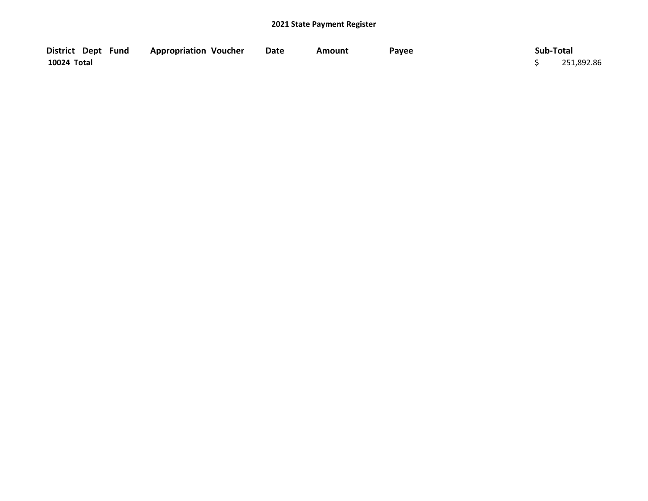| District Dept Fund | <b>Appropriation Voucher</b> | Date | Amount | Pavee | Sub-Total  |
|--------------------|------------------------------|------|--------|-------|------------|
| 10024 Total        |                              |      |        |       | 251,892.86 |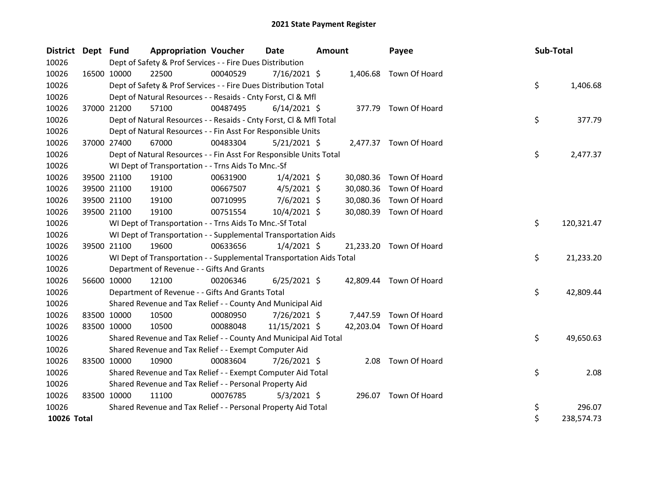| <b>District</b> | Dept Fund   |                                                                                     | <b>Appropriation Voucher</b>                                         |          | Date           | <b>Amount</b> |           | Payee                   |  | Sub-Total |            |
|-----------------|-------------|-------------------------------------------------------------------------------------|----------------------------------------------------------------------|----------|----------------|---------------|-----------|-------------------------|--|-----------|------------|
| 10026           |             | Dept of Safety & Prof Services - - Fire Dues Distribution<br>1,406.68 Town Of Hoard |                                                                      |          |                |               |           |                         |  |           |            |
| 10026           |             | 16500 10000                                                                         | 22500                                                                | 00040529 | $7/16/2021$ \$ |               |           |                         |  |           |            |
| 10026           |             |                                                                                     | Dept of Safety & Prof Services - - Fire Dues Distribution Total      |          |                |               |           |                         |  | \$        | 1,406.68   |
| 10026           |             |                                                                                     | Dept of Natural Resources - - Resaids - Cnty Forst, Cl & Mfl         |          |                |               |           |                         |  |           |            |
| 10026           |             | 37000 21200                                                                         | 57100                                                                | 00487495 | $6/14/2021$ \$ |               |           | 377.79 Town Of Hoard    |  |           |            |
| 10026           |             |                                                                                     | Dept of Natural Resources - - Resaids - Cnty Forst, CI & Mfl Total   |          |                |               |           |                         |  | \$        | 377.79     |
| 10026           |             |                                                                                     | Dept of Natural Resources - - Fin Asst For Responsible Units         |          |                |               |           |                         |  |           |            |
| 10026           |             | 37000 27400                                                                         | 67000                                                                | 00483304 | $5/21/2021$ \$ |               |           | 2,477.37 Town Of Hoard  |  |           |            |
| 10026           |             |                                                                                     | Dept of Natural Resources - - Fin Asst For Responsible Units Total   |          |                |               |           |                         |  | \$        | 2,477.37   |
| 10026           |             |                                                                                     | WI Dept of Transportation - - Trns Aids To Mnc.-Sf                   |          |                |               |           |                         |  |           |            |
| 10026           |             | 39500 21100                                                                         | 19100                                                                | 00631900 | $1/4/2021$ \$  |               | 30,080.36 | Town Of Hoard           |  |           |            |
| 10026           |             | 39500 21100                                                                         | 19100                                                                | 00667507 | $4/5/2021$ \$  |               | 30,080.36 | Town Of Hoard           |  |           |            |
| 10026           |             | 39500 21100                                                                         | 19100                                                                | 00710995 | 7/6/2021 \$    |               | 30,080.36 | Town Of Hoard           |  |           |            |
| 10026           |             | 39500 21100                                                                         | 19100                                                                | 00751554 | 10/4/2021 \$   |               | 30,080.39 | Town Of Hoard           |  |           |            |
| 10026           |             |                                                                                     | WI Dept of Transportation - - Trns Aids To Mnc.-Sf Total             |          |                |               |           |                         |  | \$        | 120,321.47 |
| 10026           |             |                                                                                     | WI Dept of Transportation - - Supplemental Transportation Aids       |          |                |               |           |                         |  |           |            |
| 10026           |             | 39500 21100                                                                         | 19600                                                                | 00633656 | $1/4/2021$ \$  |               |           | 21,233.20 Town Of Hoard |  |           |            |
| 10026           |             |                                                                                     | WI Dept of Transportation - - Supplemental Transportation Aids Total |          |                |               |           |                         |  | \$        | 21,233.20  |
| 10026           |             |                                                                                     | Department of Revenue - - Gifts And Grants                           |          |                |               |           |                         |  |           |            |
| 10026           |             | 56600 10000                                                                         | 12100                                                                | 00206346 | $6/25/2021$ \$ |               |           | 42,809.44 Town Of Hoard |  |           |            |
| 10026           |             |                                                                                     | Department of Revenue - - Gifts And Grants Total                     |          |                |               |           |                         |  | \$        | 42,809.44  |
| 10026           |             |                                                                                     | Shared Revenue and Tax Relief - - County And Municipal Aid           |          |                |               |           |                         |  |           |            |
| 10026           | 83500 10000 |                                                                                     | 10500                                                                | 00080950 | 7/26/2021 \$   |               | 7,447.59  | Town Of Hoard           |  |           |            |
| 10026           | 83500 10000 |                                                                                     | 10500                                                                | 00088048 | 11/15/2021 \$  |               |           | 42,203.04 Town Of Hoard |  |           |            |
| 10026           |             |                                                                                     | Shared Revenue and Tax Relief - - County And Municipal Aid Total     |          |                |               |           |                         |  | \$        | 49,650.63  |
| 10026           |             |                                                                                     | Shared Revenue and Tax Relief - - Exempt Computer Aid                |          |                |               |           |                         |  |           |            |
| 10026           |             | 83500 10000                                                                         | 10900                                                                | 00083604 | 7/26/2021 \$   |               | 2.08      | Town Of Hoard           |  |           |            |
| 10026           |             |                                                                                     | Shared Revenue and Tax Relief - - Exempt Computer Aid Total          |          |                |               |           |                         |  | \$        | 2.08       |
| 10026           |             |                                                                                     | Shared Revenue and Tax Relief - - Personal Property Aid              |          |                |               |           |                         |  |           |            |
| 10026           | 83500 10000 |                                                                                     | 11100                                                                | 00076785 | $5/3/2021$ \$  |               |           | 296.07 Town Of Hoard    |  |           |            |
| 10026           |             |                                                                                     | Shared Revenue and Tax Relief - - Personal Property Aid Total        |          |                |               |           |                         |  | \$        | 296.07     |
| 10026 Total     |             |                                                                                     |                                                                      |          |                |               |           |                         |  | \$        | 238,574.73 |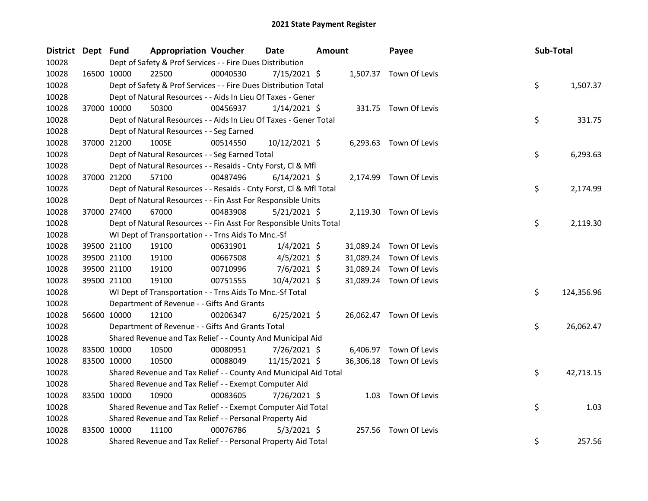| District Dept Fund | <b>Appropriation Voucher</b>                                       |          | <b>Date</b>    | Amount |           | Payee                   | Sub-Total |            |
|--------------------|--------------------------------------------------------------------|----------|----------------|--------|-----------|-------------------------|-----------|------------|
| 10028              | Dept of Safety & Prof Services - - Fire Dues Distribution          |          |                |        |           |                         |           |            |
| 10028              | 16500 10000<br>22500                                               | 00040530 | 7/15/2021 \$   |        |           | 1,507.37 Town Of Levis  |           |            |
| 10028              | Dept of Safety & Prof Services - - Fire Dues Distribution Total    |          |                |        |           |                         | \$        | 1,507.37   |
| 10028              | Dept of Natural Resources - - Aids In Lieu Of Taxes - Gener        |          |                |        |           |                         |           |            |
| 10028              | 37000 10000<br>50300                                               | 00456937 | $1/14/2021$ \$ |        |           | 331.75 Town Of Levis    |           |            |
| 10028              | Dept of Natural Resources - - Aids In Lieu Of Taxes - Gener Total  |          |                |        |           |                         | \$        | 331.75     |
| 10028              | Dept of Natural Resources - - Seg Earned                           |          |                |        |           |                         |           |            |
| 10028              | 37000 21200<br>100SE                                               | 00514550 | 10/12/2021 \$  |        |           | 6,293.63 Town Of Levis  |           |            |
| 10028              | Dept of Natural Resources - - Seg Earned Total                     |          |                |        |           |                         | \$        | 6,293.63   |
| 10028              | Dept of Natural Resources - - Resaids - Cnty Forst, Cl & Mfl       |          |                |        |           |                         |           |            |
| 10028              | 37000 21200<br>57100                                               | 00487496 | $6/14/2021$ \$ |        |           | 2,174.99 Town Of Levis  |           |            |
| 10028              | Dept of Natural Resources - - Resaids - Cnty Forst, Cl & Mfl Total |          |                |        |           |                         | \$        | 2,174.99   |
| 10028              | Dept of Natural Resources - - Fin Asst For Responsible Units       |          |                |        |           |                         |           |            |
| 10028              | 37000 27400<br>67000                                               | 00483908 | $5/21/2021$ \$ |        |           | 2,119.30 Town Of Levis  |           |            |
| 10028              | Dept of Natural Resources - - Fin Asst For Responsible Units Total |          |                |        |           |                         | \$        | 2,119.30   |
| 10028              | WI Dept of Transportation - - Trns Aids To Mnc.-Sf                 |          |                |        |           |                         |           |            |
| 10028              | 39500 21100<br>19100                                               | 00631901 | $1/4/2021$ \$  |        |           | 31,089.24 Town Of Levis |           |            |
| 10028              | 39500 21100<br>19100                                               | 00667508 | $4/5/2021$ \$  |        | 31,089.24 | Town Of Levis           |           |            |
| 10028              | 39500 21100<br>19100                                               | 00710996 | $7/6/2021$ \$  |        | 31,089.24 | Town Of Levis           |           |            |
| 10028              | 19100<br>39500 21100                                               | 00751555 | $10/4/2021$ \$ |        | 31,089.24 | Town Of Levis           |           |            |
| 10028              | WI Dept of Transportation - - Trns Aids To Mnc.-Sf Total           |          |                |        |           |                         | \$        | 124,356.96 |
| 10028              | Department of Revenue - - Gifts And Grants                         |          |                |        |           |                         |           |            |
| 10028              | 56600 10000<br>12100                                               | 00206347 | $6/25/2021$ \$ |        |           | 26,062.47 Town Of Levis |           |            |
| 10028              | Department of Revenue - - Gifts And Grants Total                   |          |                |        |           |                         | \$        | 26,062.47  |
| 10028              | Shared Revenue and Tax Relief - - County And Municipal Aid         |          |                |        |           |                         |           |            |
| 10028              | 83500 10000<br>10500                                               | 00080951 | 7/26/2021 \$   |        |           | 6,406.97 Town Of Levis  |           |            |
| 10028              | 83500 10000<br>10500                                               | 00088049 | 11/15/2021 \$  |        |           | 36,306.18 Town Of Levis |           |            |
| 10028              | Shared Revenue and Tax Relief - - County And Municipal Aid Total   |          |                |        |           |                         | \$        | 42,713.15  |
| 10028              | Shared Revenue and Tax Relief - - Exempt Computer Aid              |          |                |        |           |                         |           |            |
| 10028              | 83500 10000<br>10900                                               | 00083605 | 7/26/2021 \$   |        |           | 1.03 Town Of Levis      |           |            |
| 10028              | Shared Revenue and Tax Relief - - Exempt Computer Aid Total        |          |                |        |           |                         | \$        | 1.03       |
| 10028              | Shared Revenue and Tax Relief - - Personal Property Aid            |          |                |        |           |                         |           |            |
| 10028              | 83500 10000<br>11100                                               | 00076786 | $5/3/2021$ \$  |        |           | 257.56 Town Of Levis    |           |            |
| 10028              | Shared Revenue and Tax Relief - - Personal Property Aid Total      |          |                |        |           |                         | \$        | 257.56     |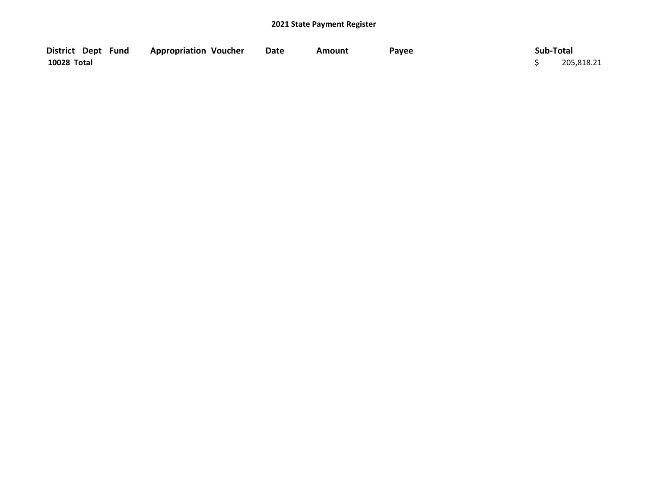| District Dept Fund | <b>Appropriation Voucher</b> | <b>Date</b> | Amount | Payee | Sub-Total  |
|--------------------|------------------------------|-------------|--------|-------|------------|
| 10028 Total        |                              |             |        |       | 205,818.21 |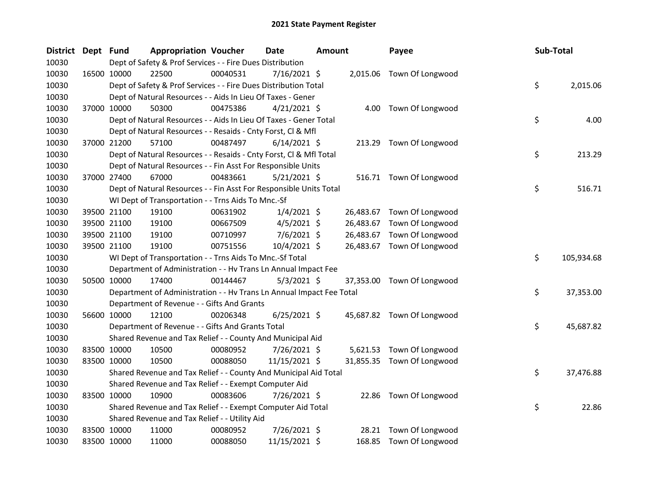| <b>District</b> | Dept Fund |             | <b>Appropriation Voucher</b>                                         |          | Date           | <b>Amount</b> |           | Payee                      | Sub-Total |            |
|-----------------|-----------|-------------|----------------------------------------------------------------------|----------|----------------|---------------|-----------|----------------------------|-----------|------------|
| 10030           |           |             | Dept of Safety & Prof Services - - Fire Dues Distribution            |          |                |               |           |                            |           |            |
| 10030           |           | 16500 10000 | 22500                                                                | 00040531 | 7/16/2021 \$   |               |           | 2,015.06 Town Of Longwood  |           |            |
| 10030           |           |             | Dept of Safety & Prof Services - - Fire Dues Distribution Total      |          |                |               |           |                            | \$        | 2,015.06   |
| 10030           |           |             | Dept of Natural Resources - - Aids In Lieu Of Taxes - Gener          |          |                |               |           |                            |           |            |
| 10030           |           | 37000 10000 | 50300                                                                | 00475386 | $4/21/2021$ \$ |               |           | 4.00 Town Of Longwood      |           |            |
| 10030           |           |             | Dept of Natural Resources - - Aids In Lieu Of Taxes - Gener Total    |          |                |               |           |                            | \$        | 4.00       |
| 10030           |           |             | Dept of Natural Resources - - Resaids - Cnty Forst, Cl & Mfl         |          |                |               |           |                            |           |            |
| 10030           |           | 37000 21200 | 57100                                                                | 00487497 | $6/14/2021$ \$ |               |           | 213.29 Town Of Longwood    |           |            |
| 10030           |           |             | Dept of Natural Resources - - Resaids - Cnty Forst, Cl & Mfl Total   |          |                |               |           |                            | \$        | 213.29     |
| 10030           |           |             | Dept of Natural Resources - - Fin Asst For Responsible Units         |          |                |               |           |                            |           |            |
| 10030           |           | 37000 27400 | 67000                                                                | 00483661 | $5/21/2021$ \$ |               |           | 516.71 Town Of Longwood    |           |            |
| 10030           |           |             | Dept of Natural Resources - - Fin Asst For Responsible Units Total   |          |                |               |           |                            | \$        | 516.71     |
| 10030           |           |             | WI Dept of Transportation - - Trns Aids To Mnc.-Sf                   |          |                |               |           |                            |           |            |
| 10030           |           | 39500 21100 | 19100                                                                | 00631902 | $1/4/2021$ \$  |               |           | 26,483.67 Town Of Longwood |           |            |
| 10030           |           | 39500 21100 | 19100                                                                | 00667509 | $4/5/2021$ \$  |               | 26,483.67 | Town Of Longwood           |           |            |
| 10030           |           | 39500 21100 | 19100                                                                | 00710997 | $7/6/2021$ \$  |               |           | 26,483.67 Town Of Longwood |           |            |
| 10030           |           | 39500 21100 | 19100                                                                | 00751556 | 10/4/2021 \$   |               |           | 26,483.67 Town Of Longwood |           |            |
| 10030           |           |             | WI Dept of Transportation - - Trns Aids To Mnc.-Sf Total             |          |                |               |           |                            | \$        | 105,934.68 |
| 10030           |           |             | Department of Administration - - Hv Trans Ln Annual Impact Fee       |          |                |               |           |                            |           |            |
| 10030           |           | 50500 10000 | 17400                                                                | 00144467 | $5/3/2021$ \$  |               |           | 37,353.00 Town Of Longwood |           |            |
| 10030           |           |             | Department of Administration - - Hv Trans Ln Annual Impact Fee Total |          |                |               |           |                            | \$        | 37,353.00  |
| 10030           |           |             | Department of Revenue - - Gifts And Grants                           |          |                |               |           |                            |           |            |
| 10030           |           | 56600 10000 | 12100                                                                | 00206348 | $6/25/2021$ \$ |               |           | 45,687.82 Town Of Longwood |           |            |
| 10030           |           |             | Department of Revenue - - Gifts And Grants Total                     |          |                |               |           |                            | \$        | 45,687.82  |
| 10030           |           |             | Shared Revenue and Tax Relief - - County And Municipal Aid           |          |                |               |           |                            |           |            |
| 10030           |           | 83500 10000 | 10500                                                                | 00080952 | 7/26/2021 \$   |               |           | 5,621.53 Town Of Longwood  |           |            |
| 10030           |           | 83500 10000 | 10500                                                                | 00088050 | 11/15/2021 \$  |               |           | 31,855.35 Town Of Longwood |           |            |
| 10030           |           |             | Shared Revenue and Tax Relief - - County And Municipal Aid Total     |          |                |               |           |                            | \$        | 37,476.88  |
| 10030           |           |             | Shared Revenue and Tax Relief - - Exempt Computer Aid                |          |                |               |           |                            |           |            |
| 10030           |           | 83500 10000 | 10900                                                                | 00083606 | 7/26/2021 \$   |               |           | 22.86 Town Of Longwood     |           |            |
| 10030           |           |             | Shared Revenue and Tax Relief - - Exempt Computer Aid Total          |          |                |               |           |                            | \$        | 22.86      |
| 10030           |           |             | Shared Revenue and Tax Relief - - Utility Aid                        |          |                |               |           |                            |           |            |
| 10030           |           | 83500 10000 | 11000                                                                | 00080952 | 7/26/2021 \$   |               | 28.21     | Town Of Longwood           |           |            |
| 10030           |           | 83500 10000 | 11000                                                                | 00088050 | 11/15/2021 \$  |               |           | 168.85 Town Of Longwood    |           |            |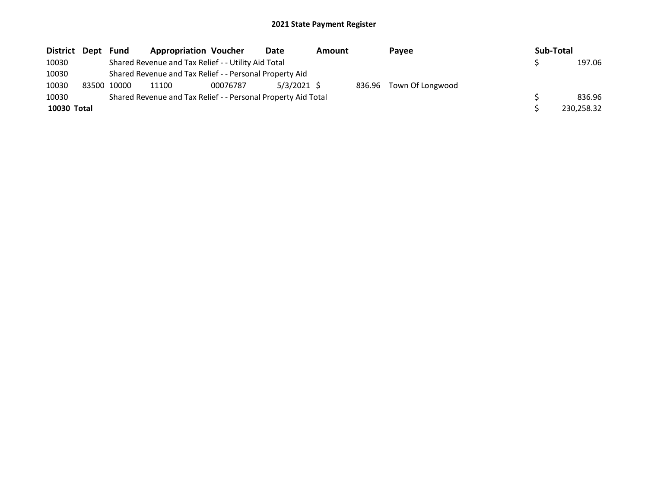| District Dept | Fund        | <b>Appropriation Voucher</b>                                  |          | Date          | <b>Amount</b> |  | Pavee                   |  | Sub-Total |            |  |
|---------------|-------------|---------------------------------------------------------------|----------|---------------|---------------|--|-------------------------|--|-----------|------------|--|
| 10030         |             | Shared Revenue and Tax Relief - - Utility Aid Total           |          |               |               |  |                         |  |           | 197.06     |  |
| 10030         |             | Shared Revenue and Tax Relief - - Personal Property Aid       |          |               |               |  |                         |  |           |            |  |
| 10030         | 83500 10000 | 11100                                                         | 00076787 | $5/3/2021$ \$ |               |  | 836.96 Town Of Longwood |  |           |            |  |
| 10030         |             | Shared Revenue and Tax Relief - - Personal Property Aid Total |          |               |               |  |                         |  |           | 836.96     |  |
| 10030 Total   |             |                                                               |          |               |               |  |                         |  |           | 230,258.32 |  |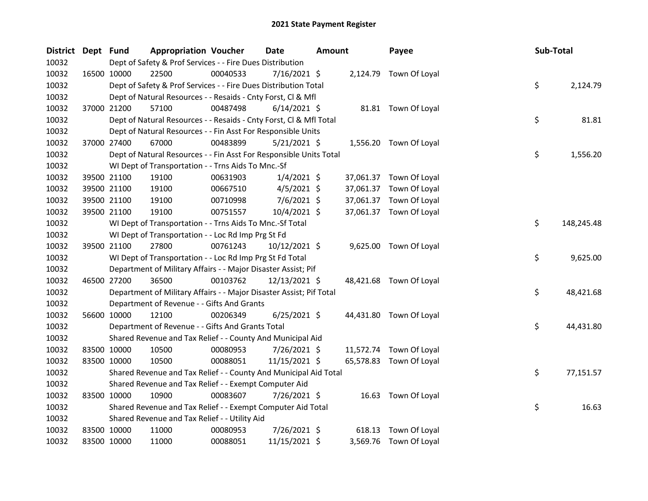| District Dept Fund |             | <b>Appropriation Voucher</b>                                        |          | Date           | <b>Amount</b> |          | Payee                   | Sub-Total |            |
|--------------------|-------------|---------------------------------------------------------------------|----------|----------------|---------------|----------|-------------------------|-----------|------------|
| 10032              |             | Dept of Safety & Prof Services - - Fire Dues Distribution           |          | 7/16/2021 \$   |               |          |                         |           |            |
| 10032              | 16500 10000 | 22500                                                               | 00040533 |                |               |          | 2,124.79 Town Of Loyal  |           |            |
| 10032              |             | Dept of Safety & Prof Services - - Fire Dues Distribution Total     |          |                |               |          |                         | \$        | 2,124.79   |
| 10032              |             | Dept of Natural Resources - - Resaids - Cnty Forst, Cl & Mfl        |          |                |               |          |                         |           |            |
| 10032              | 37000 21200 | 57100                                                               | 00487498 | $6/14/2021$ \$ |               |          | 81.81 Town Of Loyal     |           |            |
| 10032              |             | Dept of Natural Resources - - Resaids - Cnty Forst, Cl & Mfl Total  |          |                |               |          |                         | \$        | 81.81      |
| 10032              |             | Dept of Natural Resources - - Fin Asst For Responsible Units        |          |                |               |          |                         |           |            |
| 10032              | 37000 27400 | 67000                                                               | 00483899 | $5/21/2021$ \$ |               |          | 1,556.20 Town Of Loyal  |           |            |
| 10032              |             | Dept of Natural Resources - - Fin Asst For Responsible Units Total  |          |                |               |          |                         | \$        | 1,556.20   |
| 10032              |             | WI Dept of Transportation - - Trns Aids To Mnc.-Sf                  |          |                |               |          |                         |           |            |
| 10032              | 39500 21100 | 19100                                                               | 00631903 | $1/4/2021$ \$  |               |          | 37,061.37 Town Of Loyal |           |            |
| 10032              | 39500 21100 | 19100                                                               | 00667510 | $4/5/2021$ \$  |               |          | 37,061.37 Town Of Loyal |           |            |
| 10032              | 39500 21100 | 19100                                                               | 00710998 | $7/6/2021$ \$  |               |          | 37,061.37 Town Of Loyal |           |            |
| 10032              | 39500 21100 | 19100                                                               | 00751557 | 10/4/2021 \$   |               |          | 37,061.37 Town Of Loyal |           |            |
| 10032              |             | WI Dept of Transportation - - Trns Aids To Mnc.-Sf Total            |          |                |               |          |                         | \$        | 148,245.48 |
| 10032              |             | WI Dept of Transportation - - Loc Rd Imp Prg St Fd                  |          |                |               |          |                         |           |            |
| 10032              | 39500 21100 | 27800                                                               | 00761243 | 10/12/2021 \$  |               |          | 9,625.00 Town Of Loyal  |           |            |
| 10032              |             | WI Dept of Transportation - - Loc Rd Imp Prg St Fd Total            |          |                |               |          |                         | \$        | 9,625.00   |
| 10032              |             | Department of Military Affairs - - Major Disaster Assist; Pif       |          |                |               |          |                         |           |            |
| 10032              | 46500 27200 | 36500                                                               | 00103762 | 12/13/2021 \$  |               |          | 48,421.68 Town Of Loyal |           |            |
| 10032              |             | Department of Military Affairs - - Major Disaster Assist; Pif Total |          |                |               |          |                         | \$        | 48,421.68  |
| 10032              |             | Department of Revenue - - Gifts And Grants                          |          |                |               |          |                         |           |            |
| 10032              | 56600 10000 | 12100                                                               | 00206349 | $6/25/2021$ \$ |               |          | 44,431.80 Town Of Loyal |           |            |
| 10032              |             | Department of Revenue - - Gifts And Grants Total                    |          |                |               |          |                         | \$        | 44,431.80  |
| 10032              |             | Shared Revenue and Tax Relief - - County And Municipal Aid          |          |                |               |          |                         |           |            |
| 10032              | 83500 10000 | 10500                                                               | 00080953 | 7/26/2021 \$   |               |          | 11,572.74 Town Of Loyal |           |            |
| 10032              | 83500 10000 | 10500                                                               | 00088051 | 11/15/2021 \$  |               |          | 65,578.83 Town Of Loyal |           |            |
| 10032              |             | Shared Revenue and Tax Relief - - County And Municipal Aid Total    |          |                |               |          |                         | \$        | 77,151.57  |
| 10032              |             | Shared Revenue and Tax Relief - - Exempt Computer Aid               |          |                |               |          |                         |           |            |
| 10032              | 83500 10000 | 10900                                                               | 00083607 | 7/26/2021 \$   |               |          | 16.63 Town Of Loyal     |           |            |
| 10032              |             | Shared Revenue and Tax Relief - - Exempt Computer Aid Total         |          |                |               |          |                         | \$        | 16.63      |
| 10032              |             | Shared Revenue and Tax Relief - - Utility Aid                       |          |                |               |          |                         |           |            |
| 10032              | 83500 10000 | 11000                                                               | 00080953 | 7/26/2021 \$   |               | 618.13   | Town Of Loyal           |           |            |
| 10032              | 83500 10000 | 11000                                                               | 00088051 | 11/15/2021 \$  |               | 3,569.76 | Town Of Loyal           |           |            |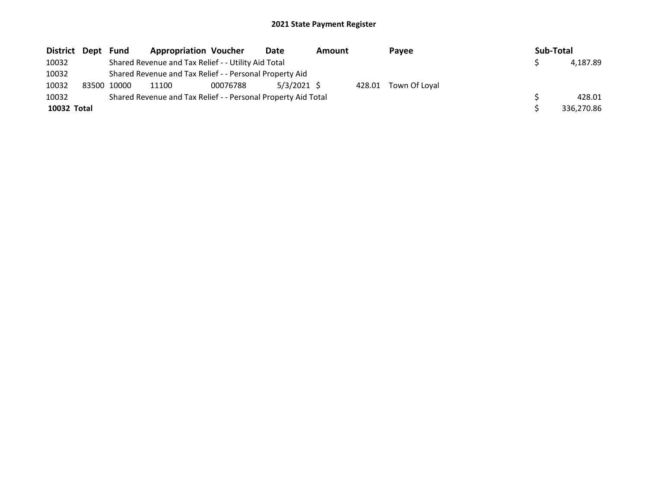| District Dept | Fund        | <b>Appropriation Voucher</b>                                  |          | Date          | <b>Amount</b> |        | Pavee         |  | Sub-Total |            |
|---------------|-------------|---------------------------------------------------------------|----------|---------------|---------------|--------|---------------|--|-----------|------------|
| 10032         |             | Shared Revenue and Tax Relief - - Utility Aid Total           |          |               |               |        |               |  |           | 4.187.89   |
| 10032         |             | Shared Revenue and Tax Relief - - Personal Property Aid       |          |               |               |        |               |  |           |            |
| 10032         | 83500 10000 | 11100                                                         | 00076788 | $5/3/2021$ \$ |               | 428.01 | Town Of Loval |  |           |            |
| 10032         |             | Shared Revenue and Tax Relief - - Personal Property Aid Total |          |               |               |        |               |  |           | 428.01     |
| 10032 Total   |             |                                                               |          |               |               |        |               |  |           | 336.270.86 |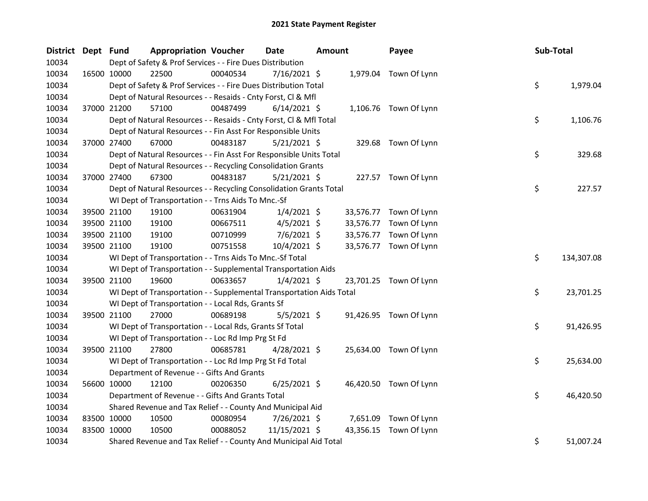| District Dept Fund |             | <b>Appropriation Voucher</b>                                         |          | <b>Date</b>    | <b>Amount</b> |           | Payee                  | Sub-Total |            |
|--------------------|-------------|----------------------------------------------------------------------|----------|----------------|---------------|-----------|------------------------|-----------|------------|
| 10034              |             | Dept of Safety & Prof Services - - Fire Dues Distribution            |          |                |               |           |                        |           |            |
| 10034              | 16500 10000 | 22500                                                                | 00040534 | 7/16/2021 \$   |               |           | 1,979.04 Town Of Lynn  |           |            |
| 10034              |             | Dept of Safety & Prof Services - - Fire Dues Distribution Total      |          |                |               |           |                        | \$        | 1,979.04   |
| 10034              |             | Dept of Natural Resources - - Resaids - Cnty Forst, Cl & Mfl         |          |                |               |           |                        |           |            |
| 10034              | 37000 21200 | 57100                                                                | 00487499 | $6/14/2021$ \$ |               |           | 1,106.76 Town Of Lynn  |           |            |
| 10034              |             | Dept of Natural Resources - - Resaids - Cnty Forst, Cl & Mfl Total   |          |                |               |           |                        | \$        | 1,106.76   |
| 10034              |             | Dept of Natural Resources - - Fin Asst For Responsible Units         |          |                |               |           |                        |           |            |
| 10034              | 37000 27400 | 67000                                                                | 00483187 | $5/21/2021$ \$ |               |           | 329.68 Town Of Lynn    |           |            |
| 10034              |             | Dept of Natural Resources - - Fin Asst For Responsible Units Total   |          |                |               |           |                        | \$        | 329.68     |
| 10034              |             | Dept of Natural Resources - - Recycling Consolidation Grants         |          |                |               |           |                        |           |            |
| 10034              | 37000 27400 | 67300                                                                | 00483187 | $5/21/2021$ \$ |               |           | 227.57 Town Of Lynn    |           |            |
| 10034              |             | Dept of Natural Resources - - Recycling Consolidation Grants Total   |          |                |               |           |                        | \$        | 227.57     |
| 10034              |             | WI Dept of Transportation - - Trns Aids To Mnc.-Sf                   |          |                |               |           |                        |           |            |
| 10034              | 39500 21100 | 19100                                                                | 00631904 | $1/4/2021$ \$  |               | 33,576.77 | Town Of Lynn           |           |            |
| 10034              | 39500 21100 | 19100                                                                | 00667511 | $4/5/2021$ \$  |               | 33,576.77 | Town Of Lynn           |           |            |
| 10034              | 39500 21100 | 19100                                                                | 00710999 | $7/6/2021$ \$  |               | 33,576.77 | Town Of Lynn           |           |            |
| 10034              | 39500 21100 | 19100                                                                | 00751558 | 10/4/2021 \$   |               |           | 33,576.77 Town Of Lynn |           |            |
| 10034              |             | WI Dept of Transportation - - Trns Aids To Mnc.-Sf Total             |          |                |               |           |                        | \$        | 134,307.08 |
| 10034              |             | WI Dept of Transportation - - Supplemental Transportation Aids       |          |                |               |           |                        |           |            |
| 10034              | 39500 21100 | 19600                                                                | 00633657 | $1/4/2021$ \$  |               |           | 23,701.25 Town Of Lynn |           |            |
| 10034              |             | WI Dept of Transportation - - Supplemental Transportation Aids Total |          |                |               |           |                        | \$        | 23,701.25  |
| 10034              |             | WI Dept of Transportation - - Local Rds, Grants Sf                   |          |                |               |           |                        |           |            |
| 10034              | 39500 21100 | 27000                                                                | 00689198 | $5/5/2021$ \$  |               |           | 91,426.95 Town Of Lynn |           |            |
| 10034              |             | WI Dept of Transportation - - Local Rds, Grants Sf Total             |          |                |               |           |                        | \$        | 91,426.95  |
| 10034              |             | WI Dept of Transportation - - Loc Rd Imp Prg St Fd                   |          |                |               |           |                        |           |            |
| 10034              | 39500 21100 | 27800                                                                | 00685781 | $4/28/2021$ \$ |               |           | 25,634.00 Town Of Lynn |           |            |
| 10034              |             | WI Dept of Transportation - - Loc Rd Imp Prg St Fd Total             |          |                |               |           |                        | \$        | 25,634.00  |
| 10034              |             | Department of Revenue - - Gifts And Grants                           |          |                |               |           |                        |           |            |
| 10034              | 56600 10000 | 12100                                                                | 00206350 | $6/25/2021$ \$ |               |           | 46,420.50 Town Of Lynn |           |            |
| 10034              |             | Department of Revenue - - Gifts And Grants Total                     |          |                |               |           |                        | \$        | 46,420.50  |
| 10034              |             | Shared Revenue and Tax Relief - - County And Municipal Aid           |          |                |               |           |                        |           |            |
| 10034              | 83500 10000 | 10500                                                                | 00080954 | 7/26/2021 \$   |               | 7,651.09  | Town Of Lynn           |           |            |
| 10034              | 83500 10000 | 10500                                                                | 00088052 | 11/15/2021 \$  |               | 43,356.15 | Town Of Lynn           |           |            |
| 10034              |             | Shared Revenue and Tax Relief - - County And Municipal Aid Total     |          |                |               |           |                        | \$        | 51,007.24  |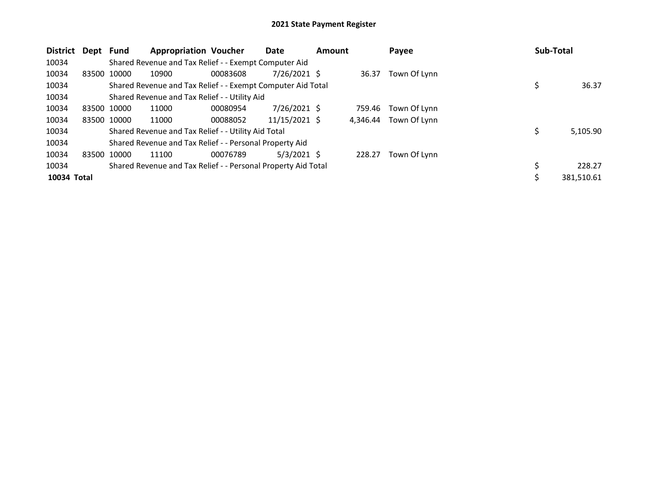| <b>District</b> | Dept        | Fund        | <b>Appropriation Voucher</b>                                  |          | Date           | <b>Amount</b> |          | Payee        | Sub-Total |            |
|-----------------|-------------|-------------|---------------------------------------------------------------|----------|----------------|---------------|----------|--------------|-----------|------------|
| 10034           |             |             | Shared Revenue and Tax Relief - - Exempt Computer Aid         |          |                |               |          |              |           |            |
| 10034           | 83500 10000 |             | 10900                                                         | 00083608 | $7/26/2021$ \$ |               | 36.37    | Town Of Lynn |           |            |
| 10034           |             |             | Shared Revenue and Tax Relief - - Exempt Computer Aid Total   |          |                |               |          |              | \$        | 36.37      |
| 10034           |             |             | Shared Revenue and Tax Relief - - Utility Aid                 |          |                |               |          |              |           |            |
| 10034           |             | 83500 10000 | 11000                                                         | 00080954 | $7/26/2021$ \$ |               | 759.46   | Town Of Lynn |           |            |
| 10034           |             | 83500 10000 | 11000                                                         | 00088052 | 11/15/2021 \$  |               | 4,346.44 | Town Of Lynn |           |            |
| 10034           |             |             | Shared Revenue and Tax Relief - - Utility Aid Total           |          |                |               |          |              | \$        | 5,105.90   |
| 10034           |             |             | Shared Revenue and Tax Relief - - Personal Property Aid       |          |                |               |          |              |           |            |
| 10034           | 83500 10000 |             | 11100                                                         | 00076789 | $5/3/2021$ \$  |               | 228.27   | Town Of Lynn |           |            |
| 10034           |             |             | Shared Revenue and Tax Relief - - Personal Property Aid Total |          |                |               |          |              | \$        | 228.27     |
| 10034 Total     |             |             |                                                               |          |                |               |          |              | \$        | 381,510.61 |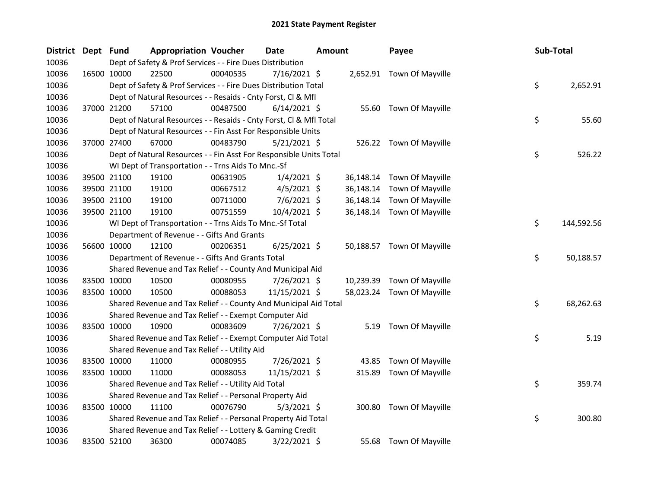| <b>District</b> | Dept Fund |             | <b>Appropriation Voucher</b> |                                                                    | <b>Date</b>    | Amount |           | Payee                      | <b>Sub-Total</b> |            |
|-----------------|-----------|-------------|------------------------------|--------------------------------------------------------------------|----------------|--------|-----------|----------------------------|------------------|------------|
| 10036           |           |             |                              | Dept of Safety & Prof Services - - Fire Dues Distribution          |                |        |           |                            |                  |            |
| 10036           |           | 16500 10000 | 22500                        | 00040535                                                           | 7/16/2021 \$   |        |           | 2,652.91 Town Of Mayville  |                  |            |
| 10036           |           |             |                              | Dept of Safety & Prof Services - - Fire Dues Distribution Total    |                |        |           |                            | \$               | 2,652.91   |
| 10036           |           |             |                              | Dept of Natural Resources - - Resaids - Cnty Forst, Cl & Mfl       |                |        |           |                            |                  |            |
| 10036           |           | 37000 21200 | 57100                        | 00487500                                                           | $6/14/2021$ \$ |        |           | 55.60 Town Of Mayville     |                  |            |
| 10036           |           |             |                              | Dept of Natural Resources - - Resaids - Cnty Forst, Cl & Mfl Total |                |        |           |                            | \$               | 55.60      |
| 10036           |           |             |                              | Dept of Natural Resources - - Fin Asst For Responsible Units       |                |        |           |                            |                  |            |
| 10036           |           | 37000 27400 | 67000                        | 00483790                                                           | 5/21/2021 \$   |        |           | 526.22 Town Of Mayville    |                  |            |
| 10036           |           |             |                              | Dept of Natural Resources - - Fin Asst For Responsible Units Total |                |        |           |                            | \$               | 526.22     |
| 10036           |           |             |                              | WI Dept of Transportation - - Trns Aids To Mnc.-Sf                 |                |        |           |                            |                  |            |
| 10036           |           | 39500 21100 | 19100                        | 00631905                                                           | $1/4/2021$ \$  |        | 36,148.14 | Town Of Mayville           |                  |            |
| 10036           |           | 39500 21100 | 19100                        | 00667512                                                           | $4/5/2021$ \$  |        | 36,148.14 | Town Of Mayville           |                  |            |
| 10036           |           | 39500 21100 | 19100                        | 00711000                                                           | $7/6/2021$ \$  |        | 36,148.14 | Town Of Mayville           |                  |            |
| 10036           |           | 39500 21100 | 19100                        | 00751559                                                           | 10/4/2021 \$   |        | 36,148.14 | Town Of Mayville           |                  |            |
| 10036           |           |             |                              | WI Dept of Transportation - - Trns Aids To Mnc.-Sf Total           |                |        |           |                            | \$               | 144,592.56 |
| 10036           |           |             |                              | Department of Revenue - - Gifts And Grants                         |                |        |           |                            |                  |            |
| 10036           |           | 56600 10000 | 12100                        | 00206351                                                           | $6/25/2021$ \$ |        |           | 50,188.57 Town Of Mayville |                  |            |
| 10036           |           |             |                              | Department of Revenue - - Gifts And Grants Total                   |                |        |           |                            | \$               | 50,188.57  |
| 10036           |           |             |                              | Shared Revenue and Tax Relief - - County And Municipal Aid         |                |        |           |                            |                  |            |
| 10036           |           | 83500 10000 | 10500                        | 00080955                                                           | 7/26/2021 \$   |        |           | 10,239.39 Town Of Mayville |                  |            |
| 10036           |           | 83500 10000 | 10500                        | 00088053                                                           | 11/15/2021 \$  |        |           | 58,023.24 Town Of Mayville |                  |            |
| 10036           |           |             |                              | Shared Revenue and Tax Relief - - County And Municipal Aid Total   |                |        |           |                            | \$               | 68,262.63  |
| 10036           |           |             |                              | Shared Revenue and Tax Relief - - Exempt Computer Aid              |                |        |           |                            |                  |            |
| 10036           |           | 83500 10000 | 10900                        | 00083609                                                           | 7/26/2021 \$   |        | 5.19      | Town Of Mayville           |                  |            |
| 10036           |           |             |                              | Shared Revenue and Tax Relief - - Exempt Computer Aid Total        |                |        |           |                            | \$               | 5.19       |
| 10036           |           |             |                              | Shared Revenue and Tax Relief - - Utility Aid                      |                |        |           |                            |                  |            |
| 10036           |           | 83500 10000 | 11000                        | 00080955                                                           | 7/26/2021 \$   |        | 43.85     | Town Of Mayville           |                  |            |
| 10036           |           | 83500 10000 | 11000                        | 00088053                                                           | 11/15/2021 \$  |        | 315.89    | Town Of Mayville           |                  |            |
| 10036           |           |             |                              | Shared Revenue and Tax Relief - - Utility Aid Total                |                |        |           |                            | \$               | 359.74     |
| 10036           |           |             |                              | Shared Revenue and Tax Relief - - Personal Property Aid            |                |        |           |                            |                  |            |
| 10036           |           | 83500 10000 | 11100                        | 00076790                                                           | $5/3/2021$ \$  |        | 300.80    | Town Of Mayville           |                  |            |
| 10036           |           |             |                              | Shared Revenue and Tax Relief - - Personal Property Aid Total      |                |        |           |                            | \$               | 300.80     |
| 10036           |           |             |                              | Shared Revenue and Tax Relief - - Lottery & Gaming Credit          |                |        |           |                            |                  |            |
| 10036           |           | 83500 52100 | 36300                        | 00074085                                                           | 3/22/2021 \$   |        |           | 55.68 Town Of Mayville     |                  |            |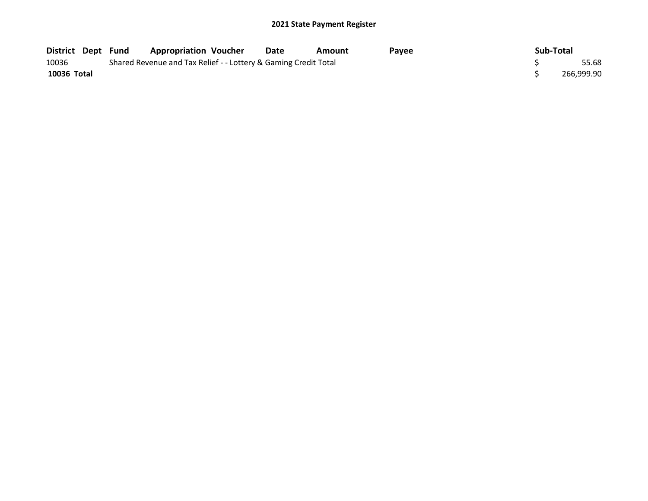| District Dept Fund |  | <b>Appropriation Voucher</b>                                    | Date | Amount | Pavee | Sub-Total |            |
|--------------------|--|-----------------------------------------------------------------|------|--------|-------|-----------|------------|
| 10036              |  | Shared Revenue and Tax Relief - - Lottery & Gaming Credit Total |      |        |       |           | 55.68      |
| 10036 Total        |  |                                                                 |      |        |       |           | 266,999.90 |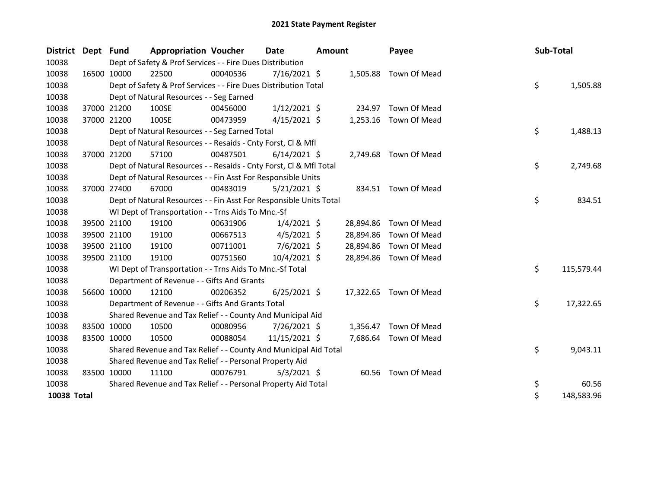| <b>District</b> | Dept Fund |             | <b>Appropriation Voucher</b>                                       |          | <b>Date</b>    | <b>Amount</b> |           | Payee                  | Sub-Total |            |
|-----------------|-----------|-------------|--------------------------------------------------------------------|----------|----------------|---------------|-----------|------------------------|-----------|------------|
| 10038           |           |             | Dept of Safety & Prof Services - - Fire Dues Distribution          |          |                |               |           |                        |           |            |
| 10038           |           | 16500 10000 | 22500                                                              | 00040536 | 7/16/2021 \$   |               | 1,505.88  | Town Of Mead           |           |            |
| 10038           |           |             | Dept of Safety & Prof Services - - Fire Dues Distribution Total    |          |                |               |           |                        | \$        | 1,505.88   |
| 10038           |           |             | Dept of Natural Resources - - Seg Earned                           |          |                |               |           |                        |           |            |
| 10038           |           | 37000 21200 | 100SE                                                              | 00456000 | $1/12/2021$ \$ |               | 234.97    | Town Of Mead           |           |            |
| 10038           |           | 37000 21200 | 100SE                                                              | 00473959 | $4/15/2021$ \$ |               | 1,253.16  | Town Of Mead           |           |            |
| 10038           |           |             | Dept of Natural Resources - - Seg Earned Total                     |          |                |               |           |                        | \$        | 1,488.13   |
| 10038           |           |             | Dept of Natural Resources - - Resaids - Cnty Forst, Cl & Mfl       |          |                |               |           |                        |           |            |
| 10038           |           | 37000 21200 | 57100                                                              | 00487501 | $6/14/2021$ \$ |               |           | 2,749.68 Town Of Mead  |           |            |
| 10038           |           |             | Dept of Natural Resources - - Resaids - Cnty Forst, Cl & Mfl Total |          |                |               |           |                        | \$        | 2,749.68   |
| 10038           |           |             | Dept of Natural Resources - - Fin Asst For Responsible Units       |          |                |               |           |                        |           |            |
| 10038           |           | 37000 27400 | 67000                                                              | 00483019 | $5/21/2021$ \$ |               |           | 834.51 Town Of Mead    |           |            |
| 10038           |           |             | Dept of Natural Resources - - Fin Asst For Responsible Units Total |          |                |               |           |                        | \$        | 834.51     |
| 10038           |           |             | WI Dept of Transportation - - Trns Aids To Mnc.-Sf                 |          |                |               |           |                        |           |            |
| 10038           |           | 39500 21100 | 19100                                                              | 00631906 | $1/4/2021$ \$  |               | 28,894.86 | Town Of Mead           |           |            |
| 10038           |           | 39500 21100 | 19100                                                              | 00667513 | $4/5/2021$ \$  |               | 28,894.86 | Town Of Mead           |           |            |
| 10038           |           | 39500 21100 | 19100                                                              | 00711001 | $7/6/2021$ \$  |               | 28,894.86 | Town Of Mead           |           |            |
| 10038           |           | 39500 21100 | 19100                                                              | 00751560 | 10/4/2021 \$   |               | 28,894.86 | Town Of Mead           |           |            |
| 10038           |           |             | WI Dept of Transportation - - Trns Aids To Mnc.-Sf Total           |          |                |               |           |                        | \$        | 115,579.44 |
| 10038           |           |             | Department of Revenue - - Gifts And Grants                         |          |                |               |           |                        |           |            |
| 10038           |           | 56600 10000 | 12100                                                              | 00206352 | $6/25/2021$ \$ |               |           | 17,322.65 Town Of Mead |           |            |
| 10038           |           |             | Department of Revenue - - Gifts And Grants Total                   |          |                |               |           |                        | \$        | 17,322.65  |
| 10038           |           |             | Shared Revenue and Tax Relief - - County And Municipal Aid         |          |                |               |           |                        |           |            |
| 10038           |           | 83500 10000 | 10500                                                              | 00080956 | 7/26/2021 \$   |               | 1,356.47  | Town Of Mead           |           |            |
| 10038           |           | 83500 10000 | 10500                                                              | 00088054 | 11/15/2021 \$  |               |           | 7,686.64 Town Of Mead  |           |            |
| 10038           |           |             | Shared Revenue and Tax Relief - - County And Municipal Aid Total   |          |                |               |           |                        | \$        | 9,043.11   |
| 10038           |           |             | Shared Revenue and Tax Relief - - Personal Property Aid            |          |                |               |           |                        |           |            |
| 10038           |           | 83500 10000 | 11100                                                              | 00076791 | $5/3/2021$ \$  |               |           | 60.56 Town Of Mead     |           |            |
| 10038           |           |             | Shared Revenue and Tax Relief - - Personal Property Aid Total      |          |                |               |           |                        | \$        | 60.56      |
| 10038 Total     |           |             |                                                                    |          |                |               |           |                        | \$        | 148,583.96 |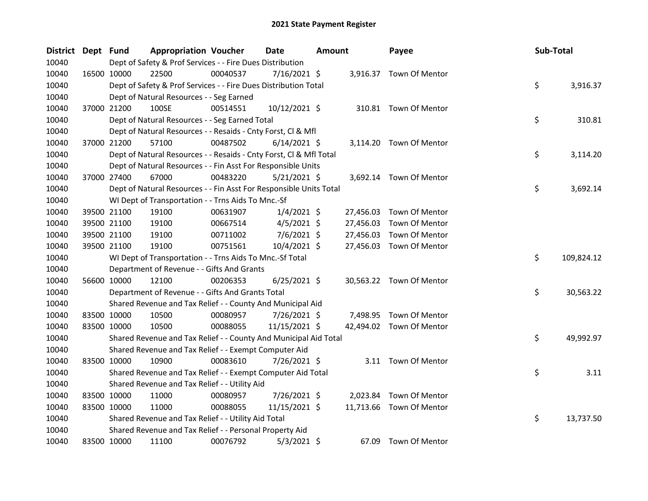| District Dept Fund |             | <b>Appropriation Voucher</b>                                       |          | <b>Date</b>    | <b>Amount</b> |           | Payee                    | Sub-Total |            |
|--------------------|-------------|--------------------------------------------------------------------|----------|----------------|---------------|-----------|--------------------------|-----------|------------|
| 10040              |             | Dept of Safety & Prof Services - - Fire Dues Distribution          |          |                |               |           |                          |           |            |
| 10040              | 16500 10000 | 22500                                                              | 00040537 | $7/16/2021$ \$ |               |           | 3,916.37 Town Of Mentor  |           |            |
| 10040              |             | Dept of Safety & Prof Services - - Fire Dues Distribution Total    |          |                |               |           |                          | \$        | 3,916.37   |
| 10040              |             | Dept of Natural Resources - - Seg Earned                           |          |                |               |           |                          |           |            |
| 10040              | 37000 21200 | 100SE                                                              | 00514551 | 10/12/2021 \$  |               |           | 310.81 Town Of Mentor    |           |            |
| 10040              |             | Dept of Natural Resources - - Seg Earned Total                     |          |                |               |           |                          | \$        | 310.81     |
| 10040              |             | Dept of Natural Resources - - Resaids - Cnty Forst, Cl & Mfl       |          |                |               |           |                          |           |            |
| 10040              | 37000 21200 | 57100                                                              | 00487502 | $6/14/2021$ \$ |               |           | 3,114.20 Town Of Mentor  |           |            |
| 10040              |             | Dept of Natural Resources - - Resaids - Cnty Forst, Cl & Mfl Total |          |                |               |           |                          | \$        | 3,114.20   |
| 10040              |             | Dept of Natural Resources - - Fin Asst For Responsible Units       |          |                |               |           |                          |           |            |
| 10040              | 37000 27400 | 67000                                                              | 00483220 | $5/21/2021$ \$ |               |           | 3,692.14 Town Of Mentor  |           |            |
| 10040              |             | Dept of Natural Resources - - Fin Asst For Responsible Units Total |          |                |               |           |                          | \$        | 3,692.14   |
| 10040              |             | WI Dept of Transportation - - Trns Aids To Mnc.-Sf                 |          |                |               |           |                          |           |            |
| 10040              | 39500 21100 | 19100                                                              | 00631907 | $1/4/2021$ \$  |               | 27,456.03 | Town Of Mentor           |           |            |
| 10040              | 39500 21100 | 19100                                                              | 00667514 | $4/5/2021$ \$  |               | 27,456.03 | Town Of Mentor           |           |            |
| 10040              | 39500 21100 | 19100                                                              | 00711002 | $7/6/2021$ \$  |               | 27,456.03 | Town Of Mentor           |           |            |
| 10040              | 39500 21100 | 19100                                                              | 00751561 | 10/4/2021 \$   |               | 27,456.03 | Town Of Mentor           |           |            |
| 10040              |             | WI Dept of Transportation - - Trns Aids To Mnc.-Sf Total           |          |                |               |           |                          | \$        | 109,824.12 |
| 10040              |             | Department of Revenue - - Gifts And Grants                         |          |                |               |           |                          |           |            |
| 10040              | 56600 10000 | 12100                                                              | 00206353 | $6/25/2021$ \$ |               |           | 30,563.22 Town Of Mentor |           |            |
| 10040              |             | Department of Revenue - - Gifts And Grants Total                   |          |                |               |           |                          | \$        | 30,563.22  |
| 10040              |             | Shared Revenue and Tax Relief - - County And Municipal Aid         |          |                |               |           |                          |           |            |
| 10040              | 83500 10000 | 10500                                                              | 00080957 | 7/26/2021 \$   |               |           | 7,498.95 Town Of Mentor  |           |            |
| 10040              | 83500 10000 | 10500                                                              | 00088055 | 11/15/2021 \$  |               |           | 42,494.02 Town Of Mentor |           |            |
| 10040              |             | Shared Revenue and Tax Relief - - County And Municipal Aid Total   |          |                |               |           |                          | \$        | 49,992.97  |
| 10040              |             | Shared Revenue and Tax Relief - - Exempt Computer Aid              |          |                |               |           |                          |           |            |
| 10040              | 83500 10000 | 10900                                                              | 00083610 | 7/26/2021 \$   |               |           | 3.11 Town Of Mentor      |           |            |
| 10040              |             | Shared Revenue and Tax Relief - - Exempt Computer Aid Total        |          |                |               |           |                          | \$        | 3.11       |
| 10040              |             | Shared Revenue and Tax Relief - - Utility Aid                      |          |                |               |           |                          |           |            |
| 10040              | 83500 10000 | 11000                                                              | 00080957 | 7/26/2021 \$   |               |           | 2,023.84 Town Of Mentor  |           |            |
| 10040              | 83500 10000 | 11000                                                              | 00088055 | 11/15/2021 \$  |               |           | 11,713.66 Town Of Mentor |           |            |
| 10040              |             | Shared Revenue and Tax Relief - - Utility Aid Total                |          |                |               |           |                          | \$        | 13,737.50  |
| 10040              |             | Shared Revenue and Tax Relief - - Personal Property Aid            |          |                |               |           |                          |           |            |
| 10040              | 83500 10000 | 11100                                                              | 00076792 | $5/3/2021$ \$  |               | 67.09     | Town Of Mentor           |           |            |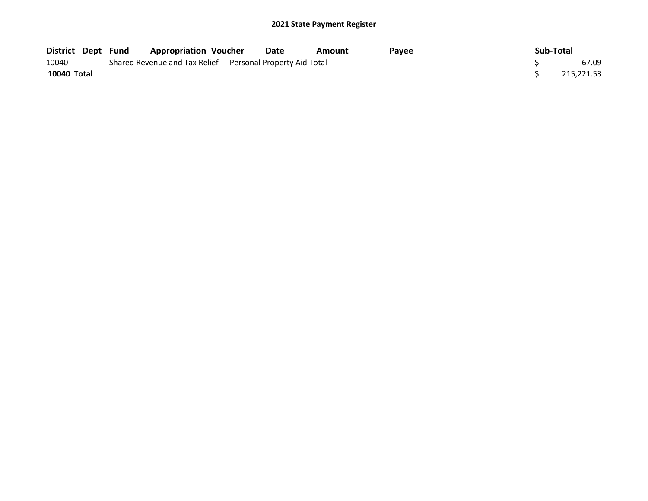|             |  | District Dept Fund Appropriation Voucher                      | Date | Amount | Pavee | Sub-Total |            |
|-------------|--|---------------------------------------------------------------|------|--------|-------|-----------|------------|
| 10040       |  | Shared Revenue and Tax Relief - - Personal Property Aid Total |      |        |       |           | 67.09      |
| 10040 Total |  |                                                               |      |        |       |           | 215,221.53 |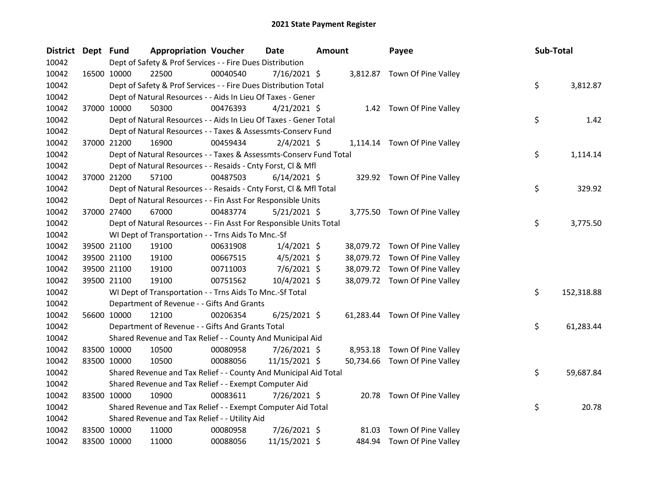| <b>District</b> | Dept Fund   |                                                                    | <b>Appropriation Voucher</b> | Date           | Amount |       | Payee                         | Sub-Total |            |
|-----------------|-------------|--------------------------------------------------------------------|------------------------------|----------------|--------|-------|-------------------------------|-----------|------------|
| 10042           |             | Dept of Safety & Prof Services - - Fire Dues Distribution          |                              |                |        |       |                               |           |            |
| 10042           |             | 16500 10000<br>22500                                               | 00040540                     | 7/16/2021 \$   |        |       | 3,812.87 Town Of Pine Valley  |           |            |
| 10042           |             | Dept of Safety & Prof Services - - Fire Dues Distribution Total    |                              |                |        |       |                               | \$        | 3,812.87   |
| 10042           |             | Dept of Natural Resources - - Aids In Lieu Of Taxes - Gener        |                              |                |        |       |                               |           |            |
| 10042           |             | 37000 10000<br>50300                                               | 00476393                     | $4/21/2021$ \$ |        |       | 1.42 Town Of Pine Valley      |           |            |
| 10042           |             | Dept of Natural Resources - - Aids In Lieu Of Taxes - Gener Total  |                              |                |        |       |                               | \$        | 1.42       |
| 10042           |             | Dept of Natural Resources - - Taxes & Assessmts-Conserv Fund       |                              |                |        |       |                               |           |            |
| 10042           |             | 16900<br>37000 21200                                               | 00459434                     | $2/4/2021$ \$  |        |       | 1,114.14 Town Of Pine Valley  |           |            |
| 10042           |             | Dept of Natural Resources - - Taxes & Assessmts-Conserv Fund Total |                              |                |        |       |                               | \$        | 1,114.14   |
| 10042           |             | Dept of Natural Resources - - Resaids - Cnty Forst, Cl & Mfl       |                              |                |        |       |                               |           |            |
| 10042           |             | 37000 21200<br>57100                                               | 00487503                     | $6/14/2021$ \$ |        |       | 329.92 Town Of Pine Valley    |           |            |
| 10042           |             | Dept of Natural Resources - - Resaids - Cnty Forst, Cl & Mfl Total |                              |                |        |       |                               | \$        | 329.92     |
| 10042           |             | Dept of Natural Resources - - Fin Asst For Responsible Units       |                              |                |        |       |                               |           |            |
| 10042           |             | 37000 27400<br>67000                                               | 00483774                     | $5/21/2021$ \$ |        |       | 3,775.50 Town Of Pine Valley  |           |            |
| 10042           |             | Dept of Natural Resources - - Fin Asst For Responsible Units Total |                              |                |        |       |                               | \$        | 3,775.50   |
| 10042           |             | WI Dept of Transportation - - Trns Aids To Mnc.-Sf                 |                              |                |        |       |                               |           |            |
| 10042           |             | 39500 21100<br>19100                                               | 00631908                     | $1/4/2021$ \$  |        |       | 38,079.72 Town Of Pine Valley |           |            |
| 10042           |             | 39500 21100<br>19100                                               | 00667515                     | $4/5/2021$ \$  |        |       | 38,079.72 Town Of Pine Valley |           |            |
| 10042           |             | 39500 21100<br>19100                                               | 00711003                     | $7/6/2021$ \$  |        |       | 38,079.72 Town Of Pine Valley |           |            |
| 10042           |             | 39500 21100<br>19100                                               | 00751562                     | 10/4/2021 \$   |        |       | 38,079.72 Town Of Pine Valley |           |            |
| 10042           |             | WI Dept of Transportation - - Trns Aids To Mnc.-Sf Total           |                              |                |        |       |                               | \$        | 152,318.88 |
| 10042           |             | Department of Revenue - - Gifts And Grants                         |                              |                |        |       |                               |           |            |
| 10042           |             | 56600 10000<br>12100                                               | 00206354                     | $6/25/2021$ \$ |        |       | 61,283.44 Town Of Pine Valley |           |            |
| 10042           |             | Department of Revenue - - Gifts And Grants Total                   |                              |                |        |       |                               | \$        | 61,283.44  |
| 10042           |             | Shared Revenue and Tax Relief - - County And Municipal Aid         |                              |                |        |       |                               |           |            |
| 10042           |             | 83500 10000<br>10500                                               | 00080958                     | 7/26/2021 \$   |        |       | 8,953.18 Town Of Pine Valley  |           |            |
| 10042           |             | 83500 10000<br>10500                                               | 00088056                     | 11/15/2021 \$  |        |       | 50,734.66 Town Of Pine Valley |           |            |
| 10042           |             | Shared Revenue and Tax Relief - - County And Municipal Aid Total   |                              |                |        |       |                               | \$        | 59,687.84  |
| 10042           |             | Shared Revenue and Tax Relief - - Exempt Computer Aid              |                              |                |        |       |                               |           |            |
| 10042           | 83500 10000 | 10900                                                              | 00083611                     | 7/26/2021 \$   |        |       | 20.78 Town Of Pine Valley     |           |            |
| 10042           |             | Shared Revenue and Tax Relief - - Exempt Computer Aid Total        |                              |                |        |       |                               | \$        | 20.78      |
| 10042           |             | Shared Revenue and Tax Relief - - Utility Aid                      |                              |                |        |       |                               |           |            |
| 10042           |             | 83500 10000<br>11000                                               | 00080958                     | 7/26/2021 \$   |        | 81.03 | Town Of Pine Valley           |           |            |
| 10042           |             | 83500 10000<br>11000                                               | 00088056                     | 11/15/2021 \$  |        |       | 484.94 Town Of Pine Valley    |           |            |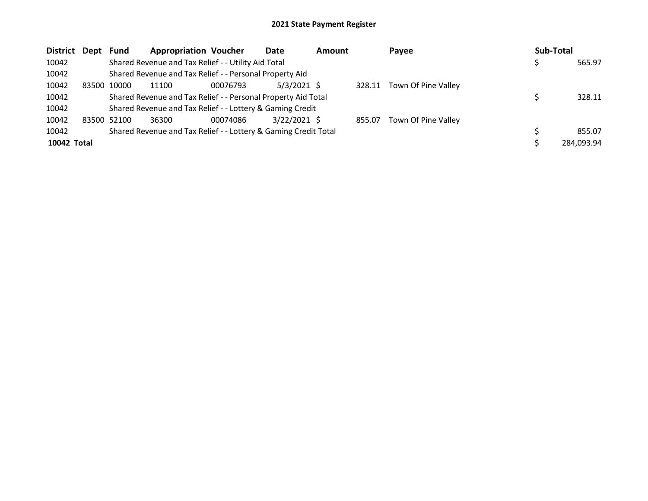| District Dept | <b>Fund</b> | <b>Appropriation Voucher</b>                                    |          | Date           | Amount |        | Payee               | Sub-Total |            |
|---------------|-------------|-----------------------------------------------------------------|----------|----------------|--------|--------|---------------------|-----------|------------|
| 10042         |             | Shared Revenue and Tax Relief - - Utility Aid Total             |          |                |        |        |                     |           | 565.97     |
| 10042         |             | Shared Revenue and Tax Relief - - Personal Property Aid         |          |                |        |        |                     |           |            |
| 10042         | 83500 10000 | 11100                                                           | 00076793 | $5/3/2021$ \$  |        | 328.11 | Town Of Pine Valley |           |            |
| 10042         |             | Shared Revenue and Tax Relief - - Personal Property Aid Total   |          |                |        |        |                     |           | 328.11     |
| 10042         |             | Shared Revenue and Tax Relief - - Lottery & Gaming Credit       |          |                |        |        |                     |           |            |
| 10042         | 83500 52100 | 36300                                                           | 00074086 | $3/22/2021$ \$ |        | 855.07 | Town Of Pine Valley |           |            |
| 10042         |             | Shared Revenue and Tax Relief - - Lottery & Gaming Credit Total |          |                |        |        |                     |           | 855.07     |
| 10042 Total   |             |                                                                 |          |                |        |        |                     |           | 284,093.94 |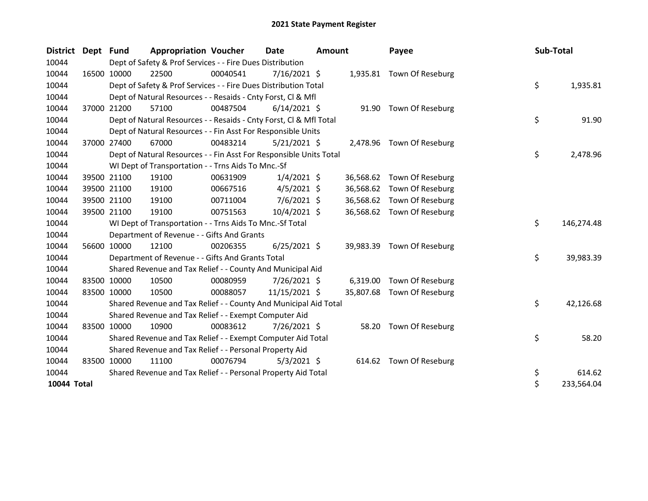| District Dept | <b>Fund</b>                                                   | <b>Appropriation Voucher</b>                                       |          | Date           | <b>Amount</b> |           | Payee                     |  | Sub-Total |            |
|---------------|---------------------------------------------------------------|--------------------------------------------------------------------|----------|----------------|---------------|-----------|---------------------------|--|-----------|------------|
| 10044         |                                                               | Dept of Safety & Prof Services - - Fire Dues Distribution          |          |                |               |           |                           |  |           |            |
| 10044         | 16500 10000                                                   | 22500                                                              | 00040541 | 7/16/2021 \$   |               |           | 1,935.81 Town Of Reseburg |  |           |            |
| 10044         |                                                               | Dept of Safety & Prof Services - - Fire Dues Distribution Total    |          |                |               |           |                           |  | \$        | 1,935.81   |
| 10044         |                                                               | Dept of Natural Resources - - Resaids - Cnty Forst, Cl & Mfl       |          |                |               |           |                           |  |           |            |
| 10044         | 37000 21200                                                   | 57100                                                              | 00487504 | $6/14/2021$ \$ |               |           | 91.90 Town Of Reseburg    |  |           |            |
| 10044         |                                                               | Dept of Natural Resources - - Resaids - Cnty Forst, CI & Mfl Total |          |                |               |           |                           |  | \$        | 91.90      |
| 10044         |                                                               | Dept of Natural Resources - - Fin Asst For Responsible Units       |          |                |               |           |                           |  |           |            |
| 10044         | 37000 27400                                                   | 67000                                                              | 00483214 | $5/21/2021$ \$ |               |           | 2,478.96 Town Of Reseburg |  |           |            |
| 10044         |                                                               | Dept of Natural Resources - - Fin Asst For Responsible Units Total |          |                |               |           |                           |  | \$        | 2,478.96   |
| 10044         |                                                               | WI Dept of Transportation - - Trns Aids To Mnc.-Sf                 |          |                |               |           |                           |  |           |            |
| 10044         | 39500 21100                                                   | 19100                                                              | 00631909 | $1/4/2021$ \$  |               | 36,568.62 | Town Of Reseburg          |  |           |            |
| 10044         | 39500 21100                                                   | 19100                                                              | 00667516 | $4/5/2021$ \$  |               | 36,568.62 | Town Of Reseburg          |  |           |            |
| 10044         | 39500 21100                                                   | 19100                                                              | 00711004 | $7/6/2021$ \$  |               | 36,568.62 | Town Of Reseburg          |  |           |            |
| 10044         | 39500 21100                                                   | 19100                                                              | 00751563 | 10/4/2021 \$   |               | 36,568.62 | Town Of Reseburg          |  |           |            |
| 10044         |                                                               | WI Dept of Transportation - - Trns Aids To Mnc.-Sf Total           |          |                |               |           |                           |  | \$        | 146,274.48 |
| 10044         |                                                               | Department of Revenue - - Gifts And Grants                         |          |                |               |           |                           |  |           |            |
| 10044         | 56600 10000                                                   | 12100                                                              | 00206355 | $6/25/2021$ \$ |               | 39,983.39 | Town Of Reseburg          |  |           |            |
| 10044         |                                                               | Department of Revenue - - Gifts And Grants Total                   |          |                |               |           |                           |  | \$        | 39,983.39  |
| 10044         |                                                               | Shared Revenue and Tax Relief - - County And Municipal Aid         |          |                |               |           |                           |  |           |            |
| 10044         | 83500 10000                                                   | 10500                                                              | 00080959 | $7/26/2021$ \$ |               | 6,319.00  | Town Of Reseburg          |  |           |            |
| 10044         | 83500 10000                                                   | 10500                                                              | 00088057 | 11/15/2021 \$  |               | 35,807.68 | Town Of Reseburg          |  |           |            |
| 10044         |                                                               | Shared Revenue and Tax Relief - - County And Municipal Aid Total   |          |                |               |           |                           |  | \$        | 42,126.68  |
| 10044         |                                                               | Shared Revenue and Tax Relief - - Exempt Computer Aid              |          |                |               |           |                           |  |           |            |
| 10044         | 83500 10000                                                   | 10900                                                              | 00083612 | 7/26/2021 \$   |               |           | 58.20 Town Of Reseburg    |  |           |            |
| 10044         |                                                               | Shared Revenue and Tax Relief - - Exempt Computer Aid Total        |          |                |               |           |                           |  | \$        | 58.20      |
| 10044         |                                                               | Shared Revenue and Tax Relief - - Personal Property Aid            |          |                |               |           |                           |  |           |            |
| 10044         | 83500 10000                                                   | 11100                                                              | 00076794 | $5/3/2021$ \$  |               |           | 614.62 Town Of Reseburg   |  |           |            |
| 10044         | Shared Revenue and Tax Relief - - Personal Property Aid Total |                                                                    |          |                |               |           |                           |  |           | 614.62     |
| 10044 Total   |                                                               |                                                                    |          |                |               |           |                           |  | \$        | 233,564.04 |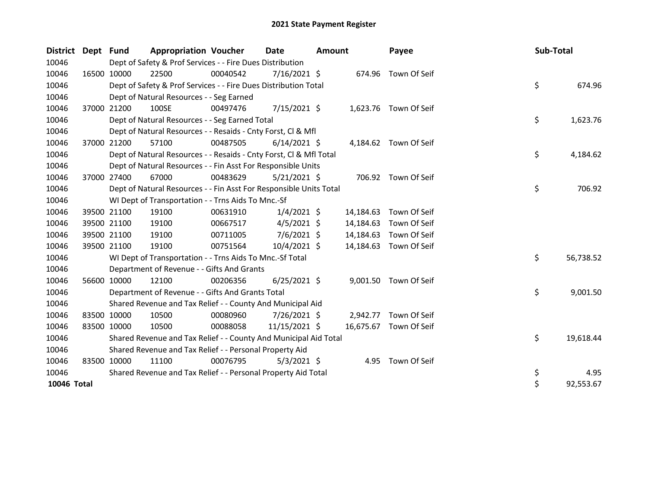| District Dept Fund |             | <b>Appropriation Voucher</b>                                       |          | Date           | <b>Amount</b> |           | Payee                 |  | Sub-Total |           |
|--------------------|-------------|--------------------------------------------------------------------|----------|----------------|---------------|-----------|-----------------------|--|-----------|-----------|
| 10046              |             | Dept of Safety & Prof Services - - Fire Dues Distribution          |          |                |               |           |                       |  |           |           |
| 10046              | 16500 10000 | 22500                                                              | 00040542 | 7/16/2021 \$   |               | 674.96    | Town Of Seif          |  |           |           |
| 10046              |             | Dept of Safety & Prof Services - - Fire Dues Distribution Total    |          |                |               |           |                       |  | \$        | 674.96    |
| 10046              |             | Dept of Natural Resources - - Seg Earned                           |          |                |               |           |                       |  |           |           |
| 10046              | 37000 21200 | 100SE                                                              | 00497476 | $7/15/2021$ \$ |               |           | 1,623.76 Town Of Seif |  |           |           |
| 10046              |             | Dept of Natural Resources - - Seg Earned Total                     |          |                |               |           |                       |  | \$        | 1,623.76  |
| 10046              |             | Dept of Natural Resources - - Resaids - Cnty Forst, Cl & Mfl       |          |                |               |           |                       |  |           |           |
| 10046              | 37000 21200 | 57100                                                              | 00487505 | $6/14/2021$ \$ |               |           | 4,184.62 Town Of Seif |  |           |           |
| 10046              |             | Dept of Natural Resources - - Resaids - Cnty Forst, CI & Mfl Total |          |                |               |           |                       |  | \$        | 4,184.62  |
| 10046              |             | Dept of Natural Resources - - Fin Asst For Responsible Units       |          |                |               |           |                       |  |           |           |
| 10046              | 37000 27400 | 67000                                                              | 00483629 | $5/21/2021$ \$ |               |           | 706.92 Town Of Seif   |  |           |           |
| 10046              |             | Dept of Natural Resources - - Fin Asst For Responsible Units Total |          |                |               |           |                       |  | \$        | 706.92    |
| 10046              |             | WI Dept of Transportation - - Trns Aids To Mnc.-Sf                 |          |                |               |           |                       |  |           |           |
| 10046              | 39500 21100 | 19100                                                              | 00631910 | $1/4/2021$ \$  |               | 14,184.63 | Town Of Seif          |  |           |           |
| 10046              | 39500 21100 | 19100                                                              | 00667517 | $4/5/2021$ \$  |               | 14,184.63 | Town Of Seif          |  |           |           |
| 10046              | 39500 21100 | 19100                                                              | 00711005 | 7/6/2021 \$    |               | 14,184.63 | Town Of Seif          |  |           |           |
| 10046              | 39500 21100 | 19100                                                              | 00751564 | 10/4/2021 \$   |               | 14,184.63 | Town Of Seif          |  |           |           |
| 10046              |             | WI Dept of Transportation - - Trns Aids To Mnc.-Sf Total           |          |                |               |           |                       |  | \$        | 56,738.52 |
| 10046              |             | Department of Revenue - - Gifts And Grants                         |          |                |               |           |                       |  |           |           |
| 10046              | 56600 10000 | 12100                                                              | 00206356 | $6/25/2021$ \$ |               | 9,001.50  | Town Of Seif          |  |           |           |
| 10046              |             | Department of Revenue - - Gifts And Grants Total                   |          |                |               |           |                       |  | \$        | 9,001.50  |
| 10046              |             | Shared Revenue and Tax Relief - - County And Municipal Aid         |          |                |               |           |                       |  |           |           |
| 10046              | 83500 10000 | 10500                                                              | 00080960 | 7/26/2021 \$   |               | 2,942.77  | Town Of Seif          |  |           |           |
| 10046              | 83500 10000 | 10500                                                              | 00088058 | 11/15/2021 \$  |               | 16,675.67 | Town Of Seif          |  |           |           |
| 10046              |             | Shared Revenue and Tax Relief - - County And Municipal Aid Total   |          |                |               |           |                       |  | \$        | 19,618.44 |
| 10046              |             | Shared Revenue and Tax Relief - - Personal Property Aid            |          |                |               |           |                       |  |           |           |
| 10046              | 83500 10000 | 11100                                                              | 00076795 | $5/3/2021$ \$  |               |           | 4.95 Town Of Seif     |  |           |           |
| 10046              |             | Shared Revenue and Tax Relief - - Personal Property Aid Total      |          |                |               |           |                       |  | \$        | 4.95      |
| 10046 Total        |             |                                                                    |          |                |               |           |                       |  | \$        | 92,553.67 |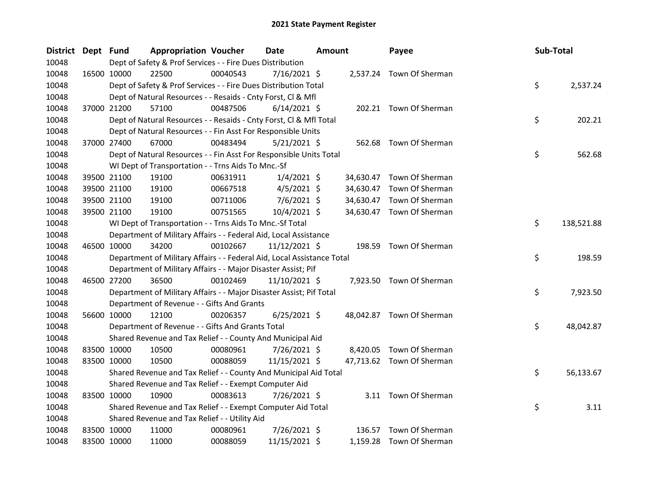| District Dept Fund |             | <b>Appropriation Voucher</b>                                           |          | <b>Date</b>    | <b>Amount</b> |           | Payee                     | Sub-Total |            |
|--------------------|-------------|------------------------------------------------------------------------|----------|----------------|---------------|-----------|---------------------------|-----------|------------|
| 10048              |             | Dept of Safety & Prof Services - - Fire Dues Distribution              |          |                |               |           |                           |           |            |
| 10048              | 16500 10000 | 22500                                                                  | 00040543 | 7/16/2021 \$   |               |           | 2,537.24 Town Of Sherman  |           |            |
| 10048              |             | Dept of Safety & Prof Services - - Fire Dues Distribution Total        |          |                |               |           |                           | \$        | 2,537.24   |
| 10048              |             | Dept of Natural Resources - - Resaids - Cnty Forst, Cl & Mfl           |          |                |               |           |                           |           |            |
| 10048              | 37000 21200 | 57100                                                                  | 00487506 | $6/14/2021$ \$ |               |           | 202.21 Town Of Sherman    |           |            |
| 10048              |             | Dept of Natural Resources - - Resaids - Cnty Forst, Cl & Mfl Total     |          |                |               |           |                           | \$        | 202.21     |
| 10048              |             | Dept of Natural Resources - - Fin Asst For Responsible Units           |          |                |               |           |                           |           |            |
| 10048              | 37000 27400 | 67000                                                                  | 00483494 | $5/21/2021$ \$ |               |           | 562.68 Town Of Sherman    |           |            |
| 10048              |             | Dept of Natural Resources - - Fin Asst For Responsible Units Total     |          |                |               |           |                           | \$        | 562.68     |
| 10048              |             | WI Dept of Transportation - - Trns Aids To Mnc.-Sf                     |          |                |               |           |                           |           |            |
| 10048              | 39500 21100 | 19100                                                                  | 00631911 | $1/4/2021$ \$  |               | 34,630.47 | Town Of Sherman           |           |            |
| 10048              | 39500 21100 | 19100                                                                  | 00667518 | $4/5/2021$ \$  |               | 34,630.47 | Town Of Sherman           |           |            |
| 10048              | 39500 21100 | 19100                                                                  | 00711006 | $7/6/2021$ \$  |               | 34,630.47 | Town Of Sherman           |           |            |
| 10048              | 39500 21100 | 19100                                                                  | 00751565 | 10/4/2021 \$   |               |           | 34,630.47 Town Of Sherman |           |            |
| 10048              |             | WI Dept of Transportation - - Trns Aids To Mnc.-Sf Total               |          |                |               |           |                           | \$        | 138,521.88 |
| 10048              |             | Department of Military Affairs - - Federal Aid, Local Assistance       |          |                |               |           |                           |           |            |
| 10048              | 46500 10000 | 34200                                                                  | 00102667 | 11/12/2021 \$  |               |           | 198.59 Town Of Sherman    |           |            |
| 10048              |             | Department of Military Affairs - - Federal Aid, Local Assistance Total |          |                |               |           |                           | \$        | 198.59     |
| 10048              |             | Department of Military Affairs - - Major Disaster Assist; Pif          |          |                |               |           |                           |           |            |
| 10048              | 46500 27200 | 36500                                                                  | 00102469 | 11/10/2021 \$  |               |           | 7,923.50 Town Of Sherman  |           |            |
| 10048              |             | Department of Military Affairs - - Major Disaster Assist; Pif Total    |          |                |               |           |                           | \$        | 7,923.50   |
| 10048              |             | Department of Revenue - - Gifts And Grants                             |          |                |               |           |                           |           |            |
| 10048              | 56600 10000 | 12100                                                                  | 00206357 | $6/25/2021$ \$ |               |           | 48,042.87 Town Of Sherman |           |            |
| 10048              |             | Department of Revenue - - Gifts And Grants Total                       |          |                |               |           |                           | \$        | 48,042.87  |
| 10048              |             | Shared Revenue and Tax Relief - - County And Municipal Aid             |          |                |               |           |                           |           |            |
| 10048              | 83500 10000 | 10500                                                                  | 00080961 | 7/26/2021 \$   |               |           | 8,420.05 Town Of Sherman  |           |            |
| 10048              | 83500 10000 | 10500                                                                  | 00088059 | 11/15/2021 \$  |               |           | 47,713.62 Town Of Sherman |           |            |
| 10048              |             | Shared Revenue and Tax Relief - - County And Municipal Aid Total       |          |                |               |           |                           | \$        | 56,133.67  |
| 10048              |             | Shared Revenue and Tax Relief - - Exempt Computer Aid                  |          |                |               |           |                           |           |            |
| 10048              | 83500 10000 | 10900                                                                  | 00083613 | 7/26/2021 \$   |               |           | 3.11 Town Of Sherman      |           |            |
| 10048              |             | Shared Revenue and Tax Relief - - Exempt Computer Aid Total            |          |                |               |           |                           | \$        | 3.11       |
| 10048              |             | Shared Revenue and Tax Relief - - Utility Aid                          |          |                |               |           |                           |           |            |
| 10048              | 83500 10000 | 11000                                                                  | 00080961 | 7/26/2021 \$   |               | 136.57    | Town Of Sherman           |           |            |
| 10048              | 83500 10000 | 11000                                                                  | 00088059 | 11/15/2021 \$  |               |           | 1,159.28 Town Of Sherman  |           |            |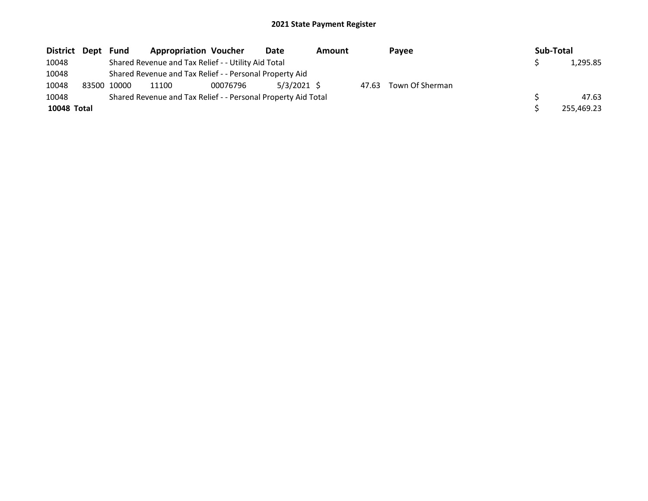| District Dept | Fund        | <b>Appropriation Voucher</b>                                  |          | Date        | <b>Amount</b> |       | Pavee           |  | Sub-Total |            |
|---------------|-------------|---------------------------------------------------------------|----------|-------------|---------------|-------|-----------------|--|-----------|------------|
| 10048         |             | Shared Revenue and Tax Relief - - Utility Aid Total           |          |             |               |       |                 |  |           | 1,295.85   |
| 10048         |             | Shared Revenue and Tax Relief - - Personal Property Aid       |          |             |               |       |                 |  |           |            |
| 10048         | 83500 10000 | 11100                                                         | 00076796 | 5/3/2021 \$ |               | 47.63 | Town Of Sherman |  |           |            |
| 10048         |             | Shared Revenue and Tax Relief - - Personal Property Aid Total |          |             |               |       |                 |  |           | 47.63      |
| 10048 Total   |             |                                                               |          |             |               |       |                 |  |           | 255,469.23 |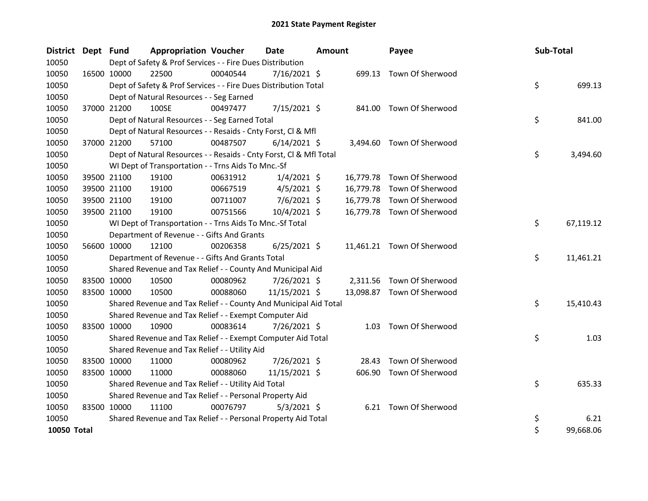| District Dept Fund |             |             | <b>Appropriation Voucher</b>                                       |          | <b>Date</b>    | Amount |           | Payee                      |  | Sub-Total |           |
|--------------------|-------------|-------------|--------------------------------------------------------------------|----------|----------------|--------|-----------|----------------------------|--|-----------|-----------|
| 10050              |             |             | Dept of Safety & Prof Services - - Fire Dues Distribution          |          |                |        |           |                            |  |           |           |
| 10050              |             | 16500 10000 | 22500                                                              | 00040544 | $7/16/2021$ \$ |        |           | 699.13 Town Of Sherwood    |  |           |           |
| 10050              |             |             | Dept of Safety & Prof Services - - Fire Dues Distribution Total    |          |                |        |           |                            |  | \$        | 699.13    |
| 10050              |             |             | Dept of Natural Resources - - Seg Earned                           |          |                |        |           |                            |  |           |           |
| 10050              | 37000 21200 |             | 100SE                                                              | 00497477 | 7/15/2021 \$   |        | 841.00    | Town Of Sherwood           |  |           |           |
| 10050              |             |             | Dept of Natural Resources - - Seg Earned Total                     |          |                |        |           |                            |  | \$        | 841.00    |
| 10050              |             |             | Dept of Natural Resources - - Resaids - Cnty Forst, Cl & Mfl       |          |                |        |           |                            |  |           |           |
| 10050              |             | 37000 21200 | 57100                                                              | 00487507 | $6/14/2021$ \$ |        |           | 3,494.60 Town Of Sherwood  |  |           |           |
| 10050              |             |             | Dept of Natural Resources - - Resaids - Cnty Forst, Cl & Mfl Total |          |                |        |           |                            |  | \$        | 3,494.60  |
| 10050              |             |             | WI Dept of Transportation - - Trns Aids To Mnc.-Sf                 |          |                |        |           |                            |  |           |           |
| 10050              |             | 39500 21100 | 19100                                                              | 00631912 | $1/4/2021$ \$  |        |           | 16,779.78 Town Of Sherwood |  |           |           |
| 10050              |             | 39500 21100 | 19100                                                              | 00667519 | 4/5/2021 \$    |        | 16,779.78 | Town Of Sherwood           |  |           |           |
| 10050              |             | 39500 21100 | 19100                                                              | 00711007 | 7/6/2021 \$    |        | 16,779.78 | Town Of Sherwood           |  |           |           |
| 10050              | 39500 21100 |             | 19100                                                              | 00751566 | 10/4/2021 \$   |        |           | 16,779.78 Town Of Sherwood |  |           |           |
| 10050              |             |             | WI Dept of Transportation - - Trns Aids To Mnc.-Sf Total           |          |                |        |           |                            |  | \$        | 67,119.12 |
| 10050              |             |             | Department of Revenue - - Gifts And Grants                         |          |                |        |           |                            |  |           |           |
| 10050              |             | 56600 10000 | 12100                                                              | 00206358 | $6/25/2021$ \$ |        |           | 11,461.21 Town Of Sherwood |  |           |           |
| 10050              |             |             | Department of Revenue - - Gifts And Grants Total                   |          |                |        |           |                            |  | \$        | 11,461.21 |
| 10050              |             |             | Shared Revenue and Tax Relief - - County And Municipal Aid         |          |                |        |           |                            |  |           |           |
| 10050              |             | 83500 10000 | 10500                                                              | 00080962 | 7/26/2021 \$   |        | 2,311.56  | Town Of Sherwood           |  |           |           |
| 10050              | 83500 10000 |             | 10500                                                              | 00088060 | 11/15/2021 \$  |        |           | 13,098.87 Town Of Sherwood |  |           |           |
| 10050              |             |             | Shared Revenue and Tax Relief - - County And Municipal Aid Total   |          |                |        |           |                            |  | \$        | 15,410.43 |
| 10050              |             |             | Shared Revenue and Tax Relief - - Exempt Computer Aid              |          |                |        |           |                            |  |           |           |
| 10050              |             | 83500 10000 | 10900                                                              | 00083614 | 7/26/2021 \$   |        |           | 1.03 Town Of Sherwood      |  |           |           |
| 10050              |             |             | Shared Revenue and Tax Relief - - Exempt Computer Aid Total        |          |                |        |           |                            |  | \$        | 1.03      |
| 10050              |             |             | Shared Revenue and Tax Relief - - Utility Aid                      |          |                |        |           |                            |  |           |           |
| 10050              |             | 83500 10000 | 11000                                                              | 00080962 | 7/26/2021 \$   |        | 28.43     | Town Of Sherwood           |  |           |           |
| 10050              | 83500 10000 |             | 11000                                                              | 00088060 | 11/15/2021 \$  |        | 606.90    | Town Of Sherwood           |  |           |           |
| 10050              |             |             | Shared Revenue and Tax Relief - - Utility Aid Total                |          |                |        |           |                            |  | \$        | 635.33    |
| 10050              |             |             | Shared Revenue and Tax Relief - - Personal Property Aid            |          |                |        |           |                            |  |           |           |
| 10050              | 83500 10000 |             | 11100                                                              | 00076797 | $5/3/2021$ \$  |        |           | 6.21 Town Of Sherwood      |  |           |           |
| 10050              |             |             | Shared Revenue and Tax Relief - - Personal Property Aid Total      |          |                |        |           |                            |  | \$        | 6.21      |
| 10050 Total        |             |             |                                                                    |          |                |        |           |                            |  | \$        | 99,668.06 |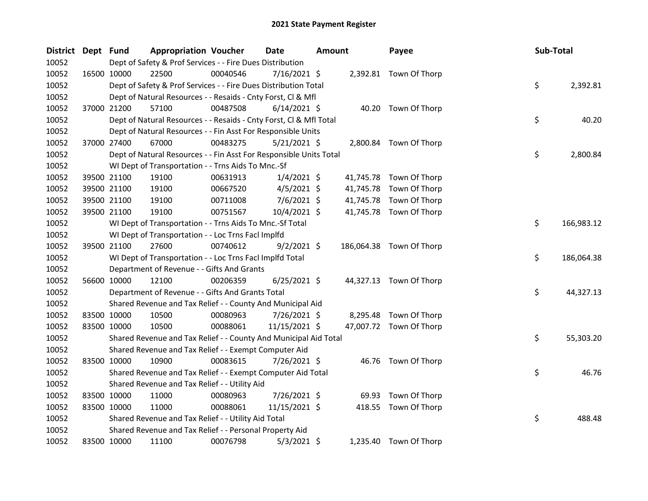| District Dept Fund |             | <b>Appropriation Voucher</b>                                       |          | <b>Date</b>    | <b>Amount</b> |           | Payee                    | Sub-Total |            |
|--------------------|-------------|--------------------------------------------------------------------|----------|----------------|---------------|-----------|--------------------------|-----------|------------|
| 10052              |             | Dept of Safety & Prof Services - - Fire Dues Distribution          |          |                |               |           |                          |           |            |
| 10052              | 16500 10000 | 22500                                                              | 00040546 | $7/16/2021$ \$ |               |           | 2,392.81 Town Of Thorp   |           |            |
| 10052              |             | Dept of Safety & Prof Services - - Fire Dues Distribution Total    |          |                |               |           |                          | \$        | 2,392.81   |
| 10052              |             | Dept of Natural Resources - - Resaids - Cnty Forst, Cl & Mfl       |          |                |               |           |                          |           |            |
| 10052              | 37000 21200 | 57100                                                              | 00487508 | $6/14/2021$ \$ |               |           | 40.20 Town Of Thorp      |           |            |
| 10052              |             | Dept of Natural Resources - - Resaids - Cnty Forst, Cl & Mfl Total |          |                |               |           |                          | \$        | 40.20      |
| 10052              |             | Dept of Natural Resources - - Fin Asst For Responsible Units       |          |                |               |           |                          |           |            |
| 10052              | 37000 27400 | 67000                                                              | 00483275 | 5/21/2021 \$   |               |           | 2,800.84 Town Of Thorp   |           |            |
| 10052              |             | Dept of Natural Resources - - Fin Asst For Responsible Units Total |          |                |               |           |                          | \$        | 2,800.84   |
| 10052              |             | WI Dept of Transportation - - Trns Aids To Mnc.-Sf                 |          |                |               |           |                          |           |            |
| 10052              | 39500 21100 | 19100                                                              | 00631913 | $1/4/2021$ \$  |               |           | 41,745.78 Town Of Thorp  |           |            |
| 10052              | 39500 21100 | 19100                                                              | 00667520 | $4/5/2021$ \$  |               |           | 41,745.78 Town Of Thorp  |           |            |
| 10052              | 39500 21100 | 19100                                                              | 00711008 | $7/6/2021$ \$  |               | 41,745.78 | Town Of Thorp            |           |            |
| 10052              | 39500 21100 | 19100                                                              | 00751567 | 10/4/2021 \$   |               |           | 41,745.78 Town Of Thorp  |           |            |
| 10052              |             | WI Dept of Transportation - - Trns Aids To Mnc.-Sf Total           |          |                |               |           |                          | \$        | 166,983.12 |
| 10052              |             | WI Dept of Transportation - - Loc Trns Facl Implfd                 |          |                |               |           |                          |           |            |
| 10052              | 39500 21100 | 27600                                                              | 00740612 | $9/2/2021$ \$  |               |           | 186,064.38 Town Of Thorp |           |            |
| 10052              |             | WI Dept of Transportation - - Loc Trns Facl Implfd Total           |          |                |               |           |                          | \$        | 186,064.38 |
| 10052              |             | Department of Revenue - - Gifts And Grants                         |          |                |               |           |                          |           |            |
| 10052              | 56600 10000 | 12100                                                              | 00206359 | $6/25/2021$ \$ |               |           | 44,327.13 Town Of Thorp  |           |            |
| 10052              |             | Department of Revenue - - Gifts And Grants Total                   |          |                |               |           |                          | \$        | 44,327.13  |
| 10052              |             | Shared Revenue and Tax Relief - - County And Municipal Aid         |          |                |               |           |                          |           |            |
| 10052              | 83500 10000 | 10500                                                              | 00080963 | 7/26/2021 \$   |               |           | 8,295.48 Town Of Thorp   |           |            |
| 10052              | 83500 10000 | 10500                                                              | 00088061 | 11/15/2021 \$  |               |           | 47,007.72 Town Of Thorp  |           |            |
| 10052              |             | Shared Revenue and Tax Relief - - County And Municipal Aid Total   |          |                |               |           |                          | \$        | 55,303.20  |
| 10052              |             | Shared Revenue and Tax Relief - - Exempt Computer Aid              |          |                |               |           |                          |           |            |
| 10052              | 83500 10000 | 10900                                                              | 00083615 | 7/26/2021 \$   |               |           | 46.76 Town Of Thorp      |           |            |
| 10052              |             | Shared Revenue and Tax Relief - - Exempt Computer Aid Total        |          |                |               |           |                          | \$        | 46.76      |
| 10052              |             | Shared Revenue and Tax Relief - - Utility Aid                      |          |                |               |           |                          |           |            |
| 10052              | 83500 10000 | 11000                                                              | 00080963 | 7/26/2021 \$   |               | 69.93     | Town Of Thorp            |           |            |
| 10052              | 83500 10000 | 11000                                                              | 00088061 | 11/15/2021 \$  |               | 418.55    | Town Of Thorp            |           |            |
| 10052              |             | Shared Revenue and Tax Relief - - Utility Aid Total                |          |                |               |           |                          | \$        | 488.48     |
| 10052              |             | Shared Revenue and Tax Relief - - Personal Property Aid            |          |                |               |           |                          |           |            |
| 10052              | 83500 10000 | 11100                                                              | 00076798 | $5/3/2021$ \$  |               |           | 1,235.40 Town Of Thorp   |           |            |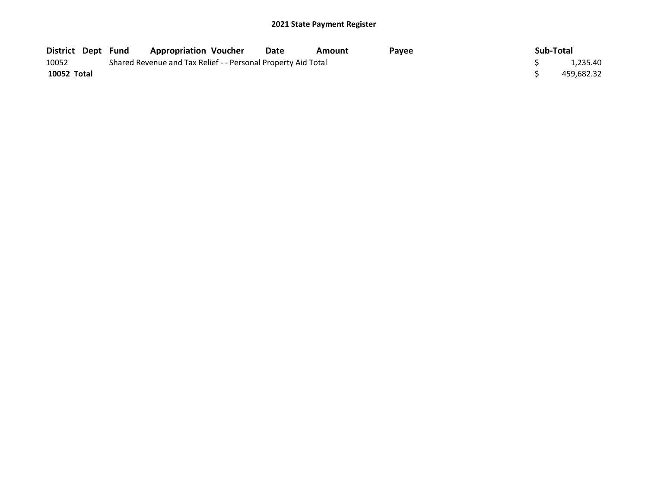| District Dept Fund |  | <b>Appropriation Voucher</b>                                  |  | Date | Amount | Pavee |  | Sub-Total |            |
|--------------------|--|---------------------------------------------------------------|--|------|--------|-------|--|-----------|------------|
| 10052              |  | Shared Revenue and Tax Relief - - Personal Property Aid Total |  |      |        |       |  |           |            |
| 10052 Total        |  |                                                               |  |      |        |       |  |           | 459.682.32 |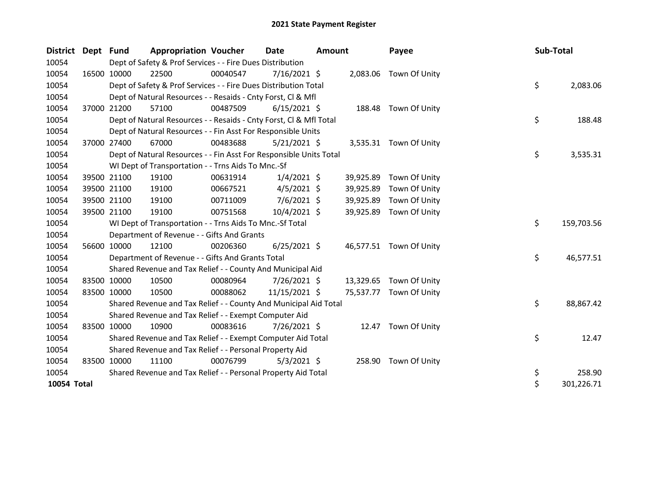| <b>District</b> | Dept Fund |             | <b>Appropriation Voucher</b>                                                                                                  |          | <b>Date</b><br>Amount |        | Payee     |                         |  | Sub-Total |            |  |  |  |
|-----------------|-----------|-------------|-------------------------------------------------------------------------------------------------------------------------------|----------|-----------------------|--------|-----------|-------------------------|--|-----------|------------|--|--|--|
| 10054           |           |             | Dept of Safety & Prof Services - - Fire Dues Distribution<br>22500<br>$7/16/2021$ \$<br>00040547<br>2,083.06<br>Town Of Unity |          |                       |        |           |                         |  |           |            |  |  |  |
| 10054           |           | 16500 10000 |                                                                                                                               |          |                       |        |           |                         |  |           |            |  |  |  |
| 10054           |           |             | Dept of Safety & Prof Services - - Fire Dues Distribution Total                                                               |          |                       |        |           |                         |  | \$        | 2,083.06   |  |  |  |
| 10054           |           |             | Dept of Natural Resources - - Resaids - Cnty Forst, Cl & Mfl                                                                  |          |                       |        |           |                         |  |           |            |  |  |  |
| 10054           |           | 37000 21200 | 57100                                                                                                                         | 00487509 | $6/15/2021$ \$        |        |           | 188.48 Town Of Unity    |  |           |            |  |  |  |
| 10054           |           |             | Dept of Natural Resources - - Resaids - Cnty Forst, CI & Mfl Total                                                            |          |                       |        |           |                         |  | \$        | 188.48     |  |  |  |
| 10054           |           |             | Dept of Natural Resources - - Fin Asst For Responsible Units                                                                  |          |                       |        |           |                         |  |           |            |  |  |  |
| 10054           |           | 37000 27400 | 67000                                                                                                                         | 00483688 | $5/21/2021$ \$        |        |           | 3,535.31 Town Of Unity  |  |           |            |  |  |  |
| 10054           |           |             | Dept of Natural Resources - - Fin Asst For Responsible Units Total                                                            |          |                       |        |           |                         |  | \$        | 3,535.31   |  |  |  |
| 10054           |           |             | WI Dept of Transportation - - Trns Aids To Mnc.-Sf                                                                            |          |                       |        |           |                         |  |           |            |  |  |  |
| 10054           |           | 39500 21100 | 19100                                                                                                                         | 00631914 | $1/4/2021$ \$         |        | 39,925.89 | Town Of Unity           |  |           |            |  |  |  |
| 10054           |           | 39500 21100 | 19100                                                                                                                         | 00667521 | $4/5/2021$ \$         |        | 39,925.89 | Town Of Unity           |  |           |            |  |  |  |
| 10054           |           | 39500 21100 | 19100                                                                                                                         | 00711009 | $7/6/2021$ \$         |        | 39,925.89 | Town Of Unity           |  |           |            |  |  |  |
| 10054           |           | 39500 21100 | 19100                                                                                                                         | 00751568 | 10/4/2021 \$          |        | 39,925.89 | Town Of Unity           |  |           |            |  |  |  |
| 10054           |           |             | WI Dept of Transportation - - Trns Aids To Mnc.-Sf Total                                                                      |          |                       |        |           |                         |  | \$        | 159,703.56 |  |  |  |
| 10054           |           |             | Department of Revenue - - Gifts And Grants                                                                                    |          |                       |        |           |                         |  |           |            |  |  |  |
| 10054           |           | 56600 10000 | 12100                                                                                                                         | 00206360 | $6/25/2021$ \$        |        |           | 46,577.51 Town Of Unity |  |           |            |  |  |  |
| 10054           |           |             | Department of Revenue - - Gifts And Grants Total                                                                              |          |                       |        |           |                         |  | \$        | 46,577.51  |  |  |  |
| 10054           |           |             | Shared Revenue and Tax Relief - - County And Municipal Aid                                                                    |          |                       |        |           |                         |  |           |            |  |  |  |
| 10054           |           | 83500 10000 | 10500                                                                                                                         | 00080964 | 7/26/2021 \$          |        | 13,329.65 | Town Of Unity           |  |           |            |  |  |  |
| 10054           |           | 83500 10000 | 10500                                                                                                                         | 00088062 | 11/15/2021 \$         |        | 75,537.77 | Town Of Unity           |  |           |            |  |  |  |
| 10054           |           |             | Shared Revenue and Tax Relief - - County And Municipal Aid Total                                                              |          |                       |        |           |                         |  | \$        | 88,867.42  |  |  |  |
| 10054           |           |             | Shared Revenue and Tax Relief - - Exempt Computer Aid                                                                         |          |                       |        |           |                         |  |           |            |  |  |  |
| 10054           |           | 83500 10000 | 10900                                                                                                                         | 00083616 | 7/26/2021 \$          |        |           | 12.47 Town Of Unity     |  |           |            |  |  |  |
| 10054           |           |             | Shared Revenue and Tax Relief - - Exempt Computer Aid Total                                                                   |          |                       |        |           |                         |  | \$        | 12.47      |  |  |  |
| 10054           |           |             | Shared Revenue and Tax Relief - - Personal Property Aid                                                                       |          |                       |        |           |                         |  |           |            |  |  |  |
| 10054           |           | 83500 10000 | 11100                                                                                                                         | 00076799 | $5/3/2021$ \$         |        | 258.90    | Town Of Unity           |  |           |            |  |  |  |
| 10054           |           |             | Shared Revenue and Tax Relief - - Personal Property Aid Total                                                                 |          | \$                    | 258.90 |           |                         |  |           |            |  |  |  |
| 10054 Total     |           |             |                                                                                                                               |          |                       |        |           |                         |  | \$        | 301,226.71 |  |  |  |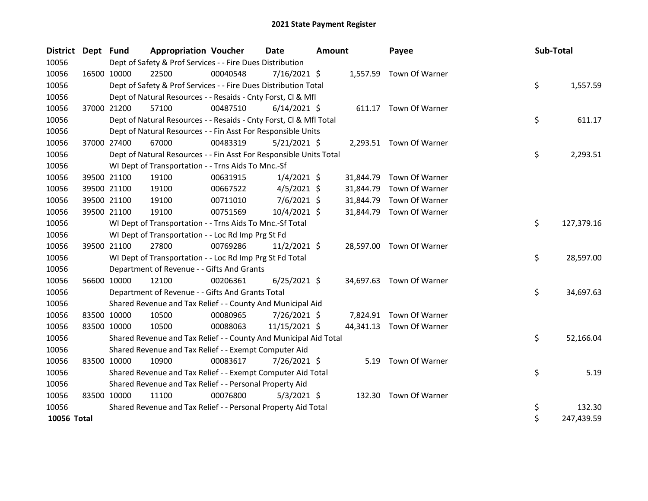| <b>District</b> | Dept Fund   |             | <b>Appropriation Voucher</b>                                                                           |          | <b>Date</b>    | Amount |           | Payee                    |  | Sub-Total |            |  |  |
|-----------------|-------------|-------------|--------------------------------------------------------------------------------------------------------|----------|----------------|--------|-----------|--------------------------|--|-----------|------------|--|--|
| 10056           |             |             | Dept of Safety & Prof Services - - Fire Dues Distribution<br>$7/16/2021$ \$<br>1,557.59 Town Of Warner |          |                |        |           |                          |  |           |            |  |  |
| 10056           |             | 16500 10000 | 22500                                                                                                  | 00040548 |                |        |           |                          |  |           |            |  |  |
| 10056           |             |             | Dept of Safety & Prof Services - - Fire Dues Distribution Total                                        |          |                |        |           |                          |  | \$        | 1,557.59   |  |  |
| 10056           |             |             | Dept of Natural Resources - - Resaids - Cnty Forst, Cl & Mfl                                           |          |                |        |           |                          |  |           |            |  |  |
| 10056           |             | 37000 21200 | 57100                                                                                                  | 00487510 | $6/14/2021$ \$ |        |           | 611.17 Town Of Warner    |  |           |            |  |  |
| 10056           |             |             | Dept of Natural Resources - - Resaids - Cnty Forst, Cl & Mfl Total                                     |          |                |        |           |                          |  | \$        | 611.17     |  |  |
| 10056           |             |             | Dept of Natural Resources - - Fin Asst For Responsible Units                                           |          |                |        |           |                          |  |           |            |  |  |
| 10056           |             | 37000 27400 | 67000                                                                                                  | 00483319 | $5/21/2021$ \$ |        |           | 2,293.51 Town Of Warner  |  |           |            |  |  |
| 10056           |             |             | Dept of Natural Resources - - Fin Asst For Responsible Units Total                                     |          |                |        |           |                          |  | \$        | 2,293.51   |  |  |
| 10056           |             |             | WI Dept of Transportation - - Trns Aids To Mnc.-Sf                                                     |          |                |        |           |                          |  |           |            |  |  |
| 10056           |             | 39500 21100 | 19100                                                                                                  | 00631915 | $1/4/2021$ \$  |        | 31,844.79 | Town Of Warner           |  |           |            |  |  |
| 10056           |             | 39500 21100 | 19100                                                                                                  | 00667522 | $4/5/2021$ \$  |        | 31,844.79 | Town Of Warner           |  |           |            |  |  |
| 10056           |             | 39500 21100 | 19100                                                                                                  | 00711010 | $7/6/2021$ \$  |        | 31,844.79 | Town Of Warner           |  |           |            |  |  |
| 10056           |             | 39500 21100 | 19100                                                                                                  | 00751569 | 10/4/2021 \$   |        | 31,844.79 | Town Of Warner           |  |           |            |  |  |
| 10056           |             |             | WI Dept of Transportation - - Trns Aids To Mnc.-Sf Total                                               |          |                |        |           |                          |  | \$        | 127,379.16 |  |  |
| 10056           |             |             | WI Dept of Transportation - - Loc Rd Imp Prg St Fd                                                     |          |                |        |           |                          |  |           |            |  |  |
| 10056           |             | 39500 21100 | 27800                                                                                                  | 00769286 | $11/2/2021$ \$ |        | 28,597.00 | Town Of Warner           |  |           |            |  |  |
| 10056           |             |             | WI Dept of Transportation - - Loc Rd Imp Prg St Fd Total                                               |          |                |        |           |                          |  | \$        | 28,597.00  |  |  |
| 10056           |             |             | Department of Revenue - - Gifts And Grants                                                             |          |                |        |           |                          |  |           |            |  |  |
| 10056           |             | 56600 10000 | 12100                                                                                                  | 00206361 | $6/25/2021$ \$ |        |           | 34,697.63 Town Of Warner |  |           |            |  |  |
| 10056           |             |             | Department of Revenue - - Gifts And Grants Total                                                       |          |                |        |           |                          |  | \$        | 34,697.63  |  |  |
| 10056           |             |             | Shared Revenue and Tax Relief - - County And Municipal Aid                                             |          |                |        |           |                          |  |           |            |  |  |
| 10056           | 83500 10000 |             | 10500                                                                                                  | 00080965 | 7/26/2021 \$   |        |           | 7,824.91 Town Of Warner  |  |           |            |  |  |
| 10056           |             | 83500 10000 | 10500                                                                                                  | 00088063 | 11/15/2021 \$  |        |           | 44,341.13 Town Of Warner |  |           |            |  |  |
| 10056           |             |             | Shared Revenue and Tax Relief - - County And Municipal Aid Total                                       |          |                |        |           |                          |  | \$        | 52,166.04  |  |  |
| 10056           |             |             | Shared Revenue and Tax Relief - - Exempt Computer Aid                                                  |          |                |        |           |                          |  |           |            |  |  |
| 10056           | 83500 10000 |             | 10900                                                                                                  | 00083617 | 7/26/2021 \$   |        |           | 5.19 Town Of Warner      |  |           |            |  |  |
| 10056           |             |             | Shared Revenue and Tax Relief - - Exempt Computer Aid Total                                            |          |                |        |           |                          |  | \$        | 5.19       |  |  |
| 10056           |             |             | Shared Revenue and Tax Relief - - Personal Property Aid                                                |          |                |        |           |                          |  |           |            |  |  |
| 10056           | 83500 10000 |             | 11100                                                                                                  | 00076800 | $5/3/2021$ \$  |        |           | 132.30 Town Of Warner    |  |           |            |  |  |
| 10056           |             |             | Shared Revenue and Tax Relief - - Personal Property Aid Total                                          |          |                |        |           |                          |  | \$        | 132.30     |  |  |
| 10056 Total     |             |             |                                                                                                        |          |                |        |           |                          |  | \$        | 247,439.59 |  |  |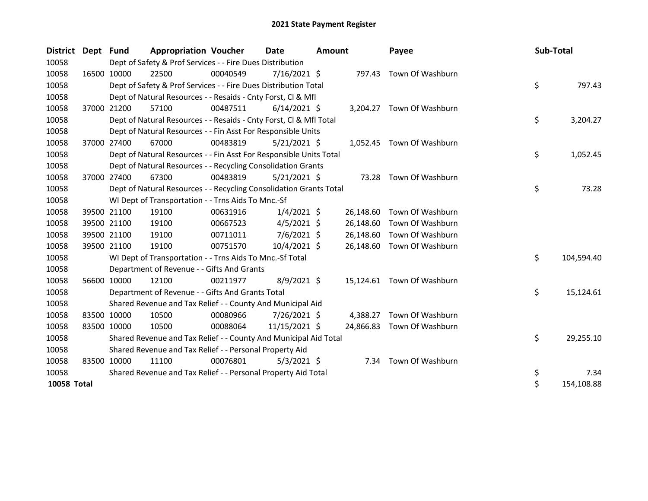| District Dept Fund |             | <b>Appropriation Voucher</b>                                                                                             |          | Date           | Amount |           | Payee                      |  | Sub-Total |            |
|--------------------|-------------|--------------------------------------------------------------------------------------------------------------------------|----------|----------------|--------|-----------|----------------------------|--|-----------|------------|
| 10058              |             | Dept of Safety & Prof Services - - Fire Dues Distribution                                                                |          |                |        |           |                            |  |           |            |
| 10058              | 16500 10000 | 22500                                                                                                                    | 00040549 | $7/16/2021$ \$ |        |           | 797.43 Town Of Washburn    |  |           |            |
| 10058              |             | Dept of Safety & Prof Services - - Fire Dues Distribution Total                                                          |          |                |        |           |                            |  | \$        | 797.43     |
| 10058              |             | Dept of Natural Resources - - Resaids - Cnty Forst, Cl & Mfl                                                             |          |                |        |           |                            |  |           |            |
| 10058              | 37000 21200 | 57100                                                                                                                    | 00487511 | $6/14/2021$ \$ |        |           | 3,204.27 Town Of Washburn  |  |           |            |
| 10058              |             | Dept of Natural Resources - - Resaids - Cnty Forst, CI & Mfl Total                                                       |          |                |        |           |                            |  | \$        | 3,204.27   |
| 10058              |             | Dept of Natural Resources - - Fin Asst For Responsible Units                                                             |          |                |        |           |                            |  |           |            |
| 10058              | 37000 27400 | 67000                                                                                                                    | 00483819 | $5/21/2021$ \$ |        |           | 1,052.45 Town Of Washburn  |  |           |            |
| 10058              |             | Dept of Natural Resources - - Fin Asst For Responsible Units Total                                                       |          |                |        |           |                            |  | \$        | 1,052.45   |
| 10058              |             | Dept of Natural Resources - - Recycling Consolidation Grants                                                             |          |                |        |           |                            |  |           |            |
| 10058              | 37000 27400 | 67300                                                                                                                    | 00483819 | $5/21/2021$ \$ |        | 73.28     | Town Of Washburn           |  |           |            |
| 10058              |             |                                                                                                                          |          |                |        |           |                            |  | \$        | 73.28      |
| 10058              |             | Dept of Natural Resources - - Recycling Consolidation Grants Total<br>WI Dept of Transportation - - Trns Aids To Mnc.-Sf |          |                |        |           |                            |  |           |            |
| 10058              | 39500 21100 | 19100                                                                                                                    | 00631916 | $1/4/2021$ \$  |        | 26,148.60 | Town Of Washburn           |  |           |            |
| 10058              | 39500 21100 | 19100                                                                                                                    | 00667523 | $4/5/2021$ \$  |        | 26,148.60 | Town Of Washburn           |  |           |            |
| 10058              | 39500 21100 | 19100                                                                                                                    | 00711011 | $7/6/2021$ \$  |        | 26,148.60 | Town Of Washburn           |  |           |            |
| 10058              | 39500 21100 | 19100                                                                                                                    | 00751570 | $10/4/2021$ \$ |        | 26,148.60 | Town Of Washburn           |  |           |            |
| 10058              |             | WI Dept of Transportation - - Trns Aids To Mnc.-Sf Total                                                                 |          |                |        |           |                            |  | \$        | 104,594.40 |
| 10058              |             | Department of Revenue - - Gifts And Grants                                                                               |          |                |        |           |                            |  |           |            |
| 10058              | 56600 10000 | 12100                                                                                                                    | 00211977 | 8/9/2021 \$    |        |           | 15,124.61 Town Of Washburn |  |           |            |
| 10058              |             | Department of Revenue - - Gifts And Grants Total                                                                         |          |                |        |           |                            |  | \$        | 15,124.61  |
| 10058              |             | Shared Revenue and Tax Relief - - County And Municipal Aid                                                               |          |                |        |           |                            |  |           |            |
| 10058              | 83500 10000 | 10500                                                                                                                    | 00080966 | 7/26/2021 \$   |        | 4,388.27  | Town Of Washburn           |  |           |            |
| 10058              | 83500 10000 | 10500                                                                                                                    | 00088064 | 11/15/2021 \$  |        | 24,866.83 | Town Of Washburn           |  |           |            |
| 10058              |             | Shared Revenue and Tax Relief - - County And Municipal Aid Total                                                         |          |                |        |           |                            |  | \$        | 29,255.10  |
| 10058              |             | Shared Revenue and Tax Relief - - Personal Property Aid                                                                  |          |                |        |           |                            |  |           |            |
| 10058              | 83500 10000 | 11100                                                                                                                    | 00076801 | $5/3/2021$ \$  |        |           | 7.34 Town Of Washburn      |  |           |            |
| 10058              |             | Shared Revenue and Tax Relief - - Personal Property Aid Total                                                            |          |                |        |           |                            |  | \$        | 7.34       |
| 10058 Total        |             |                                                                                                                          |          |                |        |           |                            |  | \$        | 154,108.88 |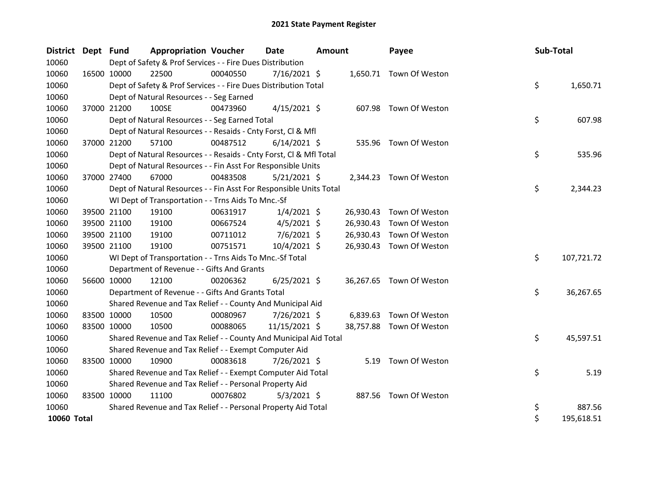| District Dept Fund |             |                                                           | <b>Appropriation Voucher</b>                                       |          | <b>Date</b>    | <b>Amount</b> |           | Payee                    | Sub-Total |            |
|--------------------|-------------|-----------------------------------------------------------|--------------------------------------------------------------------|----------|----------------|---------------|-----------|--------------------------|-----------|------------|
| 10060              |             | Dept of Safety & Prof Services - - Fire Dues Distribution |                                                                    |          |                |               |           |                          |           |            |
| 10060              | 16500 10000 |                                                           | 22500                                                              | 00040550 | $7/16/2021$ \$ |               |           | 1,650.71 Town Of Weston  |           |            |
| 10060              |             |                                                           | Dept of Safety & Prof Services - - Fire Dues Distribution Total    |          |                |               |           |                          | \$        | 1,650.71   |
| 10060              |             |                                                           | Dept of Natural Resources - - Seg Earned                           |          |                |               |           |                          |           |            |
| 10060              |             | 37000 21200                                               | 100SE                                                              | 00473960 | $4/15/2021$ \$ |               |           | 607.98 Town Of Weston    |           |            |
| 10060              |             |                                                           | Dept of Natural Resources - - Seg Earned Total                     |          |                |               |           |                          | \$        | 607.98     |
| 10060              |             |                                                           | Dept of Natural Resources - - Resaids - Cnty Forst, Cl & Mfl       |          |                |               |           |                          |           |            |
| 10060              |             | 37000 21200                                               | 57100                                                              | 00487512 | $6/14/2021$ \$ |               |           | 535.96 Town Of Weston    |           |            |
| 10060              |             |                                                           | Dept of Natural Resources - - Resaids - Cnty Forst, Cl & Mfl Total |          |                |               |           |                          | \$        | 535.96     |
| 10060              |             |                                                           | Dept of Natural Resources - - Fin Asst For Responsible Units       |          |                |               |           |                          |           |            |
| 10060              |             | 37000 27400                                               | 67000                                                              | 00483508 | $5/21/2021$ \$ |               |           | 2,344.23 Town Of Weston  |           |            |
| 10060              |             |                                                           | Dept of Natural Resources - - Fin Asst For Responsible Units Total |          |                |               |           |                          | \$        | 2,344.23   |
| 10060              |             |                                                           | WI Dept of Transportation - - Trns Aids To Mnc.-Sf                 |          |                |               |           |                          |           |            |
| 10060              |             | 39500 21100                                               | 19100                                                              | 00631917 | $1/4/2021$ \$  |               | 26,930.43 | Town Of Weston           |           |            |
| 10060              |             | 39500 21100                                               | 19100                                                              | 00667524 | $4/5/2021$ \$  |               | 26,930.43 | Town Of Weston           |           |            |
| 10060              |             | 39500 21100                                               | 19100                                                              | 00711012 | $7/6/2021$ \$  |               | 26,930.43 | Town Of Weston           |           |            |
| 10060              | 39500 21100 |                                                           | 19100                                                              | 00751571 | 10/4/2021 \$   |               | 26,930.43 | Town Of Weston           |           |            |
| 10060              |             |                                                           | WI Dept of Transportation - - Trns Aids To Mnc.-Sf Total           |          |                |               |           |                          | \$        | 107,721.72 |
| 10060              |             |                                                           | Department of Revenue - - Gifts And Grants                         |          |                |               |           |                          |           |            |
| 10060              |             | 56600 10000                                               | 12100                                                              | 00206362 | $6/25/2021$ \$ |               |           | 36,267.65 Town Of Weston |           |            |
| 10060              |             |                                                           | Department of Revenue - - Gifts And Grants Total                   |          |                |               |           |                          | \$        | 36,267.65  |
| 10060              |             |                                                           | Shared Revenue and Tax Relief - - County And Municipal Aid         |          |                |               |           |                          |           |            |
| 10060              | 83500 10000 |                                                           | 10500                                                              | 00080967 | 7/26/2021 \$   |               | 6,839.63  | Town Of Weston           |           |            |
| 10060              | 83500 10000 |                                                           | 10500                                                              | 00088065 | 11/15/2021 \$  |               | 38,757.88 | Town Of Weston           |           |            |
| 10060              |             |                                                           | Shared Revenue and Tax Relief - - County And Municipal Aid Total   |          |                |               |           |                          | \$        | 45,597.51  |
| 10060              |             |                                                           | Shared Revenue and Tax Relief - - Exempt Computer Aid              |          |                |               |           |                          |           |            |
| 10060              | 83500 10000 |                                                           | 10900                                                              | 00083618 | 7/26/2021 \$   |               |           | 5.19 Town Of Weston      |           |            |
| 10060              |             |                                                           | Shared Revenue and Tax Relief - - Exempt Computer Aid Total        |          |                |               |           |                          | \$        | 5.19       |
| 10060              |             |                                                           | Shared Revenue and Tax Relief - - Personal Property Aid            |          |                |               |           |                          |           |            |
| 10060              | 83500 10000 |                                                           | 11100                                                              | 00076802 | $5/3/2021$ \$  |               |           | 887.56 Town Of Weston    |           |            |
| 10060              |             |                                                           | Shared Revenue and Tax Relief - - Personal Property Aid Total      |          |                |               |           |                          | \$        | 887.56     |
| 10060 Total        |             |                                                           |                                                                    |          |                |               |           |                          | \$        | 195,618.51 |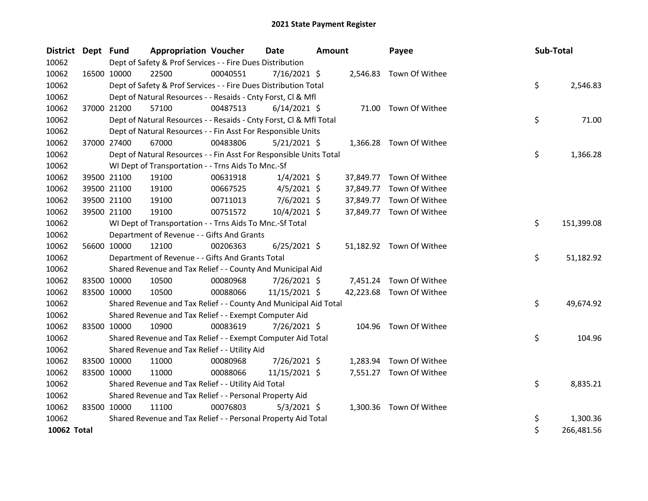| <b>District</b> | Dept Fund   |                                                                                                                             | <b>Appropriation Voucher</b>                                       |          | <b>Date</b>    | <b>Amount</b> |           | Payee                    |  | Sub-Total |            |  |
|-----------------|-------------|-----------------------------------------------------------------------------------------------------------------------------|--------------------------------------------------------------------|----------|----------------|---------------|-----------|--------------------------|--|-----------|------------|--|
| 10062           |             | Dept of Safety & Prof Services - - Fire Dues Distribution<br>22500<br>00040551<br>$7/16/2021$ \$<br>2,546.83 Town Of Withee |                                                                    |          |                |               |           |                          |  |           |            |  |
| 10062           |             | 16500 10000                                                                                                                 |                                                                    |          |                |               |           |                          |  |           |            |  |
| 10062           |             |                                                                                                                             | Dept of Safety & Prof Services - - Fire Dues Distribution Total    |          |                |               |           |                          |  | \$        | 2,546.83   |  |
| 10062           |             |                                                                                                                             | Dept of Natural Resources - - Resaids - Cnty Forst, Cl & Mfl       |          |                |               |           |                          |  |           |            |  |
| 10062           |             | 37000 21200                                                                                                                 | 57100                                                              | 00487513 | $6/14/2021$ \$ |               |           | 71.00 Town Of Withee     |  |           |            |  |
| 10062           |             |                                                                                                                             | Dept of Natural Resources - - Resaids - Cnty Forst, CI & Mfl Total |          |                |               |           |                          |  | \$        | 71.00      |  |
| 10062           |             |                                                                                                                             | Dept of Natural Resources - - Fin Asst For Responsible Units       |          |                |               |           |                          |  |           |            |  |
| 10062           |             | 37000 27400                                                                                                                 | 67000                                                              | 00483806 | $5/21/2021$ \$ |               |           | 1,366.28 Town Of Withee  |  |           |            |  |
| 10062           |             |                                                                                                                             | Dept of Natural Resources - - Fin Asst For Responsible Units Total |          |                |               |           |                          |  | \$        | 1,366.28   |  |
| 10062           |             |                                                                                                                             | WI Dept of Transportation - - Trns Aids To Mnc.-Sf                 |          |                |               |           |                          |  |           |            |  |
| 10062           |             | 39500 21100                                                                                                                 | 19100                                                              | 00631918 | $1/4/2021$ \$  |               |           | 37,849.77 Town Of Withee |  |           |            |  |
| 10062           |             | 39500 21100                                                                                                                 | 19100                                                              | 00667525 | $4/5/2021$ \$  |               | 37,849.77 | Town Of Withee           |  |           |            |  |
| 10062           |             | 39500 21100                                                                                                                 | 19100                                                              | 00711013 | $7/6/2021$ \$  |               |           | 37,849.77 Town Of Withee |  |           |            |  |
| 10062           |             | 39500 21100                                                                                                                 | 19100                                                              | 00751572 | 10/4/2021 \$   |               |           | 37,849.77 Town Of Withee |  |           |            |  |
| 10062           |             |                                                                                                                             | WI Dept of Transportation - - Trns Aids To Mnc.-Sf Total           |          |                |               |           |                          |  | \$        | 151,399.08 |  |
| 10062           |             |                                                                                                                             | Department of Revenue - - Gifts And Grants                         |          |                |               |           |                          |  |           |            |  |
| 10062           |             | 56600 10000                                                                                                                 | 12100                                                              | 00206363 | $6/25/2021$ \$ |               |           | 51,182.92 Town Of Withee |  |           |            |  |
| 10062           |             |                                                                                                                             | Department of Revenue - - Gifts And Grants Total                   |          |                |               |           |                          |  | \$        | 51,182.92  |  |
| 10062           |             |                                                                                                                             | Shared Revenue and Tax Relief - - County And Municipal Aid         |          |                |               |           |                          |  |           |            |  |
| 10062           |             | 83500 10000                                                                                                                 | 10500                                                              | 00080968 | $7/26/2021$ \$ |               |           | 7,451.24 Town Of Withee  |  |           |            |  |
| 10062           |             | 83500 10000                                                                                                                 | 10500                                                              | 00088066 | 11/15/2021 \$  |               |           | 42,223.68 Town Of Withee |  |           |            |  |
| 10062           |             |                                                                                                                             | Shared Revenue and Tax Relief - - County And Municipal Aid Total   |          |                |               |           |                          |  | \$        | 49,674.92  |  |
| 10062           |             |                                                                                                                             | Shared Revenue and Tax Relief - - Exempt Computer Aid              |          |                |               |           |                          |  |           |            |  |
| 10062           |             | 83500 10000                                                                                                                 | 10900                                                              | 00083619 | 7/26/2021 \$   |               |           | 104.96 Town Of Withee    |  |           |            |  |
| 10062           |             |                                                                                                                             | Shared Revenue and Tax Relief - - Exempt Computer Aid Total        |          |                |               |           |                          |  | \$        | 104.96     |  |
| 10062           |             |                                                                                                                             | Shared Revenue and Tax Relief - - Utility Aid                      |          |                |               |           |                          |  |           |            |  |
| 10062           |             | 83500 10000                                                                                                                 | 11000                                                              | 00080968 | 7/26/2021 \$   |               | 1,283.94  | Town Of Withee           |  |           |            |  |
| 10062           |             | 83500 10000                                                                                                                 | 11000                                                              | 00088066 | 11/15/2021 \$  |               |           | 7,551.27 Town Of Withee  |  |           |            |  |
| 10062           |             |                                                                                                                             | Shared Revenue and Tax Relief - - Utility Aid Total                |          |                |               |           |                          |  | \$        | 8,835.21   |  |
| 10062           |             |                                                                                                                             | Shared Revenue and Tax Relief - - Personal Property Aid            |          |                |               |           |                          |  |           |            |  |
| 10062           | 83500 10000 |                                                                                                                             | 11100                                                              | 00076803 | $5/3/2021$ \$  |               |           | 1,300.36 Town Of Withee  |  |           |            |  |
| 10062           |             |                                                                                                                             | Shared Revenue and Tax Relief - - Personal Property Aid Total      |          |                |               |           |                          |  | \$        | 1,300.36   |  |
| 10062 Total     |             |                                                                                                                             |                                                                    |          |                |               |           |                          |  | \$        | 266,481.56 |  |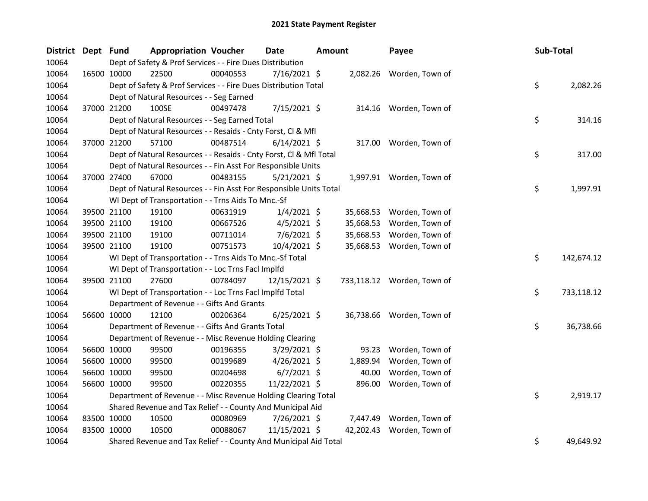| District Dept Fund |             | <b>Appropriation Voucher</b>                                       |          | <b>Date</b>    | <b>Amount</b> |           | Payee                      | Sub-Total |            |
|--------------------|-------------|--------------------------------------------------------------------|----------|----------------|---------------|-----------|----------------------------|-----------|------------|
| 10064              |             | Dept of Safety & Prof Services - - Fire Dues Distribution          |          |                |               |           |                            |           |            |
| 10064              | 16500 10000 | 22500                                                              | 00040553 | 7/16/2021 \$   |               |           | 2,082.26 Worden, Town of   |           |            |
| 10064              |             | Dept of Safety & Prof Services - - Fire Dues Distribution Total    |          |                |               |           |                            | \$        | 2,082.26   |
| 10064              |             | Dept of Natural Resources - - Seg Earned                           |          |                |               |           |                            |           |            |
| 10064              | 37000 21200 | 100SE                                                              | 00497478 | 7/15/2021 \$   |               |           | 314.16 Worden, Town of     |           |            |
| 10064              |             | Dept of Natural Resources - - Seg Earned Total                     |          |                |               |           |                            | \$        | 314.16     |
| 10064              |             | Dept of Natural Resources - - Resaids - Cnty Forst, Cl & Mfl       |          |                |               |           |                            |           |            |
| 10064              | 37000 21200 | 57100                                                              | 00487514 | $6/14/2021$ \$ |               |           | 317.00 Worden, Town of     |           |            |
| 10064              |             | Dept of Natural Resources - - Resaids - Cnty Forst, CI & Mfl Total |          |                |               |           |                            | \$        | 317.00     |
| 10064              |             | Dept of Natural Resources - - Fin Asst For Responsible Units       |          |                |               |           |                            |           |            |
| 10064              | 37000 27400 | 67000                                                              | 00483155 | $5/21/2021$ \$ |               |           | 1,997.91 Worden, Town of   |           |            |
| 10064              |             | Dept of Natural Resources - - Fin Asst For Responsible Units Total |          |                |               |           |                            | \$        | 1,997.91   |
| 10064              |             | WI Dept of Transportation - - Trns Aids To Mnc.-Sf                 |          |                |               |           |                            |           |            |
| 10064              | 39500 21100 | 19100                                                              | 00631919 | $1/4/2021$ \$  |               | 35,668.53 | Worden, Town of            |           |            |
| 10064              | 39500 21100 | 19100                                                              | 00667526 | $4/5/2021$ \$  |               | 35,668.53 | Worden, Town of            |           |            |
| 10064              | 39500 21100 | 19100                                                              | 00711014 | 7/6/2021 \$    |               | 35,668.53 | Worden, Town of            |           |            |
| 10064              | 39500 21100 | 19100                                                              | 00751573 | 10/4/2021 \$   |               | 35,668.53 | Worden, Town of            |           |            |
| 10064              |             | WI Dept of Transportation - - Trns Aids To Mnc.-Sf Total           |          |                |               |           |                            | \$        | 142,674.12 |
| 10064              |             | WI Dept of Transportation - - Loc Trns Facl Implfd                 |          |                |               |           |                            |           |            |
| 10064              | 39500 21100 | 27600                                                              | 00784097 | 12/15/2021 \$  |               |           | 733,118.12 Worden, Town of |           |            |
| 10064              |             | WI Dept of Transportation - - Loc Trns Facl Implfd Total           |          |                |               |           |                            | \$        | 733,118.12 |
| 10064              |             | Department of Revenue - - Gifts And Grants                         |          |                |               |           |                            |           |            |
| 10064              | 56600 10000 | 12100                                                              | 00206364 | $6/25/2021$ \$ |               |           | 36,738.66 Worden, Town of  |           |            |
| 10064              |             | Department of Revenue - - Gifts And Grants Total                   |          |                |               |           |                            | \$        | 36,738.66  |
| 10064              |             | Department of Revenue - - Misc Revenue Holding Clearing            |          |                |               |           |                            |           |            |
| 10064              | 56600 10000 | 99500                                                              | 00196355 | 3/29/2021 \$   |               | 93.23     | Worden, Town of            |           |            |
| 10064              | 56600 10000 | 99500                                                              | 00199689 | $4/26/2021$ \$ |               | 1,889.94  | Worden, Town of            |           |            |
| 10064              | 56600 10000 | 99500                                                              | 00204698 | $6/7/2021$ \$  |               | 40.00     | Worden, Town of            |           |            |
| 10064              | 56600 10000 | 99500                                                              | 00220355 | 11/22/2021 \$  |               | 896.00    | Worden, Town of            |           |            |
| 10064              |             | Department of Revenue - - Misc Revenue Holding Clearing Total      |          |                |               |           |                            | \$        | 2,919.17   |
| 10064              |             | Shared Revenue and Tax Relief - - County And Municipal Aid         |          |                |               |           |                            |           |            |
| 10064              | 83500 10000 | 10500                                                              | 00080969 | 7/26/2021 \$   |               | 7,447.49  | Worden, Town of            |           |            |
| 10064              | 83500 10000 | 10500                                                              | 00088067 | 11/15/2021 \$  |               | 42,202.43 | Worden, Town of            |           |            |
| 10064              |             | Shared Revenue and Tax Relief - - County And Municipal Aid Total   |          |                |               |           |                            | \$        | 49,649.92  |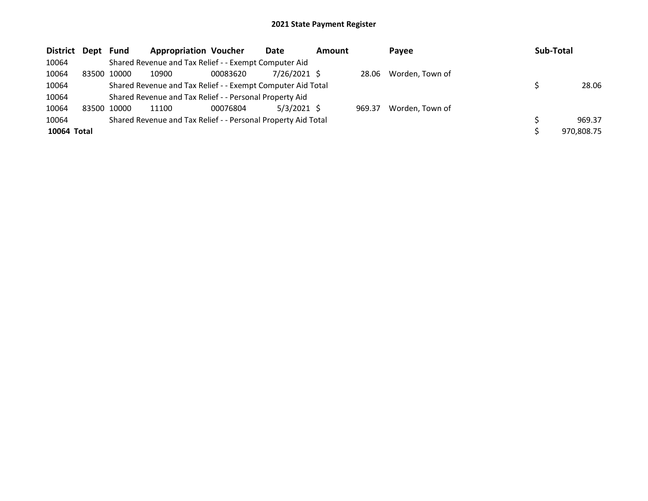| District Dept Fund |       |       | <b>Appropriation Voucher</b>                                  |          | Date           | <b>Amount</b> |        | Payee           |  | Sub-Total |            |  |
|--------------------|-------|-------|---------------------------------------------------------------|----------|----------------|---------------|--------|-----------------|--|-----------|------------|--|
| 10064              |       |       | Shared Revenue and Tax Relief - - Exempt Computer Aid         |          |                |               |        |                 |  |           |            |  |
| 10064              | 83500 | 10000 | 10900                                                         | 00083620 | $7/26/2021$ \$ |               | 28.06  | Worden, Town of |  |           |            |  |
| 10064              |       |       | Shared Revenue and Tax Relief - - Exempt Computer Aid Total   |          |                |               |        |                 |  |           | 28.06      |  |
| 10064              |       |       | Shared Revenue and Tax Relief - - Personal Property Aid       |          |                |               |        |                 |  |           |            |  |
| 10064              | 83500 | 10000 | 11100                                                         | 00076804 | $5/3/2021$ \$  |               | 969.37 | Worden, Town of |  |           |            |  |
| 10064              |       |       | Shared Revenue and Tax Relief - - Personal Property Aid Total |          |                |               |        |                 |  |           | 969.37     |  |
| 10064 Total        |       |       |                                                               |          |                |               |        |                 |  |           | 970,808.75 |  |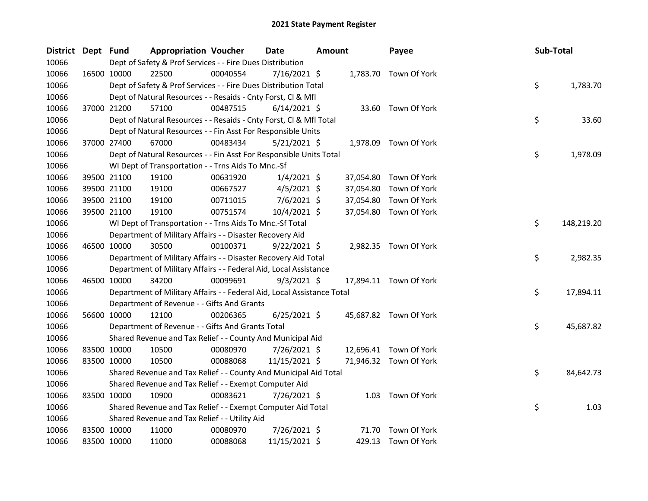| District Dept Fund |             |             | <b>Appropriation Voucher</b>                                           |          | Date           | <b>Amount</b> |           | Payee                  | Sub-Total |            |
|--------------------|-------------|-------------|------------------------------------------------------------------------|----------|----------------|---------------|-----------|------------------------|-----------|------------|
| 10066              |             |             | Dept of Safety & Prof Services - - Fire Dues Distribution              |          |                |               |           |                        |           |            |
| 10066              |             | 16500 10000 | 22500                                                                  | 00040554 | $7/16/2021$ \$ |               |           | 1,783.70 Town Of York  |           |            |
| 10066              |             |             | Dept of Safety & Prof Services - - Fire Dues Distribution Total        |          |                |               |           |                        | \$        | 1,783.70   |
| 10066              |             |             | Dept of Natural Resources - - Resaids - Cnty Forst, Cl & Mfl           |          |                |               |           |                        |           |            |
| 10066              |             | 37000 21200 | 57100                                                                  | 00487515 | $6/14/2021$ \$ |               |           | 33.60 Town Of York     |           |            |
| 10066              |             |             | Dept of Natural Resources - - Resaids - Cnty Forst, Cl & Mfl Total     |          |                |               |           |                        | \$        | 33.60      |
| 10066              |             |             | Dept of Natural Resources - - Fin Asst For Responsible Units           |          |                |               |           |                        |           |            |
| 10066              |             | 37000 27400 | 67000                                                                  | 00483434 | $5/21/2021$ \$ |               | 1,978.09  | Town Of York           |           |            |
| 10066              |             |             | Dept of Natural Resources - - Fin Asst For Responsible Units Total     |          |                |               |           |                        | \$        | 1,978.09   |
| 10066              |             |             | WI Dept of Transportation - - Trns Aids To Mnc.-Sf                     |          |                |               |           |                        |           |            |
| 10066              |             | 39500 21100 | 19100                                                                  | 00631920 | $1/4/2021$ \$  |               | 37,054.80 | Town Of York           |           |            |
| 10066              |             | 39500 21100 | 19100                                                                  | 00667527 | $4/5/2021$ \$  |               | 37,054.80 | Town Of York           |           |            |
| 10066              |             | 39500 21100 | 19100                                                                  | 00711015 | 7/6/2021 \$    |               | 37,054.80 | Town Of York           |           |            |
| 10066              |             | 39500 21100 | 19100                                                                  | 00751574 | 10/4/2021 \$   |               |           | 37,054.80 Town Of York |           |            |
| 10066              |             |             | WI Dept of Transportation - - Trns Aids To Mnc.-Sf Total               |          |                |               |           |                        | \$        | 148,219.20 |
| 10066              |             |             | Department of Military Affairs - - Disaster Recovery Aid               |          |                |               |           |                        |           |            |
| 10066              |             | 46500 10000 | 30500                                                                  | 00100371 | $9/22/2021$ \$ |               |           | 2,982.35 Town Of York  |           |            |
| 10066              |             |             | Department of Military Affairs - - Disaster Recovery Aid Total         |          |                |               |           |                        | \$        | 2,982.35   |
| 10066              |             |             | Department of Military Affairs - - Federal Aid, Local Assistance       |          |                |               |           |                        |           |            |
| 10066              |             | 46500 10000 | 34200                                                                  | 00099691 | $9/3/2021$ \$  |               |           | 17,894.11 Town Of York |           |            |
| 10066              |             |             | Department of Military Affairs - - Federal Aid, Local Assistance Total |          |                |               |           |                        | \$        | 17,894.11  |
| 10066              |             |             | Department of Revenue - - Gifts And Grants                             |          |                |               |           |                        |           |            |
| 10066              |             | 56600 10000 | 12100                                                                  | 00206365 | $6/25/2021$ \$ |               |           | 45,687.82 Town Of York |           |            |
| 10066              |             |             | Department of Revenue - - Gifts And Grants Total                       |          |                |               |           |                        | \$        | 45,687.82  |
| 10066              |             |             | Shared Revenue and Tax Relief - - County And Municipal Aid             |          |                |               |           |                        |           |            |
| 10066              |             | 83500 10000 | 10500                                                                  | 00080970 | 7/26/2021 \$   |               |           | 12,696.41 Town Of York |           |            |
| 10066              |             | 83500 10000 | 10500                                                                  | 00088068 | 11/15/2021 \$  |               |           | 71,946.32 Town Of York |           |            |
| 10066              |             |             | Shared Revenue and Tax Relief - - County And Municipal Aid Total       |          |                |               |           |                        | \$        | 84,642.73  |
| 10066              |             |             | Shared Revenue and Tax Relief - - Exempt Computer Aid                  |          |                |               |           |                        |           |            |
| 10066              |             | 83500 10000 | 10900                                                                  | 00083621 | 7/26/2021 \$   |               | 1.03      | Town Of York           |           |            |
| 10066              |             |             | Shared Revenue and Tax Relief - - Exempt Computer Aid Total            |          |                |               |           |                        | \$        | 1.03       |
| 10066              |             |             | Shared Revenue and Tax Relief - - Utility Aid                          |          |                |               |           |                        |           |            |
| 10066              |             | 83500 10000 | 11000                                                                  | 00080970 | 7/26/2021 \$   |               | 71.70     | Town Of York           |           |            |
| 10066              | 83500 10000 |             | 11000                                                                  | 00088068 | 11/15/2021 \$  |               | 429.13    | Town Of York           |           |            |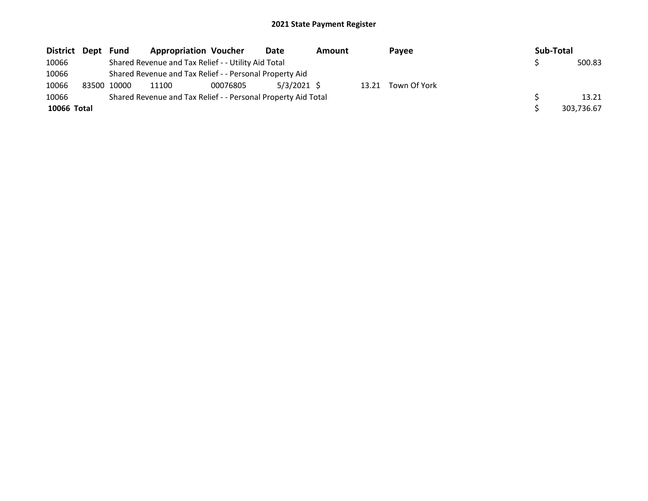| District Dept | Fund        | <b>Appropriation Voucher</b>                                  |          | Date          | <b>Amount</b> |       | Payee        |  | Sub-Total |            |
|---------------|-------------|---------------------------------------------------------------|----------|---------------|---------------|-------|--------------|--|-----------|------------|
| 10066         |             | Shared Revenue and Tax Relief - - Utility Aid Total           |          |               |               |       |              |  |           | 500.83     |
| 10066         |             | Shared Revenue and Tax Relief - - Personal Property Aid       |          |               |               |       |              |  |           |            |
| 10066         | 83500 10000 | 11100                                                         | 00076805 | $5/3/2021$ \$ |               | 13.21 | Town Of York |  |           |            |
| 10066         |             | Shared Revenue and Tax Relief - - Personal Property Aid Total |          |               |               |       |              |  |           | 13.21      |
| 10066 Total   |             |                                                               |          |               |               |       |              |  |           | 303.736.67 |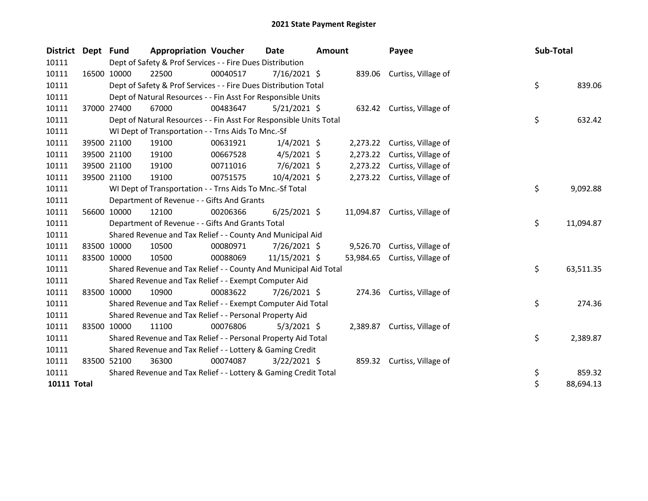| District Dept Fund |                                                                                                                              | <b>Appropriation Voucher</b>                                       |          | Date           | <b>Amount</b> |           | Payee                        |  | Sub-Total |           |  |
|--------------------|------------------------------------------------------------------------------------------------------------------------------|--------------------------------------------------------------------|----------|----------------|---------------|-----------|------------------------------|--|-----------|-----------|--|
| 10111              | Dept of Safety & Prof Services - - Fire Dues Distribution<br>22500<br>00040517<br>7/16/2021 \$<br>839.06 Curtiss, Village of |                                                                    |          |                |               |           |                              |  |           |           |  |
| 10111              | 16500 10000                                                                                                                  |                                                                    |          |                |               |           |                              |  |           |           |  |
| 10111              |                                                                                                                              | Dept of Safety & Prof Services - - Fire Dues Distribution Total    |          |                |               |           |                              |  | \$        | 839.06    |  |
| 10111              |                                                                                                                              | Dept of Natural Resources - - Fin Asst For Responsible Units       |          |                |               |           |                              |  |           |           |  |
| 10111              | 37000 27400                                                                                                                  | 67000                                                              | 00483647 | $5/21/2021$ \$ |               |           | 632.42 Curtiss, Village of   |  |           |           |  |
| 10111              |                                                                                                                              | Dept of Natural Resources - - Fin Asst For Responsible Units Total |          |                |               |           |                              |  | \$        | 632.42    |  |
| 10111              |                                                                                                                              | WI Dept of Transportation - - Trns Aids To Mnc.-Sf                 |          |                |               |           |                              |  |           |           |  |
| 10111              | 39500 21100                                                                                                                  | 19100                                                              | 00631921 | $1/4/2021$ \$  |               |           | 2,273.22 Curtiss, Village of |  |           |           |  |
| 10111              | 39500 21100                                                                                                                  | 19100                                                              | 00667528 | $4/5/2021$ \$  |               |           | 2,273.22 Curtiss, Village of |  |           |           |  |
| 10111              | 39500 21100                                                                                                                  | 19100                                                              | 00711016 | $7/6/2021$ \$  |               |           | 2,273.22 Curtiss, Village of |  |           |           |  |
| 10111              | 39500 21100                                                                                                                  | 19100                                                              | 00751575 | 10/4/2021 \$   |               |           | 2,273.22 Curtiss, Village of |  |           |           |  |
| 10111              |                                                                                                                              | WI Dept of Transportation - - Trns Aids To Mnc.-Sf Total           |          |                |               |           |                              |  | \$        | 9,092.88  |  |
| 10111              |                                                                                                                              | Department of Revenue - - Gifts And Grants                         |          |                |               |           |                              |  |           |           |  |
| 10111              | 56600 10000                                                                                                                  | 12100                                                              | 00206366 | $6/25/2021$ \$ |               | 11,094.87 | Curtiss, Village of          |  |           |           |  |
| 10111              |                                                                                                                              | Department of Revenue - - Gifts And Grants Total                   |          |                |               |           |                              |  | \$        | 11,094.87 |  |
| 10111              |                                                                                                                              | Shared Revenue and Tax Relief - - County And Municipal Aid         |          |                |               |           |                              |  |           |           |  |
| 10111              | 83500 10000                                                                                                                  | 10500                                                              | 00080971 | 7/26/2021 \$   |               |           | 9,526.70 Curtiss, Village of |  |           |           |  |
| 10111              | 83500 10000                                                                                                                  | 10500                                                              | 00088069 | 11/15/2021 \$  |               | 53,984.65 | Curtiss, Village of          |  |           |           |  |
| 10111              |                                                                                                                              | Shared Revenue and Tax Relief - - County And Municipal Aid Total   |          |                |               |           |                              |  | \$        | 63,511.35 |  |
| 10111              |                                                                                                                              | Shared Revenue and Tax Relief - - Exempt Computer Aid              |          |                |               |           |                              |  |           |           |  |
| 10111              | 83500 10000                                                                                                                  | 10900                                                              | 00083622 | 7/26/2021 \$   |               |           | 274.36 Curtiss, Village of   |  |           |           |  |
| 10111              |                                                                                                                              | Shared Revenue and Tax Relief - - Exempt Computer Aid Total        |          |                |               |           |                              |  | \$        | 274.36    |  |
| 10111              |                                                                                                                              | Shared Revenue and Tax Relief - - Personal Property Aid            |          |                |               |           |                              |  |           |           |  |
| 10111              | 83500 10000                                                                                                                  | 11100                                                              | 00076806 | $5/3/2021$ \$  |               |           | 2,389.87 Curtiss, Village of |  |           |           |  |
| 10111              |                                                                                                                              | Shared Revenue and Tax Relief - - Personal Property Aid Total      |          |                |               |           |                              |  | \$        | 2,389.87  |  |
| 10111              |                                                                                                                              | Shared Revenue and Tax Relief - - Lottery & Gaming Credit          |          |                |               |           |                              |  |           |           |  |
| 10111              | 83500 52100                                                                                                                  | 36300                                                              | 00074087 | $3/22/2021$ \$ |               |           | 859.32 Curtiss, Village of   |  |           |           |  |
| 10111              |                                                                                                                              | Shared Revenue and Tax Relief - - Lottery & Gaming Credit Total    |          |                |               |           |                              |  | \$        | 859.32    |  |
| <b>10111 Total</b> |                                                                                                                              |                                                                    |          |                |               |           |                              |  | \$        | 88,694.13 |  |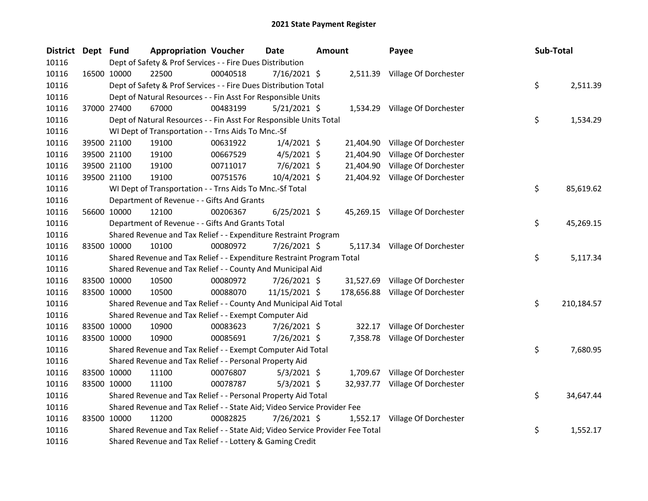| District Dept Fund |                                                           | <b>Appropriation Voucher</b>                                                  |          | Date           | <b>Amount</b> |        | Payee                            | Sub-Total |            |
|--------------------|-----------------------------------------------------------|-------------------------------------------------------------------------------|----------|----------------|---------------|--------|----------------------------------|-----------|------------|
| 10116              | Dept of Safety & Prof Services - - Fire Dues Distribution |                                                                               |          |                |               |        |                                  |           |            |
| 10116              | 16500 10000                                               | 22500                                                                         | 00040518 | 7/16/2021 \$   |               |        | 2,511.39 Village Of Dorchester   |           |            |
| 10116              |                                                           | Dept of Safety & Prof Services - - Fire Dues Distribution Total               |          |                |               |        |                                  | \$        | 2,511.39   |
| 10116              |                                                           | Dept of Natural Resources - - Fin Asst For Responsible Units                  |          |                |               |        |                                  |           |            |
| 10116              | 37000 27400                                               | 67000                                                                         | 00483199 | $5/21/2021$ \$ |               |        | 1,534.29 Village Of Dorchester   |           |            |
| 10116              |                                                           | Dept of Natural Resources - - Fin Asst For Responsible Units Total            |          |                |               |        |                                  | \$        | 1,534.29   |
| 10116              |                                                           | WI Dept of Transportation - - Trns Aids To Mnc.-Sf                            |          |                |               |        |                                  |           |            |
| 10116              | 39500 21100                                               | 19100                                                                         | 00631922 | $1/4/2021$ \$  |               |        | 21,404.90 Village Of Dorchester  |           |            |
| 10116              | 39500 21100                                               | 19100                                                                         | 00667529 | $4/5/2021$ \$  |               |        | 21,404.90 Village Of Dorchester  |           |            |
| 10116              | 39500 21100                                               | 19100                                                                         | 00711017 | 7/6/2021 \$    |               |        | 21,404.90 Village Of Dorchester  |           |            |
| 10116              | 39500 21100                                               | 19100                                                                         | 00751576 | 10/4/2021 \$   |               |        | 21,404.92 Village Of Dorchester  |           |            |
| 10116              |                                                           | WI Dept of Transportation - - Trns Aids To Mnc.-Sf Total                      |          |                |               |        |                                  | \$        | 85,619.62  |
| 10116              |                                                           | Department of Revenue - - Gifts And Grants                                    |          |                |               |        |                                  |           |            |
| 10116              | 56600 10000                                               | 12100                                                                         | 00206367 | $6/25/2021$ \$ |               |        | 45,269.15 Village Of Dorchester  |           |            |
| 10116              |                                                           | Department of Revenue - - Gifts And Grants Total                              |          |                |               |        |                                  | \$        | 45,269.15  |
| 10116              |                                                           | Shared Revenue and Tax Relief - - Expenditure Restraint Program               |          |                |               |        |                                  |           |            |
| 10116              | 83500 10000                                               | 10100                                                                         | 00080972 | 7/26/2021 \$   |               |        | 5,117.34 Village Of Dorchester   |           |            |
| 10116              |                                                           | Shared Revenue and Tax Relief - - Expenditure Restraint Program Total         |          |                |               |        |                                  | \$        | 5,117.34   |
| 10116              |                                                           | Shared Revenue and Tax Relief - - County And Municipal Aid                    |          |                |               |        |                                  |           |            |
| 10116              | 83500 10000                                               | 10500                                                                         | 00080972 | 7/26/2021 \$   |               |        | 31,527.69 Village Of Dorchester  |           |            |
| 10116              | 83500 10000                                               | 10500                                                                         | 00088070 | 11/15/2021 \$  |               |        | 178,656.88 Village Of Dorchester |           |            |
| 10116              |                                                           | Shared Revenue and Tax Relief - - County And Municipal Aid Total              |          |                |               |        |                                  | \$        | 210,184.57 |
| 10116              |                                                           | Shared Revenue and Tax Relief - - Exempt Computer Aid                         |          |                |               |        |                                  |           |            |
| 10116              | 83500 10000                                               | 10900                                                                         | 00083623 | 7/26/2021 \$   |               | 322.17 | Village Of Dorchester            |           |            |
| 10116              | 83500 10000                                               | 10900                                                                         | 00085691 | 7/26/2021 \$   |               |        | 7,358.78 Village Of Dorchester   |           |            |
| 10116              |                                                           | Shared Revenue and Tax Relief - - Exempt Computer Aid Total                   |          |                |               |        |                                  | \$        | 7,680.95   |
| 10116              |                                                           | Shared Revenue and Tax Relief - - Personal Property Aid                       |          |                |               |        |                                  |           |            |
| 10116              | 83500 10000                                               | 11100                                                                         | 00076807 | $5/3/2021$ \$  |               |        | 1,709.67 Village Of Dorchester   |           |            |
| 10116              | 83500 10000                                               | 11100                                                                         | 00078787 | $5/3/2021$ \$  |               |        | 32,937.77 Village Of Dorchester  |           |            |
| 10116              |                                                           | Shared Revenue and Tax Relief - - Personal Property Aid Total                 |          |                |               |        |                                  | \$        | 34,647.44  |
| 10116              |                                                           | Shared Revenue and Tax Relief - - State Aid; Video Service Provider Fee       |          |                |               |        |                                  |           |            |
| 10116              | 83500 10000                                               | 11200                                                                         | 00082825 | 7/26/2021 \$   |               |        | 1,552.17 Village Of Dorchester   |           |            |
| 10116              |                                                           | Shared Revenue and Tax Relief - - State Aid; Video Service Provider Fee Total |          |                |               |        |                                  | \$        | 1,552.17   |
| 10116              |                                                           | Shared Revenue and Tax Relief - - Lottery & Gaming Credit                     |          |                |               |        |                                  |           |            |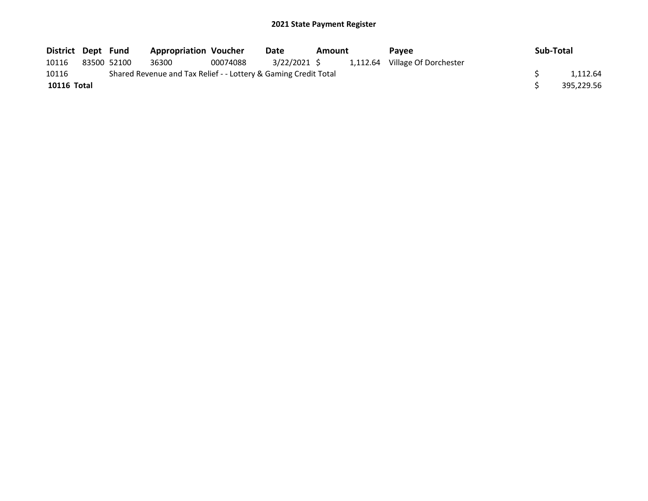| District Dept Fund |             | <b>Appropriation Voucher</b>                                    |          | Date         | Amount | Pavee                          | Sub-Total |            |
|--------------------|-------------|-----------------------------------------------------------------|----------|--------------|--------|--------------------------------|-----------|------------|
| 10116              | 83500 52100 | 36300                                                           | 00074088 | 3/22/2021 \$ |        | 1,112.64 Village Of Dorchester |           |            |
| 10116              |             | Shared Revenue and Tax Relief - - Lottery & Gaming Credit Total |          |              |        |                                |           | 1.112.64   |
| <b>10116 Total</b> |             |                                                                 |          |              |        |                                |           | 395.229.56 |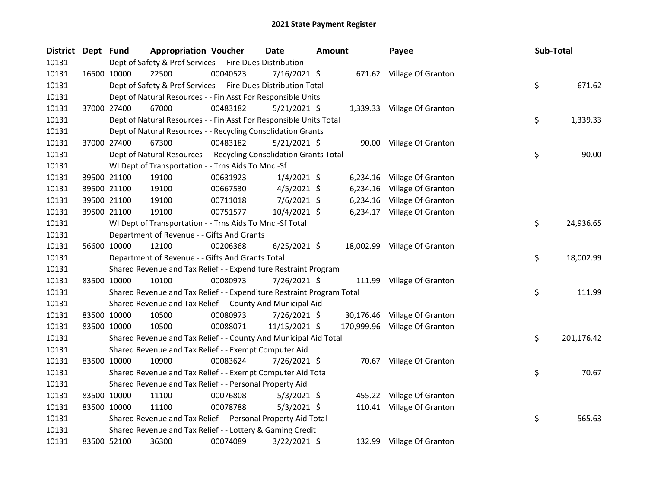| <b>District</b> | Dept Fund |             | <b>Appropriation Voucher</b>                                          |          | <b>Date</b>    | <b>Amount</b> |          | Payee                         | Sub-Total |            |
|-----------------|-----------|-------------|-----------------------------------------------------------------------|----------|----------------|---------------|----------|-------------------------------|-----------|------------|
| 10131           |           |             | Dept of Safety & Prof Services - - Fire Dues Distribution             |          |                |               |          |                               |           |            |
| 10131           |           | 16500 10000 | 22500                                                                 | 00040523 | $7/16/2021$ \$ |               |          | 671.62 Village Of Granton     |           |            |
| 10131           |           |             | Dept of Safety & Prof Services - - Fire Dues Distribution Total       |          |                |               |          |                               | \$        | 671.62     |
| 10131           |           |             | Dept of Natural Resources - - Fin Asst For Responsible Units          |          |                |               |          |                               |           |            |
| 10131           |           | 37000 27400 | 67000                                                                 | 00483182 | $5/21/2021$ \$ |               |          | 1,339.33 Village Of Granton   |           |            |
| 10131           |           |             | Dept of Natural Resources - - Fin Asst For Responsible Units Total    |          |                |               |          |                               | \$        | 1,339.33   |
| 10131           |           |             | Dept of Natural Resources - - Recycling Consolidation Grants          |          |                |               |          |                               |           |            |
| 10131           |           | 37000 27400 | 67300                                                                 | 00483182 | $5/21/2021$ \$ |               |          | 90.00 Village Of Granton      |           |            |
| 10131           |           |             | Dept of Natural Resources - - Recycling Consolidation Grants Total    |          |                |               |          |                               | \$        | 90.00      |
| 10131           |           |             | WI Dept of Transportation - - Trns Aids To Mnc.-Sf                    |          |                |               |          |                               |           |            |
| 10131           |           | 39500 21100 | 19100                                                                 | 00631923 | $1/4/2021$ \$  |               | 6,234.16 | Village Of Granton            |           |            |
| 10131           |           | 39500 21100 | 19100                                                                 | 00667530 | $4/5/2021$ \$  |               | 6,234.16 | Village Of Granton            |           |            |
| 10131           |           | 39500 21100 | 19100                                                                 | 00711018 | $7/6/2021$ \$  |               | 6,234.16 | Village Of Granton            |           |            |
| 10131           |           | 39500 21100 | 19100                                                                 | 00751577 | 10/4/2021 \$   |               |          | 6,234.17 Village Of Granton   |           |            |
| 10131           |           |             | WI Dept of Transportation - - Trns Aids To Mnc.-Sf Total              |          |                |               |          |                               | \$        | 24,936.65  |
| 10131           |           |             | Department of Revenue - - Gifts And Grants                            |          |                |               |          |                               |           |            |
| 10131           |           | 56600 10000 | 12100                                                                 | 00206368 | $6/25/2021$ \$ |               |          | 18,002.99 Village Of Granton  |           |            |
| 10131           |           |             | Department of Revenue - - Gifts And Grants Total                      |          |                |               |          |                               | \$        | 18,002.99  |
| 10131           |           |             | Shared Revenue and Tax Relief - - Expenditure Restraint Program       |          |                |               |          |                               |           |            |
| 10131           |           | 83500 10000 | 10100                                                                 | 00080973 | 7/26/2021 \$   |               |          | 111.99 Village Of Granton     |           |            |
| 10131           |           |             | Shared Revenue and Tax Relief - - Expenditure Restraint Program Total |          |                |               |          |                               | \$        | 111.99     |
| 10131           |           |             | Shared Revenue and Tax Relief - - County And Municipal Aid            |          |                |               |          |                               |           |            |
| 10131           |           | 83500 10000 | 10500                                                                 | 00080973 | 7/26/2021 \$   |               |          | 30,176.46 Village Of Granton  |           |            |
| 10131           |           | 83500 10000 | 10500                                                                 | 00088071 | 11/15/2021 \$  |               |          | 170,999.96 Village Of Granton |           |            |
| 10131           |           |             | Shared Revenue and Tax Relief - - County And Municipal Aid Total      |          |                |               |          |                               | \$        | 201,176.42 |
| 10131           |           |             | Shared Revenue and Tax Relief - - Exempt Computer Aid                 |          |                |               |          |                               |           |            |
| 10131           |           | 83500 10000 | 10900                                                                 | 00083624 | 7/26/2021 \$   |               |          | 70.67 Village Of Granton      |           |            |
| 10131           |           |             | Shared Revenue and Tax Relief - - Exempt Computer Aid Total           |          |                |               |          |                               | \$        | 70.67      |
| 10131           |           |             | Shared Revenue and Tax Relief - - Personal Property Aid               |          |                |               |          |                               |           |            |
| 10131           |           | 83500 10000 | 11100                                                                 | 00076808 | $5/3/2021$ \$  |               |          | 455.22 Village Of Granton     |           |            |
| 10131           |           | 83500 10000 | 11100                                                                 | 00078788 | $5/3/2021$ \$  |               |          | 110.41 Village Of Granton     |           |            |
| 10131           |           |             | Shared Revenue and Tax Relief - - Personal Property Aid Total         |          |                |               |          |                               | \$        | 565.63     |
| 10131           |           |             | Shared Revenue and Tax Relief - - Lottery & Gaming Credit             |          |                |               |          |                               |           |            |
| 10131           |           | 83500 52100 | 36300                                                                 | 00074089 | 3/22/2021 \$   |               |          | 132.99 Village Of Granton     |           |            |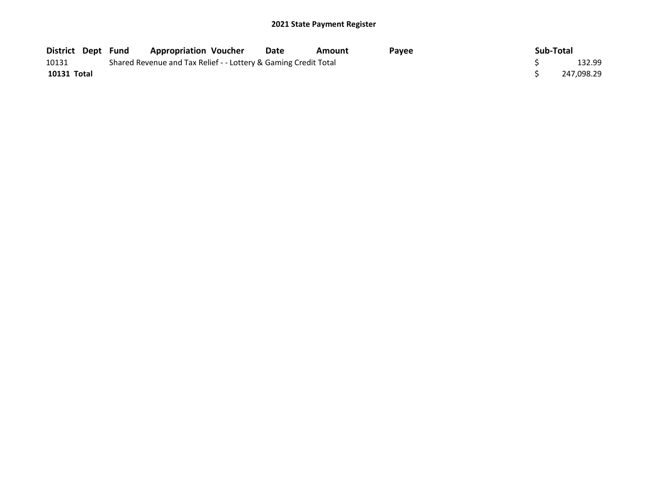| District Dept Fund |  | <b>Appropriation Voucher</b>                                    | Date | Amount | Pavee | Sub-Total |            |
|--------------------|--|-----------------------------------------------------------------|------|--------|-------|-----------|------------|
| 10131              |  | Shared Revenue and Tax Relief - - Lottery & Gaming Credit Total |      |        |       |           | 132.99     |
| 10131 Total        |  |                                                                 |      |        |       |           | 247,098.29 |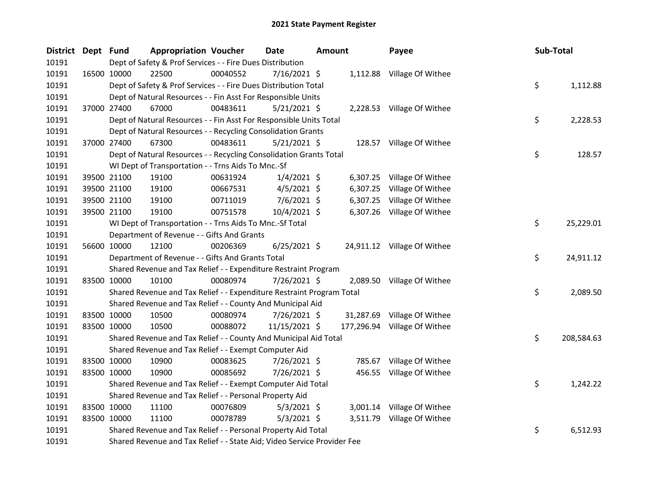| <b>District</b> | Dept Fund |             | <b>Appropriation Voucher</b>                                            |          | <b>Date</b>    | <b>Amount</b> |          | Payee                        | Sub-Total |            |
|-----------------|-----------|-------------|-------------------------------------------------------------------------|----------|----------------|---------------|----------|------------------------------|-----------|------------|
| 10191           |           |             | Dept of Safety & Prof Services - - Fire Dues Distribution               |          |                |               |          |                              |           |            |
| 10191           |           | 16500 10000 | 22500                                                                   | 00040552 | 7/16/2021 \$   |               |          | 1,112.88 Village Of Withee   |           |            |
| 10191           |           |             | Dept of Safety & Prof Services - - Fire Dues Distribution Total         |          |                |               |          |                              | \$        | 1,112.88   |
| 10191           |           |             | Dept of Natural Resources - - Fin Asst For Responsible Units            |          |                |               |          |                              |           |            |
| 10191           |           | 37000 27400 | 67000                                                                   | 00483611 | $5/21/2021$ \$ |               |          | 2,228.53 Village Of Withee   |           |            |
| 10191           |           |             | Dept of Natural Resources - - Fin Asst For Responsible Units Total      |          |                |               |          |                              | \$        | 2,228.53   |
| 10191           |           |             | Dept of Natural Resources - - Recycling Consolidation Grants            |          |                |               |          |                              |           |            |
| 10191           |           | 37000 27400 | 67300                                                                   | 00483611 | $5/21/2021$ \$ |               |          | 128.57 Village Of Withee     |           |            |
| 10191           |           |             | Dept of Natural Resources - - Recycling Consolidation Grants Total      |          |                |               |          |                              | \$        | 128.57     |
| 10191           |           |             | WI Dept of Transportation - - Trns Aids To Mnc.-Sf                      |          |                |               |          |                              |           |            |
| 10191           |           | 39500 21100 | 19100                                                                   | 00631924 | $1/4/2021$ \$  |               |          | 6,307.25 Village Of Withee   |           |            |
| 10191           |           | 39500 21100 | 19100                                                                   | 00667531 | $4/5/2021$ \$  |               |          | 6,307.25 Village Of Withee   |           |            |
| 10191           |           | 39500 21100 | 19100                                                                   | 00711019 | 7/6/2021 \$    |               | 6,307.25 | Village Of Withee            |           |            |
| 10191           |           | 39500 21100 | 19100                                                                   | 00751578 | 10/4/2021 \$   |               |          | 6,307.26 Village Of Withee   |           |            |
| 10191           |           |             | WI Dept of Transportation - - Trns Aids To Mnc.-Sf Total                |          |                |               |          |                              | \$        | 25,229.01  |
| 10191           |           |             | Department of Revenue - - Gifts And Grants                              |          |                |               |          |                              |           |            |
| 10191           |           | 56600 10000 | 12100                                                                   | 00206369 | $6/25/2021$ \$ |               |          | 24,911.12 Village Of Withee  |           |            |
| 10191           |           |             | Department of Revenue - - Gifts And Grants Total                        |          |                |               |          |                              | \$        | 24,911.12  |
| 10191           |           |             | Shared Revenue and Tax Relief - - Expenditure Restraint Program         |          |                |               |          |                              |           |            |
| 10191           |           | 83500 10000 | 10100                                                                   | 00080974 | 7/26/2021 \$   |               |          | 2,089.50 Village Of Withee   |           |            |
| 10191           |           |             | Shared Revenue and Tax Relief - - Expenditure Restraint Program Total   |          |                |               |          |                              | \$        | 2,089.50   |
| 10191           |           |             | Shared Revenue and Tax Relief - - County And Municipal Aid              |          |                |               |          |                              |           |            |
| 10191           |           | 83500 10000 | 10500                                                                   | 00080974 | 7/26/2021 \$   |               |          | 31,287.69 Village Of Withee  |           |            |
| 10191           |           | 83500 10000 | 10500                                                                   | 00088072 | 11/15/2021 \$  |               |          | 177,296.94 Village Of Withee |           |            |
| 10191           |           |             | Shared Revenue and Tax Relief - - County And Municipal Aid Total        |          |                |               |          |                              | \$        | 208,584.63 |
| 10191           |           |             | Shared Revenue and Tax Relief - - Exempt Computer Aid                   |          |                |               |          |                              |           |            |
| 10191           |           | 83500 10000 | 10900                                                                   | 00083625 | 7/26/2021 \$   |               |          | 785.67 Village Of Withee     |           |            |
| 10191           |           | 83500 10000 | 10900                                                                   | 00085692 | 7/26/2021 \$   |               |          | 456.55 Village Of Withee     |           |            |
| 10191           |           |             | Shared Revenue and Tax Relief - - Exempt Computer Aid Total             |          |                |               |          |                              | \$        | 1,242.22   |
| 10191           |           |             | Shared Revenue and Tax Relief - - Personal Property Aid                 |          |                |               |          |                              |           |            |
| 10191           |           | 83500 10000 | 11100                                                                   | 00076809 | $5/3/2021$ \$  |               |          | 3,001.14 Village Of Withee   |           |            |
| 10191           |           | 83500 10000 | 11100                                                                   | 00078789 | $5/3/2021$ \$  |               |          | 3,511.79 Village Of Withee   |           |            |
| 10191           |           |             | Shared Revenue and Tax Relief - - Personal Property Aid Total           |          |                |               |          |                              | \$        | 6,512.93   |
| 10191           |           |             | Shared Revenue and Tax Relief - - State Aid; Video Service Provider Fee |          |                |               |          |                              |           |            |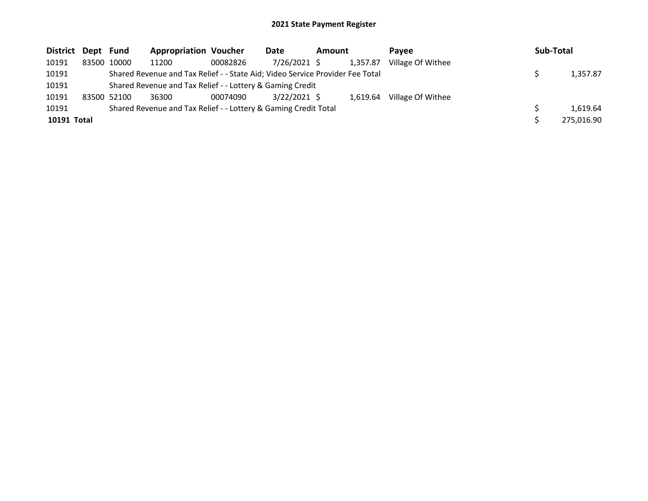| District Dept Fund |             | <b>Appropriation Voucher</b>                                                  |          | Date           | Amount |          | <b>Pavee</b>      | Sub-Total  |
|--------------------|-------------|-------------------------------------------------------------------------------|----------|----------------|--------|----------|-------------------|------------|
| 10191              | 83500 10000 | 11200                                                                         | 00082826 | 7/26/2021 \$   |        | 1,357.87 | Village Of Withee |            |
| 10191              |             | Shared Revenue and Tax Relief - - State Aid; Video Service Provider Fee Total |          |                |        |          |                   | 1,357.87   |
| 10191              |             | Shared Revenue and Tax Relief - - Lottery & Gaming Credit                     |          |                |        |          |                   |            |
| 10191              | 83500 52100 | 36300                                                                         | 00074090 | $3/22/2021$ \$ |        | 1.619.64 | Village Of Withee |            |
| 10191              |             | Shared Revenue and Tax Relief - - Lottery & Gaming Credit Total               |          |                |        |          |                   | 1.619.64   |
| 10191 Total        |             |                                                                               |          |                |        |          |                   | 275,016.90 |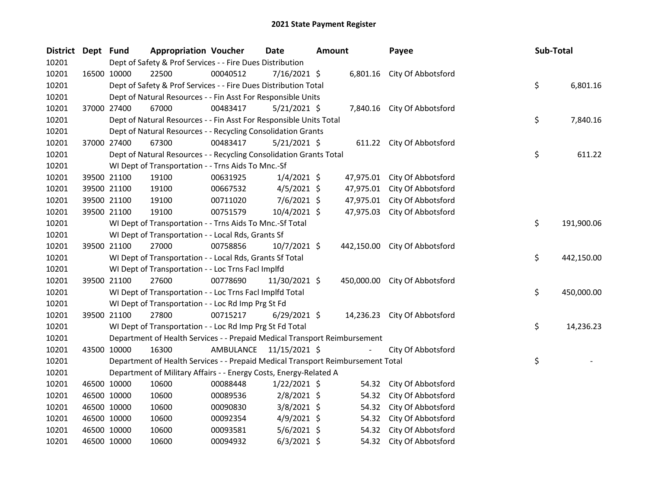| District Dept Fund |             |             | <b>Appropriation Voucher</b>                                                    |          | <b>Date</b>             | Amount |           | Payee                         | Sub-Total |            |
|--------------------|-------------|-------------|---------------------------------------------------------------------------------|----------|-------------------------|--------|-----------|-------------------------------|-----------|------------|
| 10201              |             |             | Dept of Safety & Prof Services - - Fire Dues Distribution                       |          |                         |        |           |                               |           |            |
| 10201              |             | 16500 10000 | 22500                                                                           | 00040512 | 7/16/2021 \$            |        |           | 6,801.16 City Of Abbotsford   |           |            |
| 10201              |             |             | Dept of Safety & Prof Services - - Fire Dues Distribution Total                 |          |                         |        |           |                               | \$        | 6,801.16   |
| 10201              |             |             | Dept of Natural Resources - - Fin Asst For Responsible Units                    |          |                         |        |           |                               |           |            |
| 10201              |             | 37000 27400 | 67000                                                                           | 00483417 | $5/21/2021$ \$          |        |           | 7,840.16 City Of Abbotsford   |           |            |
| 10201              |             |             | Dept of Natural Resources - - Fin Asst For Responsible Units Total              |          |                         |        |           |                               | \$        | 7,840.16   |
| 10201              |             |             | Dept of Natural Resources - - Recycling Consolidation Grants                    |          |                         |        |           |                               |           |            |
| 10201              |             | 37000 27400 | 67300                                                                           | 00483417 | $5/21/2021$ \$          |        |           | 611.22 City Of Abbotsford     |           |            |
| 10201              |             |             | Dept of Natural Resources - - Recycling Consolidation Grants Total              |          |                         |        |           |                               | \$        | 611.22     |
| 10201              |             |             | WI Dept of Transportation - - Trns Aids To Mnc.-Sf                              |          |                         |        |           |                               |           |            |
| 10201              |             | 39500 21100 | 19100                                                                           | 00631925 | $1/4/2021$ \$           |        | 47,975.01 | City Of Abbotsford            |           |            |
| 10201              |             | 39500 21100 | 19100                                                                           | 00667532 | 4/5/2021 \$             |        | 47,975.01 | City Of Abbotsford            |           |            |
| 10201              |             | 39500 21100 | 19100                                                                           | 00711020 | 7/6/2021 \$             |        |           | 47,975.01 City Of Abbotsford  |           |            |
| 10201              |             | 39500 21100 | 19100                                                                           | 00751579 | 10/4/2021 \$            |        | 47,975.03 | City Of Abbotsford            |           |            |
| 10201              |             |             | WI Dept of Transportation - - Trns Aids To Mnc.-Sf Total                        |          |                         |        |           |                               | \$        | 191,900.06 |
| 10201              |             |             | WI Dept of Transportation - - Local Rds, Grants Sf                              |          |                         |        |           |                               |           |            |
| 10201              |             | 39500 21100 | 27000                                                                           | 00758856 | $10/7/2021$ \$          |        |           | 442,150.00 City Of Abbotsford |           |            |
| 10201              |             |             | WI Dept of Transportation - - Local Rds, Grants Sf Total                        |          |                         |        |           |                               | \$        | 442,150.00 |
| 10201              |             |             | WI Dept of Transportation - - Loc Trns Facl Implfd                              |          |                         |        |           |                               |           |            |
| 10201              |             | 39500 21100 | 27600                                                                           | 00778690 | 11/30/2021 \$           |        |           | 450,000.00 City Of Abbotsford |           |            |
| 10201              |             |             | WI Dept of Transportation - - Loc Trns Facl Implfd Total                        |          |                         |        |           |                               | \$        | 450,000.00 |
| 10201              |             |             | WI Dept of Transportation - - Loc Rd Imp Prg St Fd                              |          |                         |        |           |                               |           |            |
| 10201              |             | 39500 21100 | 27800                                                                           | 00715217 | $6/29/2021$ \$          |        |           | 14,236.23 City Of Abbotsford  |           |            |
| 10201              |             |             | WI Dept of Transportation - - Loc Rd Imp Prg St Fd Total                        |          |                         |        |           |                               | \$        | 14,236.23  |
| 10201              |             |             | Department of Health Services - - Prepaid Medical Transport Reimbursement       |          |                         |        |           |                               |           |            |
| 10201              |             | 43500 10000 | 16300                                                                           |          | AMBULANCE 11/15/2021 \$ |        |           | City Of Abbotsford            |           |            |
| 10201              |             |             | Department of Health Services - - Prepaid Medical Transport Reimbursement Total |          |                         |        |           |                               | \$        |            |
| 10201              |             |             | Department of Military Affairs - - Energy Costs, Energy-Related A               |          |                         |        |           |                               |           |            |
| 10201              |             | 46500 10000 | 10600                                                                           | 00088448 | $1/22/2021$ \$          |        | 54.32     | City Of Abbotsford            |           |            |
| 10201              |             | 46500 10000 | 10600                                                                           | 00089536 | $2/8/2021$ \$           |        | 54.32     | City Of Abbotsford            |           |            |
| 10201              |             | 46500 10000 | 10600                                                                           | 00090830 | $3/8/2021$ \$           |        | 54.32     | City Of Abbotsford            |           |            |
| 10201              |             | 46500 10000 | 10600                                                                           | 00092354 | $4/9/2021$ \$           |        | 54.32     | City Of Abbotsford            |           |            |
| 10201              |             | 46500 10000 | 10600                                                                           | 00093581 | $5/6/2021$ \$           |        | 54.32     | City Of Abbotsford            |           |            |
| 10201              | 46500 10000 |             | 10600                                                                           | 00094932 | $6/3/2021$ \$           |        | 54.32     | City Of Abbotsford            |           |            |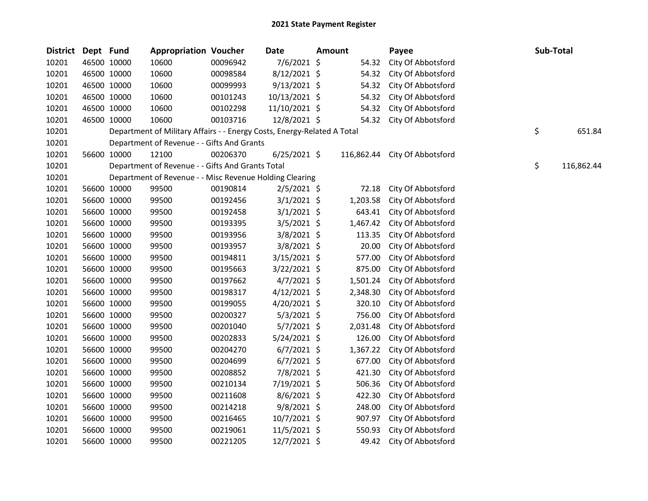| <b>District</b> | Dept Fund   |             | <b>Appropriation Voucher</b>                                            |          | Date           | <b>Amount</b> | Payee              |    | Sub-Total  |
|-----------------|-------------|-------------|-------------------------------------------------------------------------|----------|----------------|---------------|--------------------|----|------------|
| 10201           | 46500 10000 |             | 10600                                                                   | 00096942 | 7/6/2021 \$    | 54.32         | City Of Abbotsford |    |            |
| 10201           | 46500 10000 |             | 10600                                                                   | 00098584 | 8/12/2021 \$   | 54.32         | City Of Abbotsford |    |            |
| 10201           | 46500 10000 |             | 10600                                                                   | 00099993 | $9/13/2021$ \$ | 54.32         | City Of Abbotsford |    |            |
| 10201           | 46500 10000 |             | 10600                                                                   | 00101243 | 10/13/2021 \$  | 54.32         | City Of Abbotsford |    |            |
| 10201           | 46500 10000 |             | 10600                                                                   | 00102298 | 11/10/2021 \$  | 54.32         | City Of Abbotsford |    |            |
| 10201           | 46500 10000 |             | 10600                                                                   | 00103716 | 12/8/2021 \$   | 54.32         | City Of Abbotsford |    |            |
| 10201           |             |             | Department of Military Affairs - - Energy Costs, Energy-Related A Total |          |                |               |                    | \$ | 651.84     |
| 10201           |             |             | Department of Revenue - - Gifts And Grants                              |          |                |               |                    |    |            |
| 10201           | 56600 10000 |             | 12100                                                                   | 00206370 | $6/25/2021$ \$ | 116,862.44    | City Of Abbotsford |    |            |
| 10201           |             |             | Department of Revenue - - Gifts And Grants Total                        |          |                |               |                    | \$ | 116,862.44 |
| 10201           |             |             | Department of Revenue - - Misc Revenue Holding Clearing                 |          |                |               |                    |    |            |
| 10201           |             | 56600 10000 | 99500                                                                   | 00190814 | $2/5/2021$ \$  | 72.18         | City Of Abbotsford |    |            |
| 10201           |             | 56600 10000 | 99500                                                                   | 00192456 | $3/1/2021$ \$  | 1,203.58      | City Of Abbotsford |    |            |
| 10201           |             | 56600 10000 | 99500                                                                   | 00192458 | $3/1/2021$ \$  | 643.41        | City Of Abbotsford |    |            |
| 10201           |             | 56600 10000 | 99500                                                                   | 00193395 | $3/5/2021$ \$  | 1,467.42      | City Of Abbotsford |    |            |
| 10201           |             | 56600 10000 | 99500                                                                   | 00193956 | $3/8/2021$ \$  | 113.35        | City Of Abbotsford |    |            |
| 10201           |             | 56600 10000 | 99500                                                                   | 00193957 | $3/8/2021$ \$  | 20.00         | City Of Abbotsford |    |            |
| 10201           |             | 56600 10000 | 99500                                                                   | 00194811 | 3/15/2021 \$   | 577.00        | City Of Abbotsford |    |            |
| 10201           |             | 56600 10000 | 99500                                                                   | 00195663 | 3/22/2021 \$   | 875.00        | City Of Abbotsford |    |            |
| 10201           | 56600 10000 |             | 99500                                                                   | 00197662 | $4/7/2021$ \$  | 1,501.24      | City Of Abbotsford |    |            |
| 10201           | 56600 10000 |             | 99500                                                                   | 00198317 | $4/12/2021$ \$ | 2,348.30      | City Of Abbotsford |    |            |
| 10201           |             | 56600 10000 | 99500                                                                   | 00199055 | $4/20/2021$ \$ | 320.10        | City Of Abbotsford |    |            |
| 10201           |             | 56600 10000 | 99500                                                                   | 00200327 | $5/3/2021$ \$  | 756.00        | City Of Abbotsford |    |            |
| 10201           |             | 56600 10000 | 99500                                                                   | 00201040 | $5/7/2021$ \$  | 2,031.48      | City Of Abbotsford |    |            |
| 10201           |             | 56600 10000 | 99500                                                                   | 00202833 | 5/24/2021 \$   | 126.00        | City Of Abbotsford |    |            |
| 10201           |             | 56600 10000 | 99500                                                                   | 00204270 | $6/7/2021$ \$  | 1,367.22      | City Of Abbotsford |    |            |
| 10201           | 56600 10000 |             | 99500                                                                   | 00204699 | $6/7/2021$ \$  | 677.00        | City Of Abbotsford |    |            |
| 10201           |             | 56600 10000 | 99500                                                                   | 00208852 | 7/8/2021 \$    | 421.30        | City Of Abbotsford |    |            |
| 10201           |             | 56600 10000 | 99500                                                                   | 00210134 | 7/19/2021 \$   | 506.36        | City Of Abbotsford |    |            |
| 10201           |             | 56600 10000 | 99500                                                                   | 00211608 | $8/6/2021$ \$  | 422.30        | City Of Abbotsford |    |            |
| 10201           |             | 56600 10000 | 99500                                                                   | 00214218 | 9/8/2021 \$    | 248.00        | City Of Abbotsford |    |            |
| 10201           |             | 56600 10000 | 99500                                                                   | 00216465 | 10/7/2021 \$   | 907.97        | City Of Abbotsford |    |            |
| 10201           |             | 56600 10000 | 99500                                                                   | 00219061 | 11/5/2021 \$   | 550.93        | City Of Abbotsford |    |            |
| 10201           | 56600 10000 |             | 99500                                                                   | 00221205 | 12/7/2021 \$   | 49.42         | City Of Abbotsford |    |            |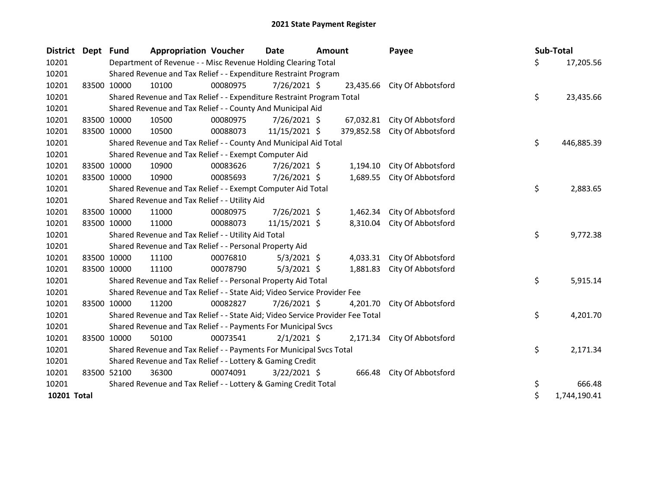| District Dept | <b>Fund</b> | <b>Appropriation Voucher</b>                                                  |          | Date           | <b>Amount</b> |            | Payee                       | Sub-Total |              |
|---------------|-------------|-------------------------------------------------------------------------------|----------|----------------|---------------|------------|-----------------------------|-----------|--------------|
| 10201         |             | Department of Revenue - - Misc Revenue Holding Clearing Total                 |          |                |               |            |                             | \$        | 17,205.56    |
| 10201         |             | Shared Revenue and Tax Relief - - Expenditure Restraint Program               |          |                |               |            |                             |           |              |
| 10201         | 83500 10000 | 10100                                                                         | 00080975 | 7/26/2021 \$   |               | 23,435.66  | City Of Abbotsford          |           |              |
| 10201         |             | Shared Revenue and Tax Relief - - Expenditure Restraint Program Total         |          |                |               |            |                             | \$        | 23,435.66    |
| 10201         |             | Shared Revenue and Tax Relief - - County And Municipal Aid                    |          |                |               |            |                             |           |              |
| 10201         | 83500 10000 | 10500                                                                         | 00080975 | 7/26/2021 \$   |               | 67,032.81  | City Of Abbotsford          |           |              |
| 10201         | 83500 10000 | 10500                                                                         | 00088073 | 11/15/2021 \$  |               | 379,852.58 | City Of Abbotsford          |           |              |
| 10201         |             | Shared Revenue and Tax Relief - - County And Municipal Aid Total              |          |                |               |            |                             | \$        | 446,885.39   |
| 10201         |             | Shared Revenue and Tax Relief - - Exempt Computer Aid                         |          |                |               |            |                             |           |              |
| 10201         | 83500 10000 | 10900                                                                         | 00083626 | 7/26/2021 \$   |               | 1,194.10   | City Of Abbotsford          |           |              |
| 10201         | 83500 10000 | 10900                                                                         | 00085693 | 7/26/2021 \$   |               | 1,689.55   | City Of Abbotsford          |           |              |
| 10201         |             | Shared Revenue and Tax Relief - - Exempt Computer Aid Total                   |          |                |               |            |                             | \$        | 2,883.65     |
| 10201         |             | Shared Revenue and Tax Relief - - Utility Aid                                 |          |                |               |            |                             |           |              |
| 10201         | 83500 10000 | 11000                                                                         | 00080975 | 7/26/2021 \$   |               | 1,462.34   | City Of Abbotsford          |           |              |
| 10201         | 83500 10000 | 11000                                                                         | 00088073 | 11/15/2021 \$  |               | 8,310.04   | City Of Abbotsford          |           |              |
| 10201         |             | Shared Revenue and Tax Relief - - Utility Aid Total                           |          |                |               |            |                             | \$        | 9,772.38     |
| 10201         |             | Shared Revenue and Tax Relief - - Personal Property Aid                       |          |                |               |            |                             |           |              |
| 10201         | 83500 10000 | 11100                                                                         | 00076810 | $5/3/2021$ \$  |               |            | 4,033.31 City Of Abbotsford |           |              |
| 10201         | 83500 10000 | 11100                                                                         | 00078790 | $5/3/2021$ \$  |               | 1,881.83   | City Of Abbotsford          |           |              |
| 10201         |             | Shared Revenue and Tax Relief - - Personal Property Aid Total                 |          |                |               |            |                             | \$        | 5,915.14     |
| 10201         |             | Shared Revenue and Tax Relief - - State Aid; Video Service Provider Fee       |          |                |               |            |                             |           |              |
| 10201         | 83500 10000 | 11200                                                                         | 00082827 | 7/26/2021 \$   |               | 4,201.70   | City Of Abbotsford          |           |              |
| 10201         |             | Shared Revenue and Tax Relief - - State Aid; Video Service Provider Fee Total |          |                |               |            |                             | \$        | 4,201.70     |
| 10201         |             | Shared Revenue and Tax Relief - - Payments For Municipal Svcs                 |          |                |               |            |                             |           |              |
| 10201         | 83500 10000 | 50100                                                                         | 00073541 | $2/1/2021$ \$  |               |            | 2,171.34 City Of Abbotsford |           |              |
| 10201         |             | Shared Revenue and Tax Relief - - Payments For Municipal Svcs Total           |          |                |               |            |                             | \$        | 2,171.34     |
| 10201         |             | Shared Revenue and Tax Relief - - Lottery & Gaming Credit                     |          |                |               |            |                             |           |              |
| 10201         | 83500 52100 | 36300                                                                         | 00074091 | $3/22/2021$ \$ |               |            | 666.48 City Of Abbotsford   |           |              |
| 10201         |             | Shared Revenue and Tax Relief - - Lottery & Gaming Credit Total               |          |                |               |            |                             | \$        | 666.48       |
| 10201 Total   |             |                                                                               |          |                |               |            |                             | \$        | 1,744,190.41 |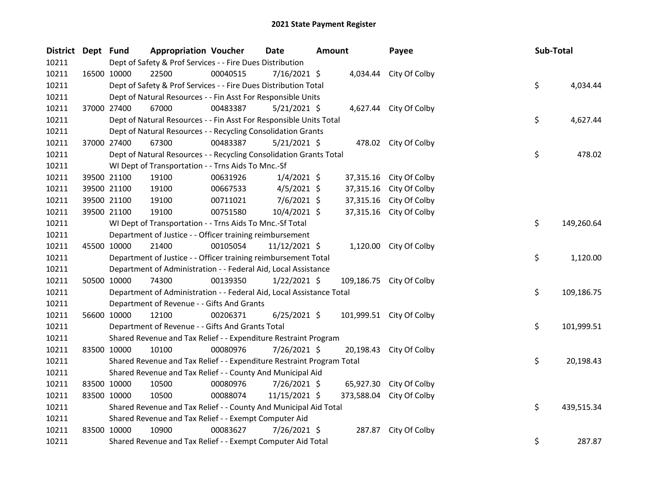| District Dept Fund |             | <b>Appropriation Voucher</b>                                          |          | <b>Date</b>    | <b>Amount</b> | Payee                    | Sub-Total |            |
|--------------------|-------------|-----------------------------------------------------------------------|----------|----------------|---------------|--------------------------|-----------|------------|
| 10211              |             | Dept of Safety & Prof Services - - Fire Dues Distribution             |          |                |               |                          |           |            |
| 10211              |             | 22500<br>16500 10000                                                  | 00040515 | 7/16/2021 \$   |               | 4,034.44 City Of Colby   |           |            |
| 10211              |             | Dept of Safety & Prof Services - - Fire Dues Distribution Total       |          |                |               |                          | \$        | 4,034.44   |
| 10211              |             | Dept of Natural Resources - - Fin Asst For Responsible Units          |          |                |               |                          |           |            |
| 10211              |             | 37000 27400<br>67000                                                  | 00483387 | $5/21/2021$ \$ |               | 4,627.44 City Of Colby   |           |            |
| 10211              |             | Dept of Natural Resources - - Fin Asst For Responsible Units Total    |          |                |               |                          | \$        | 4,627.44   |
| 10211              |             | Dept of Natural Resources - - Recycling Consolidation Grants          |          |                |               |                          |           |            |
| 10211              | 37000 27400 | 67300                                                                 | 00483387 | $5/21/2021$ \$ |               | 478.02 City Of Colby     |           |            |
| 10211              |             | Dept of Natural Resources - - Recycling Consolidation Grants Total    |          |                |               |                          | \$        | 478.02     |
| 10211              |             | WI Dept of Transportation - - Trns Aids To Mnc.-Sf                    |          |                |               |                          |           |            |
| 10211              |             | 39500 21100<br>19100                                                  | 00631926 | $1/4/2021$ \$  | 37,315.16     | City Of Colby            |           |            |
| 10211              |             | 39500 21100<br>19100                                                  | 00667533 | $4/5/2021$ \$  | 37,315.16     | City Of Colby            |           |            |
| 10211              |             | 39500 21100<br>19100                                                  | 00711021 | $7/6/2021$ \$  | 37,315.16     | City Of Colby            |           |            |
| 10211              | 39500 21100 | 19100                                                                 | 00751580 | 10/4/2021 \$   | 37,315.16     | City Of Colby            |           |            |
| 10211              |             | WI Dept of Transportation - - Trns Aids To Mnc.-Sf Total              |          |                |               |                          | \$        | 149,260.64 |
| 10211              |             | Department of Justice - - Officer training reimbursement              |          |                |               |                          |           |            |
| 10211              | 45500 10000 | 21400                                                                 | 00105054 | 11/12/2021 \$  |               | 1,120.00 City Of Colby   |           |            |
| 10211              |             | Department of Justice - - Officer training reimbursement Total        |          |                |               |                          | \$        | 1,120.00   |
| 10211              |             | Department of Administration - - Federal Aid, Local Assistance        |          |                |               |                          |           |            |
| 10211              | 50500 10000 | 74300                                                                 | 00139350 | $1/22/2021$ \$ |               | 109,186.75 City Of Colby |           |            |
| 10211              |             | Department of Administration - - Federal Aid, Local Assistance Total  |          |                |               |                          | \$        | 109,186.75 |
| 10211              |             | Department of Revenue - - Gifts And Grants                            |          |                |               |                          |           |            |
| 10211              | 56600 10000 | 12100                                                                 | 00206371 | $6/25/2021$ \$ |               | 101,999.51 City Of Colby |           |            |
| 10211              |             | Department of Revenue - - Gifts And Grants Total                      |          |                |               |                          | \$        | 101,999.51 |
| 10211              |             | Shared Revenue and Tax Relief - - Expenditure Restraint Program       |          |                |               |                          |           |            |
| 10211              | 83500 10000 | 10100                                                                 | 00080976 | 7/26/2021 \$   | 20,198.43     | City Of Colby            |           |            |
| 10211              |             | Shared Revenue and Tax Relief - - Expenditure Restraint Program Total |          |                |               |                          | \$        | 20,198.43  |
| 10211              |             | Shared Revenue and Tax Relief - - County And Municipal Aid            |          |                |               |                          |           |            |
| 10211              |             | 83500 10000<br>10500                                                  | 00080976 | 7/26/2021 \$   | 65,927.30     | City Of Colby            |           |            |
| 10211              | 83500 10000 | 10500                                                                 | 00088074 | 11/15/2021 \$  | 373,588.04    | City Of Colby            |           |            |
| 10211              |             | Shared Revenue and Tax Relief - - County And Municipal Aid Total      |          |                |               |                          | \$        | 439,515.34 |
| 10211              |             | Shared Revenue and Tax Relief - - Exempt Computer Aid                 |          |                |               |                          |           |            |
| 10211              | 83500 10000 | 10900                                                                 | 00083627 | 7/26/2021 \$   | 287.87        | City Of Colby            |           |            |
| 10211              |             | Shared Revenue and Tax Relief - - Exempt Computer Aid Total           |          |                |               |                          | \$        | 287.87     |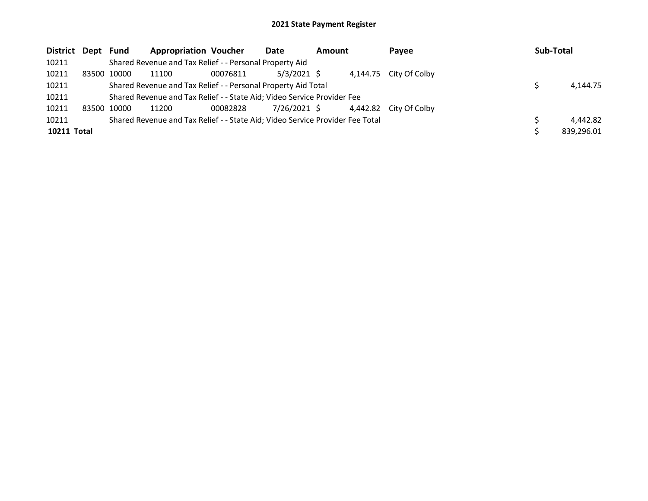| District Dept Fund |             |             | <b>Appropriation Voucher</b>                                                  |          | Date         | Amount | Payee                  | Sub-Total  |
|--------------------|-------------|-------------|-------------------------------------------------------------------------------|----------|--------------|--------|------------------------|------------|
| 10211              |             |             | Shared Revenue and Tax Relief - - Personal Property Aid                       |          |              |        |                        |            |
| 10211              | 83500 10000 |             | 11100                                                                         | 00076811 | 5/3/2021 \$  |        | 4,144.75 City Of Colby |            |
| 10211              |             |             | Shared Revenue and Tax Relief - - Personal Property Aid Total                 |          |              |        |                        | 4.144.75   |
| 10211              |             |             | Shared Revenue and Tax Relief - - State Aid; Video Service Provider Fee       |          |              |        |                        |            |
| 10211              |             | 83500 10000 | 11200                                                                         | 00082828 | 7/26/2021 \$ |        | 4,442.82 City Of Colby |            |
| 10211              |             |             | Shared Revenue and Tax Relief - - State Aid; Video Service Provider Fee Total |          |              |        |                        | 4,442.82   |
| 10211 Total        |             |             |                                                                               |          |              |        |                        | 839,296.01 |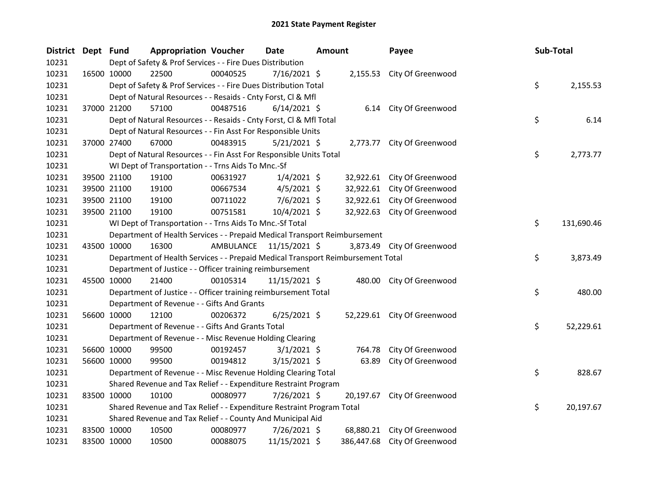| District Dept Fund |             | <b>Appropriation Voucher</b>                                                    |          | <b>Date</b>             | <b>Amount</b> |       | Payee                        | Sub-Total |            |
|--------------------|-------------|---------------------------------------------------------------------------------|----------|-------------------------|---------------|-------|------------------------------|-----------|------------|
| 10231              |             | Dept of Safety & Prof Services - - Fire Dues Distribution                       |          |                         |               |       |                              |           |            |
| 10231              | 16500 10000 | 22500                                                                           | 00040525 | 7/16/2021 \$            |               |       | 2,155.53 City Of Greenwood   |           |            |
| 10231              |             | Dept of Safety & Prof Services - - Fire Dues Distribution Total                 |          |                         |               |       |                              | \$        | 2,155.53   |
| 10231              |             | Dept of Natural Resources - - Resaids - Cnty Forst, Cl & Mfl                    |          |                         |               |       |                              |           |            |
| 10231              | 37000 21200 | 57100                                                                           | 00487516 | $6/14/2021$ \$          |               |       | 6.14 City Of Greenwood       |           |            |
| 10231              |             | Dept of Natural Resources - - Resaids - Cnty Forst, Cl & Mfl Total              |          |                         |               |       |                              | \$        | 6.14       |
| 10231              |             | Dept of Natural Resources - - Fin Asst For Responsible Units                    |          |                         |               |       |                              |           |            |
| 10231              | 37000 27400 | 67000                                                                           | 00483915 | $5/21/2021$ \$          |               |       | 2,773.77 City Of Greenwood   |           |            |
| 10231              |             | Dept of Natural Resources - - Fin Asst For Responsible Units Total              |          |                         |               |       |                              | \$        | 2,773.77   |
| 10231              |             | WI Dept of Transportation - - Trns Aids To Mnc.-Sf                              |          |                         |               |       |                              |           |            |
| 10231              | 39500 21100 | 19100                                                                           | 00631927 | $1/4/2021$ \$           |               |       | 32,922.61 City Of Greenwood  |           |            |
| 10231              | 39500 21100 | 19100                                                                           | 00667534 | $4/5/2021$ \$           |               |       | 32,922.61 City Of Greenwood  |           |            |
| 10231              | 39500 21100 | 19100                                                                           | 00711022 | $7/6/2021$ \$           |               |       | 32,922.61 City Of Greenwood  |           |            |
| 10231              | 39500 21100 | 19100                                                                           | 00751581 | 10/4/2021 \$            |               |       | 32,922.63 City Of Greenwood  |           |            |
| 10231              |             | WI Dept of Transportation - - Trns Aids To Mnc.-Sf Total                        |          |                         |               |       |                              | \$        | 131,690.46 |
| 10231              |             | Department of Health Services - - Prepaid Medical Transport Reimbursement       |          |                         |               |       |                              |           |            |
| 10231              | 43500 10000 | 16300                                                                           |          | AMBULANCE 11/15/2021 \$ |               |       | 3,873.49 City Of Greenwood   |           |            |
| 10231              |             | Department of Health Services - - Prepaid Medical Transport Reimbursement Total |          |                         |               |       |                              | \$        | 3,873.49   |
| 10231              |             | Department of Justice - - Officer training reimbursement                        |          |                         |               |       |                              |           |            |
| 10231              | 45500 10000 | 21400                                                                           | 00105314 | 11/15/2021 \$           |               |       | 480.00 City Of Greenwood     |           |            |
| 10231              |             | Department of Justice - - Officer training reimbursement Total                  |          |                         |               |       |                              | \$        | 480.00     |
| 10231              |             | Department of Revenue - - Gifts And Grants                                      |          |                         |               |       |                              |           |            |
| 10231              | 56600 10000 | 12100                                                                           | 00206372 | $6/25/2021$ \$          |               |       | 52,229.61 City Of Greenwood  |           |            |
| 10231              |             | Department of Revenue - - Gifts And Grants Total                                |          |                         |               |       |                              | \$        | 52,229.61  |
| 10231              |             | Department of Revenue - - Misc Revenue Holding Clearing                         |          |                         |               |       |                              |           |            |
| 10231              | 56600 10000 | 99500                                                                           | 00192457 | $3/1/2021$ \$           |               |       | 764.78 City Of Greenwood     |           |            |
| 10231              | 56600 10000 | 99500                                                                           | 00194812 | $3/15/2021$ \$          |               | 63.89 | City Of Greenwood            |           |            |
| 10231              |             | Department of Revenue - - Misc Revenue Holding Clearing Total                   |          |                         |               |       |                              | \$        | 828.67     |
| 10231              |             | Shared Revenue and Tax Relief - - Expenditure Restraint Program                 |          |                         |               |       |                              |           |            |
| 10231              | 83500 10000 | 10100                                                                           | 00080977 | 7/26/2021 \$            |               |       | 20,197.67 City Of Greenwood  |           |            |
| 10231              |             | Shared Revenue and Tax Relief - - Expenditure Restraint Program Total           |          |                         |               |       |                              | \$        | 20,197.67  |
| 10231              |             | Shared Revenue and Tax Relief - - County And Municipal Aid                      |          |                         |               |       |                              |           |            |
| 10231              | 83500 10000 | 10500                                                                           | 00080977 | 7/26/2021 \$            |               |       | 68,880.21 City Of Greenwood  |           |            |
| 10231              | 83500 10000 | 10500                                                                           | 00088075 | 11/15/2021 \$           |               |       | 386,447.68 City Of Greenwood |           |            |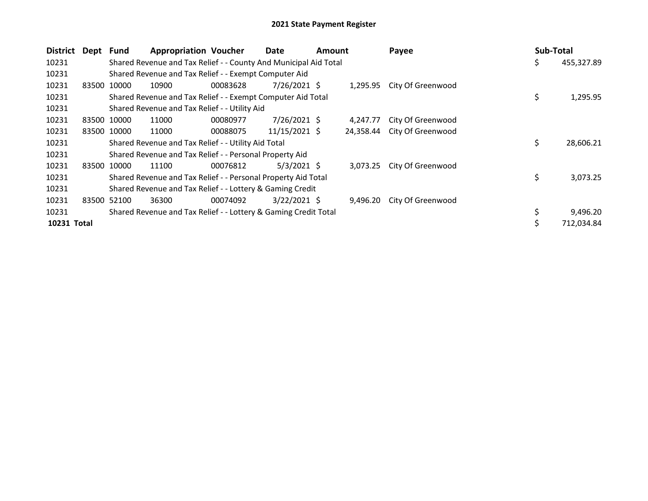| <b>District</b> | Dept Fund |             | <b>Appropriation Voucher</b>                                     |          | Date           | <b>Amount</b> |           | Payee                      | Sub-Total |            |
|-----------------|-----------|-------------|------------------------------------------------------------------|----------|----------------|---------------|-----------|----------------------------|-----------|------------|
| 10231           |           |             | Shared Revenue and Tax Relief - - County And Municipal Aid Total |          |                |               |           |                            | \$        | 455,327.89 |
| 10231           |           |             | Shared Revenue and Tax Relief - - Exempt Computer Aid            |          |                |               |           |                            |           |            |
| 10231           | 83500     | 10000       | 10900                                                            | 00083628 | 7/26/2021 \$   |               |           | 1,295.95 City Of Greenwood |           |            |
| 10231           |           |             | Shared Revenue and Tax Relief - - Exempt Computer Aid Total      |          |                |               |           |                            | \$        | 1,295.95   |
| 10231           |           |             | Shared Revenue and Tax Relief - - Utility Aid                    |          |                |               |           |                            |           |            |
| 10231           | 83500     | 10000       | 11000                                                            | 00080977 | $7/26/2021$ \$ |               | 4,247.77  | City Of Greenwood          |           |            |
| 10231           |           | 83500 10000 | 11000                                                            | 00088075 | 11/15/2021 \$  |               | 24.358.44 | City Of Greenwood          |           |            |
| 10231           |           |             | Shared Revenue and Tax Relief - - Utility Aid Total              |          |                |               |           |                            | \$        | 28,606.21  |
| 10231           |           |             | Shared Revenue and Tax Relief - - Personal Property Aid          |          |                |               |           |                            |           |            |
| 10231           |           | 83500 10000 | 11100                                                            | 00076812 | 5/3/2021 S     |               | 3,073.25  | City Of Greenwood          |           |            |
| 10231           |           |             | Shared Revenue and Tax Relief - - Personal Property Aid Total    |          |                |               |           |                            | \$        | 3,073.25   |
| 10231           |           |             | Shared Revenue and Tax Relief - - Lottery & Gaming Credit        |          |                |               |           |                            |           |            |
| 10231           |           | 83500 52100 | 36300                                                            | 00074092 | $3/22/2021$ \$ |               | 9,496.20  | City Of Greenwood          |           |            |
| 10231           |           |             | Shared Revenue and Tax Relief - - Lottery & Gaming Credit Total  |          |                |               |           |                            |           | 9,496.20   |
| 10231 Total     |           |             |                                                                  |          |                |               |           |                            | Ś         | 712,034.84 |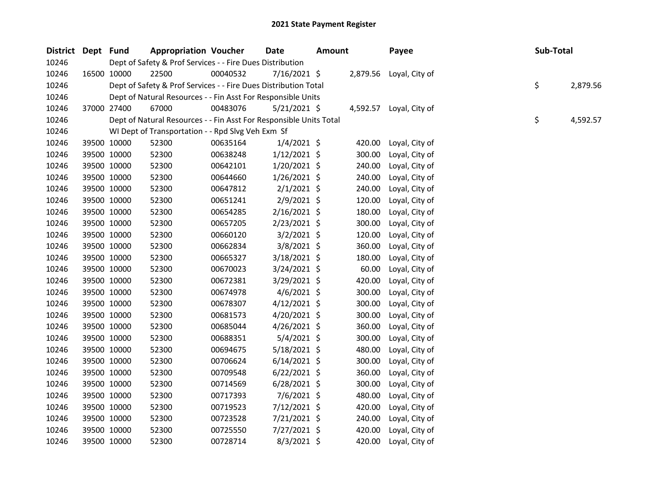| District Dept Fund |             | <b>Appropriation Voucher</b>                                       |          | <b>Date</b>    | <b>Amount</b> |          | Payee                   | Sub-Total |          |
|--------------------|-------------|--------------------------------------------------------------------|----------|----------------|---------------|----------|-------------------------|-----------|----------|
| 10246              |             | Dept of Safety & Prof Services - - Fire Dues Distribution          |          |                |               |          |                         |           |          |
| 10246              | 16500 10000 | 22500                                                              | 00040532 | 7/16/2021 \$   |               | 2,879.56 | Loyal, City of          |           |          |
| 10246              |             | Dept of Safety & Prof Services - - Fire Dues Distribution Total    |          |                |               |          |                         | \$        | 2,879.56 |
| 10246              |             | Dept of Natural Resources - - Fin Asst For Responsible Units       |          |                |               |          |                         |           |          |
| 10246              | 37000 27400 | 67000                                                              | 00483076 | $5/21/2021$ \$ |               |          | 4,592.57 Loyal, City of |           |          |
| 10246              |             | Dept of Natural Resources - - Fin Asst For Responsible Units Total |          |                |               |          |                         | \$        | 4,592.57 |
| 10246              |             | WI Dept of Transportation - - Rpd Slvg Veh Exm Sf                  |          |                |               |          |                         |           |          |
| 10246              | 39500 10000 | 52300                                                              | 00635164 | $1/4/2021$ \$  |               | 420.00   | Loyal, City of          |           |          |
| 10246              | 39500 10000 | 52300                                                              | 00638248 | $1/12/2021$ \$ |               | 300.00   | Loyal, City of          |           |          |
| 10246              | 39500 10000 | 52300                                                              | 00642101 | 1/20/2021 \$   |               | 240.00   | Loyal, City of          |           |          |
| 10246              | 39500 10000 | 52300                                                              | 00644660 | $1/26/2021$ \$ |               | 240.00   | Loyal, City of          |           |          |
| 10246              | 39500 10000 | 52300                                                              | 00647812 | $2/1/2021$ \$  |               | 240.00   | Loyal, City of          |           |          |
| 10246              | 39500 10000 | 52300                                                              | 00651241 | $2/9/2021$ \$  |               | 120.00   | Loyal, City of          |           |          |
| 10246              | 39500 10000 | 52300                                                              | 00654285 | $2/16/2021$ \$ |               | 180.00   | Loyal, City of          |           |          |
| 10246              | 39500 10000 | 52300                                                              | 00657205 | 2/23/2021 \$   |               | 300.00   | Loyal, City of          |           |          |
| 10246              | 39500 10000 | 52300                                                              | 00660120 | $3/2/2021$ \$  |               | 120.00   | Loyal, City of          |           |          |
| 10246              | 39500 10000 | 52300                                                              | 00662834 | 3/8/2021 \$    |               | 360.00   | Loyal, City of          |           |          |
| 10246              | 39500 10000 | 52300                                                              | 00665327 | 3/18/2021 \$   |               | 180.00   | Loyal, City of          |           |          |
| 10246              | 39500 10000 | 52300                                                              | 00670023 | 3/24/2021 \$   |               | 60.00    | Loyal, City of          |           |          |
| 10246              | 39500 10000 | 52300                                                              | 00672381 | 3/29/2021 \$   |               | 420.00   | Loyal, City of          |           |          |
| 10246              | 39500 10000 | 52300                                                              | 00674978 | $4/6/2021$ \$  |               | 300.00   | Loyal, City of          |           |          |
| 10246              | 39500 10000 | 52300                                                              | 00678307 | $4/12/2021$ \$ |               | 300.00   | Loyal, City of          |           |          |
| 10246              | 39500 10000 | 52300                                                              | 00681573 | $4/20/2021$ \$ |               | 300.00   | Loyal, City of          |           |          |
| 10246              | 39500 10000 | 52300                                                              | 00685044 | $4/26/2021$ \$ |               | 360.00   | Loyal, City of          |           |          |
| 10246              | 39500 10000 | 52300                                                              | 00688351 | $5/4/2021$ \$  |               | 300.00   | Loyal, City of          |           |          |
| 10246              | 39500 10000 | 52300                                                              | 00694675 | 5/18/2021 \$   |               | 480.00   | Loyal, City of          |           |          |
| 10246              | 39500 10000 | 52300                                                              | 00706624 | $6/14/2021$ \$ |               | 300.00   | Loyal, City of          |           |          |
| 10246              | 39500 10000 | 52300                                                              | 00709548 | $6/22/2021$ \$ |               | 360.00   | Loyal, City of          |           |          |
| 10246              | 39500 10000 | 52300                                                              | 00714569 | $6/28/2021$ \$ |               | 300.00   | Loyal, City of          |           |          |
| 10246              | 39500 10000 | 52300                                                              | 00717393 | $7/6/2021$ \$  |               | 480.00   | Loyal, City of          |           |          |
| 10246              | 39500 10000 | 52300                                                              | 00719523 | 7/12/2021 \$   |               | 420.00   | Loyal, City of          |           |          |
| 10246              | 39500 10000 | 52300                                                              | 00723528 | $7/21/2021$ \$ |               | 240.00   | Loyal, City of          |           |          |
| 10246              | 39500 10000 | 52300                                                              | 00725550 | 7/27/2021 \$   |               | 420.00   | Loyal, City of          |           |          |
| 10246              | 39500 10000 | 52300                                                              | 00728714 | $8/3/2021$ \$  |               | 420.00   | Loyal, City of          |           |          |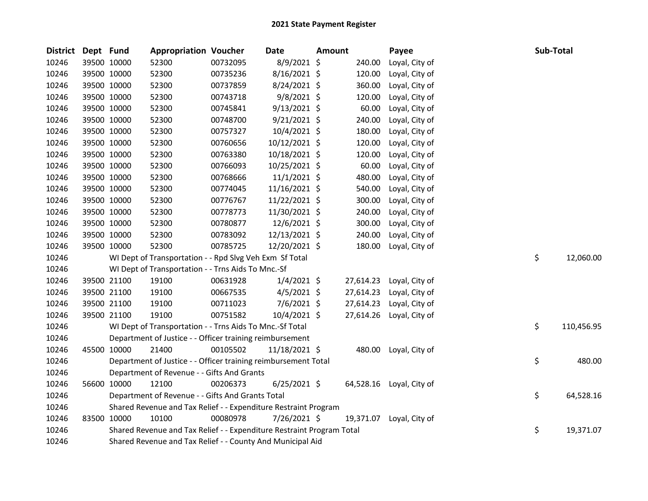| <b>District</b> | Dept Fund   |             | <b>Appropriation Voucher</b>                                          |          | Date           | Amount |           | Payee                    | Sub-Total |            |
|-----------------|-------------|-------------|-----------------------------------------------------------------------|----------|----------------|--------|-----------|--------------------------|-----------|------------|
| 10246           |             | 39500 10000 | 52300                                                                 | 00732095 | 8/9/2021 \$    |        | 240.00    | Loyal, City of           |           |            |
| 10246           |             | 39500 10000 | 52300                                                                 | 00735236 | 8/16/2021 \$   |        | 120.00    | Loyal, City of           |           |            |
| 10246           |             | 39500 10000 | 52300                                                                 | 00737859 | 8/24/2021 \$   |        | 360.00    | Loyal, City of           |           |            |
| 10246           | 39500 10000 |             | 52300                                                                 | 00743718 | $9/8/2021$ \$  |        | 120.00    | Loyal, City of           |           |            |
| 10246           |             | 39500 10000 | 52300                                                                 | 00745841 | $9/13/2021$ \$ |        | 60.00     | Loyal, City of           |           |            |
| 10246           |             | 39500 10000 | 52300                                                                 | 00748700 | $9/21/2021$ \$ |        | 240.00    | Loyal, City of           |           |            |
| 10246           |             | 39500 10000 | 52300                                                                 | 00757327 | 10/4/2021 \$   |        | 180.00    | Loyal, City of           |           |            |
| 10246           |             | 39500 10000 | 52300                                                                 | 00760656 | 10/12/2021 \$  |        | 120.00    | Loyal, City of           |           |            |
| 10246           |             | 39500 10000 | 52300                                                                 | 00763380 | 10/18/2021 \$  |        | 120.00    | Loyal, City of           |           |            |
| 10246           |             | 39500 10000 | 52300                                                                 | 00766093 | 10/25/2021 \$  |        | 60.00     | Loyal, City of           |           |            |
| 10246           |             | 39500 10000 | 52300                                                                 | 00768666 | 11/1/2021 \$   |        | 480.00    | Loyal, City of           |           |            |
| 10246           |             | 39500 10000 | 52300                                                                 | 00774045 | 11/16/2021 \$  |        | 540.00    | Loyal, City of           |           |            |
| 10246           |             | 39500 10000 | 52300                                                                 | 00776767 | 11/22/2021 \$  |        | 300.00    | Loyal, City of           |           |            |
| 10246           |             | 39500 10000 | 52300                                                                 | 00778773 | 11/30/2021 \$  |        | 240.00    | Loyal, City of           |           |            |
| 10246           |             | 39500 10000 | 52300                                                                 | 00780877 | 12/6/2021 \$   |        | 300.00    | Loyal, City of           |           |            |
| 10246           |             | 39500 10000 | 52300                                                                 | 00783092 | 12/13/2021 \$  |        | 240.00    | Loyal, City of           |           |            |
| 10246           |             | 39500 10000 | 52300                                                                 | 00785725 | 12/20/2021 \$  |        | 180.00    | Loyal, City of           |           |            |
| 10246           |             |             | WI Dept of Transportation - - Rpd Slvg Veh Exm Sf Total               |          |                |        |           |                          | \$        | 12,060.00  |
| 10246           |             |             | WI Dept of Transportation - - Trns Aids To Mnc.-Sf                    |          |                |        |           |                          |           |            |
| 10246           |             | 39500 21100 | 19100                                                                 | 00631928 | $1/4/2021$ \$  |        | 27,614.23 | Loyal, City of           |           |            |
| 10246           |             | 39500 21100 | 19100                                                                 | 00667535 | $4/5/2021$ \$  |        | 27,614.23 | Loyal, City of           |           |            |
| 10246           |             | 39500 21100 | 19100                                                                 | 00711023 | $7/6/2021$ \$  |        | 27,614.23 | Loyal, City of           |           |            |
| 10246           |             | 39500 21100 | 19100                                                                 | 00751582 | 10/4/2021 \$   |        | 27,614.26 | Loyal, City of           |           |            |
| 10246           |             |             | WI Dept of Transportation - - Trns Aids To Mnc.-Sf Total              |          |                |        |           |                          | \$        | 110,456.95 |
| 10246           |             |             | Department of Justice - - Officer training reimbursement              |          |                |        |           |                          |           |            |
| 10246           |             | 45500 10000 | 21400                                                                 | 00105502 | 11/18/2021 \$  |        | 480.00    | Loyal, City of           |           |            |
| 10246           |             |             | Department of Justice - - Officer training reimbursement Total        |          |                |        |           |                          | \$        | 480.00     |
| 10246           |             |             | Department of Revenue - - Gifts And Grants                            |          |                |        |           |                          |           |            |
| 10246           |             | 56600 10000 | 12100                                                                 | 00206373 | $6/25/2021$ \$ |        |           | 64,528.16 Loyal, City of |           |            |
| 10246           |             |             | Department of Revenue - - Gifts And Grants Total                      |          |                |        |           |                          | \$        | 64,528.16  |
| 10246           |             |             | Shared Revenue and Tax Relief - - Expenditure Restraint Program       |          |                |        |           |                          |           |            |
| 10246           | 83500 10000 |             | 10100                                                                 | 00080978 | 7/26/2021 \$   |        | 19,371.07 | Loyal, City of           |           |            |
| 10246           |             |             | Shared Revenue and Tax Relief - - Expenditure Restraint Program Total |          |                |        |           |                          | \$        | 19,371.07  |
| 10246           |             |             | Shared Revenue and Tax Relief - - County And Municipal Aid            |          |                |        |           |                          |           |            |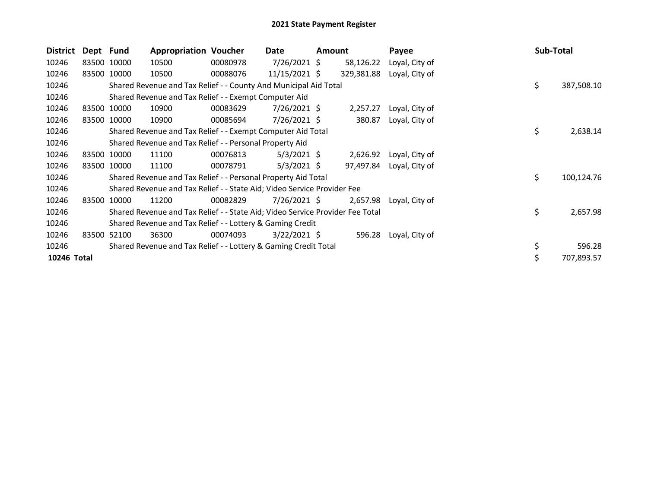| <b>District</b> | Dept Fund |             | <b>Appropriation Voucher</b>                                                  |          | Date           | <b>Amount</b> |            | Payee          |  | Sub-Total |            |
|-----------------|-----------|-------------|-------------------------------------------------------------------------------|----------|----------------|---------------|------------|----------------|--|-----------|------------|
| 10246           |           | 83500 10000 | 10500                                                                         | 00080978 | $7/26/2021$ \$ |               | 58,126.22  | Loyal, City of |  |           |            |
| 10246           |           | 83500 10000 | 10500                                                                         | 00088076 | 11/15/2021 \$  |               | 329,381.88 | Loyal, City of |  |           |            |
| 10246           |           |             | Shared Revenue and Tax Relief - - County And Municipal Aid Total              |          |                |               |            |                |  | \$        | 387,508.10 |
| 10246           |           |             | Shared Revenue and Tax Relief - - Exempt Computer Aid                         |          |                |               |            |                |  |           |            |
| 10246           |           | 83500 10000 | 10900                                                                         | 00083629 | 7/26/2021 \$   |               | 2,257.27   | Loyal, City of |  |           |            |
| 10246           |           | 83500 10000 | 10900                                                                         | 00085694 | $7/26/2021$ \$ |               | 380.87     | Loyal, City of |  |           |            |
| 10246           |           |             | Shared Revenue and Tax Relief - - Exempt Computer Aid Total                   |          |                |               |            |                |  | \$        | 2,638.14   |
| 10246           |           |             | Shared Revenue and Tax Relief - - Personal Property Aid                       |          |                |               |            |                |  |           |            |
| 10246           |           | 83500 10000 | 11100                                                                         | 00076813 | $5/3/2021$ \$  |               | 2,626.92   | Loyal, City of |  |           |            |
| 10246           |           | 83500 10000 | 11100                                                                         | 00078791 | $5/3/2021$ \$  |               | 97,497.84  | Loyal, City of |  |           |            |
| 10246           |           |             | Shared Revenue and Tax Relief - - Personal Property Aid Total                 |          |                |               |            |                |  | \$        | 100,124.76 |
| 10246           |           |             | Shared Revenue and Tax Relief - - State Aid; Video Service Provider Fee       |          |                |               |            |                |  |           |            |
| 10246           | 83500     | 10000       | 11200                                                                         | 00082829 | $7/26/2021$ \$ |               | 2,657.98   | Loyal, City of |  |           |            |
| 10246           |           |             | Shared Revenue and Tax Relief - - State Aid; Video Service Provider Fee Total |          |                |               |            |                |  | \$        | 2,657.98   |
| 10246           |           |             | Shared Revenue and Tax Relief - - Lottery & Gaming Credit                     |          |                |               |            |                |  |           |            |
| 10246           | 83500     | 52100       | 36300                                                                         | 00074093 | $3/22/2021$ \$ |               | 596.28     | Loyal, City of |  |           |            |
| 10246           |           |             | Shared Revenue and Tax Relief - - Lottery & Gaming Credit Total               |          |                |               |            |                |  | \$        | 596.28     |
| 10246 Total     |           |             |                                                                               |          |                |               |            |                |  | \$        | 707,893.57 |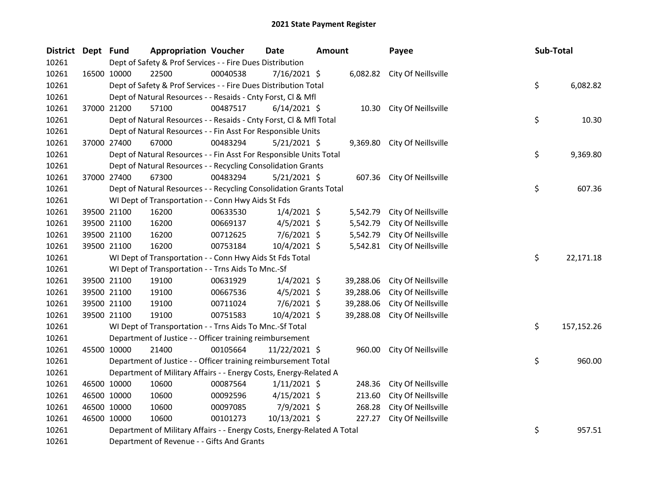| <b>District</b> | Dept Fund |             | <b>Appropriation Voucher</b>                                            |          | Date           | <b>Amount</b> |           | Payee                        | Sub-Total |            |
|-----------------|-----------|-------------|-------------------------------------------------------------------------|----------|----------------|---------------|-----------|------------------------------|-----------|------------|
| 10261           |           |             | Dept of Safety & Prof Services - - Fire Dues Distribution               |          |                |               |           |                              |           |            |
| 10261           |           | 16500 10000 | 22500                                                                   | 00040538 | 7/16/2021 \$   |               |           | 6,082.82 City Of Neillsville |           |            |
| 10261           |           |             | Dept of Safety & Prof Services - - Fire Dues Distribution Total         |          |                |               |           |                              | \$        | 6,082.82   |
| 10261           |           |             | Dept of Natural Resources - - Resaids - Cnty Forst, Cl & Mfl            |          |                |               |           |                              |           |            |
| 10261           |           | 37000 21200 | 57100                                                                   | 00487517 | $6/14/2021$ \$ |               |           | 10.30 City Of Neillsville    |           |            |
| 10261           |           |             | Dept of Natural Resources - - Resaids - Cnty Forst, CI & Mfl Total      |          |                |               |           |                              | \$        | 10.30      |
| 10261           |           |             | Dept of Natural Resources - - Fin Asst For Responsible Units            |          |                |               |           |                              |           |            |
| 10261           |           | 37000 27400 | 67000                                                                   | 00483294 | $5/21/2021$ \$ |               | 9,369.80  | City Of Neillsville          |           |            |
| 10261           |           |             | Dept of Natural Resources - - Fin Asst For Responsible Units Total      |          |                |               |           |                              | \$        | 9,369.80   |
| 10261           |           |             | Dept of Natural Resources - - Recycling Consolidation Grants            |          |                |               |           |                              |           |            |
| 10261           |           | 37000 27400 | 67300                                                                   | 00483294 | $5/21/2021$ \$ |               | 607.36    | City Of Neillsville          |           |            |
| 10261           |           |             | Dept of Natural Resources - - Recycling Consolidation Grants Total      |          |                |               |           |                              | \$        | 607.36     |
| 10261           |           |             | WI Dept of Transportation - - Conn Hwy Aids St Fds                      |          |                |               |           |                              |           |            |
| 10261           |           | 39500 21100 | 16200                                                                   | 00633530 | $1/4/2021$ \$  |               | 5,542.79  | City Of Neillsville          |           |            |
| 10261           |           | 39500 21100 | 16200                                                                   | 00669137 | $4/5/2021$ \$  |               | 5,542.79  | City Of Neillsville          |           |            |
| 10261           |           | 39500 21100 | 16200                                                                   | 00712625 | 7/6/2021 \$    |               | 5,542.79  | City Of Neillsville          |           |            |
| 10261           |           | 39500 21100 | 16200                                                                   | 00753184 | 10/4/2021 \$   |               | 5,542.81  | City Of Neillsville          |           |            |
| 10261           |           |             | WI Dept of Transportation - - Conn Hwy Aids St Fds Total                |          |                |               |           |                              | \$        | 22,171.18  |
| 10261           |           |             | WI Dept of Transportation - - Trns Aids To Mnc.-Sf                      |          |                |               |           |                              |           |            |
| 10261           |           | 39500 21100 | 19100                                                                   | 00631929 | $1/4/2021$ \$  |               | 39,288.06 | City Of Neillsville          |           |            |
| 10261           |           | 39500 21100 | 19100                                                                   | 00667536 | $4/5/2021$ \$  |               | 39,288.06 | City Of Neillsville          |           |            |
| 10261           |           | 39500 21100 | 19100                                                                   | 00711024 | 7/6/2021 \$    |               | 39,288.06 | City Of Neillsville          |           |            |
| 10261           |           | 39500 21100 | 19100                                                                   | 00751583 | 10/4/2021 \$   |               | 39,288.08 | City Of Neillsville          |           |            |
| 10261           |           |             | WI Dept of Transportation - - Trns Aids To Mnc.-Sf Total                |          |                |               |           |                              | \$        | 157,152.26 |
| 10261           |           |             | Department of Justice - - Officer training reimbursement                |          |                |               |           |                              |           |            |
| 10261           |           | 45500 10000 | 21400                                                                   | 00105664 | 11/22/2021 \$  |               | 960.00    | City Of Neillsville          |           |            |
| 10261           |           |             | Department of Justice - - Officer training reimbursement Total          |          |                |               |           |                              | \$        | 960.00     |
| 10261           |           |             | Department of Military Affairs - - Energy Costs, Energy-Related A       |          |                |               |           |                              |           |            |
| 10261           |           | 46500 10000 | 10600                                                                   | 00087564 | $1/11/2021$ \$ |               | 248.36    | City Of Neillsville          |           |            |
| 10261           |           | 46500 10000 | 10600                                                                   | 00092596 | $4/15/2021$ \$ |               | 213.60    | City Of Neillsville          |           |            |
| 10261           |           | 46500 10000 | 10600                                                                   | 00097085 | 7/9/2021 \$    |               | 268.28    | City Of Neillsville          |           |            |
| 10261           |           | 46500 10000 | 10600                                                                   | 00101273 | 10/13/2021 \$  |               | 227.27    | City Of Neillsville          |           |            |
| 10261           |           |             | Department of Military Affairs - - Energy Costs, Energy-Related A Total |          |                |               |           |                              | \$        | 957.51     |
| 10261           |           |             | Department of Revenue - - Gifts And Grants                              |          |                |               |           |                              |           |            |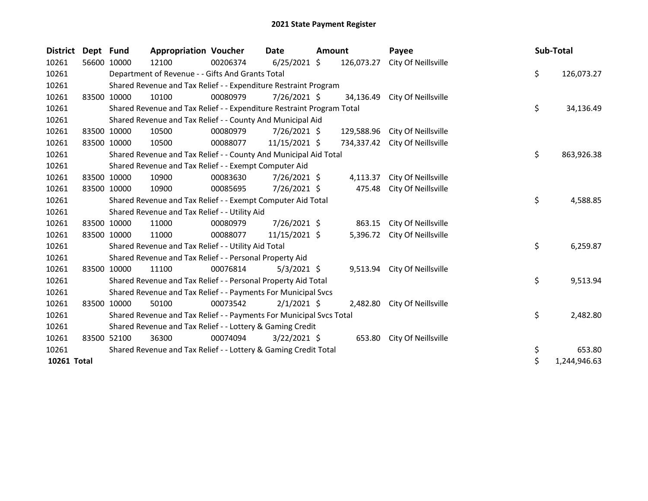| <b>District</b> | Dept Fund   |             | <b>Appropriation Voucher</b>                                          |          | <b>Date</b>    | <b>Amount</b> |            | Payee               | Sub-Total |              |
|-----------------|-------------|-------------|-----------------------------------------------------------------------|----------|----------------|---------------|------------|---------------------|-----------|--------------|
| 10261           |             | 56600 10000 | 12100                                                                 | 00206374 | $6/25/2021$ \$ |               | 126,073.27 | City Of Neillsville |           |              |
| 10261           |             |             | Department of Revenue - - Gifts And Grants Total                      |          |                |               |            |                     | \$        | 126,073.27   |
| 10261           |             |             | Shared Revenue and Tax Relief - - Expenditure Restraint Program       |          |                |               |            |                     |           |              |
| 10261           |             | 83500 10000 | 10100                                                                 | 00080979 | 7/26/2021 \$   |               | 34,136.49  | City Of Neillsville |           |              |
| 10261           |             |             | Shared Revenue and Tax Relief - - Expenditure Restraint Program Total |          |                |               |            |                     | \$        | 34,136.49    |
| 10261           |             |             | Shared Revenue and Tax Relief - - County And Municipal Aid            |          |                |               |            |                     |           |              |
| 10261           | 83500 10000 |             | 10500                                                                 | 00080979 | $7/26/2021$ \$ |               | 129,588.96 | City Of Neillsville |           |              |
| 10261           |             | 83500 10000 | 10500                                                                 | 00088077 | 11/15/2021 \$  |               | 734,337.42 | City Of Neillsville |           |              |
| 10261           |             |             | Shared Revenue and Tax Relief - - County And Municipal Aid Total      |          |                |               |            |                     | \$        | 863,926.38   |
| 10261           |             |             | Shared Revenue and Tax Relief - - Exempt Computer Aid                 |          |                |               |            |                     |           |              |
| 10261           |             | 83500 10000 | 10900                                                                 | 00083630 | 7/26/2021 \$   |               | 4,113.37   | City Of Neillsville |           |              |
| 10261           | 83500 10000 |             | 10900                                                                 | 00085695 | 7/26/2021 \$   |               | 475.48     | City Of Neillsville |           |              |
| 10261           |             |             | Shared Revenue and Tax Relief - - Exempt Computer Aid Total           |          |                |               |            |                     | \$        | 4,588.85     |
| 10261           |             |             | Shared Revenue and Tax Relief - - Utility Aid                         |          |                |               |            |                     |           |              |
| 10261           | 83500 10000 |             | 11000                                                                 | 00080979 | $7/26/2021$ \$ |               | 863.15     | City Of Neillsville |           |              |
| 10261           | 83500 10000 |             | 11000                                                                 | 00088077 | 11/15/2021 \$  |               | 5,396.72   | City Of Neillsville |           |              |
| 10261           |             |             | Shared Revenue and Tax Relief - - Utility Aid Total                   |          |                |               |            |                     | \$        | 6,259.87     |
| 10261           |             |             | Shared Revenue and Tax Relief - - Personal Property Aid               |          |                |               |            |                     |           |              |
| 10261           |             | 83500 10000 | 11100                                                                 | 00076814 | $5/3/2021$ \$  |               | 9,513.94   | City Of Neillsville |           |              |
| 10261           |             |             | Shared Revenue and Tax Relief - - Personal Property Aid Total         |          |                |               |            |                     | \$        | 9,513.94     |
| 10261           |             |             | Shared Revenue and Tax Relief - - Payments For Municipal Svcs         |          |                |               |            |                     |           |              |
| 10261           |             | 83500 10000 | 50100                                                                 | 00073542 | $2/1/2021$ \$  |               | 2,482.80   | City Of Neillsville |           |              |
| 10261           |             |             | Shared Revenue and Tax Relief - - Payments For Municipal Svcs Total   |          |                |               |            |                     | \$        | 2,482.80     |
| 10261           |             |             | Shared Revenue and Tax Relief - - Lottery & Gaming Credit             |          |                |               |            |                     |           |              |
| 10261           |             | 83500 52100 | 36300                                                                 | 00074094 | $3/22/2021$ \$ |               | 653.80     | City Of Neillsville |           |              |
| 10261           |             |             | Shared Revenue and Tax Relief - - Lottery & Gaming Credit Total       |          |                |               |            |                     | \$        | 653.80       |
| 10261 Total     |             |             |                                                                       |          |                |               |            |                     | \$        | 1,244,946.63 |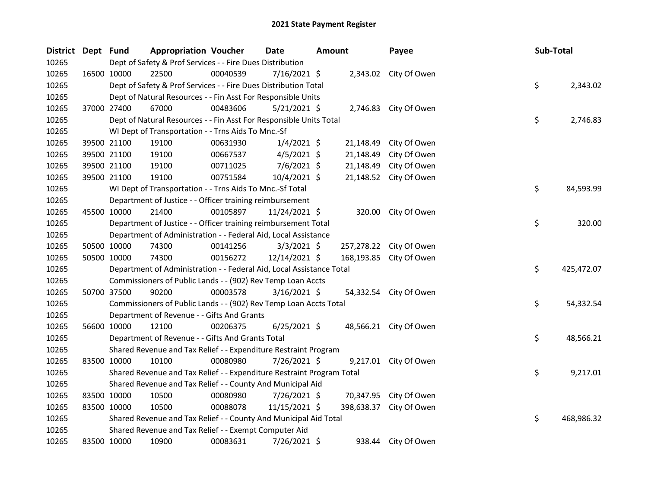| District Dept Fund |             |                                                                       | <b>Appropriation Voucher</b> | <b>Date</b>    | Amount |            | Payee                   | Sub-Total |            |
|--------------------|-------------|-----------------------------------------------------------------------|------------------------------|----------------|--------|------------|-------------------------|-----------|------------|
| 10265              |             | Dept of Safety & Prof Services - - Fire Dues Distribution             |                              |                |        |            |                         |           |            |
| 10265              | 16500 10000 | 22500                                                                 | 00040539                     | $7/16/2021$ \$ |        |            | 2,343.02 City Of Owen   |           |            |
| 10265              |             | Dept of Safety & Prof Services - - Fire Dues Distribution Total       |                              |                |        |            |                         | \$        | 2,343.02   |
| 10265              |             | Dept of Natural Resources - - Fin Asst For Responsible Units          |                              |                |        |            |                         |           |            |
| 10265              | 37000 27400 | 67000                                                                 | 00483606                     | $5/21/2021$ \$ |        |            | 2,746.83 City Of Owen   |           |            |
| 10265              |             | Dept of Natural Resources - - Fin Asst For Responsible Units Total    |                              |                |        |            |                         | \$        | 2,746.83   |
| 10265              |             | WI Dept of Transportation - - Trns Aids To Mnc.-Sf                    |                              |                |        |            |                         |           |            |
| 10265              |             | 39500 21100<br>19100                                                  | 00631930                     | $1/4/2021$ \$  |        | 21,148.49  | City Of Owen            |           |            |
| 10265              |             | 19100<br>39500 21100                                                  | 00667537                     | $4/5/2021$ \$  |        | 21,148.49  | City Of Owen            |           |            |
| 10265              | 39500 21100 | 19100                                                                 | 00711025                     | $7/6/2021$ \$  |        | 21,148.49  | City Of Owen            |           |            |
| 10265              | 39500 21100 | 19100                                                                 | 00751584                     | 10/4/2021 \$   |        |            | 21,148.52 City Of Owen  |           |            |
| 10265              |             | WI Dept of Transportation - - Trns Aids To Mnc.-Sf Total              |                              |                |        |            |                         | \$        | 84,593.99  |
| 10265              |             | Department of Justice - - Officer training reimbursement              |                              |                |        |            |                         |           |            |
| 10265              | 45500 10000 | 21400                                                                 | 00105897                     | 11/24/2021 \$  |        | 320.00     | City Of Owen            |           |            |
| 10265              |             | Department of Justice - - Officer training reimbursement Total        |                              |                |        |            |                         | \$        | 320.00     |
| 10265              |             | Department of Administration - - Federal Aid, Local Assistance        |                              |                |        |            |                         |           |            |
| 10265              | 50500 10000 | 74300                                                                 | 00141256                     | $3/3/2021$ \$  |        |            | 257,278.22 City Of Owen |           |            |
| 10265              | 50500 10000 | 74300                                                                 | 00156272                     | 12/14/2021 \$  |        |            | 168,193.85 City Of Owen |           |            |
| 10265              |             | Department of Administration - - Federal Aid, Local Assistance Total  |                              |                |        |            |                         | \$        | 425,472.07 |
| 10265              |             | Commissioners of Public Lands - - (902) Rev Temp Loan Accts           |                              |                |        |            |                         |           |            |
| 10265              |             | 50700 37500<br>90200                                                  | 00003578                     | $3/16/2021$ \$ |        |            | 54,332.54 City Of Owen  |           |            |
| 10265              |             | Commissioners of Public Lands - - (902) Rev Temp Loan Accts Total     |                              |                |        |            |                         | \$        | 54,332.54  |
| 10265              |             | Department of Revenue - - Gifts And Grants                            |                              |                |        |            |                         |           |            |
| 10265              | 56600 10000 | 12100                                                                 | 00206375                     | $6/25/2021$ \$ |        |            | 48,566.21 City Of Owen  |           |            |
| 10265              |             | Department of Revenue - - Gifts And Grants Total                      |                              |                |        |            |                         | \$        | 48,566.21  |
| 10265              |             | Shared Revenue and Tax Relief - - Expenditure Restraint Program       |                              |                |        |            |                         |           |            |
| 10265              | 83500 10000 | 10100                                                                 | 00080980                     | 7/26/2021 \$   |        |            | 9,217.01 City Of Owen   |           |            |
| 10265              |             | Shared Revenue and Tax Relief - - Expenditure Restraint Program Total |                              |                |        |            |                         | \$        | 9,217.01   |
| 10265              |             | Shared Revenue and Tax Relief - - County And Municipal Aid            |                              |                |        |            |                         |           |            |
| 10265              | 83500 10000 | 10500                                                                 | 00080980                     | $7/26/2021$ \$ |        | 70,347.95  | City Of Owen            |           |            |
| 10265              | 83500 10000 | 10500                                                                 | 00088078                     | 11/15/2021 \$  |        | 398,638.37 | City Of Owen            |           |            |
| 10265              |             | Shared Revenue and Tax Relief - - County And Municipal Aid Total      |                              |                |        |            |                         | \$        | 468,986.32 |
| 10265              |             | Shared Revenue and Tax Relief - - Exempt Computer Aid                 |                              |                |        |            |                         |           |            |
| 10265              | 83500 10000 | 10900                                                                 | 00083631                     | 7/26/2021 \$   |        |            | 938.44 City Of Owen     |           |            |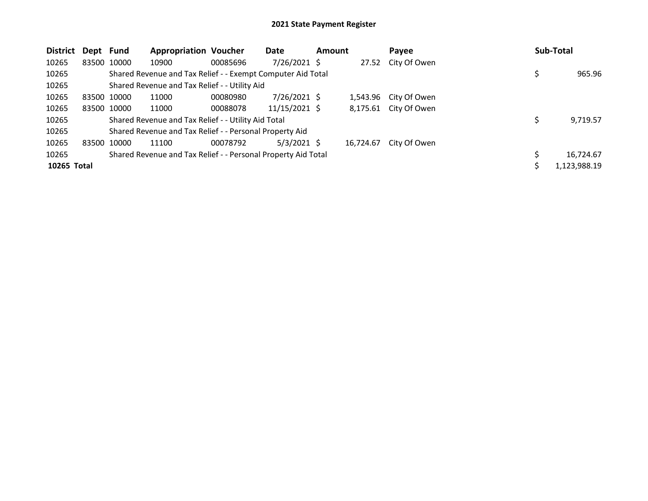| District Dept Fund |             |             | <b>Appropriation Voucher</b>                                  |          | Date            | <b>Amount</b> |           | Payee                 |  | Sub-Total    |
|--------------------|-------------|-------------|---------------------------------------------------------------|----------|-----------------|---------------|-----------|-----------------------|--|--------------|
| 10265              |             | 83500 10000 | 10900                                                         | 00085696 | 7/26/2021 \$    |               | 27.52     | City Of Owen          |  |              |
| 10265              |             |             | Shared Revenue and Tax Relief - - Exempt Computer Aid Total   |          |                 |               |           |                       |  | 965.96       |
| 10265              |             |             | Shared Revenue and Tax Relief - - Utility Aid                 |          |                 |               |           |                       |  |              |
| 10265              | 83500 10000 |             | 11000                                                         | 00080980 | $7/26/2021$ \$  |               |           | 1,543.96 City Of Owen |  |              |
| 10265              |             | 83500 10000 | 11000                                                         | 00088078 | $11/15/2021$ \$ |               |           | 8,175.61 City Of Owen |  |              |
| 10265              |             |             | Shared Revenue and Tax Relief - - Utility Aid Total           |          |                 |               |           |                       |  | 9,719.57     |
| 10265              |             |             | Shared Revenue and Tax Relief - - Personal Property Aid       |          |                 |               |           |                       |  |              |
| 10265              | 83500 10000 |             | 11100                                                         | 00078792 | $5/3/2021$ \$   |               | 16.724.67 | City Of Owen          |  |              |
| 10265              |             |             | Shared Revenue and Tax Relief - - Personal Property Aid Total |          |                 |               |           |                       |  | 16,724.67    |
| 10265 Total        |             |             |                                                               |          |                 |               |           |                       |  | 1,123,988.19 |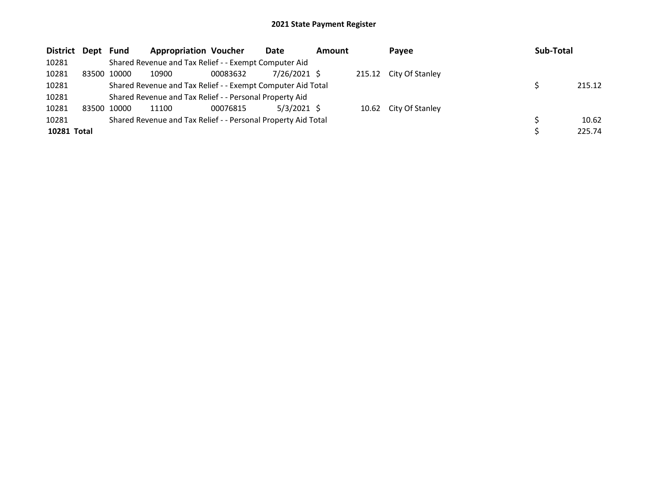| District Dept Fund |             | <b>Appropriation Voucher</b>                                  |          | Date           | <b>Amount</b> | Payee                  | Sub-Total |        |
|--------------------|-------------|---------------------------------------------------------------|----------|----------------|---------------|------------------------|-----------|--------|
| 10281              |             | Shared Revenue and Tax Relief - - Exempt Computer Aid         |          |                |               |                        |           |        |
| 10281              | 83500 10000 | 10900                                                         | 00083632 | $7/26/2021$ \$ |               | 215.12 City Of Stanley |           |        |
| 10281              |             | Shared Revenue and Tax Relief - - Exempt Computer Aid Total   |          |                |               |                        |           | 215.12 |
| 10281              |             | Shared Revenue and Tax Relief - - Personal Property Aid       |          |                |               |                        |           |        |
| 10281              | 83500 10000 | 11100                                                         | 00076815 | $5/3/2021$ \$  |               | 10.62 City Of Stanley  |           |        |
| 10281              |             | Shared Revenue and Tax Relief - - Personal Property Aid Total |          |                |               |                        |           | 10.62  |
| 10281 Total        |             |                                                               |          |                |               |                        |           | 225.74 |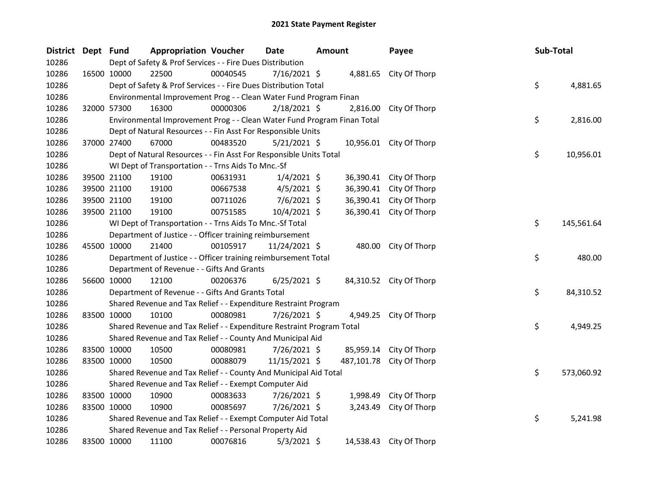| District Dept Fund |             | <b>Appropriation Voucher</b>                                            |          | <b>Date</b>    | <b>Amount</b> |           | Payee                    | Sub-Total |            |
|--------------------|-------------|-------------------------------------------------------------------------|----------|----------------|---------------|-----------|--------------------------|-----------|------------|
| 10286              |             | Dept of Safety & Prof Services - - Fire Dues Distribution               |          |                |               |           |                          |           |            |
| 10286              | 16500 10000 | 22500                                                                   | 00040545 | 7/16/2021 \$   |               |           | 4,881.65 City Of Thorp   |           |            |
| 10286              |             | Dept of Safety & Prof Services - - Fire Dues Distribution Total         |          |                |               |           |                          | \$        | 4,881.65   |
| 10286              |             | Environmental Improvement Prog - - Clean Water Fund Program Finan       |          |                |               |           |                          |           |            |
| 10286              | 32000 57300 | 16300                                                                   | 00000306 | $2/18/2021$ \$ |               | 2,816.00  | City Of Thorp            |           |            |
| 10286              |             | Environmental Improvement Prog - - Clean Water Fund Program Finan Total |          |                |               |           |                          | \$        | 2,816.00   |
| 10286              |             | Dept of Natural Resources - - Fin Asst For Responsible Units            |          |                |               |           |                          |           |            |
| 10286              | 37000 27400 | 67000                                                                   | 00483520 | $5/21/2021$ \$ |               |           | 10,956.01 City Of Thorp  |           |            |
| 10286              |             | Dept of Natural Resources - - Fin Asst For Responsible Units Total      |          |                |               |           |                          | \$        | 10,956.01  |
| 10286              |             | WI Dept of Transportation - - Trns Aids To Mnc.-Sf                      |          |                |               |           |                          |           |            |
| 10286              | 39500 21100 | 19100                                                                   | 00631931 | $1/4/2021$ \$  |               |           | 36,390.41 City Of Thorp  |           |            |
| 10286              | 39500 21100 | 19100                                                                   | 00667538 | $4/5/2021$ \$  |               |           | 36,390.41 City Of Thorp  |           |            |
| 10286              | 39500 21100 | 19100                                                                   | 00711026 | $7/6/2021$ \$  |               | 36,390.41 | City Of Thorp            |           |            |
| 10286              | 39500 21100 | 19100                                                                   | 00751585 | 10/4/2021 \$   |               |           | 36,390.41 City Of Thorp  |           |            |
| 10286              |             | WI Dept of Transportation - - Trns Aids To Mnc.-Sf Total                |          |                |               |           |                          | \$        | 145,561.64 |
| 10286              |             | Department of Justice - - Officer training reimbursement                |          |                |               |           |                          |           |            |
| 10286              | 45500 10000 | 21400                                                                   | 00105917 | 11/24/2021 \$  |               |           | 480.00 City Of Thorp     |           |            |
| 10286              |             | Department of Justice - - Officer training reimbursement Total          |          |                |               |           |                          | \$        | 480.00     |
| 10286              |             | Department of Revenue - - Gifts And Grants                              |          |                |               |           |                          |           |            |
| 10286              | 56600 10000 | 12100                                                                   | 00206376 | $6/25/2021$ \$ |               |           | 84,310.52 City Of Thorp  |           |            |
| 10286              |             | Department of Revenue - - Gifts And Grants Total                        |          |                |               |           |                          | \$        | 84,310.52  |
| 10286              |             | Shared Revenue and Tax Relief - - Expenditure Restraint Program         |          |                |               |           |                          |           |            |
| 10286              | 83500 10000 | 10100                                                                   | 00080981 | 7/26/2021 \$   |               |           | 4,949.25 City Of Thorp   |           |            |
| 10286              |             | Shared Revenue and Tax Relief - - Expenditure Restraint Program Total   |          |                |               |           |                          | \$        | 4,949.25   |
| 10286              |             | Shared Revenue and Tax Relief - - County And Municipal Aid              |          |                |               |           |                          |           |            |
| 10286              | 83500 10000 | 10500                                                                   | 00080981 | 7/26/2021 \$   |               |           | 85,959.14 City Of Thorp  |           |            |
| 10286              | 83500 10000 | 10500                                                                   | 00088079 | 11/15/2021 \$  |               |           | 487,101.78 City Of Thorp |           |            |
| 10286              |             | Shared Revenue and Tax Relief - - County And Municipal Aid Total        |          |                |               |           |                          | \$        | 573,060.92 |
| 10286              |             | Shared Revenue and Tax Relief - - Exempt Computer Aid                   |          |                |               |           |                          |           |            |
| 10286              | 83500 10000 | 10900                                                                   | 00083633 | 7/26/2021 \$   |               | 1,998.49  | City Of Thorp            |           |            |
| 10286              | 83500 10000 | 10900                                                                   | 00085697 | 7/26/2021 \$   |               | 3,243.49  | City Of Thorp            |           |            |
| 10286              |             | Shared Revenue and Tax Relief - - Exempt Computer Aid Total             |          |                |               |           |                          | \$        | 5,241.98   |
| 10286              |             | Shared Revenue and Tax Relief - - Personal Property Aid                 |          |                |               |           |                          |           |            |
| 10286              | 83500 10000 | 11100                                                                   | 00076816 | $5/3/2021$ \$  |               | 14,538.43 | City Of Thorp            |           |            |